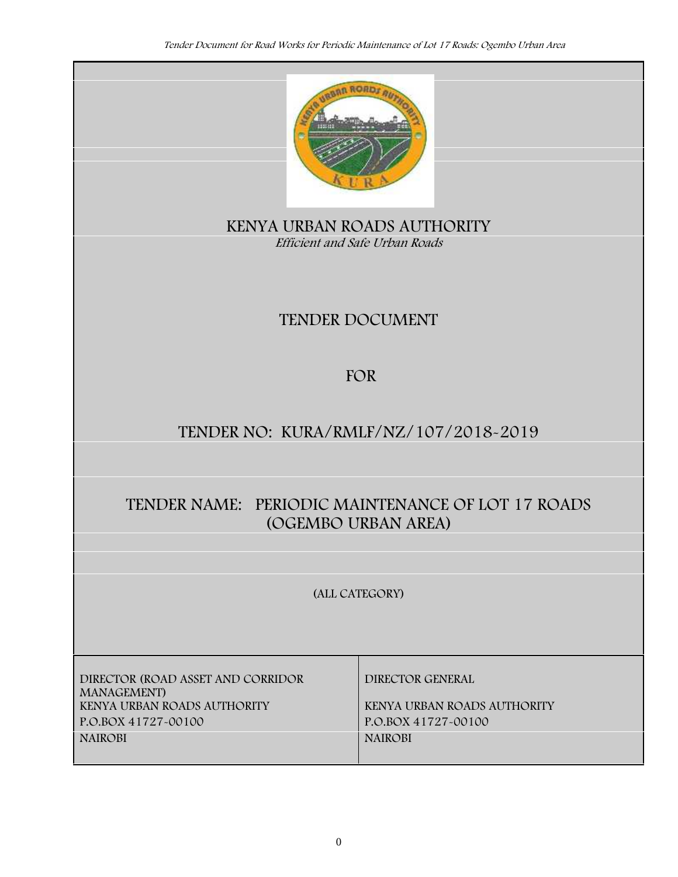

**KENYA URBAN ROADS AUTHORITY** *Efficient and Safe Urban Roads*

# **TENDER DOCUMENT**

# **FOR**

# **TENDER NO: KURA/RMLF/NZ/107/2018-2019**

# **TENDER NAME: PERIODIC MAINTENANCE OF LOT 17 ROADS (OGEMBO URBAN AREA)**

**(ALL CATEGORY)**

| DIRECTOR (ROAD ASSET AND CORRIDOR | DIRECTOR GENERAL            |
|-----------------------------------|-----------------------------|
| <b>MANAGEMENT</b> )               |                             |
| KENYA URBAN ROADS AUTHORITY       | KENYA URBAN ROADS AUTHORITY |
| P.O.BOX 41727-00100               | P.O.BOX 41727-00100         |
| <b>NAIROBI</b>                    | <b>NAIROBI</b>              |
|                                   |                             |
|                                   |                             |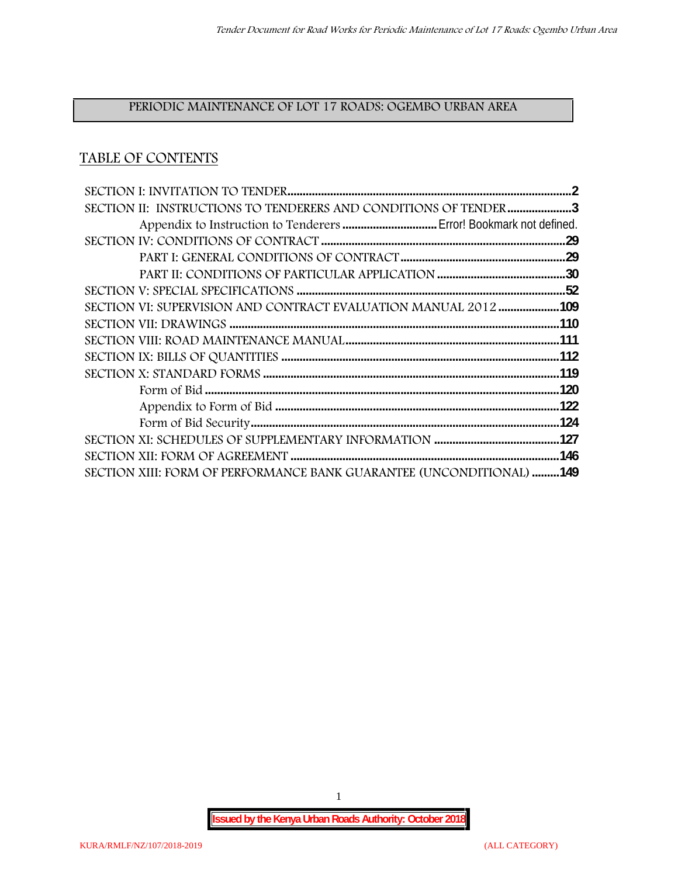# **PERIODIC MAINTENANCE OF LOT 17 ROADS: OGEMBO URBAN AREA**

# **TABLE OF CONTENTS**

| SECTION II: INSTRUCTIONS TO TENDERERS AND CONDITIONS OF TENDER 3     |
|----------------------------------------------------------------------|
|                                                                      |
|                                                                      |
|                                                                      |
|                                                                      |
|                                                                      |
| SECTION VI: SUPERVISION AND CONTRACT EVALUATION MANUAL 2012109       |
|                                                                      |
|                                                                      |
|                                                                      |
|                                                                      |
|                                                                      |
|                                                                      |
|                                                                      |
|                                                                      |
|                                                                      |
| SECTION XIII: FORM OF PERFORMANCE BANK GUARANTEE (UNCONDITIONAL) 149 |

1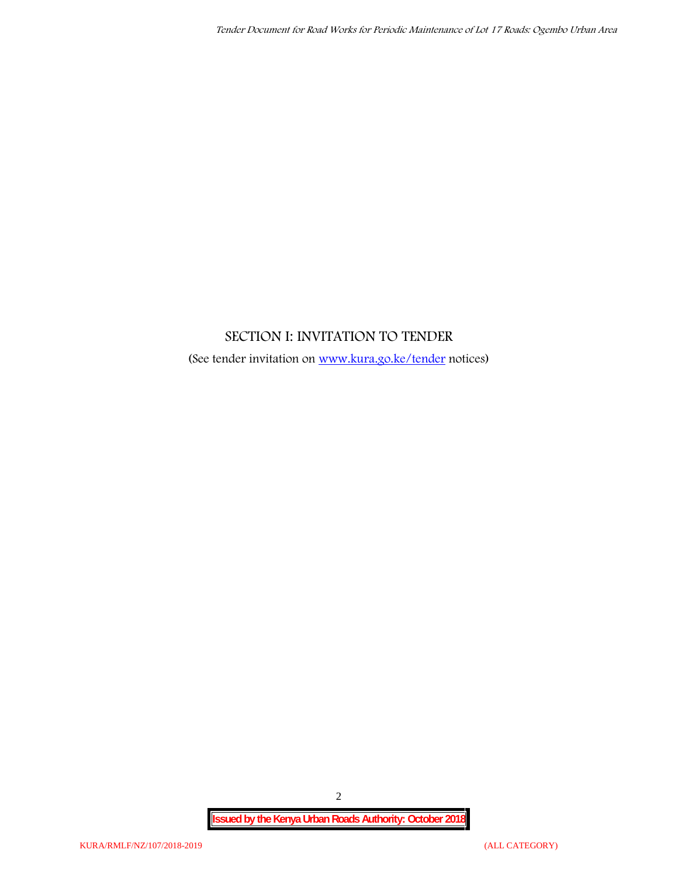# **SECTION I: INVITATION TO TENDER**

(See tender invitation on www.kura.go.ke/tender notices)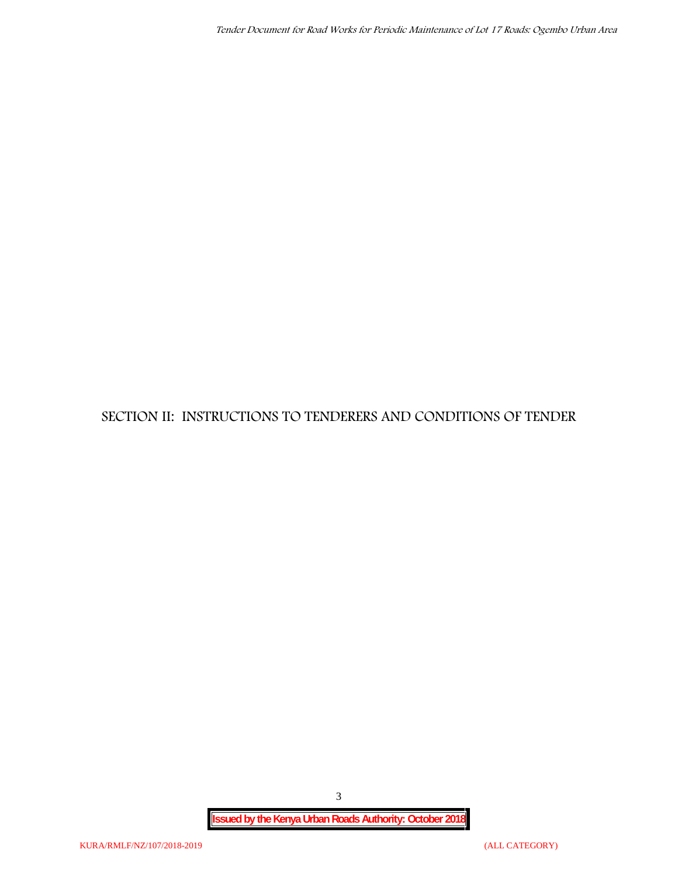**SECTION II: INSTRUCTIONS TO TENDERERS AND CONDITIONS OF TENDER**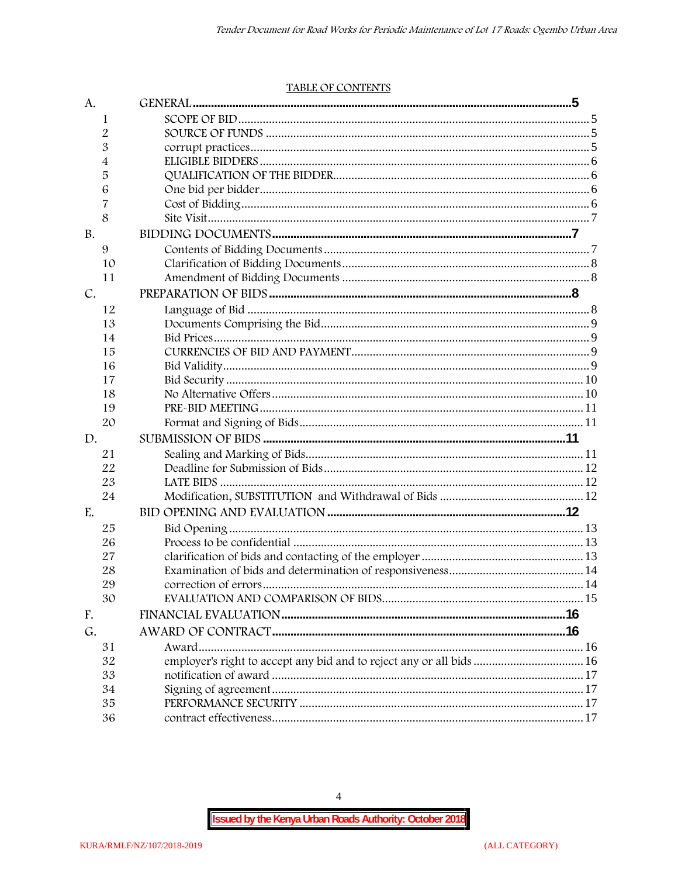#### TABLE OF CONTENTS

| A.        |    |                                                                      |  |
|-----------|----|----------------------------------------------------------------------|--|
|           | 1  |                                                                      |  |
|           | 2  |                                                                      |  |
|           | 3  |                                                                      |  |
|           | 4  |                                                                      |  |
|           | 5  |                                                                      |  |
|           | 6  |                                                                      |  |
|           | 7  |                                                                      |  |
|           | 8  |                                                                      |  |
| <b>B.</b> |    |                                                                      |  |
|           | 9  |                                                                      |  |
|           | 10 |                                                                      |  |
|           | 11 |                                                                      |  |
| C.        |    |                                                                      |  |
|           | 12 |                                                                      |  |
|           | 13 |                                                                      |  |
|           | 14 |                                                                      |  |
|           | 15 |                                                                      |  |
|           | 16 |                                                                      |  |
|           | 17 |                                                                      |  |
|           | 18 |                                                                      |  |
|           | 19 |                                                                      |  |
|           | 20 |                                                                      |  |
| D.        |    |                                                                      |  |
|           | 21 |                                                                      |  |
|           | 22 |                                                                      |  |
|           | 23 |                                                                      |  |
|           | 24 |                                                                      |  |
| E.        |    |                                                                      |  |
|           | 25 |                                                                      |  |
|           | 26 |                                                                      |  |
|           | 27 |                                                                      |  |
|           | 28 |                                                                      |  |
|           | 29 |                                                                      |  |
|           | 30 |                                                                      |  |
| F.        |    |                                                                      |  |
| G.        |    |                                                                      |  |
|           | 31 |                                                                      |  |
|           | 32 | employer's right to accept any bid and to reject any or all bids  16 |  |
|           | 33 |                                                                      |  |
|           | 34 |                                                                      |  |
|           | 35 |                                                                      |  |
|           | 36 |                                                                      |  |

 $\overline{4}$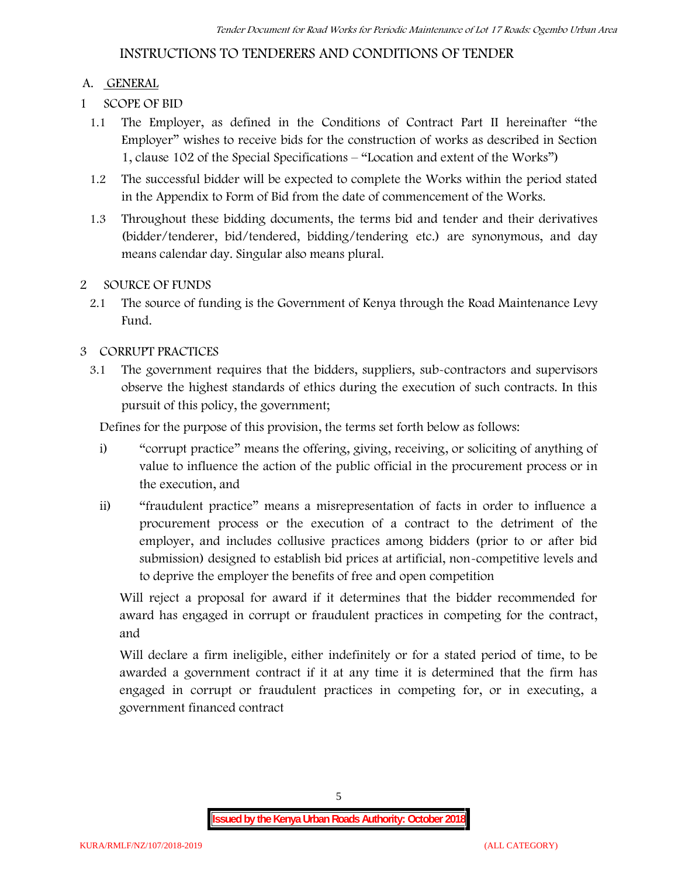# **INSTRUCTIONS TO TENDERERS AND CONDITIONS OF TENDER**

# **A. GENERAL**

- **1 SCOPE OF BID**
	- 1.1 The Employer, as defined in the Conditions of Contract Part II hereinafter "the Employer" wishes to receive bids for the construction of works as described in Section 1, clause 102 of the Special Specifications – "Location and extent of the Works")
	- 1.2 The successful bidder will be expected to complete the Works within the period stated in the Appendix to Form of Bid from the date of commencement of the Works.
	- 1.3 Throughout these bidding documents, the terms bid and tender and their derivatives (bidder/tenderer, bid/tendered, bidding/tendering etc.) are synonymous, and day means calendar day. Singular also means plural.

## **2 SOURCE OF FUNDS**

2.1 The source of funding is the Government of Kenya through the Road Maintenance Levy Fund.

## **3 CORRUPT PRACTICES**

3.1 The government requires that the bidders, suppliers, sub-contractors and supervisors observe the highest standards of ethics during the execution of such contracts. In this pursuit of this policy, the government;

Defines for the purpose of this provision, the terms set forth below as follows:

- i) "corrupt practice" means the offering, giving, receiving, or soliciting of anything of value to influence the action of the public official in the procurement process or in the execution, and
- ii) "fraudulent practice" means a misrepresentation of facts in order to influence a procurement process or the execution of a contract to the detriment of the employer, and includes collusive practices among bidders (prior to or after bid submission) designed to establish bid prices at artificial, non-competitive levels and to deprive the employer the benefits of free and open competition

Will reject a proposal for award if it determines that the bidder recommended for award has engaged in corrupt or fraudulent practices in competing for the contract, and

Will declare a firm ineligible, either indefinitely or for a stated period of time, to be awarded a government contract if it at any time it is determined that the firm has engaged in corrupt or fraudulent practices in competing for, or in executing, a government financed contract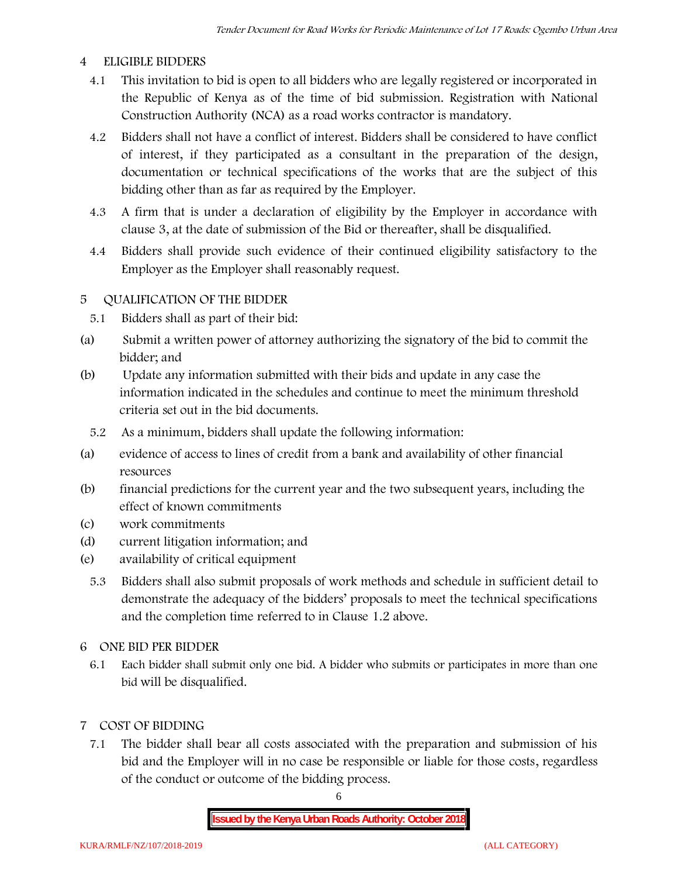## **4 ELIGIBLE BIDDERS**

- 4.1 This invitation to bid is open to all bidders who are legally registered or incorporated in the Republic of Kenya as of the time of bid submission. Registration with National Construction Authority (NCA) as a road works contractor is mandatory.
- 4.2 Bidders shall not have a conflict of interest. Bidders shall be considered to have conflict of interest, if they participated as a consultant in the preparation of the design, documentation or technical specifications of the works that are the subject of this bidding other than as far as required by the Employer.
- 4.3 A firm that is under a declaration of eligibility by the Employer in accordance with clause 3, at the date of submission of the Bid or thereafter, shall be disqualified.
- 4.4 Bidders shall provide such evidence of their continued eligibility satisfactory to the Employer as the Employer shall reasonably request.

# **5 QUALIFICATION OF THE BIDDER**

- 5.1 Bidders shall as part of their bid:
- (a) Submit a written power of attorney authorizing the signatory of the bid to commit the bidder; and
- (b) Update any information submitted with their bids and update in any case the information indicated in the schedules and continue to meet the minimum threshold criteria set out in the bid documents.
	- 5.2 As a minimum, bidders shall update the following information:
- (a) evidence of access to lines of credit from a bank and availability of other financial resources
- (b) financial predictions for the current year and the two subsequent years, including the effect of known commitments
- (c) work commitments
- (d) current litigation information; and
- (e) availability of critical equipment
	- 5.3 Bidders shall also submit proposals of work methods and schedule in sufficient detail to demonstrate the adequacy of the bidders' proposals to meet the technical specifications and the completion time referred to in Clause 1.2 above.
- **6 ONE BID PER BIDDER**
	- 6.1 Each bidder shall submit only one bid. A bidder who submits or participates in more than one bid will be disqualified.
- **7 COST OF BIDDING**
	- 7.1 The bidder shall bear all costs associated with the preparation and submission of his bid and the Employer will in no case be responsible or liable for those costs, regardless of the conduct or outcome of the bidding process.

6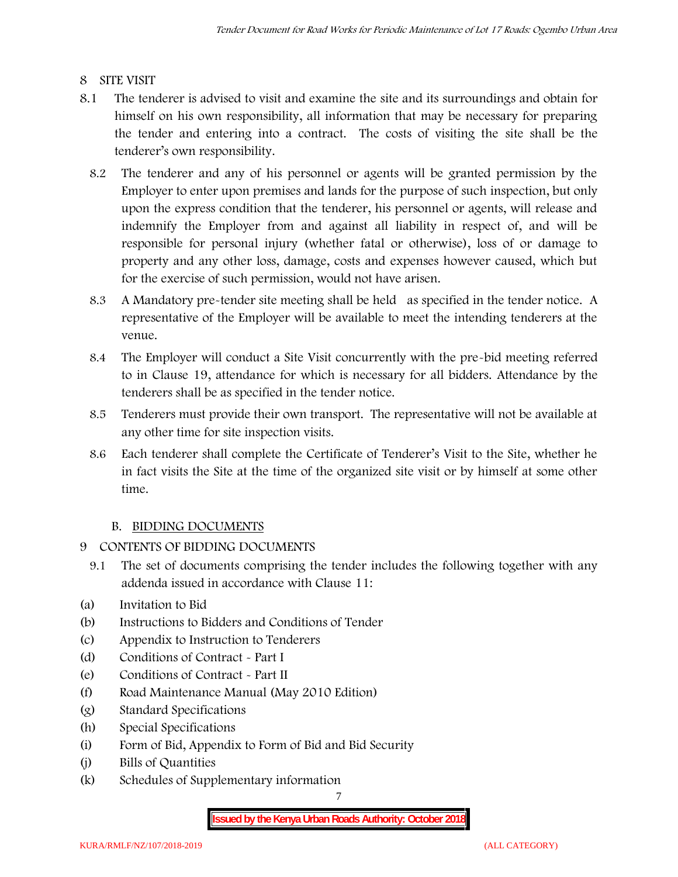# **8 SITE VISIT**

- 8.1 The tenderer is advised to visit and examine the site and its surroundings and obtain for himself on his own responsibility, all information that may be necessary for preparing the tender and entering into a contract. The costs of visiting the site shall be the tenderer's own responsibility.
	- 8.2 The tenderer and any of his personnel or agents will be granted permission by the Employer to enter upon premises and lands for the purpose of such inspection, but only upon the express condition that the tenderer, his personnel or agents, will release and indemnify the Employer from and against all liability in respect of, and will be responsible for personal injury (whether fatal or otherwise), loss of or damage to property and any other loss, damage, costs and expenses however caused, which but for the exercise of such permission, would not have arisen.
	- 8.3 A Mandatory pre-tender site meeting shall be held as specified in the tender notice. A representative of the Employer will be available to meet the intending tenderers at the venue.
	- 8.4 The Employer will conduct a Site Visit concurrently with the pre-bid meeting referred to in Clause 19, attendance for which is necessary for all bidders. Attendance by the tenderers shall be as specified in the tender notice.
	- 8.5 Tenderers must provide their own transport. The representative will not be available at any other time for site inspection visits.
	- 8.6 Each tenderer shall complete the Certificate of Tenderer's Visit to the Site, whether he in fact visits the Site at the time of the organized site visit or by himself at some other time.

# **B. BIDDING DOCUMENTS**

- **9 CONTENTS OF BIDDING DOCUMENTS**
	- 9.1 The set of documents comprising the tender includes the following together with any addenda issued in accordance with Clause 11:
- (a) Invitation to Bid
- (b) Instructions to Bidders and Conditions of Tender
- (c) Appendix to Instruction to Tenderers
- (d) Conditions of Contract Part I
- (e) Conditions of Contract Part II
- (f) Road Maintenance Manual (May 2010 Edition)
- (g) Standard Specifications
- (h) Special Specifications
- (i) Form of Bid, Appendix to Form of Bid and Bid Security
- (j) Bills of Quantities
- (k) Schedules of Supplementary information

7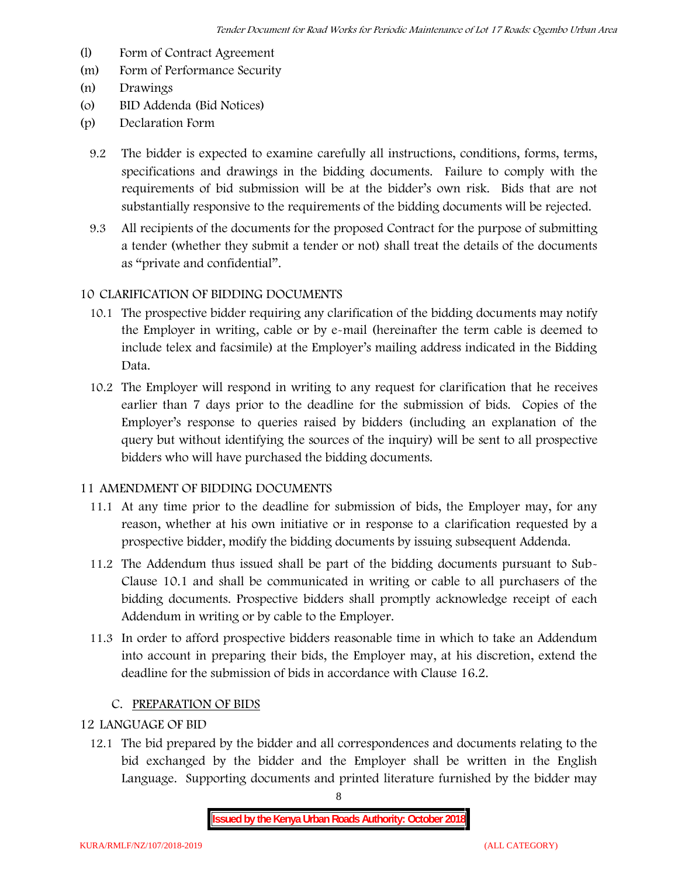- (l) Form of Contract Agreement
- (m) Form of Performance Security
- (n) Drawings
- (o) BID Addenda (Bid Notices)
- (p) Declaration Form
	- 9.2 The bidder is expected to examine carefully all instructions, conditions, forms, terms, specifications and drawings in the bidding documents. Failure to comply with the requirements of bid submission will be at the bidder's own risk. Bids that are not substantially responsive to the requirements of the bidding documents will be rejected.
	- 9.3 All recipients of the documents for the proposed Contract for the purpose of submitting a tender (whether they submit a tender or not) shall treat the details of the documents as "private and confidential".

## **10 CLARIFICATION OF BIDDING DOCUMENTS**

- 10.1 The prospective bidder requiring any clarification of the bidding documents may notify the Employer in writing, cable or by e-mail (hereinafter the term cable is deemed to include telex and facsimile) at the Employer's mailing address indicated in the Bidding Data.
- 10.2 The Employer will respond in writing to any request for clarification that he receives earlier than 7 days prior to the deadline for the submission of bids. Copies of the Employer's response to queries raised by bidders (including an explanation of the query but without identifying the sources of the inquiry) will be sent to all prospective bidders who will have purchased the bidding documents.

## **11 AMENDMENT OF BIDDING DOCUMENTS**

- 11.1 At any time prior to the deadline for submission of bids, the Employer may, for any reason, whether at his own initiative or in response to a clarification requested by a prospective bidder, modify the bidding documents by issuing subsequent Addenda.
- 11.2 The Addendum thus issued shall be part of the bidding documents pursuant to Sub- Clause 10.1 and shall be communicated in writing or cable to all purchasers of the bidding documents. Prospective bidders shall promptly acknowledge receipt of each Addendum in writing or by cable to the Employer.
- 11.3 In order to afford prospective bidders reasonable time in which to take an Addendum into account in preparing their bids, the Employer may, at his discretion, extend the deadline for the submission of bids in accordance with Clause 16.2.

## **C. PREPARATION OF BIDS**

# **12 LANGUAGE OF BID**

12.1 The bid prepared by the bidder and all correspondences and documents relating to the bid exchanged by the bidder and the Employer shall be written in the English Language. Supporting documents and printed literature furnished by the bidder may

8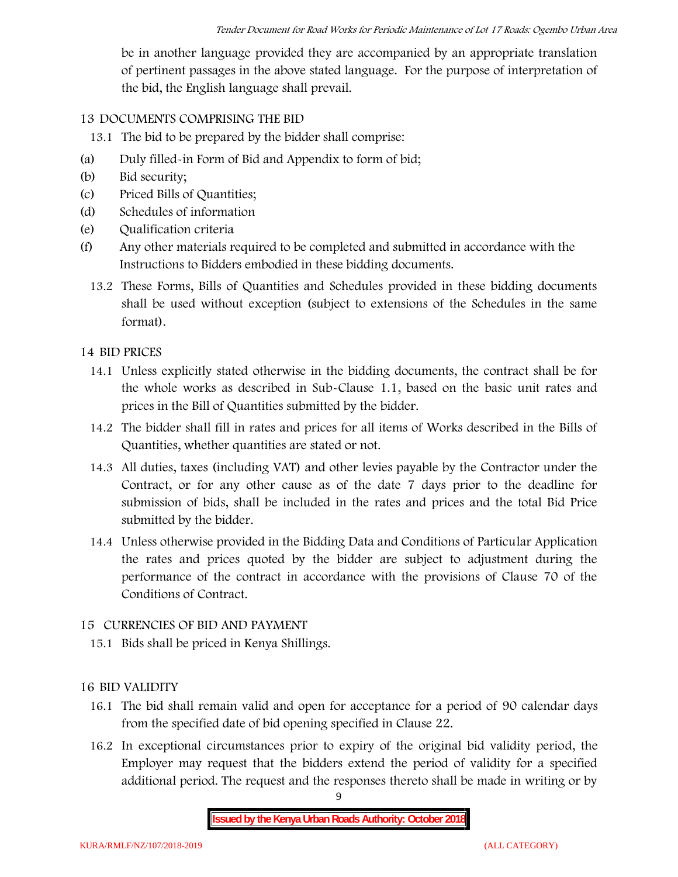be in another language provided they are accompanied by an appropriate translation of pertinent passages in the above stated language. For the purpose of interpretation of the bid, the English language shall prevail.

## **13 DOCUMENTS COMPRISING THE BID**

13.1 The bid to be prepared by the bidder shall comprise:

- (a) Duly filled-in Form of Bid and Appendix to form of bid;
- (b) Bid security;
- (c) Priced Bills of Quantities;
- (d) Schedules of information
- (e) Qualification criteria
- (f) Any other materials required to be completed and submitted in accordance with the Instructions to Bidders embodied in these bidding documents.
	- 13.2 These Forms, Bills of Quantities and Schedules provided in these bidding documents shall be used without exception (subject to extensions of the Schedules in the same format).

## **14 BID PRICES**

- 14.1 Unless explicitly stated otherwise in the bidding documents, the contract shall be for the whole works as described in Sub-Clause 1.1, based on the basic unit rates and prices in the Bill of Quantities submitted by the bidder.
- 14.2 The bidder shall fill in rates and prices for all items of Works described in the Bills of Quantities, whether quantities are stated or not.
- 14.3 All duties, taxes (including VAT) and other levies payable by the Contractor under the Contract, or for any other cause as of the date 7 days prior to the deadline for submission of bids, shall be included in the rates and prices and the total Bid Price submitted by the bidder.
- 14.4 Unless otherwise provided in the Bidding Data and Conditions of Particular Application the rates and prices quoted by the bidder are subject to adjustment during the performance of the contract in accordance with the provisions of Clause 70 of the Conditions of Contract.

## **15 CURRENCIES OF BID AND PAYMENT**

15.1 Bids shall be priced in Kenya Shillings.

# **16 BID VALIDITY**

- 16.1 The bid shall remain valid and open for acceptance for a period of 90 calendar days from the specified date of bid opening specified in Clause 22.
- 16.2 In exceptional circumstances prior to expiry of the original bid validity period, the Employer may request that the bidders extend the period of validity for a specified additional period. The request and the responses thereto shall be made in writing or by

9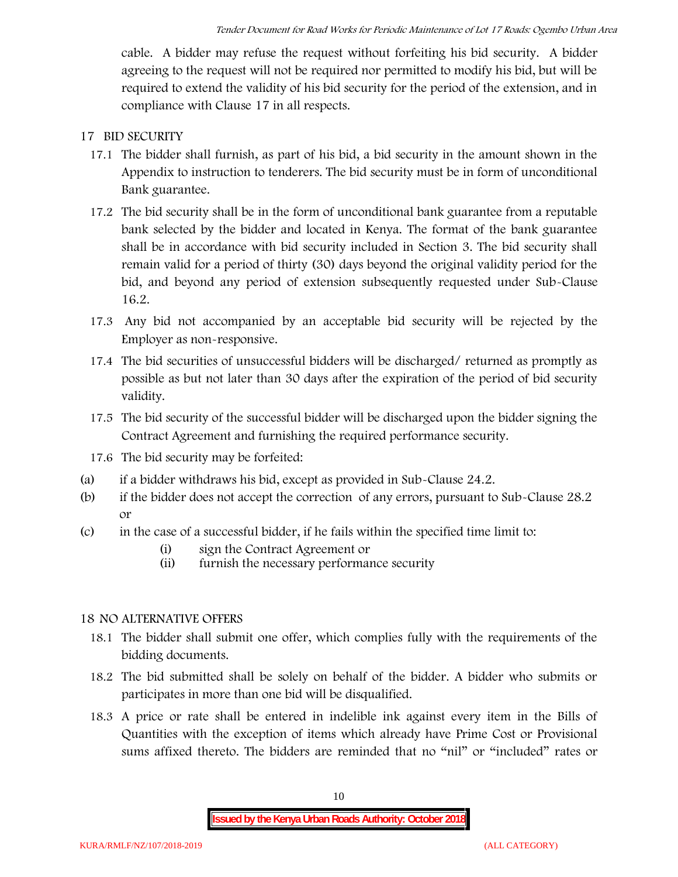cable. A bidder may refuse the request without forfeiting his bid security. A bidder agreeing to the request will not be required nor permitted to modify his bid, but will be required to extend the validity of his bid security for the period of the extension, and in compliance with Clause 17 in all respects.

## **17 BID SECURITY**

- **17.1** The bidder shall furnish, as part of his bid, a bid security in the amount shown in the Appendix to instruction to tenderers. **The bid security must be in form of unconditional Bank guarantee.**
- 17.2 The bid security shall be in the form of unconditional bank guarantee from a reputable bank selected by the bidder and located in Kenya. The format of the bank guarantee shall be in accordance with bid security included in Section 3. The bid security shall remain valid for a period of thirty (30) days beyond the original validity period for the bid, and beyond any period of extension subsequently requested under Sub-Clause 16.2.
- 17.3 Any bid not accompanied by an acceptable bid security will be rejected by the Employer as non-responsive.
- 17.4 The bid securities of unsuccessful bidders will be discharged/ returned as promptly as possible as but not later than 30 days after the expiration of the period of bid security validity.
- 17.5 The bid security of the successful bidder will be discharged upon the bidder signing the Contract Agreement and furnishing the required performance security.
- 17.6 The bid security may be forfeited:
- (a) if a bidder withdraws his bid, except as provided in Sub-Clause 24.2.
- (b) if the bidder does not accept the correction of any errors, pursuant to Sub-Clause 28.2 or
- (c) in the case of a successful bidder, if he fails within the specified time limit to:
	- (i) sign the Contract Agreement or
	- (ii) furnish the necessary performance security

## **18 NO ALTERNATIVE OFFERS**

- 18.1 The bidder shall submit one offer, which complies fully with the requirements of the bidding documents.
- 18.2 The bid submitted shall be solely on behalf of the bidder. A bidder who submits or participates in more than one bid will be disqualified.
- 18.3 A price or rate shall be entered in indelible ink against every item in the Bills of Quantities with the exception of items which already have Prime Cost or Provisional sums affixed thereto. The bidders are reminded that no "nil" or "included" rates or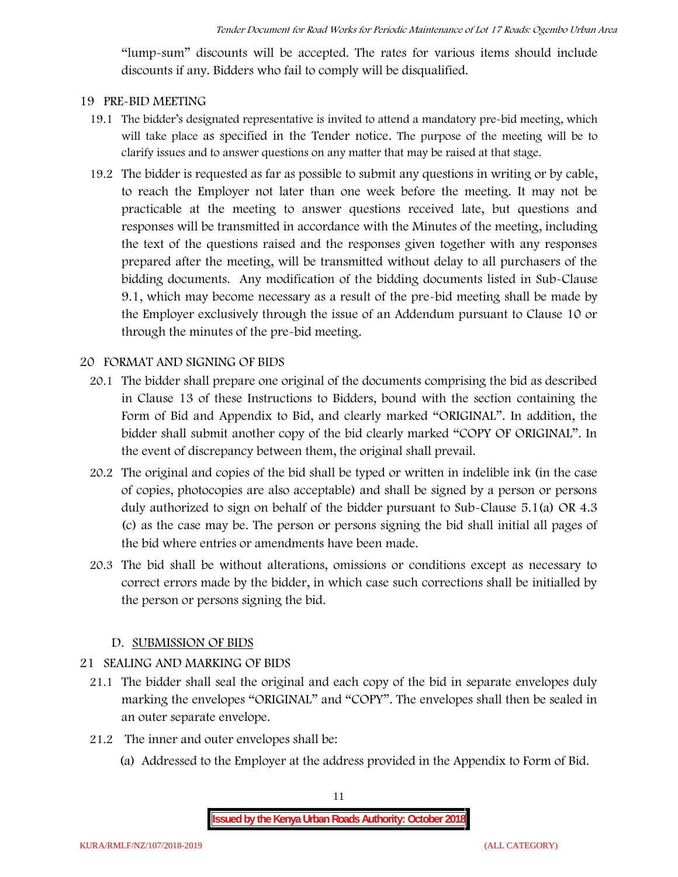"lump-sum" discounts will be accepted. The rates for various items should include discounts if any. Bidders who fail to comply will be disqualified.

#### **19 PRE-BID MEETING**

- 19.1 The bidder's designated representative is invited to attend a mandatory pre-bid meeting, which will take place as specified in the Tender notice. The purpose of the meeting will be to clarify issues and to answer questions on any matter that may be raised at that stage.
- 19.2 The bidder is requested as far as possible to submit any questions in writing or by cable, to reach the Employer not later than one week before the meeting. It may not be practicable at the meeting to answer questions received late, but questions and responses will be transmitted in accordance with the Minutes of the meeting, including the text of the questions raised and the responses given together with any responses prepared after the meeting, will be transmitted without delay to all purchasers of the bidding documents. Any modification of the bidding documents listed in Sub-Clause 9.1, which may become necessary as a result of the pre-bid meeting shall be made by the Employer exclusively through the issue of an Addendum pursuant to Clause 10 or through the minutes of the pre-bid meeting.

#### **20 FORMAT AND SIGNING OF BIDS**

- 20.1 The bidder shall prepare one original of the documents comprising the bid as described in Clause 13 of these Instructions to Bidders, bound with the section containing the Form of Bid and Appendix to Bid, and clearly marked "ORIGINAL". In addition, the bidder shall submit another copy of the bid clearly marked "COPY OF ORIGINAL". In the event of discrepancy between them, the original shall prevail.
- 20.2 The original and copies of the bid shall be typed or written in indelible ink (in the case of copies, photocopies are also acceptable) and shall be signed by a person or persons duly authorized to sign on behalf of the bidder pursuant to Sub-Clause 5.1(a) OR 4.3 (c) as the case may be. The person or persons signing the bid shall initial all pages of the bid where entries or amendments have been made.
- 20.3 The bid shall be without alterations, omissions or conditions except as necessary to correct errors made by the bidder, in which case such corrections shall be initialled by the person or persons signing the bid.

## **D. SUBMISSION OF BIDS**

## **21 SEALING AND MARKING OF BIDS**

- 21.1 The bidder shall seal the original and each copy of the bid in separate envelopes duly marking the envelopes "ORIGINAL" and "COPY". The envelopes shall then be sealed in an outer separate envelope.
- 21.2 The inner and outer envelopes shall be:
	- (a) Addressed to the Employer at the address provided in the Appendix to Form of Bid.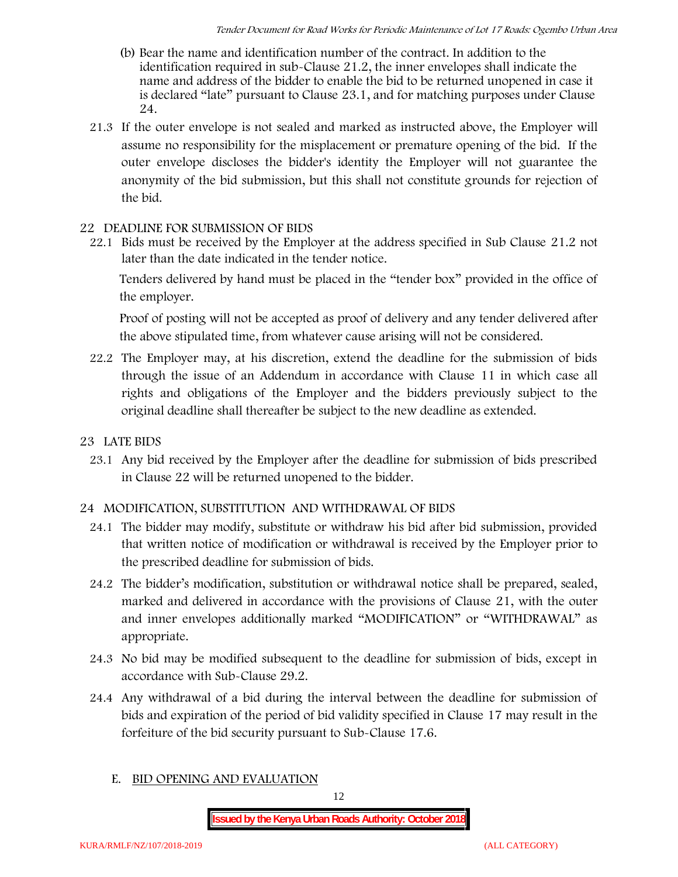- (b) Bear the name and identification number of the contract. In addition to the identification required in sub-Clause 21.2, the inner envelopes shall indicate the name and address of the bidder to enable the bid to be returned unopened in case it is declared "late" pursuant to Clause 23.1, and for matching purposes under Clause 24.
- 21.3 If the outer envelope is not sealed and marked as instructed above, the Employer will assume no responsibility for the misplacement or premature opening of the bid. If the outer envelope discloses the bidder's identity the Employer will not guarantee the anonymity of the bid submission, but this shall not constitute grounds for rejection of the bid.

## **22 DEADLINE FOR SUBMISSION OF BIDS**

22.1 Bids must be received by the Employer at the address specified in Sub Clause 21.2 not later than **the date indicated in the tender notice.**

Tenders delivered by hand must be placed in the "tender box" provided in the office of the employer.

Proof of posting will not be accepted as proof of delivery and any tender delivered after the above stipulated time, from whatever cause arising will not be considered.

- 22.2 The Employer may, at his discretion, extend the deadline for the submission of bids through the issue of an Addendum in accordance with Clause 11 in which case all rights and obligations of the Employer and the bidders previously subject to the original deadline shall thereafter be subject to the new deadline as extended.
- **23 LATE BIDS**
	- 23.1 Any bid received by the Employer after the deadline for submission of bids prescribed in Clause 22 will be returned unopened to the bidder.

# **24 MODIFICATION, SUBSTITUTION AND WITHDRAWAL OF BIDS**

- 24.1 The bidder may modify, substitute or withdraw his bid after bid submission, provided that written notice of modification or withdrawal is received by the Employer prior to the prescribed deadline for submission of bids.
- 24.2 The bidder's modification, substitution or withdrawal notice shall be prepared, sealed, marked and delivered in accordance with the provisions of Clause 21, with the outer and inner envelopes additionally marked "MODIFICATION" or "WITHDRAWAL" as appropriate.
- 24.3 No bid may be modified subsequent to the deadline for submission of bids, except in accordance with Sub-Clause 29.2.
- 24.4 Any withdrawal of a bid during the interval between the deadline for submission of bids and expiration of the period of bid validity specified in Clause 17 may result in the forfeiture of the bid security pursuant to Sub-Clause 17.6.
	- **E. BID OPENING AND EVALUATION**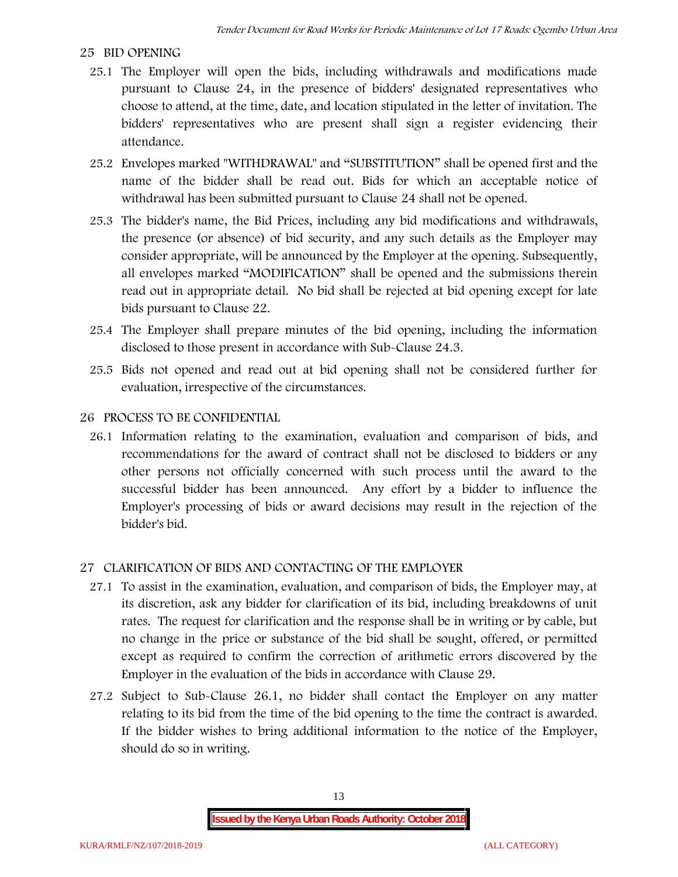## **25 BID OPENING**

- 25.1 The Employer will open the bids, including withdrawals and modifications made pursuant to Clause 24, in the presence of bidders' designated representatives who choose to attend, at the time, date, and location stipulated in the letter of invitation. The bidders' representatives who are present shall sign a register evidencing their attendance.
- 25.2 Envelopes marked "WITHDRAWAL" and "SUBSTITUTION" shall be opened first and the name of the bidder shall be read out. Bids for which an acceptable notice of withdrawal has been submitted pursuant to Clause 24 shall not be opened.
- 25.3 The bidder's name, the Bid Prices, including any bid modifications and withdrawals, the presence (or absence) of bid security, and any such details as the Employer may consider appropriate, will be announced by the Employer at the opening. Subsequently, all envelopes marked "MODIFICATION" shall be opened and the submissions therein read out in appropriate detail. No bid shall be rejected at bid opening except for late bids pursuant to Clause 22.
- 25.4 The Employer shall prepare minutes of the bid opening, including the information disclosed to those present in accordance with Sub-Clause 24.3.
- 25.5 Bids not opened and read out at bid opening shall not be considered further for evaluation, irrespective of the circumstances.

#### **26 PROCESS TO BE CONFIDENTIAL**

26.1 Information relating to the examination, evaluation and comparison of bids, and recommendations for the award of contract shall not be disclosed to bidders or any other persons not officially concerned with such process until the award to the successful bidder has been announced. Any effort by a bidder to influence the Employer's processing of bids or award decisions may result in the rejection of the bidder's bid.

## **27 CLARIFICATION OF BIDS AND CONTACTING OF THE EMPLOYER**

- 27.1 To assist in the examination, evaluation, and comparison of bids, the Employer may, at its discretion, ask any bidder for clarification of its bid, including breakdowns of unit rates. The request for clarification and the response shall be in writing or by cable, but no change in the price or substance of the bid shall be sought, offered, or permitted except as required to confirm the correction of arithmetic errors discovered by the Employer in the evaluation of the bids in accordance with Clause 29.
- 27.2 Subject to Sub-Clause 26.1, no bidder shall contact the Employer on any matter relating to its bid from the time of the bid opening to the time the contract is awarded. If the bidder wishes to bring additional information to the notice of the Employer, should do so in writing.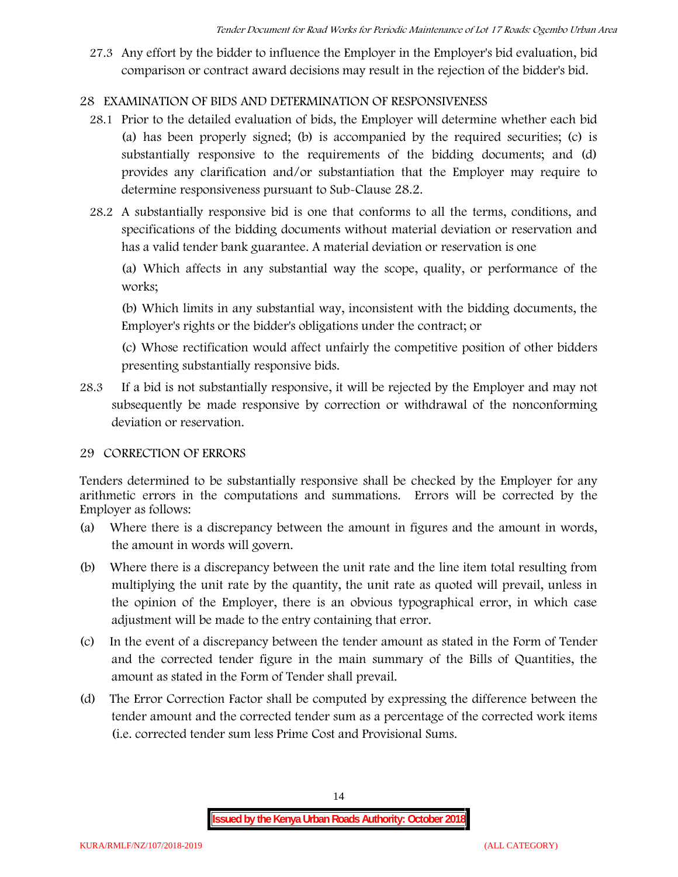27.3 Any effort by the bidder to influence the Employer in the Employer's bid evaluation, bid comparison or contract award decisions may result in the rejection of the bidder's bid.

# **28 EXAMINATION OF BIDS AND DETERMINATION OF RESPONSIVENESS**

- 28.1 Prior to the detailed evaluation of bids, the Employer will determine whether each bid (a) has been properly signed; (b) is accompanied by the required securities; (c) is substantially responsive to the requirements of the bidding documents; and (d) provides any clarification and/or substantiation that the Employer may require to determine responsiveness pursuant to Sub-Clause 28.2.
- 28.2 A substantially responsive bid is one that conforms to all the terms, conditions, and specifications of the bidding documents without material deviation or reservation and has a valid tender bank guarantee. A material deviation or reservation is one

(a) Which affects in any substantial way the scope, quality, or performance of the works;

(b) Which limits in any substantial way, inconsistent with the bidding documents, the Employer's rights or the bidder's obligations under the contract; or

(c) Whose rectification would affect unfairly the competitive position of other bidders presenting substantially responsive bids.

28.3 If a bid is not substantially responsive, it will be rejected by the Employer and may not subsequently be made responsive by correction or withdrawal of the nonconforming deviation or reservation.

# **29 CORRECTION OF ERRORS**

Tenders determined to be substantially responsive shall be checked by the Employer for any arithmetic errors in the computations and summations. Errors will be corrected by the Employer as follows:

- (a) Where there is a discrepancy between the amount in figures and the amount in words, the amount in words will govern.
- (b) Where there is a discrepancy between the unit rate and the line item total resulting from multiplying the unit rate by the quantity, the unit rate as quoted will prevail, unless in the opinion of the Employer, there is an obvious typographical error, in which case adjustment will be made to the entry containing that error.
- (c) In the event of a discrepancy between the tender amount as stated in the Form of Tender and the corrected tender figure in the main summary of the Bills of Quantities, the amount as stated in the Form of Tender shall prevail.
- (d) The Error Correction Factor shall be computed by expressing the difference between the tender amount and the corrected tender sum as a percentage of the corrected work items (i.e. corrected tender sum less Prime Cost and Provisional Sums.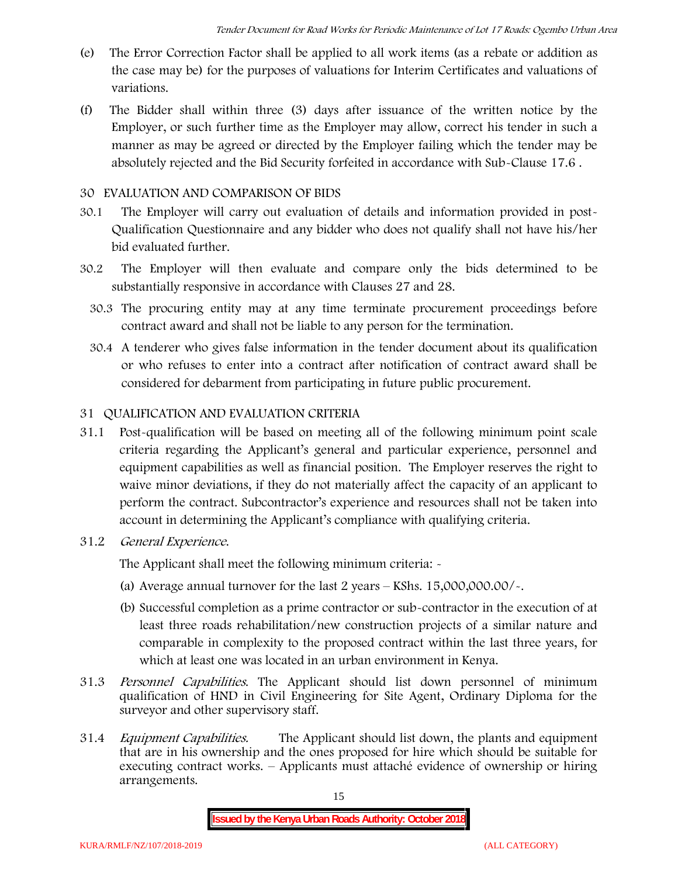- (e) The Error Correction Factor shall be applied to all work items (as a rebate or addition as the case may be) for the purposes of valuations for Interim Certificates and valuations of variations.
- (f) The Bidder shall within three (3) days after issuance of the written notice by the Employer, or such further time as the Employer may allow, correct his tender in such a manner as may be agreed or directed by the Employer failing which the tender may be absolutely rejected and the Bid Security forfeited in accordance with Sub-Clause 17.6 .

## **30 EVALUATION AND COMPARISON OF BIDS**

- 30.1 The Employer will carry out evaluation of details and information provided in post- Qualification Questionnaire and any bidder who does not qualify shall not have his/her bid evaluated further.
- 30.2 The Employer will then evaluate and compare only the bids determined to be substantially responsive in accordance with Clauses 27 and 28.
	- 30.3 The procuring entity may at any time terminate procurement proceedings before contract award and shall not be liable to any person for the termination.
	- 30.4 A tenderer who gives false information in the tender document about its qualification or who refuses to enter into a contract after notification of contract award shall be considered for debarment from participating in future public procurement.

# **31 QUALIFICATION AND EVALUATION CRITERIA**

- 31.1 Post-qualification will be based on meeting all of the following minimum point scale criteria regarding the Applicant's general and particular experience, personnel and equipment capabilities as well as financial position. The Employer reserves the right to waive minor deviations, if they do not materially affect the capacity of an applicant to perform the contract. Subcontractor's experience and resources shall not be taken into account in determining the Applicant's compliance with qualifying criteria.
- **31.2** *General Experience***.**

The Applicant shall meet the following minimum criteria: -

- (a) Average annual turnover for the last 2 years **KShs. 15,000,000.00/-.**
- (b) Successful completion as a prime contractor or sub-contractor in the execution of at least three roads rehabilitation/new construction projects of a similar nature and comparable in complexity to the proposed contract within the last three years, for which at least one was located in an urban environment in Kenya.
- 31.3 *Personnel Capabilities***.** The Applicant should list down personnel of minimum qualification of HND in Civil Engineering for Site Agent, Ordinary Diploma for the surveyor and other supervisory staff.
- 31.4 *Equipment Capabilities.* The Applicant should list down, the plants and equipment that are in his ownership and the ones proposed for hire which should be suitable for executing contract works. – Applicants must attaché evidence of ownership or hiring arrangements.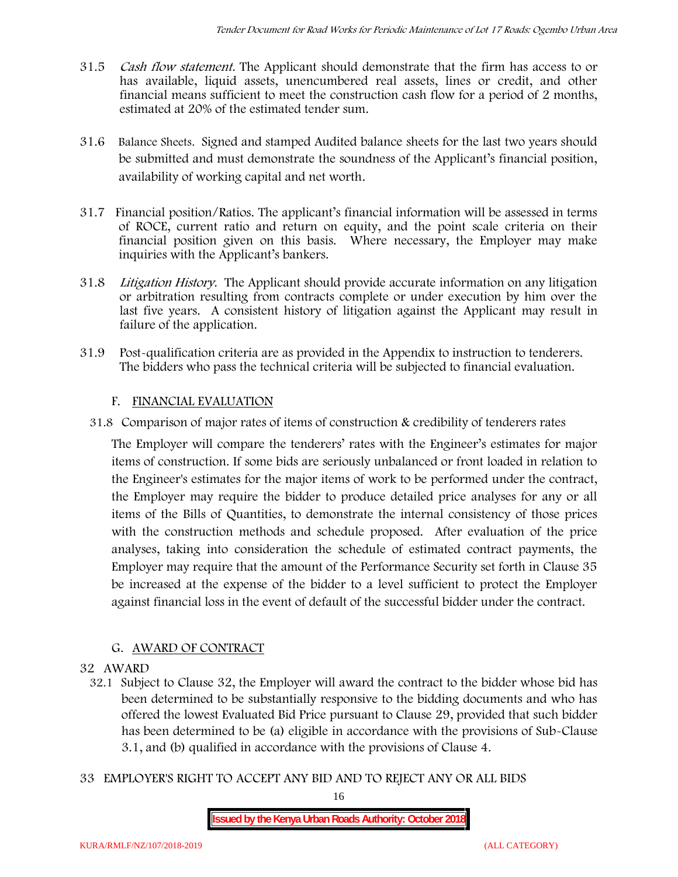- 31.5 *Cash flow statement.* The Applicant should demonstrate that the firm has access to or has available, liquid assets, unencumbered real assets, lines or credit, and other financial means sufficient to meet the construction cash flow for a period of 2 months, estimated at 20% of the estimated tender sum.
- 31.6 **Balance Sheets***.* Signed and stamped Audited balance sheets for the last two years should be submitted and must demonstrate the soundness of the Applicant's financial position, availability of working capital and net worth.
- 31.7 **Financial position/Ratios.** The applicant's financial information will be assessed in terms of ROCE, current ratio and return on equity, and the point scale criteria on their financial position given on this basis. Where necessary, the Employer may make inquiries with the Applicant's bankers.
- 31.8 *Litigation History.* The Applicant should provide accurate information on any litigation or arbitration resulting from contracts complete or under execution by him over the last five years. A consistent history of litigation against the Applicant may result in failure of the application.
- 31.9 Post-qualification criteria are as provided in the Appendix to instruction to tenderers. The bidders who pass the technical criteria will be subjected to financial evaluation.

# **F. FINANCIAL EVALUATION**

31.8 Comparison of major rates of items of construction & credibility of tenderers rates

The Employer will compare the tenderers' rates with the Engineer's estimates for major items of construction. If some bids are seriously unbalanced or front loaded in relation to the Engineer's estimates for the major items of work to be performed under the contract, the Employer may require the bidder to produce detailed price analyses for any or all items of the Bills of Quantities, to demonstrate the internal consistency of those prices with the construction methods and schedule proposed. After evaluation of the price analyses, taking into consideration the schedule of estimated contract payments, the Employer may require that the amount of the Performance Security set forth in Clause 35 be increased at the expense of the bidder to a level sufficient to protect the Employer against financial loss in the event of default of the successful bidder under the contract.

# **G. AWARD OF CONTRACT**

## **32 AWARD**

- 32.1 Subject to Clause 32, the Employer will award the contract to the bidder whose bid has been determined to be substantially responsive to the bidding documents and who has offered the lowest Evaluated Bid Price pursuant to Clause 29, provided that such bidder has been determined to be (a) eligible in accordance with the provisions of Sub-Clause 3.1, and (b) qualified in accordance with the provisions of Clause 4.
- **33 EMPLOYER'S RIGHT TO ACCEPT ANY BID AND TO REJECT ANY OR ALL BIDS**

16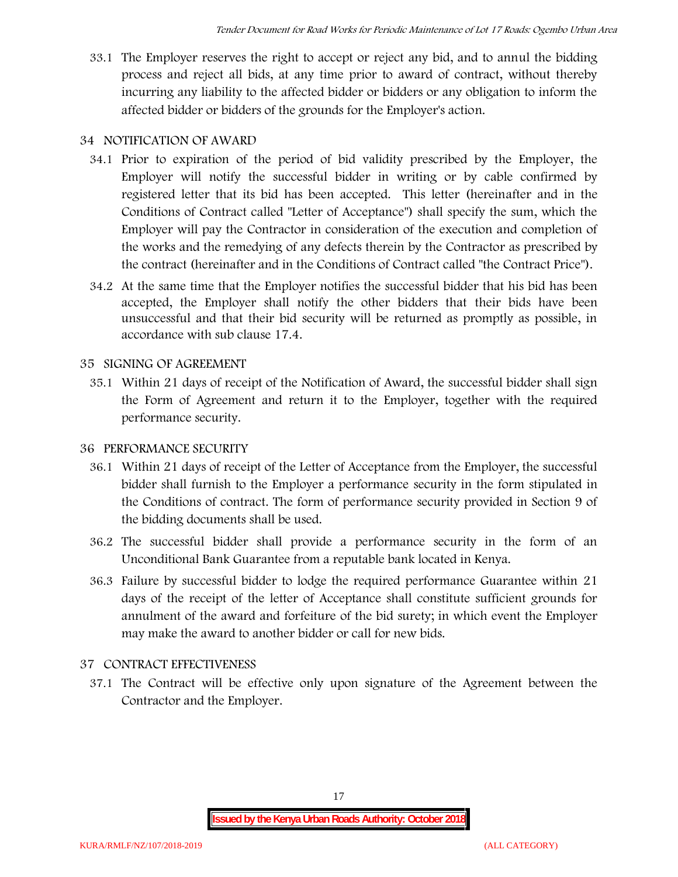33.1 The Employer reserves the right to accept or reject any bid, and to annul the bidding process and reject all bids, at any time prior to award of contract, without thereby incurring any liability to the affected bidder or bidders or any obligation to inform the affected bidder or bidders of the grounds for the Employer's action.

# **34 NOTIFICATION OF AWARD**

- 34.1 Prior to expiration of the period of bid validity prescribed by the Employer, the Employer will notify the successful bidder in writing or by cable confirmed by registered letter that its bid has been accepted. This letter (hereinafter and in the Conditions of Contract called "Letter of Acceptance") shall specify the sum, which the Employer will pay the Contractor in consideration of the execution and completion of the works and the remedying of any defects therein by the Contractor as prescribed by the contract (hereinafter and in the Conditions of Contract called "the Contract Price").
- 34.2 At the same time that the Employer notifies the successful bidder that his bid has been accepted, the Employer shall notify the other bidders that their bids have been unsuccessful and that their bid security will be returned as promptly as possible, in accordance with sub clause 17.4.

# **35 SIGNING OF AGREEMENT**

35.1 Within 21 days of receipt of the Notification of Award, the successful bidder shall sign the Form of Agreement and return it to the Employer, together with the required performance security.

# **36 PERFORMANCE SECURITY**

- 36.1 Within 21 days of receipt of the Letter of Acceptance from the Employer, the successful bidder shall furnish to the Employer a performance security in the form stipulated in the Conditions of contract. The form of performance security provided in Section 9 of the bidding documents shall be used.
- 36.2 The successful bidder shall provide a performance security in the form of an Unconditional Bank Guarantee from a reputable bank located in Kenya.
- 36.3 Failure by successful bidder to lodge the required performance Guarantee within 21 days of the receipt of the letter of Acceptance shall constitute sufficient grounds for annulment of the award and forfeiture of the bid surety; in which event the Employer may make the award to another bidder or call for new bids.

# **37 CONTRACT EFFECTIVENESS**

37.1 The Contract will be effective only upon signature of the Agreement between the Contractor and the Employer.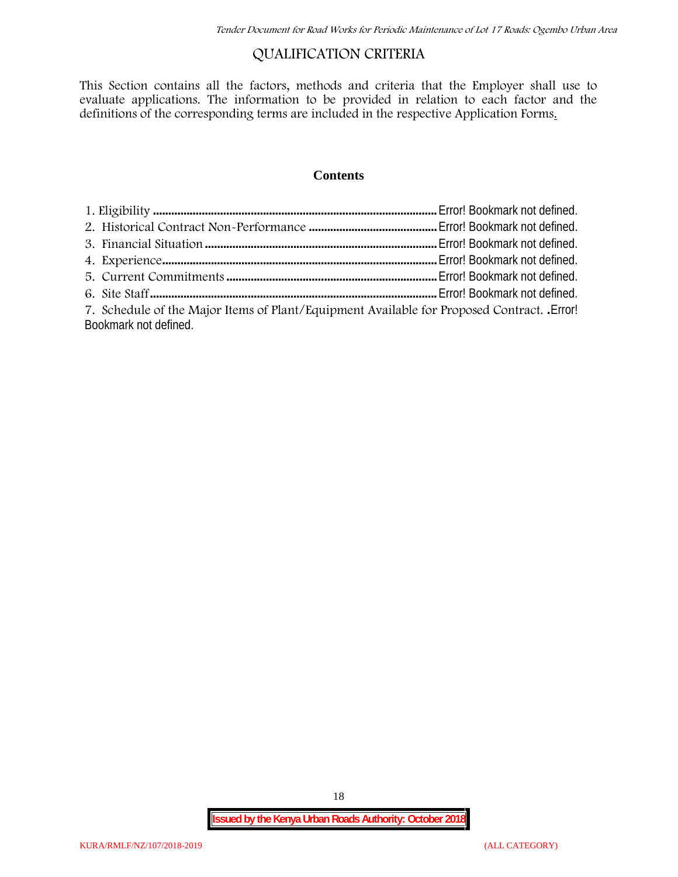# **QUALIFICATION CRITERIA**

This Section contains all the factors, methods and criteria that the Employer shall use to evaluate applications. The information to be provided in relation to each factor and the definitions of the corresponding terms are included in the respective Application Forms.

## **Contents**

| 7. Schedule of the Major Items of Plant/Equipment Available for Proposed Contract. Error! |  |
|-------------------------------------------------------------------------------------------|--|
| Bookmark not defined.                                                                     |  |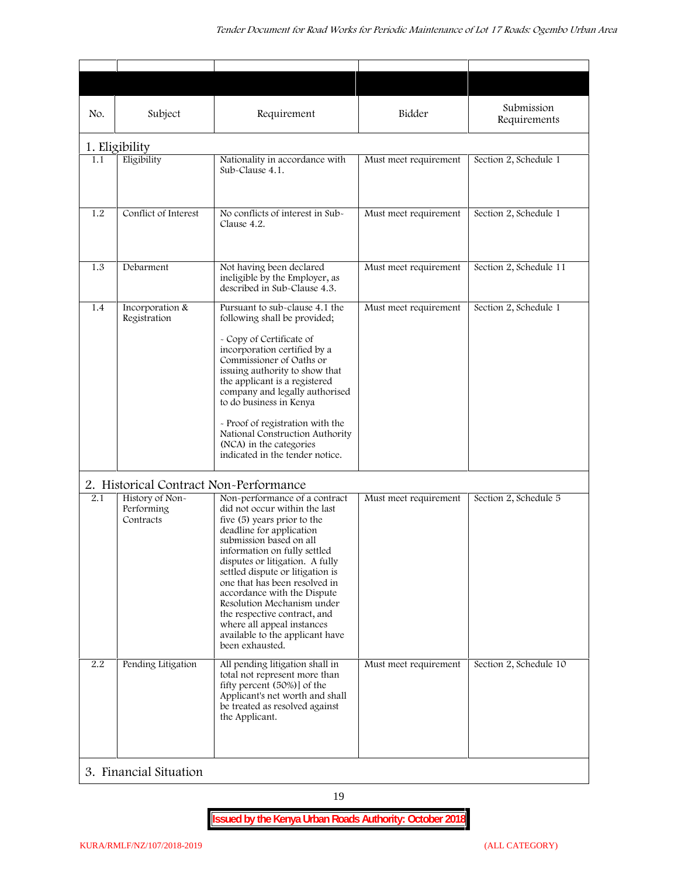| No.            | Subject                                    | Requirement                                                                                                                                                                                                                                                                                                                                                                                                                                                                   | Bidder                | Submission<br>Requirements |  |  |
|----------------|--------------------------------------------|-------------------------------------------------------------------------------------------------------------------------------------------------------------------------------------------------------------------------------------------------------------------------------------------------------------------------------------------------------------------------------------------------------------------------------------------------------------------------------|-----------------------|----------------------------|--|--|
| 1. Eligibility |                                            |                                                                                                                                                                                                                                                                                                                                                                                                                                                                               |                       |                            |  |  |
| 1.1            | Eligibility                                | Nationality in accordance with<br>Sub-Clause 4.1.                                                                                                                                                                                                                                                                                                                                                                                                                             | Must meet requirement | Section 2, Schedule 1      |  |  |
| 1.2            | Conflict of Interest                       | No conflicts of interest in Sub-<br>Clause 4.2.                                                                                                                                                                                                                                                                                                                                                                                                                               | Must meet requirement | Section 2, Schedule 1      |  |  |
| 1.3            | Debarment                                  | Not having been declared<br>ineligible by the Employer, as<br>described in Sub-Clause 4.3.                                                                                                                                                                                                                                                                                                                                                                                    | Must meet requirement | Section 2, Schedule 11     |  |  |
| 1.4            | Incorporation &<br>Registration            | Pursuant to sub-clause 4.1 the<br>following shall be provided;<br>- Copy of Certificate of<br>incorporation certified by a<br>Commissioner of Oaths or<br>issuing authority to show that<br>the applicant is a registered<br>company and legally authorised<br>to do business in Kenya<br>- Proof of registration with the<br>National Construction Authority<br>(NCA) in the categories<br>indicated in the tender notice.                                                   | Must meet requirement | Section 2, Schedule 1      |  |  |
|                | 2. Historical Contract Non-Performance     |                                                                                                                                                                                                                                                                                                                                                                                                                                                                               |                       |                            |  |  |
| 2.1            | History of Non-<br>Performing<br>Contracts | Non-performance of a contract<br>did not occur within the last<br>five (5) years prior to the<br>deadline for application<br>submission based on all<br>information on fully settled<br>disputes or litigation. A fully<br>settled dispute or litigation is<br>one that has been resolved in<br>accordance with the Dispute<br>Resolution Mechanism under<br>the respective contract, and<br>where all appeal instances<br>available to the applicant have<br>been exhausted. | Must meet requirement | Section 2, Schedule 5      |  |  |
| 2.2            | Pending Litigation                         | All pending litigation shall in<br>total not represent more than<br>fifty percent (50%)] of the<br>Applicant's net worth and shall<br>be treated as resolved against<br>the Applicant.                                                                                                                                                                                                                                                                                        | Must meet requirement | Section 2, Schedule 10     |  |  |
|                | 3. Financial Situation                     |                                                                                                                                                                                                                                                                                                                                                                                                                                                                               |                       |                            |  |  |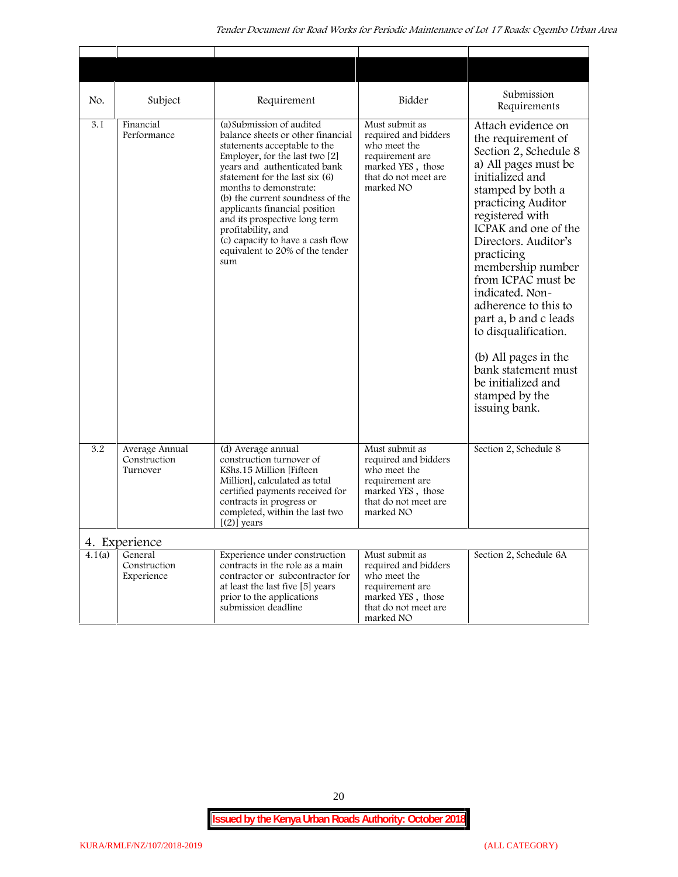| No.    | Subject                                    | Requirement                                                                                                                                                                                                                                                                                                                                                                                                                              | Bidder                                                                                                                              | Submission<br>Requirements                                                                                                                                                                                                                                                                                                                                                                                                                                                              |
|--------|--------------------------------------------|------------------------------------------------------------------------------------------------------------------------------------------------------------------------------------------------------------------------------------------------------------------------------------------------------------------------------------------------------------------------------------------------------------------------------------------|-------------------------------------------------------------------------------------------------------------------------------------|-----------------------------------------------------------------------------------------------------------------------------------------------------------------------------------------------------------------------------------------------------------------------------------------------------------------------------------------------------------------------------------------------------------------------------------------------------------------------------------------|
| 3.1    | Financial<br>Performance                   | (a) Submission of audited<br>balance sheets or other financial<br>statements acceptable to the<br>Employer, for the last two $[2]$<br>years and authenticated bank<br>statement for the last six (6)<br>months to demonstrate:<br>(b) the current soundness of the<br>applicants financial position<br>and its prospective long term<br>profitability, and<br>(c) capacity to have a cash flow<br>equivalent to 20% of the tender<br>sum | Must submit as<br>required and bidders<br>who meet the<br>requirement are<br>marked YES, those<br>that do not meet are<br>marked NO | Attach evidence on<br>the requirement of<br>Section 2, Schedule 8<br>a) All pages must be<br>initialized and<br>stamped by both a<br>practicing Auditor<br>registered with<br>ICPAK and one of the<br>Directors. Auditor's<br>practicing<br>membership number<br>from ICPAC must be<br>indicated. Non-<br>adherence to this to<br>part a, b and c leads<br>to disqualification.<br>(b) All pages in the<br>bank statement must<br>be initialized and<br>stamped by the<br>issuing bank. |
| 3.2    | Average Annual<br>Construction<br>Turnover | (d) Average annual<br>construction turnover of<br>KShs.15 Million [Fifteen]<br>Million], calculated as total<br>certified payments received for<br>contracts in progress or<br>completed, within the last two<br>$[(2)]$ years                                                                                                                                                                                                           | Must submit as<br>required and bidders<br>who meet the<br>requirement are<br>marked YES, those<br>that do not meet are<br>marked NO | Section 2, Schedule 8                                                                                                                                                                                                                                                                                                                                                                                                                                                                   |
|        | 4. Experience                              |                                                                                                                                                                                                                                                                                                                                                                                                                                          |                                                                                                                                     |                                                                                                                                                                                                                                                                                                                                                                                                                                                                                         |
| 4.1(a) | General<br>Construction<br>Experience      | Experience under construction<br>contracts in the role as a main<br>contractor or subcontractor for<br>at least the last five [5] years<br>prior to the applications<br>submission deadline                                                                                                                                                                                                                                              | Must submit as<br>required and bidders<br>who meet the<br>requirement are<br>marked YES, those<br>that do not meet are<br>marked NO | Section 2, Schedule 6A                                                                                                                                                                                                                                                                                                                                                                                                                                                                  |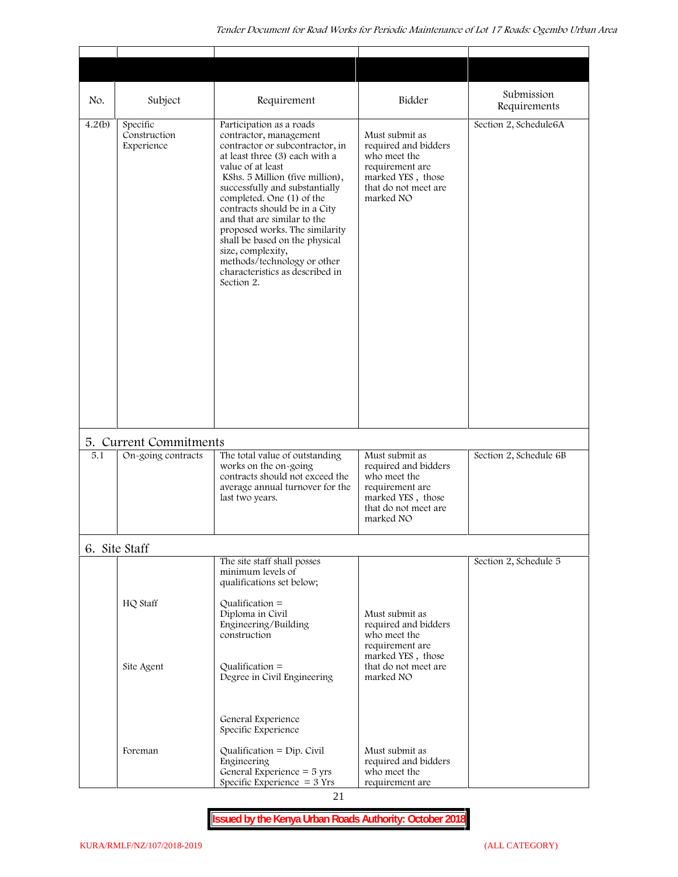| No.    | Subject                                      | Requirement                                                                                                                                                                                                                                                                                                                                                                                                                                                                             | Bidder                                                                                                                              | Submission<br>Requirements |
|--------|----------------------------------------------|-----------------------------------------------------------------------------------------------------------------------------------------------------------------------------------------------------------------------------------------------------------------------------------------------------------------------------------------------------------------------------------------------------------------------------------------------------------------------------------------|-------------------------------------------------------------------------------------------------------------------------------------|----------------------------|
| 4.2(b) | Specific<br>Construction<br>Experience       | Participation as a roads<br>contractor, management<br>contractor or subcontractor, in<br>at least three (3) each with a<br>value of at least<br>KShs. 5 Million (five million),<br>successfully and substantially<br>completed. One (1) of the<br>contracts should be in a City<br>and that are similar to the<br>proposed works. The similarity<br>shall be based on the physical<br>size, complexity,<br>methods/technology or other<br>characteristics as described in<br>Section 2. | Must submit as<br>required and bidders<br>who meet the<br>requirement are<br>marked YES, those<br>that do not meet are<br>marked NO | Section 2, Schedule6A      |
| 5.1    | 5. Current Commitments<br>On-going contracts | The total value of outstanding                                                                                                                                                                                                                                                                                                                                                                                                                                                          | Must submit as                                                                                                                      | Section 2, Schedule 6B     |
|        |                                              | works on the on-going<br>contracts should not exceed the<br>average annual turnover for the<br>last two years.                                                                                                                                                                                                                                                                                                                                                                          | required and bidders<br>who meet the<br>requirement are<br>marked YES, those<br>that do not meet are<br>marked NO                   |                            |
|        | 6. Site Staff                                |                                                                                                                                                                                                                                                                                                                                                                                                                                                                                         |                                                                                                                                     |                            |
|        | HQ Staff                                     | The site staff shall posses<br>minimum levels of<br>qualifications set below;<br>$Qualification =$<br>Diploma in Civil<br>Engineering/Building                                                                                                                                                                                                                                                                                                                                          | Must submit as<br>required and bidders                                                                                              | Section 2, Schedule 5      |
|        | Site Agent                                   | construction<br>$Qualification =$<br>Degree in Civil Engineering                                                                                                                                                                                                                                                                                                                                                                                                                        | who meet the<br>requirement are<br>marked YES, those<br>that do not meet are<br>marked NO                                           |                            |
|        | Foreman                                      | General Experience<br>Specific Experience<br>Qualification = $Dip$ . Civil<br>Engineering<br>General Experience $=$ 5 yrs<br>Specific Experience $=$ 3 Yrs                                                                                                                                                                                                                                                                                                                              | Must submit as<br>required and bidders<br>who meet the<br>requirement are                                                           |                            |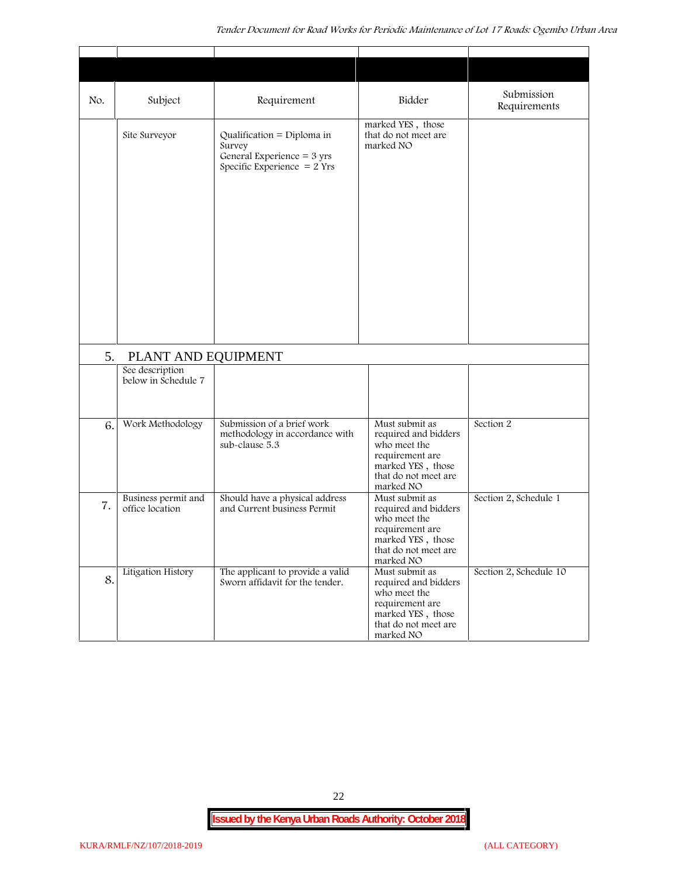| No. | Subject                                                       | Requirement                                                                                                   | Bidder                                                                                                                              | Submission<br>Requirements |
|-----|---------------------------------------------------------------|---------------------------------------------------------------------------------------------------------------|-------------------------------------------------------------------------------------------------------------------------------------|----------------------------|
|     | Site Surveyor                                                 | Qualification = Diploma in<br>Survey<br>General Experience = $3 \text{ yrs}$<br>Specific Experience $= 2$ Yrs | marked YES, those<br>that do not meet are<br>marked NO                                                                              |                            |
| 5.  | PLANT AND EQUIPMENT<br>See description<br>below in Schedule 7 |                                                                                                               |                                                                                                                                     |                            |
| 6.  | Work Methodology                                              | Submission of a brief work<br>methodology in accordance with<br>sub-clause 5.3                                | Must submit as<br>required and bidders<br>who meet the<br>requirement are<br>marked YES, those<br>that do not meet are<br>marked NO | Section 2                  |
| 7.  | Business permit and<br>office location                        | Should have a physical address<br>and Current business Permit                                                 | Must submit as<br>required and bidders<br>who meet the<br>requirement are<br>marked YES, those<br>that do not meet are<br>marked NO | Section 2, Schedule 1      |
| 8.  | Litigation History                                            | The applicant to provide a valid<br>Sworn affidavit for the tender.                                           | Must submit as<br>required and bidders<br>who meet the<br>requirement are<br>marked YES, those<br>that do not meet are<br>marked NO | Section 2, Schedule 10     |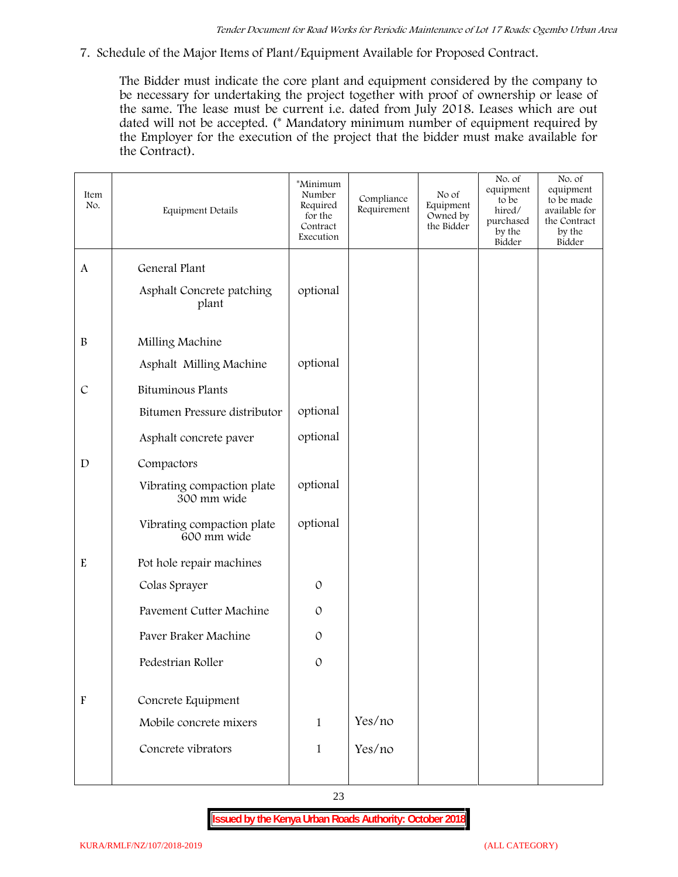**7. Schedule of the Major Items of Plant/Equipment Available for Proposed Contract.**

The Bidder must indicate the core plant and equipment considered by the company to be necessary for undertaking the project together with proof of ownership or lease of the same. The lease must be current i.e. dated from July 2018. Leases which are out dated will not be accepted. (\* Mandatory minimum number of equipment required by the Employer for the execution of the project that the bidder must make available for the Contract).

| Item<br>No.               | Equipment Details                         | *Minimum<br>Number<br>Required<br>for the<br>Contract<br>Execution | Compliance<br>Requirement | No of<br>Equipment<br>Owned by<br>the Bidder | No. of<br>equipment<br>to be<br>hired/<br>purchased<br>by the<br>Bidder | No. of<br>equipment<br>to be made<br>available for<br>the Contract<br>by the<br>Bidder |
|---------------------------|-------------------------------------------|--------------------------------------------------------------------|---------------------------|----------------------------------------------|-------------------------------------------------------------------------|----------------------------------------------------------------------------------------|
| $\mathbf{A}$              | General Plant                             |                                                                    |                           |                                              |                                                                         |                                                                                        |
|                           | Asphalt Concrete patching<br>plant        | optional                                                           |                           |                                              |                                                                         |                                                                                        |
| $\, {\bf B}$              | Milling Machine                           |                                                                    |                           |                                              |                                                                         |                                                                                        |
|                           | Asphalt Milling Machine                   | optional                                                           |                           |                                              |                                                                         |                                                                                        |
| $\mathcal{C}$             | Bituminous Plants                         |                                                                    |                           |                                              |                                                                         |                                                                                        |
|                           | Bitumen Pressure distributor              | optional                                                           |                           |                                              |                                                                         |                                                                                        |
|                           | Asphalt concrete paver                    | optional                                                           |                           |                                              |                                                                         |                                                                                        |
| $\mathbf D$               | Compactors                                |                                                                    |                           |                                              |                                                                         |                                                                                        |
|                           | Vibrating compaction plate<br>300 mm wide | optional                                                           |                           |                                              |                                                                         |                                                                                        |
|                           | Vibrating compaction plate<br>600 mm wide | optional                                                           |                           |                                              |                                                                         |                                                                                        |
| $\mathbf E$               | Pot hole repair machines                  |                                                                    |                           |                                              |                                                                         |                                                                                        |
|                           | Colas Sprayer                             | $\mathcal{O}$                                                      |                           |                                              |                                                                         |                                                                                        |
|                           | Pavement Cutter Machine                   | $\mathcal{O}$                                                      |                           |                                              |                                                                         |                                                                                        |
|                           | Paver Braker Machine                      | $\mathcal{O}$                                                      |                           |                                              |                                                                         |                                                                                        |
|                           | Pedestrian Roller                         | $\mathcal{O}$                                                      |                           |                                              |                                                                         |                                                                                        |
|                           |                                           |                                                                    |                           |                                              |                                                                         |                                                                                        |
| $\boldsymbol{\mathrm{F}}$ | Concrete Equipment                        |                                                                    |                           |                                              |                                                                         |                                                                                        |
|                           | Mobile concrete mixers                    | $\mathbf{1}$                                                       | Yes/no                    |                                              |                                                                         |                                                                                        |
|                           | Concrete vibrators                        | $\mathbf{1}$                                                       | Yes/no                    |                                              |                                                                         |                                                                                        |
|                           |                                           |                                                                    |                           |                                              |                                                                         |                                                                                        |

23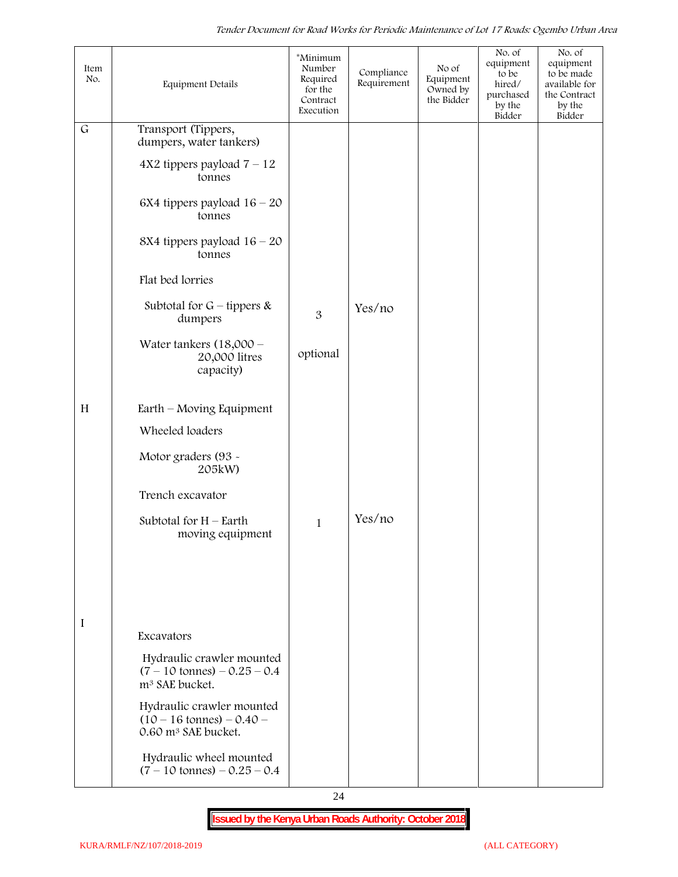| Item<br>No. | Equipment Details                                                                                 | *Minimum<br>Number<br>Required<br>for the<br>Contract<br>Execution | Compliance<br>Requirement | No of<br>Equipment<br>Owned by<br>the Bidder | No. of<br>equipment<br>to be<br>hired/<br>purchased<br>by the<br>Bidder | No. of<br>equipment<br>to be made<br>available for<br>the Contract<br>by the<br>Bidder |  |
|-------------|---------------------------------------------------------------------------------------------------|--------------------------------------------------------------------|---------------------------|----------------------------------------------|-------------------------------------------------------------------------|----------------------------------------------------------------------------------------|--|
| $\mathsf G$ | Transport (Tippers,<br>dumpers, water tankers)                                                    |                                                                    |                           |                                              |                                                                         |                                                                                        |  |
|             | $4X2$ tippers payload $7 - 12$<br>tonnes                                                          |                                                                    |                           |                                              |                                                                         |                                                                                        |  |
|             | 6X4 tippers payload $16 - 20$<br>tonnes                                                           |                                                                    |                           |                                              |                                                                         |                                                                                        |  |
|             | 8X4 tippers payload $16 - 20$<br>tonnes                                                           |                                                                    |                           |                                              |                                                                         |                                                                                        |  |
|             | Flat bed lorries                                                                                  |                                                                    |                           |                                              |                                                                         |                                                                                        |  |
|             | Subtotal for $G$ – tippers &<br>dumpers                                                           | 3                                                                  | Yes/no                    |                                              |                                                                         |                                                                                        |  |
|             | Water tankers $(18,000 -$<br>20,000 litres<br>capacity)                                           | optional                                                           |                           |                                              |                                                                         |                                                                                        |  |
| H           | Earth – Moving Equipment                                                                          |                                                                    |                           |                                              |                                                                         |                                                                                        |  |
|             | Wheeled loaders                                                                                   |                                                                    |                           |                                              |                                                                         |                                                                                        |  |
|             | Motor graders (93 -<br>205kW)                                                                     |                                                                    |                           |                                              |                                                                         |                                                                                        |  |
|             | Trench excavator                                                                                  |                                                                    |                           |                                              |                                                                         |                                                                                        |  |
|             | Subtotal for $H$ – Earth<br>moving equipment                                                      | $\mathbf{1}$                                                       | Yes/no                    |                                              |                                                                         |                                                                                        |  |
|             |                                                                                                   |                                                                    |                           |                                              |                                                                         |                                                                                        |  |
|             |                                                                                                   |                                                                    |                           |                                              |                                                                         |                                                                                        |  |
| I           | Excavators                                                                                        |                                                                    |                           |                                              |                                                                         |                                                                                        |  |
|             | Hydraulic crawler mounted<br>$(7 - 10 \text{ tonnes}) - 0.25 - 0.4$<br>m <sup>3</sup> SAE bucket. |                                                                    |                           |                                              |                                                                         |                                                                                        |  |
|             | Hydraulic crawler mounted<br>$(10 - 16 \text{ tonnes}) - 0.40$<br>0.60 m <sup>3</sup> SAE bucket. |                                                                    |                           |                                              |                                                                         |                                                                                        |  |
|             | Hydraulic wheel mounted<br>$(7 - 10 \text{ tonnes}) - 0.25 - 0.4$                                 |                                                                    |                           |                                              |                                                                         |                                                                                        |  |

24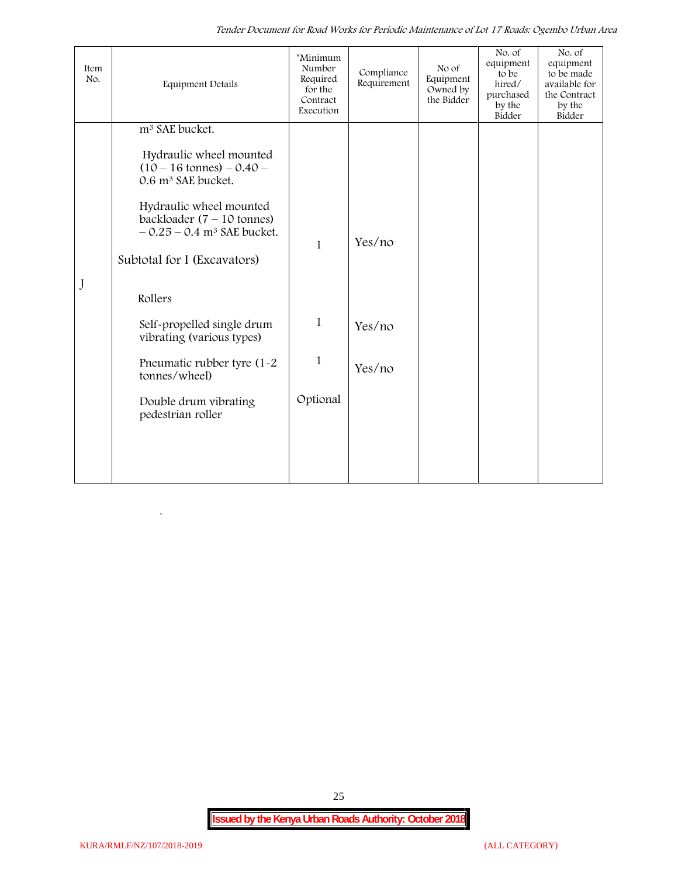*Tender Document for Road Works for Periodic Maintenance of Lot 17 Roads: Ogembo Urban Area*

| Item<br>No. | <b>Equipment Details</b>                                                                                                                   | *Minimum<br>Number<br>Required<br>for the<br>Contract<br>Execution | Compliance<br>Requirement | No of<br>Equipment<br>Owned by<br>the Bidder | No. of<br>equipment<br>to be<br>hired/<br>purchased<br>by the<br>Bidder | No. of<br>equipment<br>to be made<br>available for<br>the Contract<br>by the<br>Bidder |
|-------------|--------------------------------------------------------------------------------------------------------------------------------------------|--------------------------------------------------------------------|---------------------------|----------------------------------------------|-------------------------------------------------------------------------|----------------------------------------------------------------------------------------|
|             | m <sup>3</sup> SAE bucket.                                                                                                                 |                                                                    |                           |                                              |                                                                         |                                                                                        |
|             | Hydraulic wheel mounted<br>$(10 - 16 \text{ tonnes}) - 0.40 -$<br>0.6 m <sup>3</sup> SAE bucket.                                           |                                                                    |                           |                                              |                                                                         |                                                                                        |
|             | Hydraulic wheel mounted<br>backloader $(7 - 10 \text{ tonnes})$<br>$-0.25 - 0.4$ m <sup>3</sup> SAE bucket.<br>Subtotal for I (Excavators) | $\mathbf{1}$                                                       | Yes/no                    |                                              |                                                                         |                                                                                        |
|             |                                                                                                                                            |                                                                    |                           |                                              |                                                                         |                                                                                        |
| J           | Rollers                                                                                                                                    |                                                                    |                           |                                              |                                                                         |                                                                                        |
|             | Self-propelled single drum<br>vibrating (various types)                                                                                    | $\mathbf{1}$                                                       | Yes/no                    |                                              |                                                                         |                                                                                        |
|             | Pneumatic rubber tyre (1-2)<br>tonnes/wheel)                                                                                               | $\mathbf{1}$                                                       | Yes/no                    |                                              |                                                                         |                                                                                        |
|             | Double drum vibrating<br>pedestrian roller                                                                                                 | Optional                                                           |                           |                                              |                                                                         |                                                                                        |
|             |                                                                                                                                            |                                                                    |                           |                                              |                                                                         |                                                                                        |
|             |                                                                                                                                            |                                                                    |                           |                                              |                                                                         |                                                                                        |
|             |                                                                                                                                            |                                                                    |                           |                                              |                                                                         |                                                                                        |

25

 $\overline{\phantom{a}}$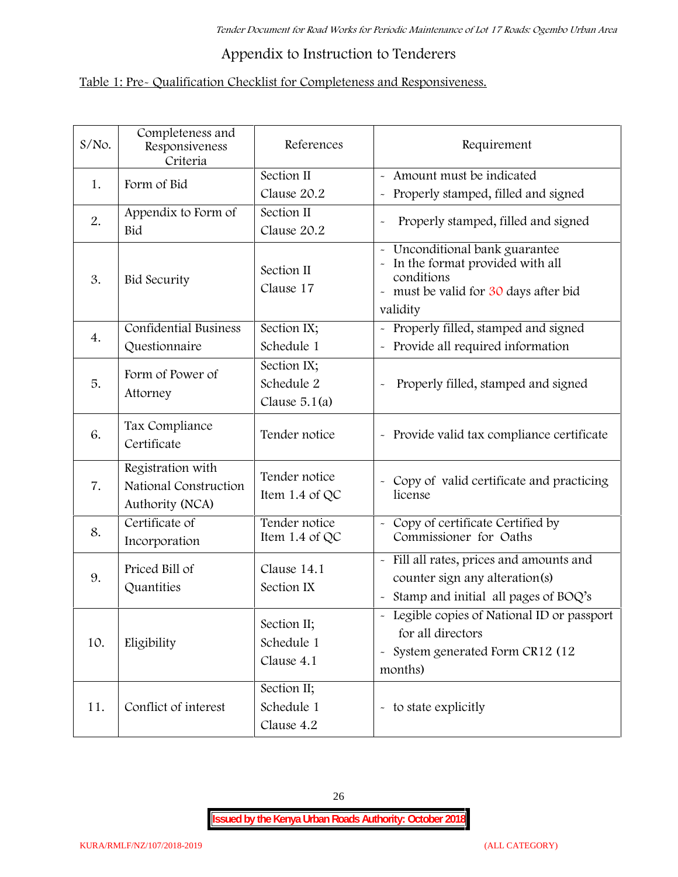# **Appendix to Instruction to Tenderers**

# **Table 1: Pre- Qualification Checklist for Completeness and Responsiveness.**

| $S/NO$ . | Completeness and<br>Responsiveness<br>Criteria                | References                                   | Requirement                                                                                                                        |
|----------|---------------------------------------------------------------|----------------------------------------------|------------------------------------------------------------------------------------------------------------------------------------|
| 1.       | Form of Bid                                                   | Section II<br>Clause 20.2                    | - Amount must be indicated<br>Properly stamped, filled and signed<br>$\tilde{\phantom{a}}$                                         |
| 2.       | Appendix to Form of<br>Bid                                    | Section II<br>Clause 20.2                    | Properly stamped, filled and signed                                                                                                |
| 3.       | <b>Bid Security</b>                                           | Section II<br>Clause 17                      | Unconditional bank guarantee<br>In the format provided with all<br>conditions<br>- must be valid for 30 days after bid<br>validity |
| 4.       | <b>Confidential Business</b><br>Questionnaire                 | Section IX;<br>Schedule 1                    | Properly filled, stamped and signed<br>Provide all required information                                                            |
| 5.       | Form of Power of<br>Attorney                                  | Section IX;<br>Schedule 2<br>Clause $5.1(a)$ | Properly filled, stamped and signed<br>$\tilde{}$                                                                                  |
| 6.       | Tax Compliance<br>Certificate                                 | Tender notice                                | - Provide valid tax compliance certificate                                                                                         |
| 7.       | Registration with<br>National Construction<br>Authority (NCA) | Tender notice<br>Item 1.4 of QC              | - Copy of valid certificate and practicing<br>license                                                                              |
| 8.       | Certificate of<br>Incorporation                               | Tender notice<br>Item 1.4 of $QC$            | Copy of certificate Certified by<br>$\widetilde{\phantom{m}}$<br>Commissioner for Oaths                                            |
| 9.       | Priced Bill of<br>Quantities                                  | Clause 14.1<br>Section IX                    | - Fill all rates, prices and amounts and<br>counter sign any alteration(s)<br>Stamp and initial all pages of BOQ's                 |
| 10.      | Eligibility                                                   | Section II;<br>Schedule 1<br>Clause 4.1      | - Legible copies of National ID or passport<br>for all directors<br>- System generated Form CR12 (12<br>months)                    |
| 11.      | Conflict of interest                                          | Section II;<br>Schedule 1<br>Clause 4.2      | - to state explicitly                                                                                                              |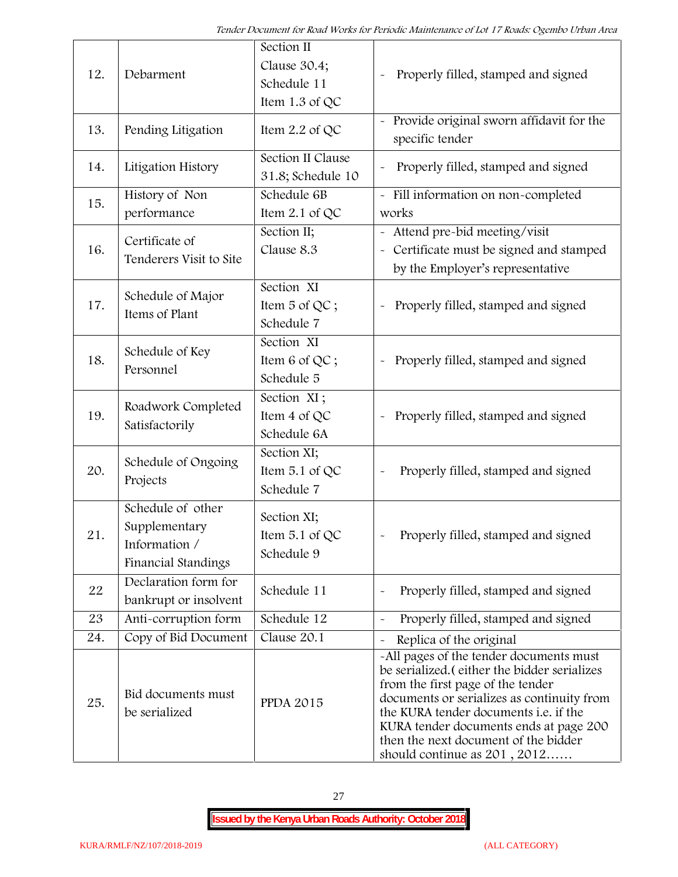| 12. | Debarment                                                                  | Section II<br>Clause 30.4;<br>Schedule 11<br>Item 1.3 of QC | Properly filled, stamped and signed                                                                                                                                                                                                                                                                                                     |
|-----|----------------------------------------------------------------------------|-------------------------------------------------------------|-----------------------------------------------------------------------------------------------------------------------------------------------------------------------------------------------------------------------------------------------------------------------------------------------------------------------------------------|
| 13. | Pending Litigation                                                         | Item 2.2 of QC                                              | Provide original sworn affidavit for the<br>specific tender                                                                                                                                                                                                                                                                             |
| 14. | Litigation History                                                         | Section II Clause<br>31.8; Schedule 10                      | Properly filled, stamped and signed                                                                                                                                                                                                                                                                                                     |
| 15. | History of Non<br>performance                                              | Schedule 6B<br>Item 2.1 of QC                               | - Fill information on non-completed<br>works                                                                                                                                                                                                                                                                                            |
| 16. | Certificate of<br>Tenderers Visit to Site                                  | Section II;<br>Clause 8.3                                   | Attend pre-bid meeting/visit<br>Certificate must be signed and stamped<br>$\widetilde{\phantom{m}}$<br>by the Employer's representative                                                                                                                                                                                                 |
| 17. | Schedule of Major<br>Items of Plant                                        | Section XI<br>Item 5 of QC;<br>Schedule 7                   | Properly filled, stamped and signed                                                                                                                                                                                                                                                                                                     |
| 18. | Schedule of Key<br>Personnel                                               | Section XI<br>Item 6 of QC;<br>Schedule 5                   | Properly filled, stamped and signed                                                                                                                                                                                                                                                                                                     |
| 19. | Roadwork Completed<br>Satisfactorily                                       | Section XI;<br>Item 4 of QC<br>Schedule 6A                  | Properly filled, stamped and signed<br>$\tilde{}$                                                                                                                                                                                                                                                                                       |
| 20. | Schedule of Ongoing<br>Projects                                            | Section XI;<br>Item 5.1 of QC<br>Schedule 7                 | Properly filled, stamped and signed                                                                                                                                                                                                                                                                                                     |
| 21  | Schedule of other<br>Supplementary<br>Information /<br>Financial Standings | Section XI;<br>Item 5.1 of QC<br>Schedule 9                 | Properly filled, stamped and signed                                                                                                                                                                                                                                                                                                     |
| 22  | Declaration form for<br>bankrupt or insolvent                              | Schedule 11                                                 | Properly filled, stamped and signed                                                                                                                                                                                                                                                                                                     |
| 23  | Anti-corruption form                                                       | Schedule 12                                                 | Properly filled, stamped and signed                                                                                                                                                                                                                                                                                                     |
| 24. | Copy of Bid Document                                                       | Clause 20.1                                                 | Replica of the original                                                                                                                                                                                                                                                                                                                 |
| 25. | Bid documents must<br>be serialized                                        | <b>PPDA 2015</b>                                            | -All pages of the tender documents must<br>be serialized. (either the bidder serializes<br>from the first page of the tender<br>documents or serializes as continuity from<br>the KURA tender documents i.e. if the<br>KURA tender documents ends at page 200<br>then the next document of the bidder<br>should continue as $201, 2012$ |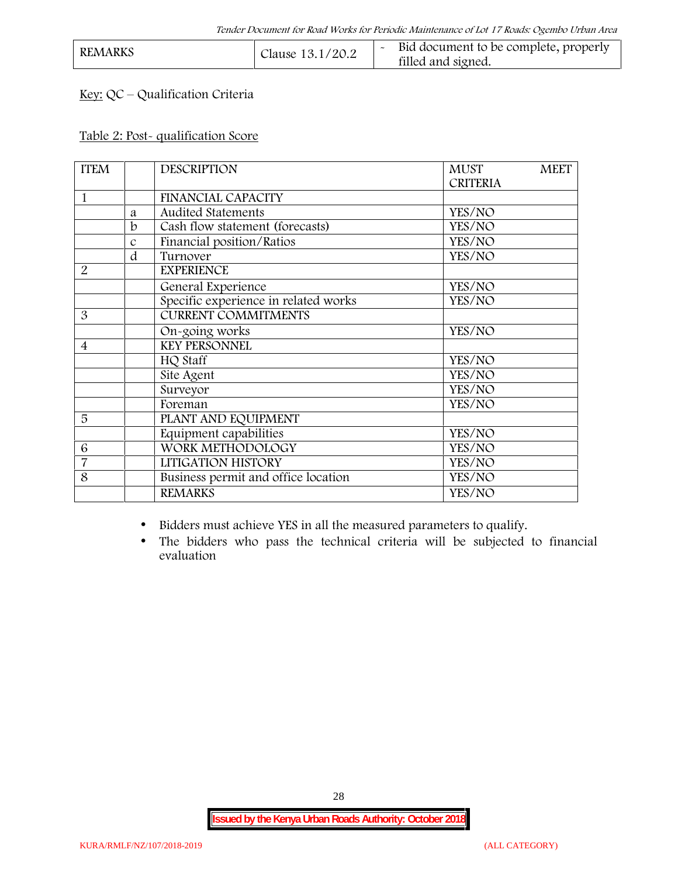| <b>REMARKS</b> | Clause 13.1/20.2 | Bid document to be complete, properly<br>filled and signed. |  |
|----------------|------------------|-------------------------------------------------------------|--|
|----------------|------------------|-------------------------------------------------------------|--|

# **Key:** QC – Qualification Criteria

#### **Table 2: Post- qualification Score**

| <b>ITEM</b>    |               | <b>DESCRIPTION</b>                   | <b>MEET</b><br><b>MUST</b> |
|----------------|---------------|--------------------------------------|----------------------------|
|                |               |                                      | <b>CRITERIA</b>            |
| 1              |               | <b>FINANCIAL CAPACITY</b>            |                            |
|                | a             | <b>Audited Statements</b>            | YES/NO                     |
|                | b             | Cash flow statement (forecasts)      | YES/NO                     |
|                | $\mathcal{C}$ | Financial position/Ratios            | YES/NO                     |
|                | d             | Turnover                             | YES/NO                     |
| $\overline{2}$ |               | <b>EXPERIENCE</b>                    |                            |
|                |               | General Experience                   | YES/NO                     |
|                |               | Specific experience in related works | YES/NO                     |
| 3              |               | <b>CURRENT COMMITMENTS</b>           |                            |
|                |               | On-going works                       | YES/NO                     |
| $\overline{4}$ |               | <b>KEY PERSONNEL</b>                 |                            |
|                |               | HQ Staff                             | YES/NO                     |
|                |               | Site Agent                           | YES/NO                     |
|                |               | Surveyor                             | YES/NO                     |
|                |               | Foreman                              | YES/NO                     |
| 5              |               | PLANT AND EQUIPMENT                  |                            |
|                |               | Equipment capabilities               | YES/NO                     |
| 6              |               | WORK METHODOLOGY                     | YES/NO                     |
| $\overline{7}$ |               | LITIGATION HISTORY                   | YES/NO                     |
| 8              |               | Business permit and office location  | YES/NO                     |
|                |               | <b>REMARKS</b>                       | YES/NO                     |

Bidders must achieve YES in all the measured parameters to qualify.

 The bidders who pass the technical criteria will be subjected to financial evaluation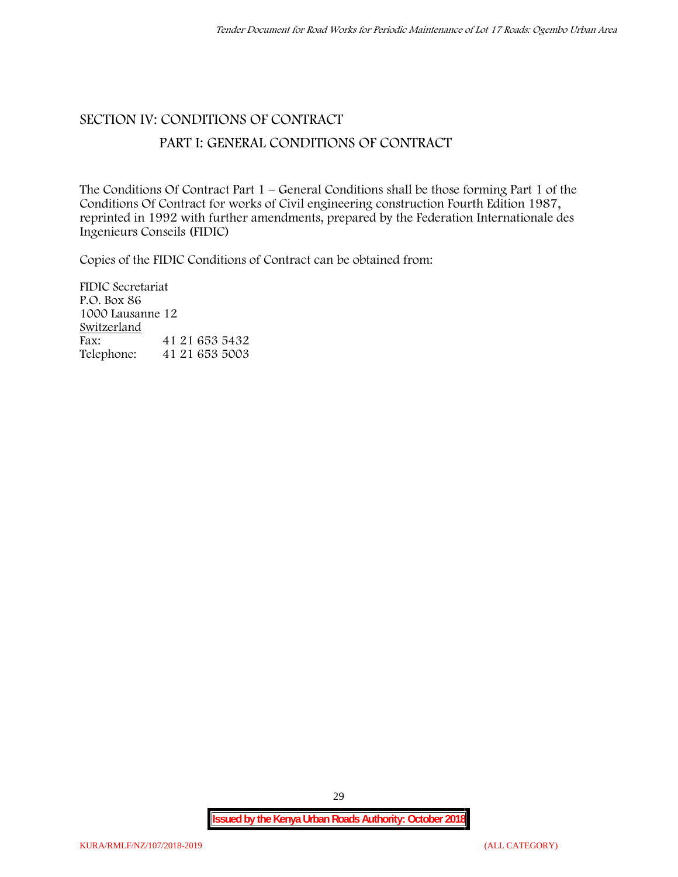# **SECTION IV: CONDITIONS OF CONTRACT**

# **PART I: GENERAL CONDITIONS OF CONTRACT**

The Conditions Of Contract Part 1 – General Conditions shall be those forming Part 1 of the Conditions Of Contract for works of Civil engineering construction Fourth Edition 1987, reprinted in 1992 with further amendments, prepared by the Federation Internationale des Ingenieurs Conseils (FIDIC)

Copies of the FIDIC Conditions of Contract can be obtained from:

FIDIC Secretariat P.O. Box 86 1000 Lausanne 12 **Switzerland** Fax: 41 21 653 5432 Telephone: 41 21 653 5003

29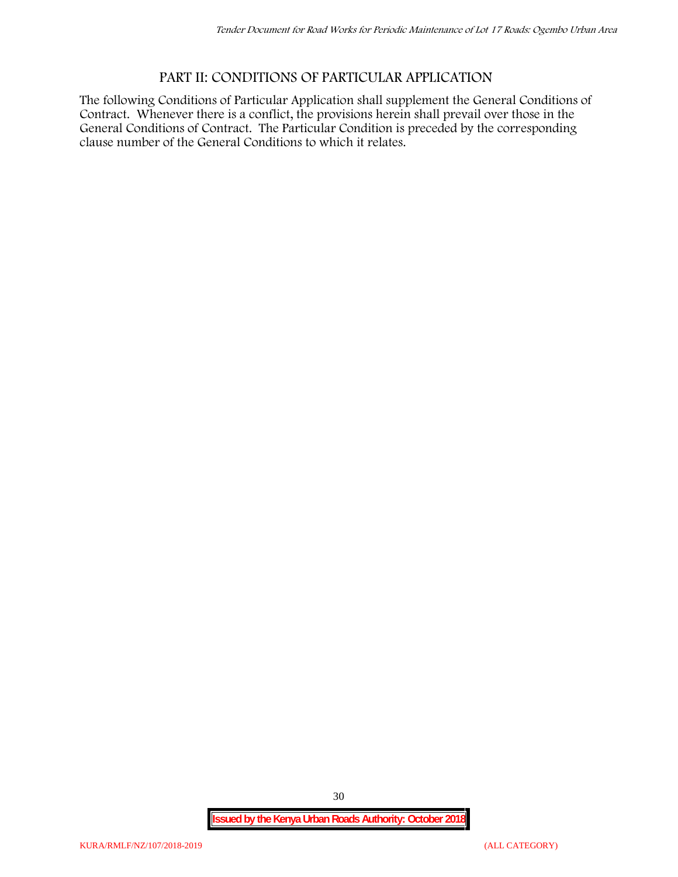# **PART II: CONDITIONS OF PARTICULAR APPLICATION**

The following Conditions of Particular Application shall supplement the General Conditions of Contract. Whenever there is a conflict, the provisions herein shall prevail over those in the General Conditions of Contract. The Particular Condition is preceded by the corresponding clause number of the General Conditions to which it relates.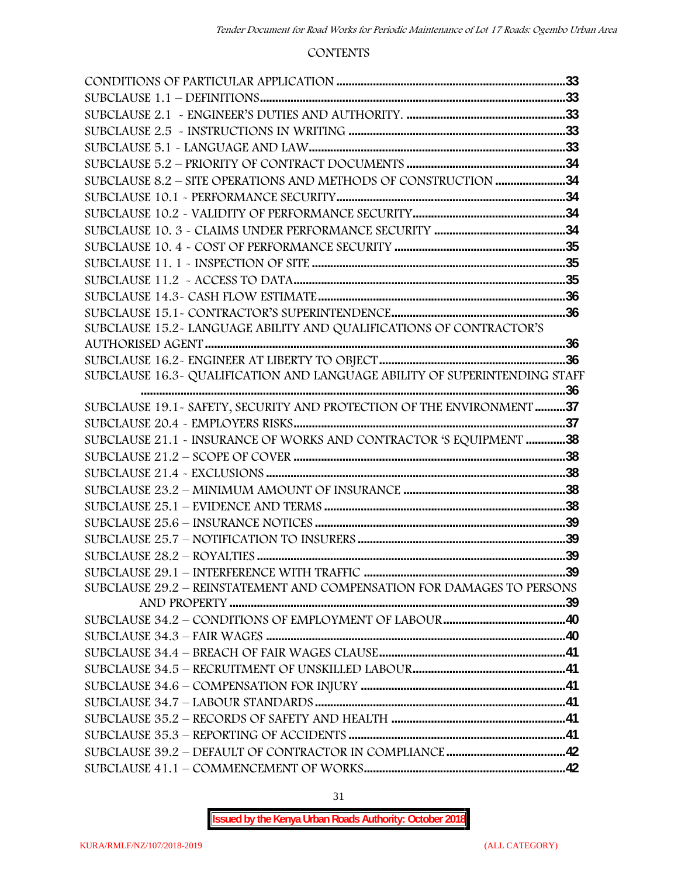#### **CONTENTS**

| SUBCLAUSE 8.2 - SITE OPERATIONS AND METHODS OF CONSTRUCTION 34             |  |
|----------------------------------------------------------------------------|--|
|                                                                            |  |
|                                                                            |  |
|                                                                            |  |
|                                                                            |  |
|                                                                            |  |
|                                                                            |  |
|                                                                            |  |
|                                                                            |  |
| SUBCLAUSE 15.2-LANGUAGE ABILITY AND QUALIFICATIONS OF CONTRACTOR'S         |  |
|                                                                            |  |
|                                                                            |  |
| SUBCLAUSE 16.3- QUALIFICATION AND LANGUAGE ABILITY OF SUPERINTENDING STAFF |  |
|                                                                            |  |
| SUBCLAUSE 19.1 - SAFETY, SECURITY AND PROTECTION OF THE ENVIRONMENT 37     |  |
|                                                                            |  |
| SUBCLAUSE 21.1 - INSURANCE OF WORKS AND CONTRACTOR 'S EQUIPMENT 38         |  |
|                                                                            |  |
|                                                                            |  |
|                                                                            |  |
|                                                                            |  |
|                                                                            |  |
|                                                                            |  |
|                                                                            |  |
|                                                                            |  |
| SUBCLAUSE 29.2 - REINSTATEMENT AND COMPENSATION FOR DAMAGES TO PERSONS     |  |
|                                                                            |  |
|                                                                            |  |
|                                                                            |  |
|                                                                            |  |
|                                                                            |  |
|                                                                            |  |
|                                                                            |  |
|                                                                            |  |
|                                                                            |  |
|                                                                            |  |
|                                                                            |  |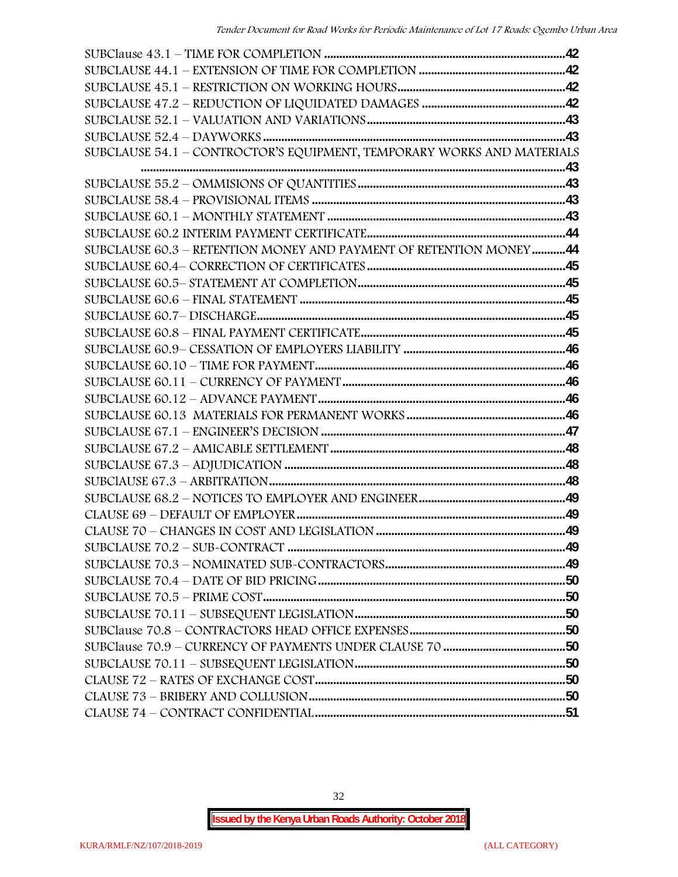| SUBCLAUSE 54.1 - CONTROCTOR'S EQUIPMENT, TEMPORARY WORKS AND MATERIALS |  |
|------------------------------------------------------------------------|--|
|                                                                        |  |
|                                                                        |  |
|                                                                        |  |
|                                                                        |  |
|                                                                        |  |
| SUBCLAUSE 60.3 - RETENTION MONEY AND PAYMENT OF RETENTION MONEY44      |  |
|                                                                        |  |
|                                                                        |  |
|                                                                        |  |
|                                                                        |  |
|                                                                        |  |
|                                                                        |  |
|                                                                        |  |
|                                                                        |  |
|                                                                        |  |
|                                                                        |  |
|                                                                        |  |
|                                                                        |  |
|                                                                        |  |
|                                                                        |  |
|                                                                        |  |
|                                                                        |  |
|                                                                        |  |
|                                                                        |  |
|                                                                        |  |
|                                                                        |  |
|                                                                        |  |
|                                                                        |  |
|                                                                        |  |
|                                                                        |  |
|                                                                        |  |
|                                                                        |  |
|                                                                        |  |
|                                                                        |  |

32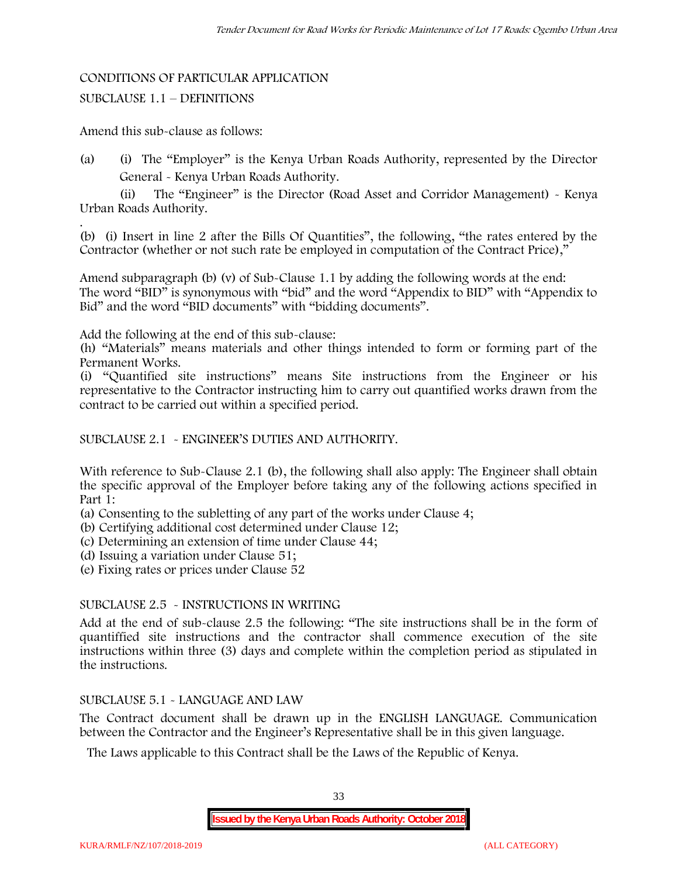#### CONDITIONS OF PARTICULAR APPLICATION

## SUBCLAUSE 1.1 – DEFINITIONS

Amend this sub-clause as follows:

(a) (i) The "Employer" is the Kenya Urban Roads Authority, represented by the Director General - Kenya Urban Roads Authority.

(ii) The "Engineer" is the Director (Road Asset and Corridor Management) - Kenya Urban Roads Authority.

.(b) (i) Insert in line 2 after the Bills Of Quantities", the following, "the rates entered by the Contractor (whether or not such rate be employed in computation of the Contract Price),"

Amend subparagraph (b) (v) of Sub-Clause 1.1 by adding the following words at the end: The word "BID" is synonymous with "bid" and the word "Appendix to BID" with "Appendix to Bid" and the word "BID documents" with "bidding documents".

Add the following at the end of this sub-clause:

(h) "Materials" means materials and other things intended to form or forming part of the Permanent Works.

(i) "Quantified site instructions" means Site instructions from the Engineer or his representative to the Contractor instructing him to carry out quantified works drawn from the contract to be carried out within a specified period.

## SUBCLAUSE 2.1 - ENGINEER'S DUTIES AND AUTHORITY.

With reference to Sub-Clause 2.1 (b), the following shall also apply: The Engineer shall obtain the specific approval of the Employer before taking any of the following actions specified in Part 1:

(a) Consenting to the subletting of any part of the works under Clause 4;

(b) Certifying additional cost determined under Clause 12;

(c) Determining an extension of time under Clause 44;

(d) Issuing a variation under Clause 51;

(e) Fixing rates or prices under Clause 52

## SUBCLAUSE 2.5 - INSTRUCTIONS IN WRITING

Add at the end of sub-clause 2.5 the following: "The site instructions shall be in the form of quantiffied site instructions and the contractor shall commence execution of the site instructions within three (3) days and complete within the completion period as stipulated in the instructions.

## SUBCLAUSE 5.1 - LANGUAGE AND LAW

The Contract document shall be drawn up in the ENGLISH LANGUAGE. Communication between the Contractor and the Engineer's Representative shall be in this given language.

The Laws applicable to this Contract shall be the Laws of the Republic of Kenya.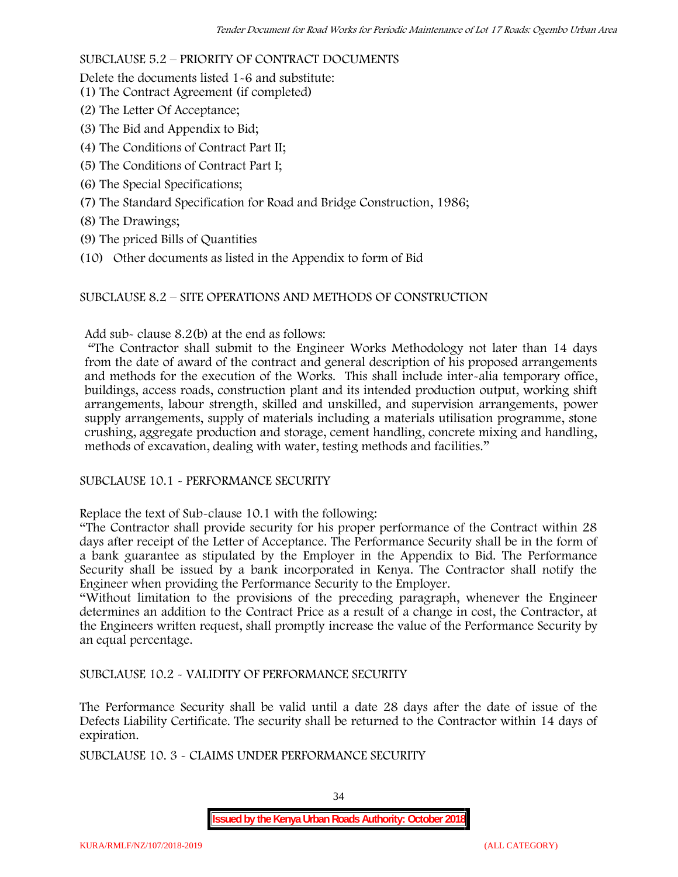#### SUBCLAUSE 5.2 – PRIORITY OF CONTRACT DOCUMENTS

Delete the documents listed 1-6 and substitute:

- (1) The Contract Agreement (if completed)
- (2) The Letter Of Acceptance;
- (3) The Bid and Appendix to Bid;
- (4) The Conditions of Contract Part II;
- (5) The Conditions of Contract Part I;
- (6) The Special Specifications;
- (7) The Standard Specification for Road and Bridge Construction, 1986;
- (8) The Drawings;
- (9) The priced Bills of Quantities
- (10) Other documents as listed in the Appendix to form of Bid

## SUBCLAUSE 8.2 – SITE OPERATIONS AND METHODS OF CONSTRUCTION

Add sub- clause 8.2(b) at the end as follows:

"The Contractor shall submit to the Engineer Works Methodology not later than 14 days from the date of award of the contract and general description of his proposed arrangements and methods for the execution of the Works. This shall include inter-alia temporary office, buildings, access roads, construction plant and its intended production output, working shift arrangements, labour strength, skilled and unskilled, and supervision arrangements, power supply arrangements, supply of materials including a materials utilisation programme, stone crushing, aggregate production and storage, cement handling, concrete mixing and handling, methods of excavation, dealing with water, testing methods and facilities."

## SUBCLAUSE 10.1 - PERFORMANCE SECURITY

Replace the text of Sub-clause 10.1 with the following:

"The Contractor shall provide security for his proper performance of the Contract within 28 days after receipt of the Letter of Acceptance. The Performance Security shall be in the form of a bank guarantee as stipulated by the Employer in the Appendix to Bid. The Performance Security shall be issued by a bank incorporated in Kenya. The Contractor shall notify the Engineer when providing the Performance Security to the Employer.

"Without limitation to the provisions of the preceding paragraph, whenever the Engineer determines an addition to the Contract Price as a result of a change in cost, the Contractor, at the Engineers written request, shall promptly increase the value of the Performance Security by an equal percentage.

SUBCLAUSE 10.2 - VALIDITY OF PERFORMANCE SECURITY

The Performance Security shall be valid until a date 28 days after the date of issue of the Defects Liability Certificate. The security shall be returned to the Contractor within 14 days of expiration.

SUBCLAUSE 10. 3 - CLAIMS UNDER PERFORMANCE SECURITY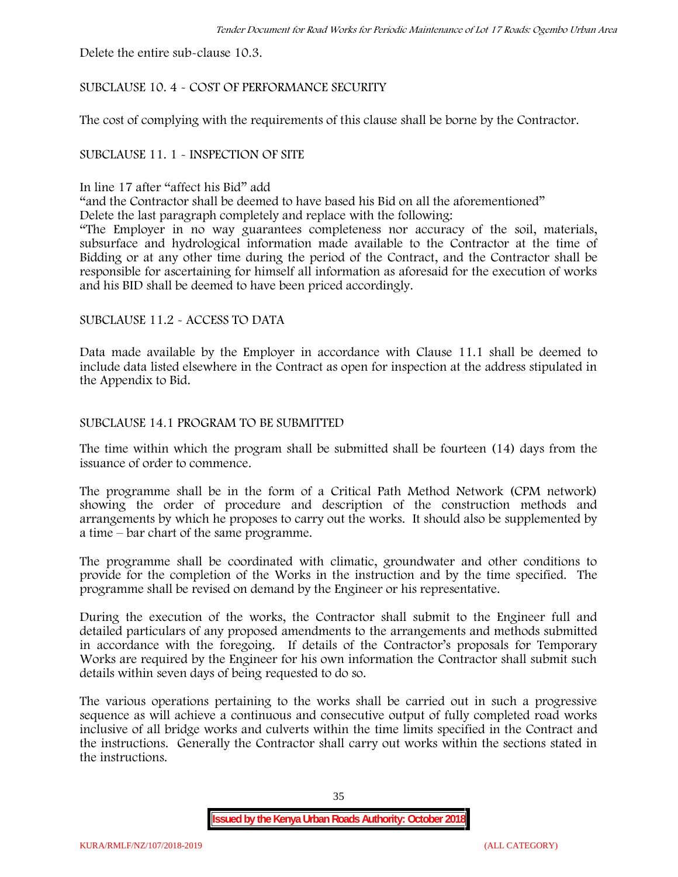Delete the entire sub-clause 10.3.

## SUBCLAUSE 10. 4 - COST OF PERFORMANCE SECURITY

The cost of complying with the requirements of this clause shall be borne by the Contractor.

#### SUBCLAUSE 11. 1 - INSPECTION OF SITE

#### In line 17 after "affect his Bid" add

"and the Contractor shall be deemed to have based his Bid on all the aforementioned"

Delete the last paragraph completely and replace with the following:

"The Employer in no way guarantees completeness nor accuracy of the soil, materials, subsurface and hydrological information made available to the Contractor at the time of Bidding or at any other time during the period of the Contract, and the Contractor shall be responsible for ascertaining for himself all information as aforesaid for the execution of works and his BID shall be deemed to have been priced accordingly.

#### SUBCLAUSE 11.2 - ACCESS TO DATA

Data made available by the Employer in accordance with Clause 11.1 shall be deemed to include data listed elsewhere in the Contract as open for inspection at the address stipulated in the Appendix to Bid.

#### SUBCLAUSE 14.1 PROGRAM TO BE SUBMITTED

The time within which the program shall be submitted shall be fourteen (14) days from the issuance of order to commence**.**

The programme shall be in the form of a Critical Path Method Network (CPM network) showing the order of procedure and description of the construction methods and arrangements by which he proposes to carry out the works. It should also be supplemented by a time – bar chart of the same programme.

The programme shall be coordinated with climatic, groundwater and other conditions to provide for the completion of the Works in the instruction and by the time specified. The programme shall be revised on demand by the Engineer or his representative.

During the execution of the works, the Contractor shall submit to the Engineer full and detailed particulars of any proposed amendments to the arrangements and methods submitted in accordance with the foregoing. If details of the Contractor's proposals for Temporary Works are required by the Engineer for his own information the Contractor shall submit such details within seven days of being requested to do so.

The various operations pertaining to the works shall be carried out in such a progressive sequence as will achieve a continuous and consecutive output of fully completed road works inclusive of all bridge works and culverts within the time limits specified in the Contract and the instructions. Generally the Contractor shall carry out works within the sections stated in the instructions.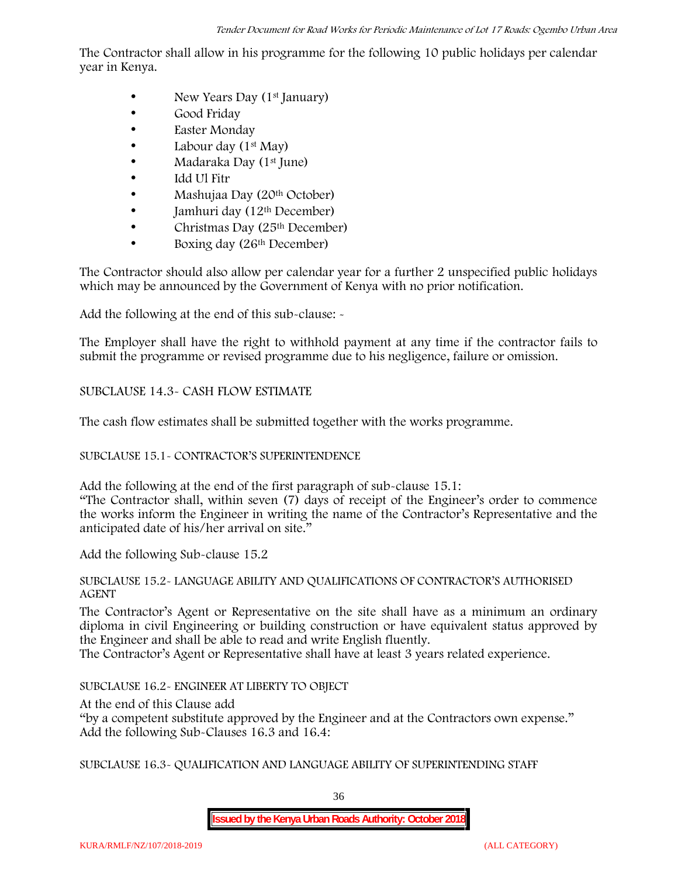The Contractor shall allow in his programme for the following 10 public holidays per calendar year in Kenya.

- New Years Day  $(1<sup>st</sup>$  January)
- Good Friday
- Easter Monday
- Labour day  $(1<sup>st</sup> May)$
- Madaraka Day (1<sup>st</sup> June)
- Idd Ul Fitr
- Mashujaa Day (20<sup>th</sup> October)
- Jamhuri day (12<sup>th</sup> December)
- $\bullet$  Christmas Day (25<sup>th</sup> December)
- Boxing day (26<sup>th</sup> December)

The Contractor should also allow per calendar year for a further 2 unspecified public holidays which may be announced by the Government of Kenya with no prior notification.

Add the following at the end of this sub-clause: -

The Employer shall have the right to withhold payment at any time if the contractor fails to submit the programme or revised programme due to his negligence, failure or omission.

# SUBCLAUSE 14.3- CASH FLOW ESTIMATE

The cash flow estimates shall be submitted together with the works programme.

# SUBCLAUSE 15.1- CONTRACTOR'S SUPERINTENDENCE

Add the following at the end of the first paragraph of sub-clause 15.1: "The Contractor shall, within seven (7) days of receipt of the Engineer's order to commence the works inform the Engineer in writing the name of the Contractor's Representative and the anticipated date of his/her arrival on site."

Add the following Sub-clause 15.2

# SUBCLAUSE 15.2- LANGUAGE ABILITY AND QUALIFICATIONS OF CONTRACTOR'S AUTHORISED AGENT

The Contractor's Agent or Representative on the site shall have as a minimum an ordinary diploma in civil Engineering or building construction or have equivalent status approved by the Engineer and shall be able to read and write English fluently.

The Contractor's Agent or Representative shall have at least 3 years related experience.

SUBCLAUSE 16.2- ENGINEER AT LIBERTY TO OBJECT

At the end of this Clause add

"by a competent substitute approved by the Engineer and at the Contractors own expense." Add the following Sub-Clauses 16.3 and 16.4:

SUBCLAUSE 16.3- QUALIFICATION AND LANGUAGE ABILITY OF SUPERINTENDING STAFF

36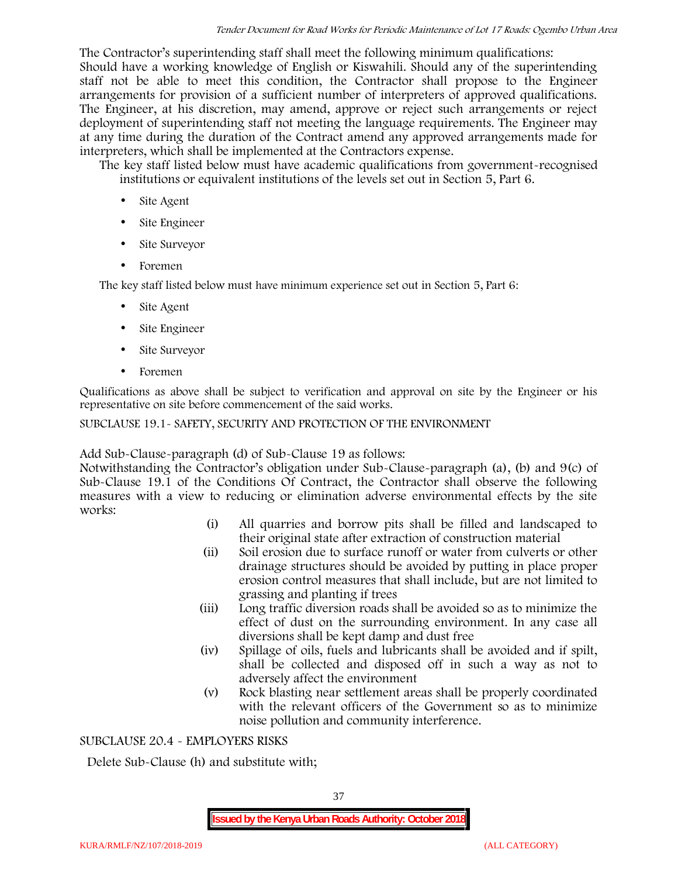The Contractor's superintending staff shall meet the following minimum qualifications: Should have a working knowledge of English or Kiswahili. Should any of the superintending staff not be able to meet this condition, the Contractor shall propose to the Engineer arrangements for provision of a sufficient number of interpreters of approved qualifications. The Engineer, at his discretion, may amend, approve or reject such arrangements or reject deployment of superintending staff not meeting the language requirements. The Engineer may at any time during the duration of the Contract amend any approved arrangements made for interpreters, which shall be implemented at the Contractors expense.

The key staff listed below must have academic qualifications from government-recognised institutions or equivalent institutions of the levels set out in Section 5, Part 6.

- Site Agent
- Site Engineer
- Site Surveyor
- Foremen

The key staff listed below must have minimum experience set out in Section 5, Part 6:

- Site Agent
- Site Engineer
- Site Surveyor
- Foremen

Qualifications as above shall be subject to verification and approval on site by the Engineer or his representative on site before commencement of the said works.

# SUBCLAUSE 19.1- SAFETY, SECURITY AND PROTECTION OF THE ENVIRONMENT

Add Sub-Clause-paragraph (d) of Sub-Clause 19 as follows:

Notwithstanding the Contractor's obligation under Sub-Clause-paragraph (a), (b) and 9(c) of Sub-Clause 19.1 of the Conditions Of Contract, the Contractor shall observe the following measures with a view to reducing or elimination adverse environmental effects by the site works:

- (i) All quarries and borrow pits shall be filled and landscaped to their original state after extraction of construction material
- (ii) Soil erosion due to surface runoff or water from culverts or other drainage structures should be avoided by putting in place proper erosion control measures that shall include, but are not limited to grassing and planting if trees
- (iii) Long traffic diversion roads shall be avoided so as to minimize the effect of dust on the surrounding environment. In any case all diversions shall be kept damp and dust free
- (iv) Spillage of oils, fuels and lubricants shall be avoided and if spilt, shall be collected and disposed off in such a way as not to adversely affect the environment
- (v) Rock blasting near settlement areas shall be properly coordinated with the relevant officers of the Government so as to minimize noise pollution and community interference.

# SUBCLAUSE 20.4 - EMPLOYERS RISKS

Delete Sub-Clause (h) and substitute with;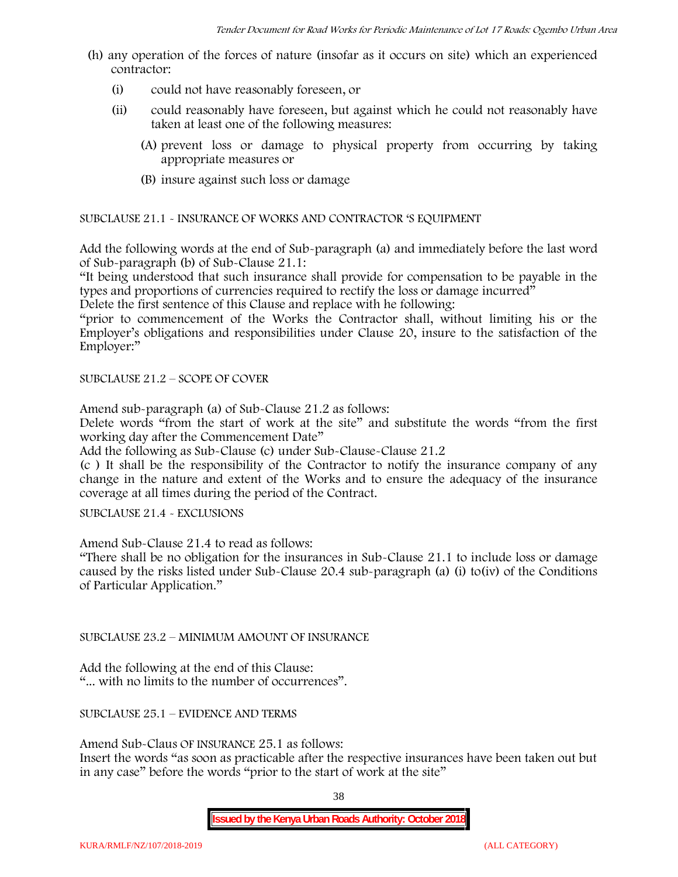- (h) any operation of the forces of nature (insofar as it occurs on site) which an experienced contractor:
	- (i) could not have reasonably foreseen, or
	- (ii) could reasonably have foreseen, but against which he could not reasonably have taken at least one of the following measures:
		- (A) prevent loss or damage to physical property from occurring by taking appropriate measures or
		- (B) insure against such loss or damage

SUBCLAUSE 21.1 - INSURANCE OF WORKS AND CONTRACTOR 'S EQUIPMENT

Add the following words at the end of Sub-paragraph (a) and immediately before the last word of Sub-paragraph (b) of Sub-Clause 21.1:

"It being understood that such insurance shall provide for compensation to be payable in the types and proportions of currencies required to rectify the loss or damage incurred"

Delete the first sentence of this Clause and replace with he following:

"prior to commencement of the Works the Contractor shall, without limiting his or the Employer's obligations and responsibilities under Clause 20, insure to the satisfaction of the Employer:"

SUBCLAUSE 21.2 – SCOPE OF COVER

Amend sub-paragraph (a) of Sub-Clause 21.2 as follows:

Delete words "from the start of work at the site" and substitute the words "from the first working day after the Commencement Date"

Add the following as Sub-Clause (c) under Sub-Clause-Clause 21.2

(c ) It shall be the responsibility of the Contractor to notify the insurance company of any change in the nature and extent of the Works and to ensure the adequacy of the insurance coverage at all times during the period of the Contract.

SUBCLAUSE 21.4 - EXCLUSIONS

Amend Sub-Clause 21.4 to read as follows:

"There shall be no obligation for the insurances in Sub-Clause 21.1 to include loss or damage caused by the risks listed under Sub-Clause 20.4 sub-paragraph (a) (i) to(iv) of the Conditions of Particular Application."

SUBCLAUSE 23.2 – MINIMUM AMOUNT OF INSURANCE

Add the following at the end of this Clause: "... with no limits to the number of occurrences".

SUBCLAUSE 25.1 – EVIDENCE AND TERMS

Amend Sub-Claus OF INSURANCE 25.1 as follows:

Insert the words "as soon as practicable after the respective insurances have been taken out but in any case" before the words "prior to the start of work at the site"

38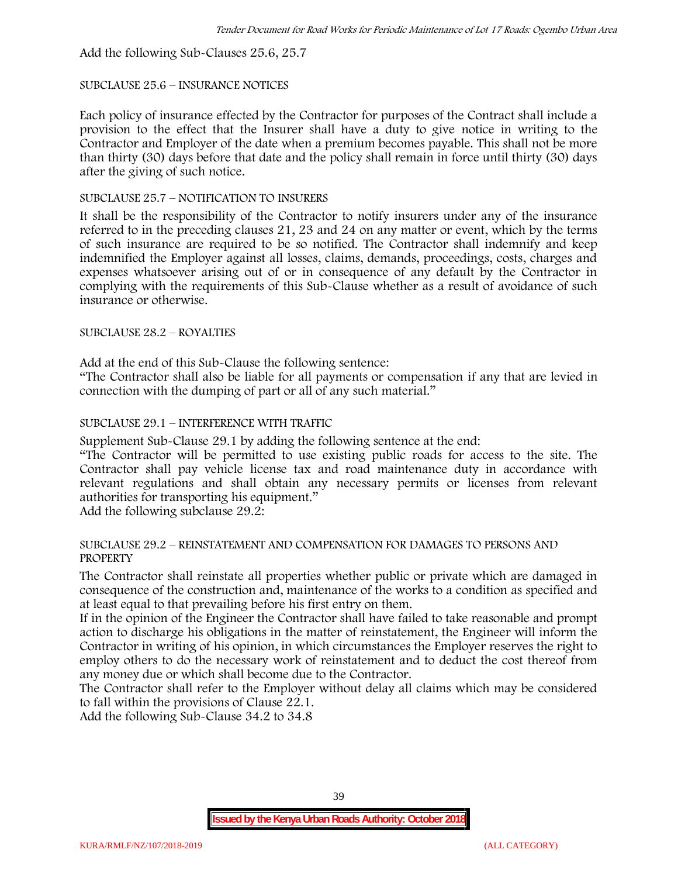Add the following Sub-Clauses 25.6, 25.7

#### SUBCLAUSE 25.6 – INSURANCE NOTICES

Each policy of insurance effected by the Contractor for purposes of the Contract shall include a provision to the effect that the Insurer shall have a duty to give notice in writing to the Contractor and Employer of the date when a premium becomes payable. This shall not be more than thirty (30) days before that date and the policy shall remain in force until thirty (30) days after the giving of such notice.

# SUBCLAUSE 25.7 – NOTIFICATION TO INSURERS

It shall be the responsibility of the Contractor to notify insurers under any of the insurance referred to in the preceding clauses 21, 23 and 24 on any matter or event, which by the terms of such insurance are required to be so notified. The Contractor shall indemnify and keep indemnified the Employer against all losses, claims, demands, proceedings, costs, charges and expenses whatsoever arising out of or in consequence of any default by the Contractor in complying with the requirements of this Sub-Clause whether as a result of avoidance of such insurance or otherwise.

#### SUBCLAUSE 28.2 – ROYALTIES

Add at the end of this Sub-Clause the following sentence:

"The Contractor shall also be liable for all payments or compensation if any that are levied in connection with the dumping of part or all of any such material."

# SUBCLAUSE 29.1 – INTERFERENCE WITH TRAFFIC

Supplement Sub-Clause 29.1 by adding the following sentence at the end:

"The Contractor will be permitted to use existing public roads for access to the site. The Contractor shall pay vehicle license tax and road maintenance duty in accordance with relevant regulations and shall obtain any necessary permits or licenses from relevant authorities for transporting his equipment."

Add the following subclause 29.2:

#### SUBCLAUSE 29.2 – REINSTATEMENT AND COMPENSATION FOR DAMAGES TO PERSONS AND PROPERTY

The Contractor shall reinstate all properties whether public or private which are damaged in consequence of the construction and, maintenance of the works to a condition as specified and at least equal to that prevailing before his first entry on them.

If in the opinion of the Engineer the Contractor shall have failed to take reasonable and prompt action to discharge his obligations in the matter of reinstatement, the Engineer will inform the Contractor in writing of his opinion, in which circumstances the Employer reserves the right to employ others to do the necessary work of reinstatement and to deduct the cost thereof from any money due or which shall become due to the Contractor.

The Contractor shall refer to the Employer without delay all claims which may be considered to fall within the provisions of Clause 22.1.

Add the following Sub-Clause 34.2 to 34.8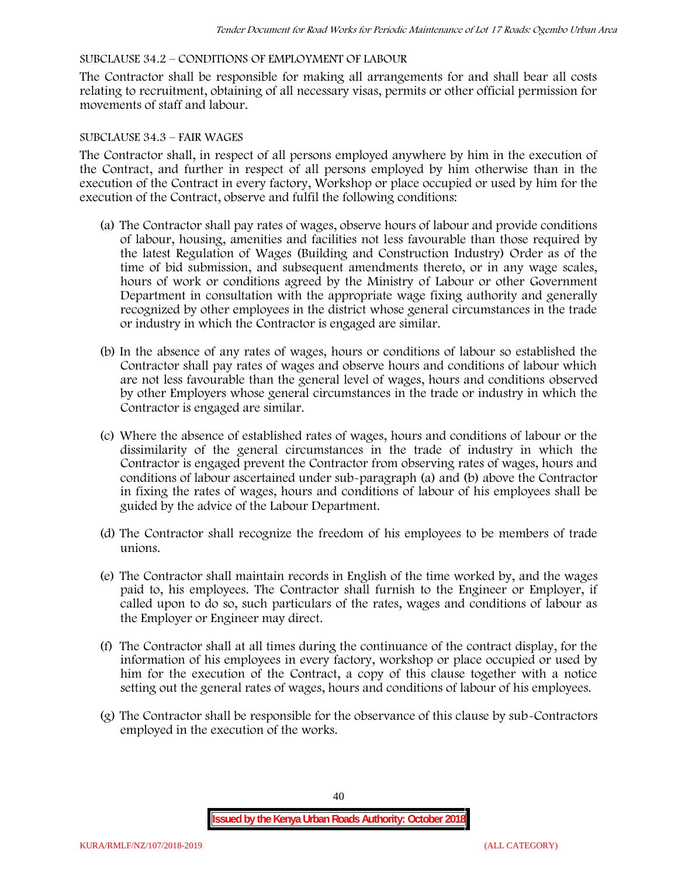# SUBCLAUSE 34.2 – CONDITIONS OF EMPLOYMENT OF LABOUR

The Contractor shall be responsible for making all arrangements for and shall bear all costs relating to recruitment, obtaining of all necessary visas, permits or other official permission for movements of staff and labour.

#### SUBCLAUSE 34.3 – FAIR WAGES

The Contractor shall, in respect of all persons employed anywhere by him in the execution of the Contract, and further in respect of all persons employed by him otherwise than in the execution of the Contract in every factory, Workshop or place occupied or used by him for the execution of the Contract, observe and fulfil the following conditions:

- (a) The Contractor shall pay rates of wages, observe hours of labour and provide conditions of labour, housing, amenities and facilities not less favourable than those required by the latest Regulation of Wages (Building and Construction Industry) Order as of the time of bid submission, and subsequent amendments thereto, or in any wage scales, hours of work or conditions agreed by the Ministry of Labour or other Government Department in consultation with the appropriate wage fixing authority and generally recognized by other employees in the district whose general circumstances in the trade or industry in which the Contractor is engaged are similar.
- (b) In the absence of any rates of wages, hours or conditions of labour so established the Contractor shall pay rates of wages and observe hours and conditions of labour which are not less favourable than the general level of wages, hours and conditions observed by other Employers whose general circumstances in the trade or industry in which the Contractor is engaged are similar.
- (c) Where the absence of established rates of wages, hours and conditions of labour or the dissimilarity of the general circumstances in the trade of industry in which the Contractor is engaged prevent the Contractor from observing rates of wages, hours and conditions of labour ascertained under sub-paragraph (a) and (b) above the Contractor in fixing the rates of wages, hours and conditions of labour of his employees shall be guided by the advice of the Labour Department.
- (d) The Contractor shall recognize the freedom of his employees to be members of trade unions.
- (e) The Contractor shall maintain records in English of the time worked by, and the wages paid to, his employees. The Contractor shall furnish to the Engineer or Employer, if called upon to do so, such particulars of the rates, wages and conditions of labour as the Employer or Engineer may direct.
- (f) The Contractor shall at all times during the continuance of the contract display, for the information of his employees in every factory, workshop or place occupied or used by him for the execution of the Contract, a copy of this clause together with a notice setting out the general rates of wages, hours and conditions of labour of his employees.
- (g) The Contractor shall be responsible for the observance of this clause by sub-Contractors employed in the execution of the works.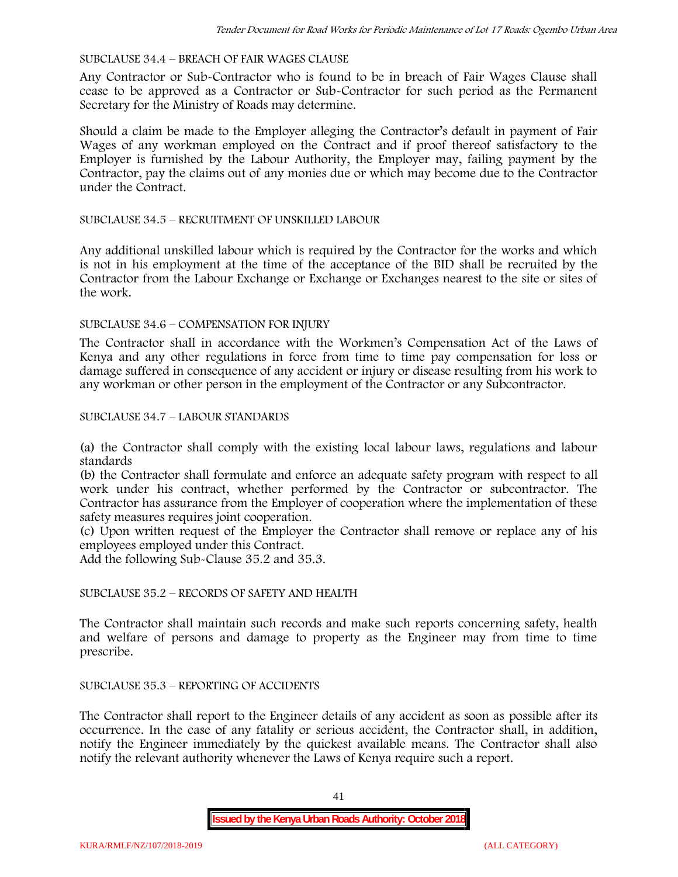#### SUBCLAUSE 34.4 – BREACH OF FAIR WAGES CLAUSE

Any Contractor or Sub-Contractor who is found to be in breach of Fair Wages Clause shall cease to be approved as a Contractor or Sub-Contractor for such period as the Permanent Secretary for the Ministry of Roads may determine.

Should a claim be made to the Employer alleging the Contractor's default in payment of Fair Wages of any workman employed on the Contract and if proof thereof satisfactory to the Employer is furnished by the Labour Authority, the Employer may, failing payment by the Contractor, pay the claims out of any monies due or which may become due to the Contractor under the Contract.

#### SUBCLAUSE 34.5 – RECRUITMENT OF UNSKILLED LABOUR

Any additional unskilled labour which is required by the Contractor for the works and which is not in his employment at the time of the acceptance of the BID shall be recruited by the Contractor from the Labour Exchange or Exchange or Exchanges nearest to the site or sites of the work.

#### SUBCLAUSE 34.6 – COMPENSATION FOR INJURY

The Contractor shall in accordance with the Workmen's Compensation Act of the Laws of Kenya and any other regulations in force from time to time pay compensation for loss or damage suffered in consequence of any accident or injury or disease resulting from his work to any workman or other person in the employment of the Contractor or any Subcontractor.

#### SUBCLAUSE 34.7 – LABOUR STANDARDS

(a) the Contractor shall comply with the existing local labour laws, regulations and labour standards

(b) the Contractor shall formulate and enforce an adequate safety program with respect to all work under his contract, whether performed by the Contractor or subcontractor. The Contractor has assurance from the Employer of cooperation where the implementation of these safety measures requires joint cooperation.

(c) Upon written request of the Employer the Contractor shall remove or replace any of his employees employed under this Contract.

Add the following Sub-Clause 35.2 and 35.3.

# SUBCLAUSE 35.2 – RECORDS OF SAFETY AND HEALTH

The Contractor shall maintain such records and make such reports concerning safety, health and welfare of persons and damage to property as the Engineer may from time to time prescribe.

# SUBCLAUSE 35.3 – REPORTING OF ACCIDENTS

The Contractor shall report to the Engineer details of any accident as soon as possible after its occurrence. In the case of any fatality or serious accident, the Contractor shall, in addition, notify the Engineer immediately by the quickest available means. The Contractor shall also notify the relevant authority whenever the Laws of Kenya require such a report.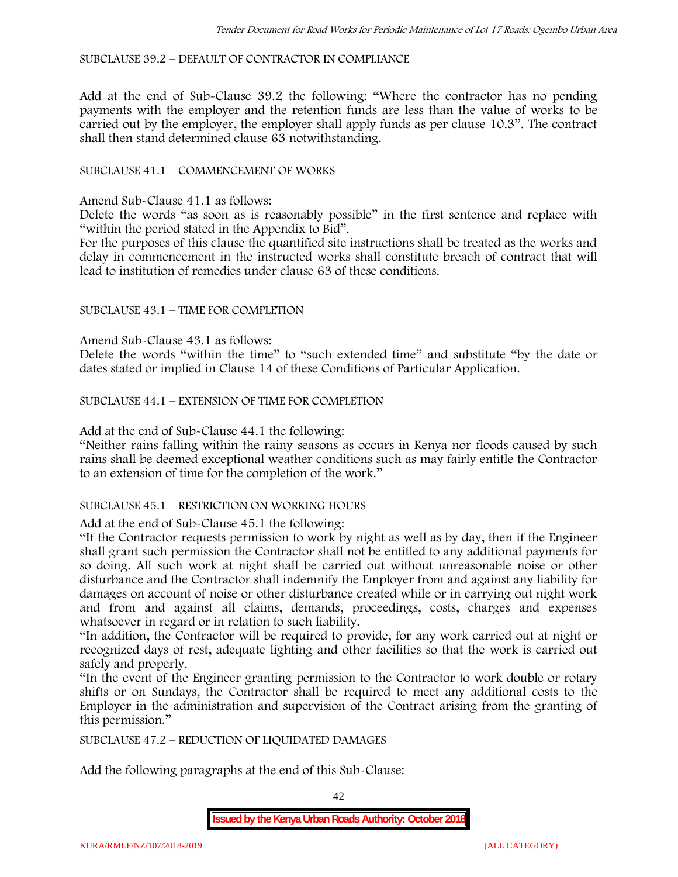SUBCLAUSE 39.2 – DEFAULT OF CONTRACTOR IN COMPLIANCE

Add at the end of Sub-Clause 39.2 the following: "Where the contractor has no pending payments with the employer and the retention funds are less than the value of works to be carried out by the employer, the employer shall apply funds as per clause 10.3". The contract shall then stand determined clause 63 notwithstanding.

# SUBCLAUSE 41.1 – COMMENCEMENT OF WORKS

Amend Sub-Clause 41.1 as follows:

Delete the words "as soon as is reasonably possible" in the first sentence and replace with "within the period stated in the Appendix to Bid".

For the purposes of this clause the quantified site instructions shall be treated as the works and delay in commencement in the instructed works shall constitute breach of contract that will lead to institution of remedies under clause 63 of these conditions.

# SUBCLAUSE 43.1 – TIME FOR COMPLETION

Amend Sub-Clause 43.1 as follows:

Delete the words "within the time" to "such extended time" and substitute "by the date or dates stated or implied in Clause 14 of these Conditions of Particular Application.

SUBCLAUSE 44.1 – EXTENSION OF TIME FOR COMPLETION

Add at the end of Sub-Clause 44.1 the following:

"Neither rains falling within the rainy seasons as occurs in Kenya nor floods caused by such rains shall be deemed exceptional weather conditions such as may fairly entitle the Contractor to an extension of time for the completion of the work."

#### SUBCLAUSE 45.1 – RESTRICTION ON WORKING HOURS

Add at the end of Sub-Clause 45.1 the following:

"If the Contractor requests permission to work by night as well as by day, then if the Engineer shall grant such permission the Contractor shall not be entitled to any additional payments for so doing. All such work at night shall be carried out without unreasonable noise or other disturbance and the Contractor shall indemnify the Employer from and against any liability for damages on account of noise or other disturbance created while or in carrying out night work and from and against all claims, demands, proceedings, costs, charges and expenses whatsoever in regard or in relation to such liability.

"In addition, the Contractor will be required to provide, for any work carried out at night or recognized days of rest, adequate lighting and other facilities so that the work is carried out safely and properly.

"In the event of the Engineer granting permission to the Contractor to work double or rotary shifts or on Sundays, the Contractor shall be required to meet any additional costs to the Employer in the administration and supervision of the Contract arising from the granting of this permission."

SUBCLAUSE 47.2 – REDUCTION OF LIQUIDATED DAMAGES

Add the following paragraphs at the end of this Sub-Clause: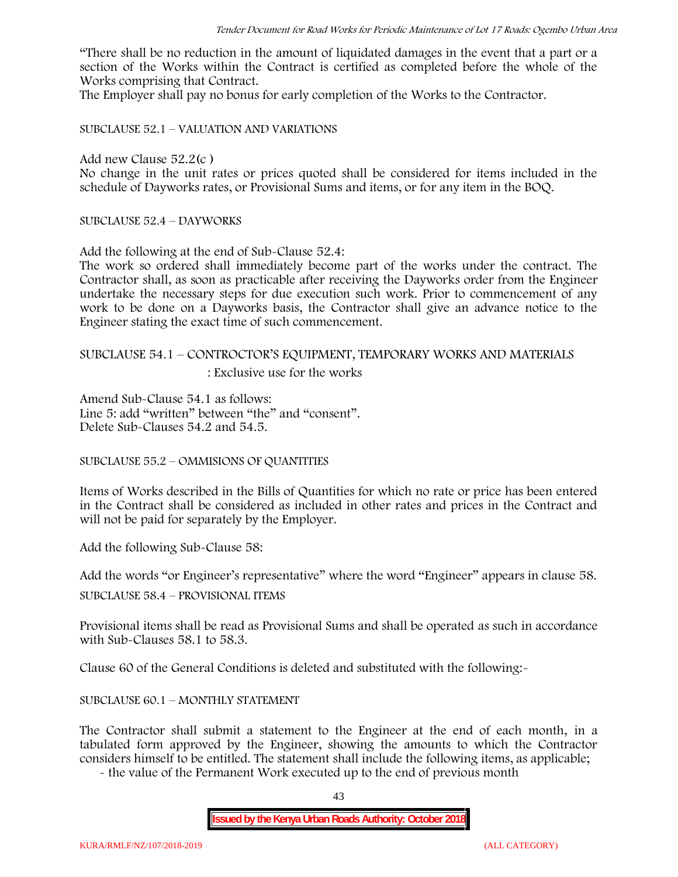"There shall be no reduction in the amount of liquidated damages in the event that a part or a section of the Works within the Contract is certified as completed before the whole of the Works comprising that Contract.

The Employer shall pay no bonus for early completion of the Works to the Contractor.

SUBCLAUSE 52.1 – VALUATION AND VARIATIONS

Add new Clause 52.2(c )

No change in the unit rates or prices quoted shall be considered for items included in the schedule of Dayworks rates, or Provisional Sums and items, or for any item in the BOQ.

SUBCLAUSE 52.4 – DAYWORKS

Add the following at the end of Sub-Clause 52.4:

The work so ordered shall immediately become part of the works under the contract. The Contractor shall, as soon as practicable after receiving the Dayworks order from the Engineer undertake the necessary steps for due execution such work. Prior to commencement of any work to be done on a Dayworks basis, the Contractor shall give an advance notice to the Engineer stating the exact time of such commencement.

# SUBCLAUSE 54.1 – CONTROCTOR'S EQUIPMENT, TEMPORARY WORKS AND MATERIALS

: Exclusive use for the works

Amend Sub-Clause 54.1 as follows: Line 5: add "written" between "the" and "consent". Delete Sub-Clauses 54.2 and 54.5.

SUBCLAUSE 55.2 – OMMISIONS OF QUANTITIES

Items of Works described in the Bills of Quantities for which no rate or price has been entered in the Contract shall be considered as included in other rates and prices in the Contract and will not be paid for separately by the Employer.

Add the following Sub-Clause 58:

Add the words "or Engineer's representative" where the word "Engineer" appears in clause 58.

SUBCLAUSE 58.4 – PROVISIONAL ITEMS

Provisional items shall be read as Provisional Sums and shall be operated as such in accordance with Sub-Clauses 58.1 to 58.3.

Clause 60 of the General Conditions is deleted and substituted with the following:-

# SUBCLAUSE 60.1 – MONTHLY STATEMENT

The Contractor shall submit a statement to the Engineer at the end of each month, in a tabulated form approved by the Engineer, showing the amounts to which the Contractor considers himself to be entitled. The statement shall include the following items, as applicable;

- the value of the Permanent Work executed up to the end of previous month

43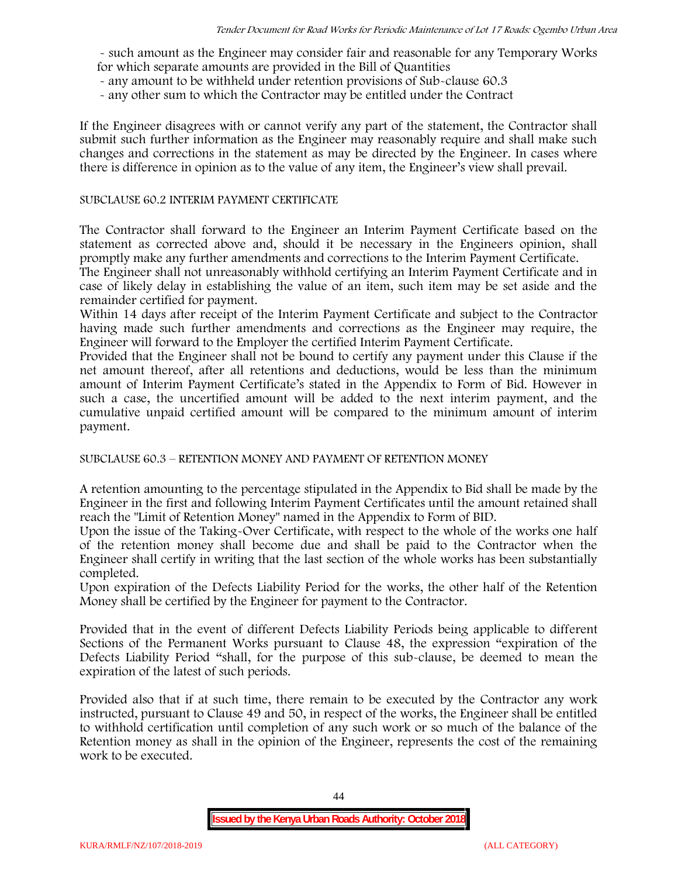- such amount as the Engineer may consider fair and reasonable for any Temporary Works for which separate amounts are provided in the Bill of Quantities

- any amount to be withheld under retention provisions of Sub-clause 60.3
- any other sum to which the Contractor may be entitled under the Contract

If the Engineer disagrees with or cannot verify any part of the statement, the Contractor shall submit such further information as the Engineer may reasonably require and shall make such changes and corrections in the statement as may be directed by the Engineer. In cases where there is difference in opinion as to the value of any item, the Engineer's view shall prevail.

#### SUBCLAUSE 60.2 INTERIM PAYMENT CERTIFICATE

The Contractor shall forward to the Engineer an Interim Payment Certificate based on the statement as corrected above and, should it be necessary in the Engineers opinion, shall promptly make any further amendments and corrections to the Interim Payment Certificate.

The Engineer shall not unreasonably withhold certifying an Interim Payment Certificate and in case of likely delay in establishing the value of an item, such item may be set aside and the remainder certified for payment.

Within 14 days after receipt of the Interim Payment Certificate and subject to the Contractor having made such further amendments and corrections as the Engineer may require, the Engineer will forward to the Employer the certified Interim Payment Certificate.

Provided that the Engineer shall not be bound to certify any payment under this Clause if the net amount thereof, after all retentions and deductions, would be less than the minimum amount of Interim Payment Certificate's stated in the Appendix to Form of Bid. However in such a case, the uncertified amount will be added to the next interim payment, and the cumulative unpaid certified amount will be compared to the minimum amount of interim payment.

SUBCLAUSE 60.3 – RETENTION MONEY AND PAYMENT OF RETENTION MONEY

A retention amounting to the percentage stipulated in the Appendix to Bid shall be made by the Engineer in the first and following Interim Payment Certificates until the amount retained shall reach the "Limit of Retention Money" named in the Appendix to Form of BID.

Upon the issue of the Taking-Over Certificate, with respect to the whole of the works one half of the retention money shall become due and shall be paid to the Contractor when the Engineer shall certify in writing that the last section of the whole works has been substantially completed.

Upon expiration of the Defects Liability Period for the works, the other half of the Retention Money shall be certified by the Engineer for payment to the Contractor.

Provided that in the event of different Defects Liability Periods being applicable to different Sections of the Permanent Works pursuant to Clause 48, the expression "expiration of the Defects Liability Period "shall, for the purpose of this sub-clause, be deemed to mean the expiration of the latest of such periods.

Provided also that if at such time, there remain to be executed by the Contractor any work instructed, pursuant to Clause 49 and 50, in respect of the works, the Engineer shall be entitled to withhold certification until completion of any such work or so much of the balance of the Retention money as shall in the opinion of the Engineer, represents the cost of the remaining work to be executed.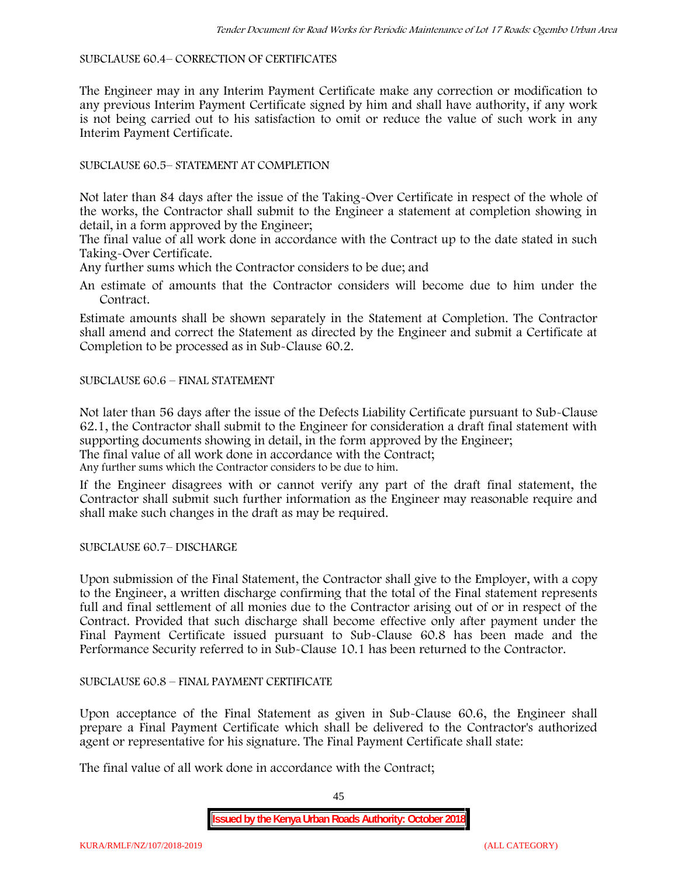#### SUBCLAUSE 60.4– CORRECTION OF CERTIFICATES

The Engineer may in any Interim Payment Certificate make any correction or modification to any previous Interim Payment Certificate signed by him and shall have authority, if any work is not being carried out to his satisfaction to omit or reduce the value of such work in any Interim Payment Certificate.

# SUBCLAUSE 60.5– STATEMENT AT COMPLETION

Not later than 84 days after the issue of the Taking-Over Certificate in respect of the whole of the works, the Contractor shall submit to the Engineer a statement at completion showing in detail, in a form approved by the Engineer;

The final value of all work done in accordance with the Contract up to the date stated in such Taking-Over Certificate.

Any further sums which the Contractor considers to be due; and

An estimate of amounts that the Contractor considers will become due to him under the Contract.

Estimate amounts shall be shown separately in the Statement at Completion. The Contractor shall amend and correct the Statement as directed by the Engineer and submit a Certificate at Completion to be processed as in Sub-Clause 60.2.

# SUBCLAUSE 60.6 – FINAL STATEMENT

Not later than 56 days after the issue of the Defects Liability Certificate pursuant to Sub-Clause 62.1, the Contractor shall submit to the Engineer for consideration a draft final statement with supporting documents showing in detail, in the form approved by the Engineer; The final value of all work done in accordance with the Contract;

Any further sums which the Contractor considers to be due to him.

If the Engineer disagrees with or cannot verify any part of the draft final statement, the Contractor shall submit such further information as the Engineer may reasonable require and shall make such changes in the draft as may be required.

SUBCLAUSE 60.7– DISCHARGE

Upon submission of the Final Statement, the Contractor shall give to the Employer, with a copy to the Engineer, a written discharge confirming that the total of the Final statement represents full and final settlement of all monies due to the Contractor arising out of or in respect of the Contract. Provided that such discharge shall become effective only after payment under the Final Payment Certificate issued pursuant to Sub-Clause 60.8 has been made and the Performance Security referred to in Sub-Clause 10.1 has been returned to the Contractor.

# SUBCLAUSE 60.8 – FINAL PAYMENT CERTIFICATE

Upon acceptance of the Final Statement as given in Sub-Clause 60.6, the Engineer shall prepare a Final Payment Certificate which shall be delivered to the Contractor's authorized agent or representative for his signature. The Final Payment Certificate shall state:

The final value of all work done in accordance with the Contract;

45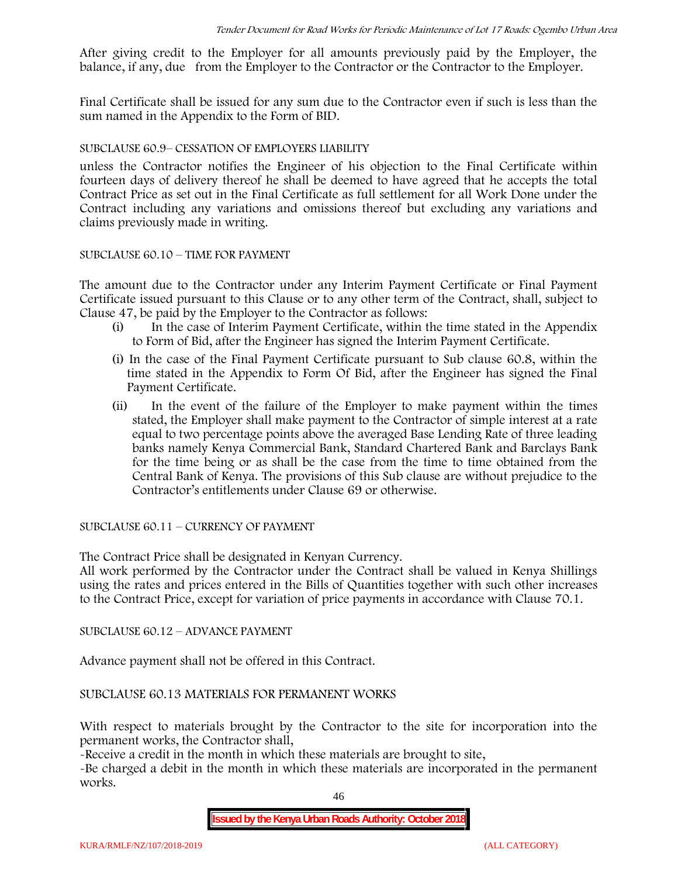After giving credit to the Employer for all amounts previously paid by the Employer, the balance, if any, due from the Employer to the Contractor or the Contractor to the Employer.

Final Certificate shall be issued for any sum due to the Contractor even if such is less than the sum named in the Appendix to the Form of BID.

# SUBCLAUSE 60.9– CESSATION OF EMPLOYERS LIABILITY

unless the Contractor notifies the Engineer of his objection to the Final Certificate within fourteen days of delivery thereof he shall be deemed to have agreed that he accepts the total Contract Price as set out in the Final Certificate as full settlement for all Work Done under the Contract including any variations and omissions thereof but excluding any variations and claims previously made in writing.

# SUBCLAUSE 60.10 – TIME FOR PAYMENT

The amount due to the Contractor under any Interim Payment Certificate or Final Payment Certificate issued pursuant to this Clause or to any other term of the Contract, shall, subject to Clause 47, be paid by the Employer to the Contractor as follows:

- (i) In the case of Interim Payment Certificate, within the time stated in the Appendix to Form of Bid, after the Engineer has signed the Interim Payment Certificate.
- (i) In the case of the Final Payment Certificate pursuant to Sub clause 60.8, within the time stated in the Appendix to Form Of Bid, after the Engineer has signed the Final Payment Certificate.
- (ii) In the event of the failure of the Employer to make payment within the times stated, the Employer shall make payment to the Contractor of simple interest at a rate equal to two percentage points above the averaged Base Lending Rate of three leading banks namely Kenya Commercial Bank, Standard Chartered Bank and Barclays Bank for the time being or as shall be the case from the time to time obtained from the Central Bank of Kenya. The provisions of this Sub clause are without prejudice to the Contractor's entitlements under Clause 69 or otherwise.

SUBCLAUSE 60.11 – CURRENCY OF PAYMENT

The Contract Price shall be designated in Kenyan Currency.

All work performed by the Contractor under the Contract shall be valued in Kenya Shillings using the rates and prices entered in the Bills of Quantities together with such other increases to the Contract Price, except for variation of price payments in accordance with Clause 70.1.

SUBCLAUSE 60.12 – ADVANCE PAYMENT

Advance payment shall not be offered in this Contract.

SUBCLAUSE 60.13 MATERIALS FOR PERMANENT WORKS

With respect to materials brought by the Contractor to the site for incorporation into the permanent works, the Contractor shall,

-Receive a credit in the month in which these materials are brought to site,

-Be charged a debit in the month in which these materials are incorporated in the permanent works.

46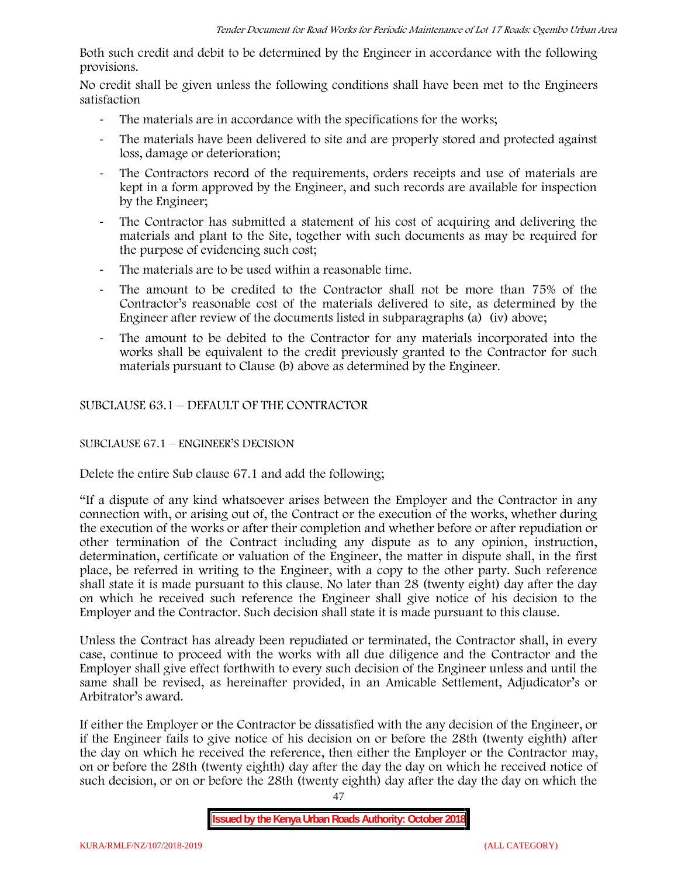Both such credit and debit to be determined by the Engineer in accordance with the following provisions.

No credit shall be given unless the following conditions shall have been met to the Engineers satisfaction

- The materials are in accordance with the specifications for the works;
- The materials have been delivered to site and are properly stored and protected against loss, damage or deterioration;
- The Contractors record of the requirements, orders receipts and use of materials are kept in a form approved by the Engineer, and such records are available for inspection by the Engineer;
- The Contractor has submitted a statement of his cost of acquiring and delivering the materials and plant to the Site, together with such documents as may be required for the purpose of evidencing such cost;
- The materials are to be used within a reasonable time.
- The amount to be credited to the Contractor shall not be more than 75% of the Contractor's reasonable cost of the materials delivered to site, as determined by the Engineer after review of the documents listed in subparagraphs (a) (iv) above;
- The amount to be debited to the Contractor for any materials incorporated into the works shall be equivalent to the credit previously granted to the Contractor for such materials pursuant to Clause (b) above as determined by the Engineer.

SUBCLAUSE 63.1 – DEFAULT OF THE CONTRACTOR

# SUBCLAUSE 67.1 – ENGINEER'S DECISION

Delete the entire Sub clause 67.1 and add the following;

"If a dispute of any kind whatsoever arises between the Employer and the Contractor in any connection with, or arising out of, the Contract or the execution of the works, whether during the execution of the works or after their completion and whether before or after repudiation or other termination of the Contract including any dispute as to any opinion, instruction, determination, certificate or valuation of the Engineer, the matter in dispute shall, in the first place, be referred in writing to the Engineer, with a copy to the other party. Such reference shall state it is made pursuant to this clause. No later than 28 (twenty eight) day after the day on which he received such reference the Engineer shall give notice of his decision to the Employer and the Contractor. Such decision shall state it is made pursuant to this clause.

Unless the Contract has already been repudiated or terminated, the Contractor shall, in every case, continue to proceed with the works with all due diligence and the Contractor and the Employer shall give effect forthwith to every such decision of the Engineer unless and until the same shall be revised, as hereinafter provided, in an Amicable Settlement, Adjudicator's or Arbitrator's award.

If either the Employer or the Contractor be dissatisfied with the any decision of the Engineer, or if the Engineer fails to give notice of his decision on or before the 28th (twenty eighth) after the day on which he received the reference, then either the Employer or the Contractor may, on or before the 28th (twenty eighth) day after the day the day on which he received notice of such decision, or on or before the 28th (twenty eighth) day after the day the day on which the

**Issued by the Kenya Urban Roads Authority: October 2018**

47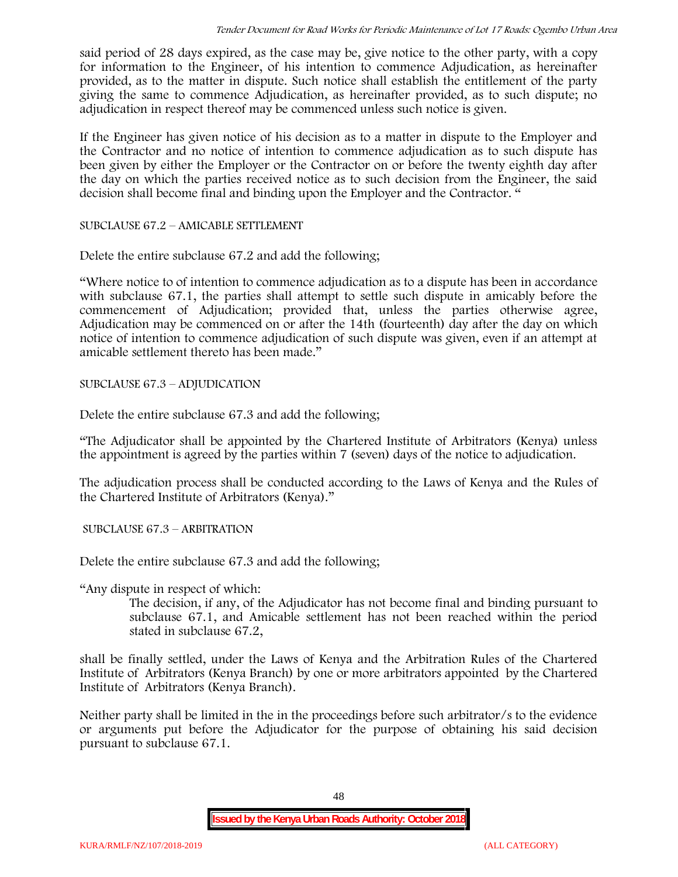said period of 28 days expired, as the case may be, give notice to the other party, with a copy for information to the Engineer, of his intention to commence Adjudication, as hereinafter provided, as to the matter in dispute. Such notice shall establish the entitlement of the party giving the same to commence Adjudication, as hereinafter provided, as to such dispute; no adjudication in respect thereof may be commenced unless such notice is given.

If the Engineer has given notice of his decision as to a matter in dispute to the Employer and the Contractor and no notice of intention to commence adjudication as to such dispute has been given by either the Employer or the Contractor on or before the twenty eighth day after the day on which the parties received notice as to such decision from the Engineer, the said decision shall become final and binding upon the Employer and the Contractor. "

SUBCLAUSE 67.2 – AMICABLE SETTLEMENT

Delete the entire subclause 67.2 and add the following;

"Where notice to of intention to commence adjudication as to a dispute has been in accordance with subclause 67.1, the parties shall attempt to settle such dispute in amicably before the commencement of Adjudication; provided that, unless the parties otherwise agree, Adjudication may be commenced on or after the 14th (fourteenth) day after the day on which notice of intention to commence adjudication of such dispute was given, even if an attempt at amicable settlement thereto has been made."

SUBCLAUSE 67.3 – ADJUDICATION

Delete the entire subclause 67.3 and add the following;

"The Adjudicator shall be appointed by the Chartered Institute of Arbitrators (Kenya) unless the appointment is agreed by the parties within 7 (seven) days of the notice to adjudication.

The adjudication process shall be conducted according to the Laws of Kenya and the Rules of the Chartered Institute of Arbitrators (Kenya)."

SUBCLAUSE 67.3 – ARBITRATION

Delete the entire subclause 67.3 and add the following;

"Any dispute in respect of which:

The decision, if any, of the Adjudicator has not become final and binding pursuant to subclause 67.1, and Amicable settlement has not been reached within the period stated in subclause 67.2,

shall be finally settled, under the Laws of Kenya and the Arbitration Rules of the Chartered Institute of Arbitrators (Kenya Branch) by one or more arbitrators appointed by the Chartered Institute of Arbitrators (Kenya Branch).

Neither party shall be limited in the in the proceedings before such arbitrator/s to the evidence or arguments put before the Adjudicator for the purpose of obtaining his said decision pursuant to subclause 67.1.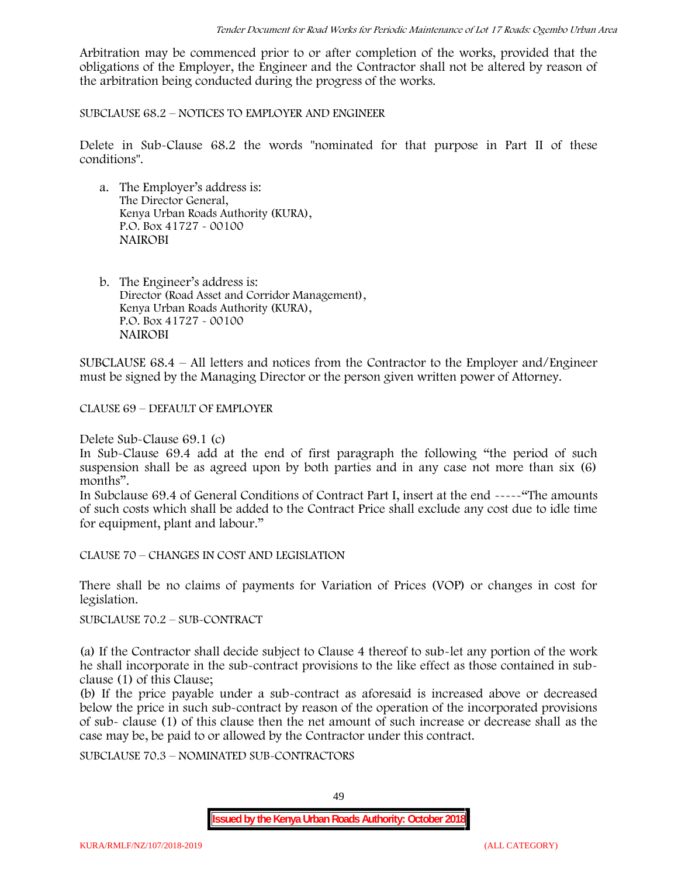Arbitration may be commenced prior to or after completion of the works, provided that the obligations of the Employer, the Engineer and the Contractor shall not be altered by reason of the arbitration being conducted during the progress of the works.

SUBCLAUSE 68.2 – NOTICES TO EMPLOYER AND ENGINEER

Delete in Sub-Clause 68.2 the words "nominated for that purpose in Part II of these conditions".

- a. The Employer's address is: The Director General, Kenya Urban Roads Authority (KURA), P.O. Box 41727 - 00100 **NAIROBI**
- b. The Engineer's address is: Director (Road Asset and Corridor Management), Kenya Urban Roads Authority (KURA), P.O. Box 41727 - 00100 **NAIROBI**

SUBCLAUSE 68.4 – All letters and notices from the Contractor to the Employer and/Engineer must be signed by the Managing Director or the person given written power of Attorney.

CLAUSE 69 – DEFAULT OF EMPLOYER

Delete Sub-Clause 69.1 (c)

In Sub-Clause 69.4 add at the end of first paragraph the following "the period of such suspension shall be as agreed upon by both parties and in any case not more than six (6) months".

In Subclause 69.4 of General Conditions of Contract Part I, insert at the end -----"The amounts of such costs which shall be added to the Contract Price shall exclude any cost due to idle time for equipment, plant and labour."

CLAUSE 70 – CHANGES IN COST AND LEGISLATION

There shall be no claims of payments for Variation of Prices (VOP) or changes in cost for legislation.

SUBCLAUSE 70.2 – SUB-CONTRACT

(a) If the Contractor shall decide subject to Clause 4 thereof to sub-let any portion of the work he shall incorporate in the sub-contract provisions to the like effect as those contained in sub clause (1) of this Clause;

(b) If the price payable under a sub-contract as aforesaid is increased above or decreased below the price in such sub-contract by reason of the operation of the incorporated provisions of sub- clause (1) of this clause then the net amount of such increase or decrease shall as the case may be, be paid to or allowed by the Contractor under this contract.

SUBCLAUSE 70.3 – NOMINATED SUB-CONTRACTORS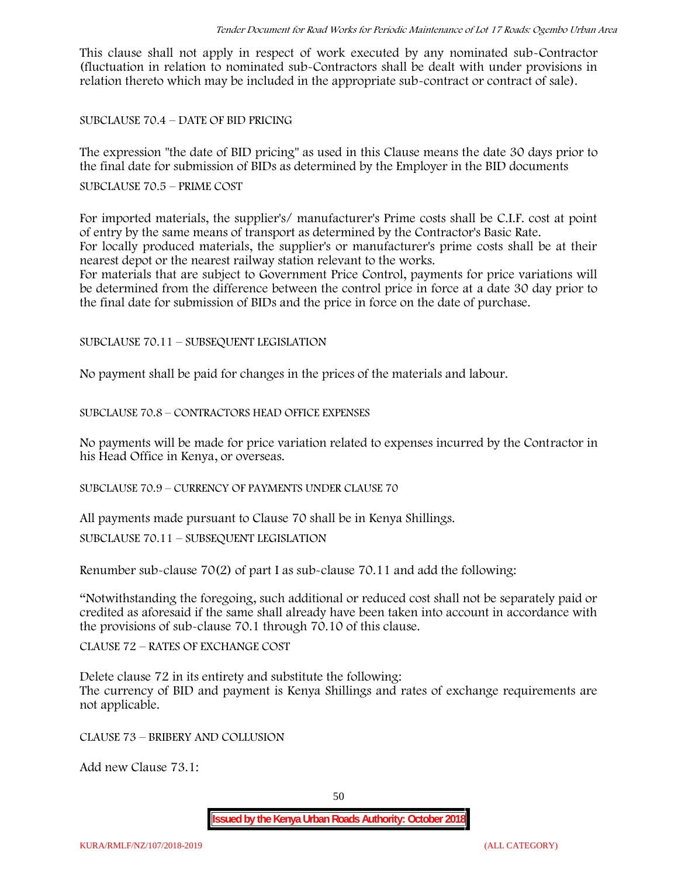This clause shall not apply in respect of work executed by any nominated sub-Contractor (fluctuation in relation to nominated sub-Contractors shall be dealt with under provisions in relation thereto which may be included in the appropriate sub-contract or contract of sale).

SUBCLAUSE 70.4 – DATE OF BID PRICING

The expression "the date of BID pricing" as used in this Clause means the date 30 days prior to the final date for submission of BIDs as determined by the Employer in the BID documents

# SUBCLAUSE 70.5 – PRIME COST

For imported materials, the supplier's/ manufacturer's Prime costs shall be C.I.F. cost at point of entry by the same means of transport as determined by the Contractor's Basic Rate. For locally produced materials, the supplier's or manufacturer's prime costs shall be at their nearest depot or the nearest railway station relevant to the works.

For materials that are subject to Government Price Control, payments for price variations will be determined from the difference between the control price in force at a date 30 day prior to the final date for submission of BIDs and the price in force on the date of purchase.

SUBCLAUSE 70.11 – SUBSEQUENT LEGISLATION

No payment shall be paid for changes in the prices of the materials and labour.

SUBCLAUSE 70.8 – CONTRACTORS HEAD OFFICE EXPENSES

No payments will be made for price variation related to expenses incurred by the Contractor in his Head Office in Kenya, or overseas.

SUBCLAUSE 70.9 – CURRENCY OF PAYMENTS UNDER CLAUSE 70

All payments made pursuant to Clause 70 shall be in Kenya Shillings.

SUBCLAUSE 70.11 – SUBSEQUENT LEGISLATION

Renumber sub-clause 70(2) of part I as sub-clause 70.11 and add the following:

"Notwithstanding the foregoing, such additional or reduced cost shall not be separately paid or credited as aforesaid if the same shall already have been taken into account in accordance with the provisions of sub-clause 70.1 through 70.10 of this clause.

CLAUSE 72 – RATES OF EXCHANGE COST

Delete clause 72 in its entirety and substitute the following: The currency of BID and payment is Kenya Shillings and rates of exchange requirements are not applicable.

CLAUSE 73 – BRIBERY AND COLLUSION

Add new Clause 73.1: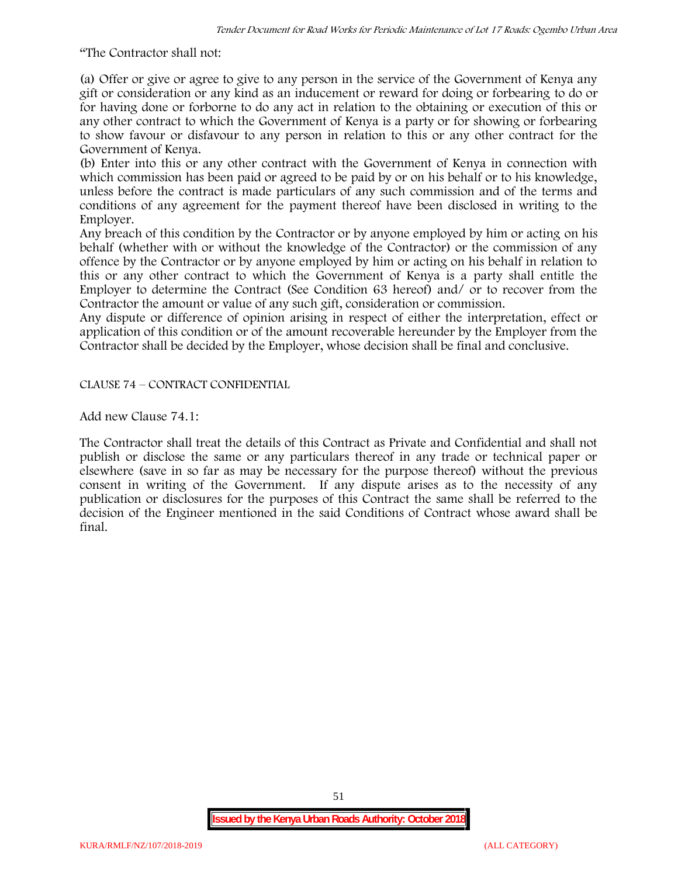"The Contractor shall not:

(a) Offer or give or agree to give to any person in the service of the Government of Kenya any gift or consideration or any kind as an inducement or reward for doing or forbearing to do or for having done or forborne to do any act in relation to the obtaining or execution of this or any other contract to which the Government of Kenya is a party or for showing or forbearing to show favour or disfavour to any person in relation to this or any other contract for the Government of Kenya.

(b) Enter into this or any other contract with the Government of Kenya in connection with which commission has been paid or agreed to be paid by or on his behalf or to his knowledge, unless before the contract is made particulars of any such commission and of the terms and conditions of any agreement for the payment thereof have been disclosed in writing to the Employer.

Any breach of this condition by the Contractor or by anyone employed by him or acting on his behalf (whether with or without the knowledge of the Contractor) or the commission of any offence by the Contractor or by anyone employed by him or acting on his behalf in relation to this or any other contract to which the Government of Kenya is a party shall entitle the Employer to determine the Contract (See Condition 63 hereof) and/ or to recover from the Contractor the amount or value of any such gift, consideration or commission.

Any dispute or difference of opinion arising in respect of either the interpretation, effect or application of this condition or of the amount recoverable hereunder by the Employer from the Contractor shall be decided by the Employer, whose decision shall be final and conclusive.

CLAUSE 74 – CONTRACT CONFIDENTIAL

Add new Clause 74.1:

The Contractor shall treat the details of this Contract as Private and Confidential and shall not publish or disclose the same or any particulars thereof in any trade or technical paper or elsewhere (save in so far as may be necessary for the purpose thereof) without the previous consent in writing of the Government. If any dispute arises as to the necessity of any publication or disclosures for the purposes of this Contract the same shall be referred to the decision of the Engineer mentioned in the said Conditions of Contract whose award shall be final.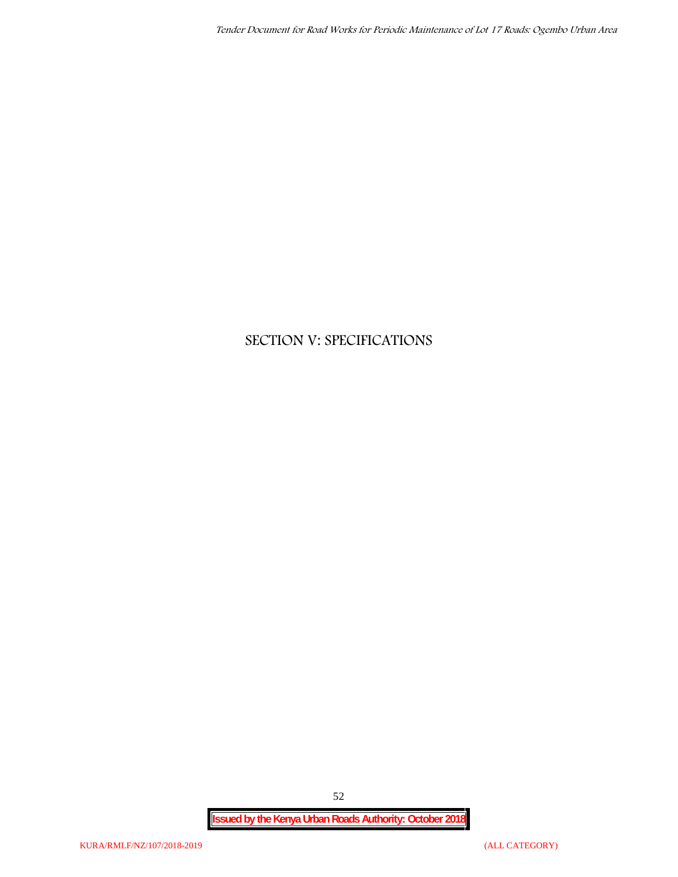# **SECTION V: SPECIFICATIONS**

**Issued by the Kenya Urban Roads Authority: October 2018**

52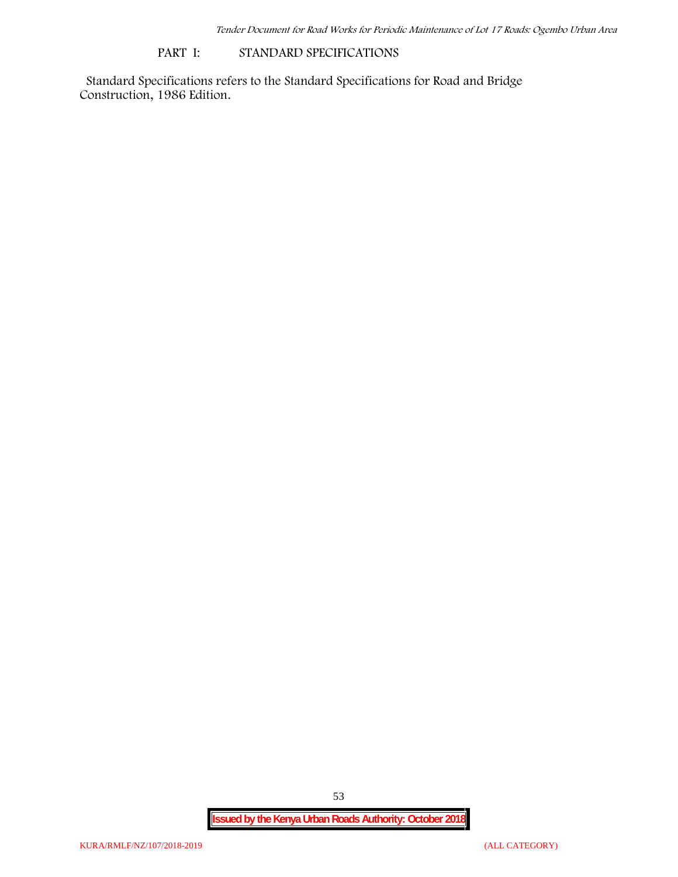#### **PART I: STANDARD SPECIFICATIONS**

Standard Specifications refers to the Standard Specifications for Road and Bridge Construction, 1986 Edition.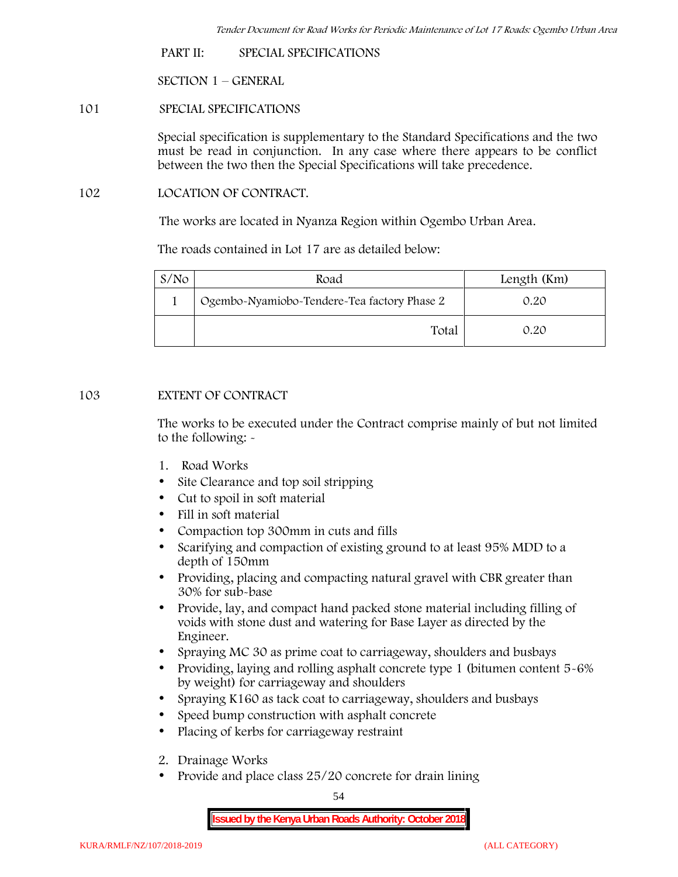**PART II: SPECIAL SPECIFICATIONS**

**SECTION 1 – GENERAL**

#### **101 SPECIAL SPECIFICATIONS**

Special specification is supplementary to the Standard Specifications and the two must be read in conjunction. In any case where there appears to be conflict between the two then the Special Specifications will take precedence.

#### **102 LOCATION OF CONTRACT.**

The works are located in Nyanza Region within Ogembo Urban Area.

The roads contained in Lot 17 are as detailed below:

| S/N <sub>O</sub> | Road                                        | Length (Km) |
|------------------|---------------------------------------------|-------------|
|                  | Ogembo-Nyamiobo-Tendere-Tea factory Phase 2 | 0.20        |
|                  | Total                                       | 0.20        |

# **103 EXTENT OF CONTRACT**

The works to be executed under the Contract comprise mainly of but not limited to the following: -

- **1. Road Works**
- Site Clearance and top soil stripping
- Cut to spoil in soft material
- Fill in soft material
- Compaction top 300mm in cuts and fills
- Scarifying and compaction of existing ground to at least 95% MDD to a depth of 150mm
- Providing, placing and compacting natural gravel with CBR greater than 30% for sub-base
- Provide, lay, and compact hand packed stone material including filling of voids with stone dust and watering for Base Layer as directed by the Engineer.
- Spraying MC 30 as prime coat to carriageway, shoulders and busbays
- Providing, laying and rolling asphalt concrete type 1 (bitumen content 5-6%) by weight) for carriageway and shoulders
- Spraying K160 as tack coat to carriageway, shoulders and busbays
- Speed bump construction with asphalt concrete
- Placing of kerbs for carriageway restraint
- **2. Drainage Works**
- Provide and place class 25/20 concrete for drain lining

54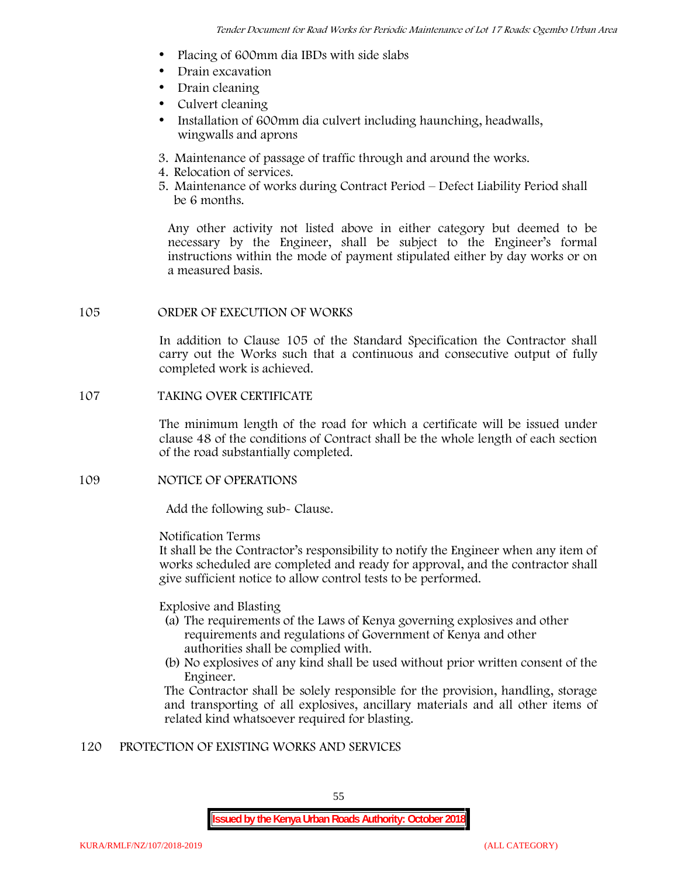- Placing of 600mm dia IBDs with side slabs
- Drain excavation
- Drain cleaning
- Culvert cleaning
- Installation of 600mm dia culvert including haunching, headwalls, wingwalls and aprons
- **3. Maintenance of passage of traffic through and around the works.**
- **4. Relocation of services.**
- **5. Maintenance of works during Contract Period – Defect Liability Period shall be 6 months.**

Any other activity not listed above in either category but deemed to be necessary by the Engineer, shall be subject to the Engineer's formal instructions within the mode of payment stipulated either by day works or on a measured basis.

# **105 ORDER OF EXECUTION OF WORKS**

In addition to Clause 105 of the Standard Specification the Contractor shall carry out the Works such that a continuous and consecutive output of fully completed work is achieved.

# **107 TAKING OVER CERTIFICATE**

The minimum length of the road for which a certificate will be issued under clause 48 of the conditions of Contract shall be the whole length of each section of the road substantially completed.

# **109 NOTICE OF OPERATIONS**

Add the following sub- Clause.

# Notification Terms

It shall be the Contractor's responsibility to notify the Engineer when any item of works scheduled are completed and ready for approval, and the contractor shall give sufficient notice to allow control tests to be performed.

# Explosive and Blasting

- (a) The requirements of the Laws of Kenya governing explosives and other requirements and regulations of Government of Kenya and other authorities shall be complied with.
- (b) No explosives of any kind shall be used without prior written consent of the Engineer.

The Contractor shall be solely responsible for the provision, handling, storage and transporting of all explosives, ancillary materials and all other items of related kind whatsoever required for blasting.

# **120 PROTECTION OF EXISTING WORKS AND SERVICES**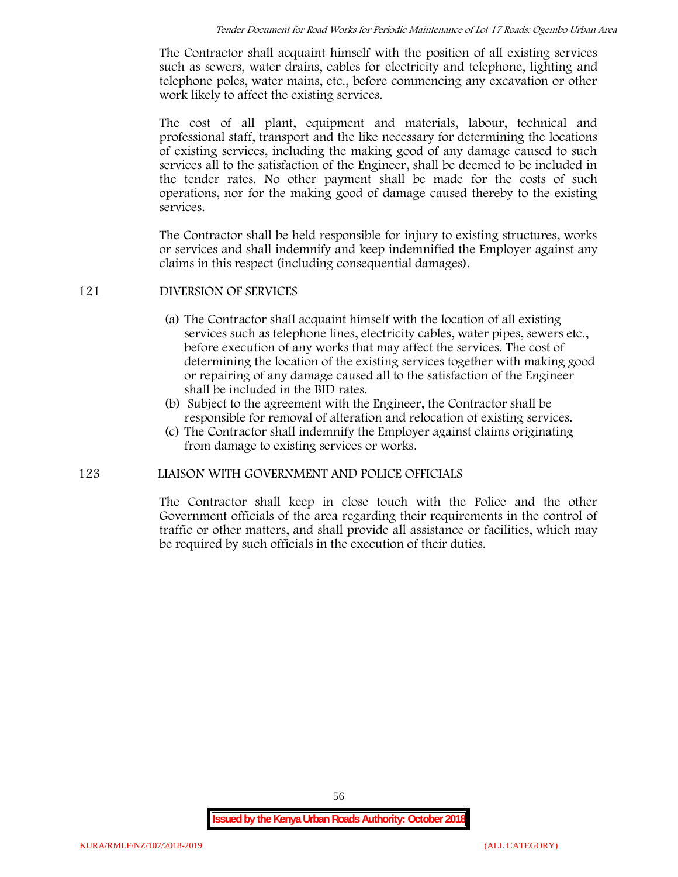The Contractor shall acquaint himself with the position of all existing services such as sewers, water drains, cables for electricity and telephone, lighting and telephone poles, water mains, etc., before commencing any excavation or other work likely to affect the existing services.

The cost of all plant, equipment and materials, labour, technical and professional staff, transport and the like necessary for determining the locations of existing services, including the making good of any damage caused to such services all to the satisfaction of the Engineer, shall be deemed to be included in the tender rates. No other payment shall be made for the costs of such operations, nor for the making good of damage caused thereby to the existing services.

The Contractor shall be held responsible for injury to existing structures, works or services and shall indemnify and keep indemnified the Employer against any claims in this respect (including consequential damages).

# **121 DIVERSION OF SERVICES**

- (a) The Contractor shall acquaint himself with the location of all existing services such as telephone lines, electricity cables, water pipes, sewers etc., before execution of any works that may affect the services. The cost of determining the location of the existing services together with making good or repairing of any damage caused all to the satisfaction of the Engineer shall be included in the BID rates.
- (b) Subject to the agreement with the Engineer, the Contractor shall be responsible for removal of alteration and relocation of existing services.
- (c) The Contractor shall indemnify the Employer against claims originating from damage to existing services or works.

# **123 LIAISON WITH GOVERNMENT AND POLICE OFFICIALS**

The Contractor shall keep in close touch with the Police and the other Government officials of the area regarding their requirements in the control of traffic or other matters, and shall provide all assistance or facilities, which may be required by such officials in the execution of their duties.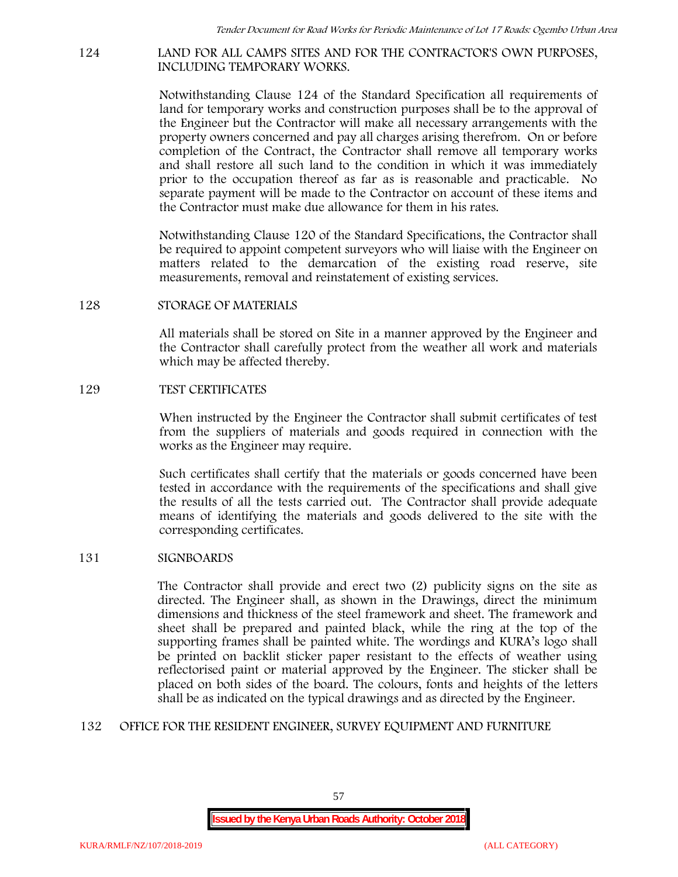#### **124 LAND FOR ALL CAMPS SITES AND FOR THE CONTRACTOR'S OWN PURPOSES, INCLUDING TEMPORARY WORKS.**

Notwithstanding Clause 124 of the Standard Specification all requirements of land for temporary works and construction purposes shall be to the approval of the Engineer but the Contractor will make all necessary arrangements with the property owners concerned and pay all charges arising therefrom. On or before completion of the Contract, the Contractor shall remove all temporary works and shall restore all such land to the condition in which it was immediately prior to the occupation thereof as far as is reasonable and practicable. No separate payment will be made to the Contractor on account of these items and the Contractor must make due allowance for them in his rates.

Notwithstanding Clause 120 of the Standard Specifications, the Contractor shall be required to appoint competent surveyors who will liaise with the Engineer on matters related to the demarcation of the existing road reserve, site measurements, removal and reinstatement of existing services.

# **128 STORAGE OF MATERIALS**

All materials shall be stored on Site in a manner approved by the Engineer and the Contractor shall carefully protect from the weather all work and materials which may be affected thereby.

#### **129 TEST CERTIFICATES**

When instructed by the Engineer the Contractor shall submit certificates of test from the suppliers of materials and goods required in connection with the works as the Engineer may require.

Such certificates shall certify that the materials or goods concerned have been tested in accordance with the requirements of the specifications and shall give the results of all the tests carried out. The Contractor shall provide adequate means of identifying the materials and goods delivered to the site with the corresponding certificates.

# **131 SIGNBOARDS**

The Contractor shall provide and erect two (2) publicity signs on the site as directed. The Engineer shall, as shown in the Drawings, direct the minimum dimensions and thickness of the steel framework and sheet. The framework and sheet shall be prepared and painted black, while the ring at the top of the supporting frames shall be painted white. The wordings and KURA's logo shall be printed on backlit sticker paper resistant to the effects of weather using reflectorised paint or material approved by the Engineer. The sticker shall be placed on both sides of the board. The colours, fonts and heights of the letters shall be as indicated on the typical drawings and as directed by the Engineer.

# **132 OFFICE FOR THE RESIDENT ENGINEER, SURVEY EQUIPMENT AND FURNITURE**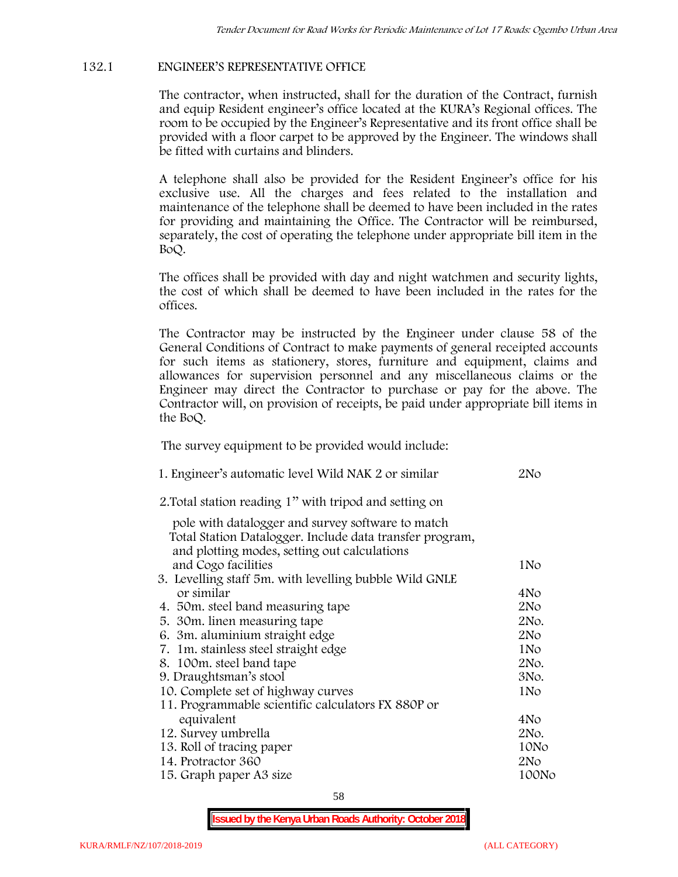# **132.1 ENGINEER'S REPRESENTATIVE OFFICE**

The contractor, when instructed, shall for the duration of the Contract, furnish and equip Resident engineer's office located at the KURA's Regional offices. The room to be occupied by the Engineer's Representative and its front office shall be provided with a floor carpet to be approved by the Engineer. The windows shall be fitted with curtains and blinders.

A telephone shall also be provided for the Resident Engineer's office for his exclusive use. All the charges and fees related to the installation and maintenance of the telephone shall be deemed to have been included in the rates for providing and maintaining the Office. The Contractor will be reimbursed, separately, the cost of operating the telephone under appropriate bill item in the BoQ.

The offices shall be provided with day and night watchmen and security lights, the cost of which shall be deemed to have been included in the rates for the offices.

The Contractor may be instructed by the Engineer under clause 58 of the General Conditions of Contract to make payments of general receipted accounts for such items as stationery, stores, furniture and equipment, claims and allowances for supervision personnel and any miscellaneous claims or the Engineer may direct the Contractor to purchase or pay for the above. The Contractor will, on provision of receipts, be paid under appropriate bill items in the BoQ.

**The survey equipment to be provided would include:**

| 1. Engineer's automatic level Wild NAK 2 or similar                                                      | 2N <sub>O</sub> |
|----------------------------------------------------------------------------------------------------------|-----------------|
| 2. Total station reading 1" with tripod and setting on                                                   |                 |
| pole with datalogger and survey software to match                                                        |                 |
| Total Station Datalogger. Include data transfer program,<br>and plotting modes, setting out calculations |                 |
| and Cogo facilities                                                                                      | 1No             |
| 3. Levelling staff 5m. with levelling bubble Wild GNLE                                                   |                 |
| or similar                                                                                               | 4No             |
| 4. 50 m. steel band measuring tape                                                                       | 2N <sub>o</sub> |
| 5. 30 m. linen measuring tape                                                                            | 2No.            |
| 6. 3m. aluminium straight edge                                                                           | 2N <sub>O</sub> |
| 7. 1m. stainless steel straight edge                                                                     | 1N <sub>o</sub> |
| 8. 100m. steel band tape                                                                                 | 2No.            |
| 9. Draughtsman's stool                                                                                   | 3No.            |
| 10. Complete set of highway curves                                                                       | 1No             |
| 11. Programmable scientific calculators FX 880P or                                                       |                 |
| equivalent                                                                                               | 4No             |
| 12. Survey umbrella                                                                                      | 2No.            |
| 13. Roll of tracing paper                                                                                | 10No            |
| 14. Protractor 360                                                                                       | 2N <sub>o</sub> |
| 15. Graph paper A3 size                                                                                  | 100No           |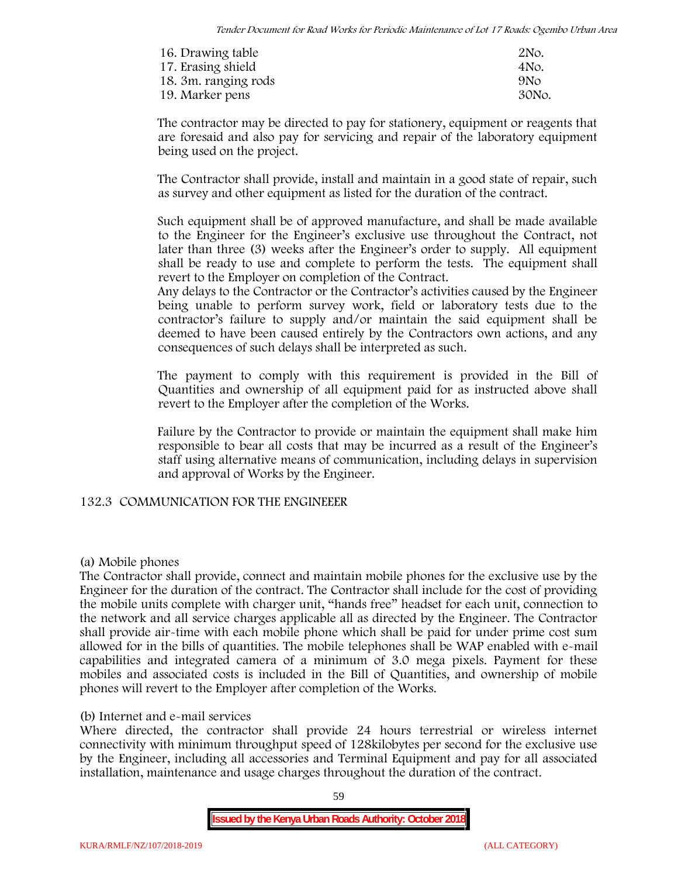| 16. Drawing table    | 2No.            |
|----------------------|-----------------|
| 17. Erasing shield   | 4No.            |
| 18. 3m. ranging rods | 9N <sub>O</sub> |
| 19. Marker pens      | 30No.           |

The contractor may be directed to pay for stationery, equipment or reagents that are foresaid and also pay for servicing and repair of the laboratory equipment being used on the project.

The Contractor shall provide, install and maintain in a good state of repair, such as survey and other equipment as listed for the duration of the contract.

Such equipment shall be of approved manufacture, and shall be made available to the Engineer for the Engineer's exclusive use throughout the Contract, not later than three (3) weeks after the Engineer's order to supply. All equipment shall be ready to use and complete to perform the tests. The equipment shall revert to the Employer on completion of the Contract.

Any delays to the Contractor or the Contractor's activities caused by the Engineer being unable to perform survey work, field or laboratory tests due to the contractor's failure to supply and/or maintain the said equipment shall be deemed to have been caused entirely by the Contractors own actions, and any consequences of such delays shall be interpreted as such.

The payment to comply with this requirement is provided in the Bill of Quantities and ownership of all equipment paid for as instructed above shall revert to the Employer after the completion of the Works.

Failure by the Contractor to provide or maintain the equipment shall make him responsible to bear all costs that may be incurred as a result of the Engineer's staff using alternative means of communication, including delays in supervision and approval of Works by the Engineer.

# **132.3 COMMUNICATION FOR THE ENGINEEER**

# **(a) Mobile phones**

The Contractor shall provide, connect and maintain mobile phones for the exclusive use by the Engineer for the duration of the contract. The Contractor shall include for the cost of providing the mobile units complete with charger unit, "hands free" headset for each unit, connection to the network and all service charges applicable all as directed by the Engineer. The Contractor shall provide air-time with each mobile phone which shall be paid for under prime cost sum allowed for in the bills of quantities. The mobile telephones shall be WAP enabled with e-mail capabilities and integrated camera of a minimum of 3.0 mega pixels. Payment for these mobiles and associated costs is included in the Bill of Quantities, and ownership of mobile phones will revert to the Employer after completion of the Works.

# **(b) Internet and e-mail services**

Where directed, the contractor shall provide 24 hours terrestrial or wireless internet connectivity with minimum throughput speed of 128kilobytes per second for the exclusive use by the Engineer, including all accessories and Terminal Equipment and pay for all associated installation, maintenance and usage charges throughout the duration of the contract.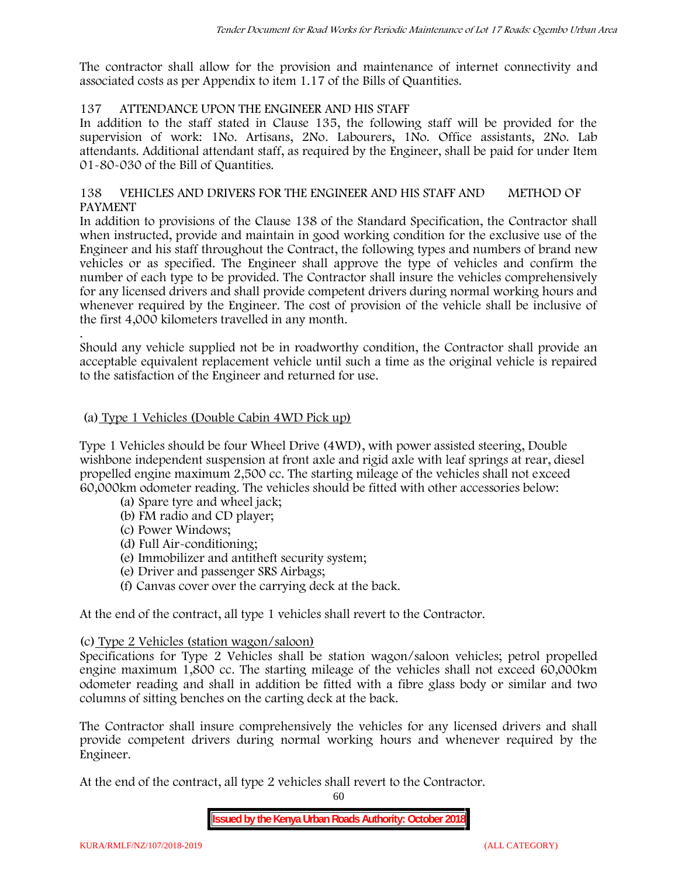The contractor shall allow for the provision and maintenance of internet connectivity and associated costs as per Appendix to item 1.17 of the Bills of Quantities.

# **137 ATTENDANCE UPON THE ENGINEER AND HIS STAFF**

In addition to the staff stated in Clause 135, the following staff will be provided for the supervision of work: 1No. Artisans, 2No. Labourers, 1No. Office assistants, 2No. Lab attendants. Additional attendant staff, as required by the Engineer, shall be paid for under Item 01-80-030 of the Bill of Quantities.

# **138 VEHICLES AND DRIVERS FOR THE ENGINEER AND HIS STAFF AND METHOD OF PAYMENT**

In addition to provisions of the Clause 138 of the Standard Specification, the Contractor shall when instructed, provide and maintain in good working condition for the exclusive use of the Engineer and his staff throughout the Contract, the following types and numbers of brand new vehicles or as specified. The Engineer shall approve the type of vehicles and confirm the number of each type to be provided. The Contractor shall insure the vehicles comprehensively for any licensed drivers and shall provide competent drivers during normal working hours and whenever required by the Engineer. The cost of provision of the vehicle shall be inclusive of the first 4,000 kilometers travelled in any month.

.Should any vehicle supplied not be in roadworthy condition, the Contractor shall provide an acceptable equivalent replacement vehicle until such a time as the original vehicle is repaired to the satisfaction of the Engineer and returned for use.

# **(a) Type 1 Vehicles (Double Cabin 4WD Pick up)**

Type 1 Vehicles should be four Wheel Drive (4WD), with power assisted steering, Double wishbone independent suspension at front axle and rigid axle with leaf springs at rear, diesel propelled engine maximum 2,500 cc. The starting mileage of the vehicles shall not exceed 60,000km odometer reading. The vehicles should be fitted with other accessories below:

- (a) Spare tyre and wheel jack;
- (b) FM radio and CD player;
- (c) Power Windows;
- (d) Full Air-conditioning;
- (e) Immobilizer and antitheft security system;
- (e) Driver and passenger SRS Airbags;
- (f) Canvas cover over the carrying deck at the back.

At the end of the contract, all type 1 vehicles shall revert to the Contractor.

# **(c) Type 2 Vehicles (station wagon/saloon)**

Specifications for Type 2 Vehicles shall be station wagon/saloon vehicles; petrol propelled engine maximum 1,800 cc. The starting mileage of the vehicles shall not exceed 60,000km odometer reading and shall in addition be fitted with a fibre glass body or similar and two columns of sitting benches on the carting deck at the back.

The Contractor shall insure comprehensively the vehicles for any licensed drivers and shall provide competent drivers during normal working hours and whenever required by the Engineer.

At the end of the contract, all type 2 vehicles shall revert to the Contractor.

60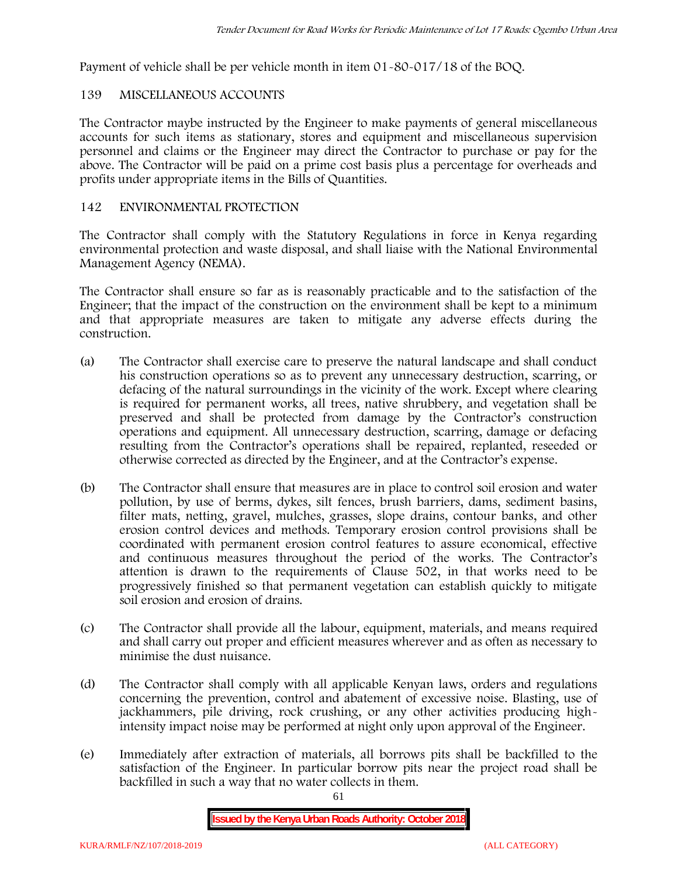Payment of vehicle shall be per vehicle month in item 01-80-017/18 of the BOQ.

# **139 MISCELLANEOUS ACCOUNTS**

The Contractor maybe instructed by the Engineer to make payments of general miscellaneous accounts for such items as stationary, stores and equipment and miscellaneous supervision personnel and claims or the Engineer may direct the Contractor to purchase or pay for the above. The Contractor will be paid on a prime cost basis plus a percentage for overheads and profits under appropriate items in the Bills of Quantities.

# **142 ENVIRONMENTAL PROTECTION**

The Contractor shall comply with the Statutory Regulations in force in Kenya regarding environmental protection and waste disposal, and shall liaise with the National Environmental Management Agency (NEMA).

The Contractor shall ensure so far as is reasonably practicable and to the satisfaction of the Engineer; that the impact of the construction on the environment shall be kept to a minimum and that appropriate measures are taken to mitigate any adverse effects during the construction.

- (a) The Contractor shall exercise care to preserve the natural landscape and shall conduct his construction operations so as to prevent any unnecessary destruction, scarring, or defacing of the natural surroundings in the vicinity of the work. Except where clearing is required for permanent works, all trees, native shrubbery, and vegetation shall be preserved and shall be protected from damage by the Contractor's construction operations and equipment. All unnecessary destruction, scarring, damage or defacing resulting from the Contractor's operations shall be repaired, replanted, reseeded or otherwise corrected as directed by the Engineer, and at the Contractor's expense.
- (b) The Contractor shall ensure that measures are in place to control soil erosion and water pollution, by use of berms, dykes, silt fences, brush barriers, dams, sediment basins, filter mats, netting, gravel, mulches, grasses, slope drains, contour banks, and other erosion control devices and methods. Temporary erosion control provisions shall be coordinated with permanent erosion control features to assure economical, effective and continuous measures throughout the period of the works. The Contractor's attention is drawn to the requirements of Clause 502, in that works need to be progressively finished so that permanent vegetation can establish quickly to mitigate soil erosion and erosion of drains.
- (c) The Contractor shall provide all the labour, equipment, materials, and means required and shall carry out proper and efficient measures wherever and as often as necessary to minimise the dust nuisance.
- (d) The Contractor shall comply with all applicable Kenyan laws, orders and regulations concerning the prevention, control and abatement of excessive noise. Blasting, use of jackhammers, pile driving, rock crushing, or any other activities producing highintensity impact noise may be performed at night only upon approval of the Engineer.
- (e) Immediately after extraction of materials, all borrows pits shall be backfilled to the satisfaction of the Engineer. In particular borrow pits near the project road shall be backfilled in such a way that no water collects in them.

61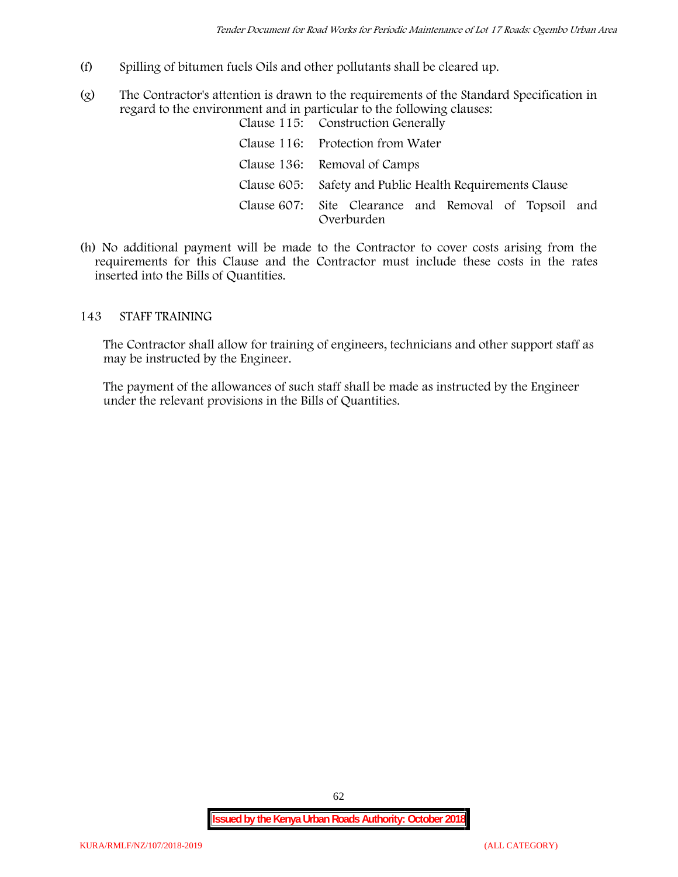- (f) Spilling of bitumen fuels Oils and other pollutants shall be cleared up.
- (g) The Contractor's attention is drawn to the requirements of the Standard Specification in regard to the environment and in particular to the following clauses: Clause 115: Construction Generally

| Clause 110. Construction dencrally                                  |  |  |
|---------------------------------------------------------------------|--|--|
| Clause 116: Protection from Water                                   |  |  |
| Clause 136: Removal of Camps                                        |  |  |
| Clause 605: Safety and Public Health Requirements Clause            |  |  |
| Clause 607: Site Clearance and Removal of Topsoil and<br>Overburden |  |  |

(h) No additional payment will be made to the Contractor to cover costs arising from the requirements for this Clause and the Contractor must include these costs in the rates inserted into the Bills of Quantities.

# **143 STAFF TRAINING**

The Contractor shall allow for training of engineers, technicians and other support staff as may be instructed by the Engineer.

The payment of the allowances of such staff shall be made as instructed by the Engineer under the relevant provisions in the Bills of Quantities.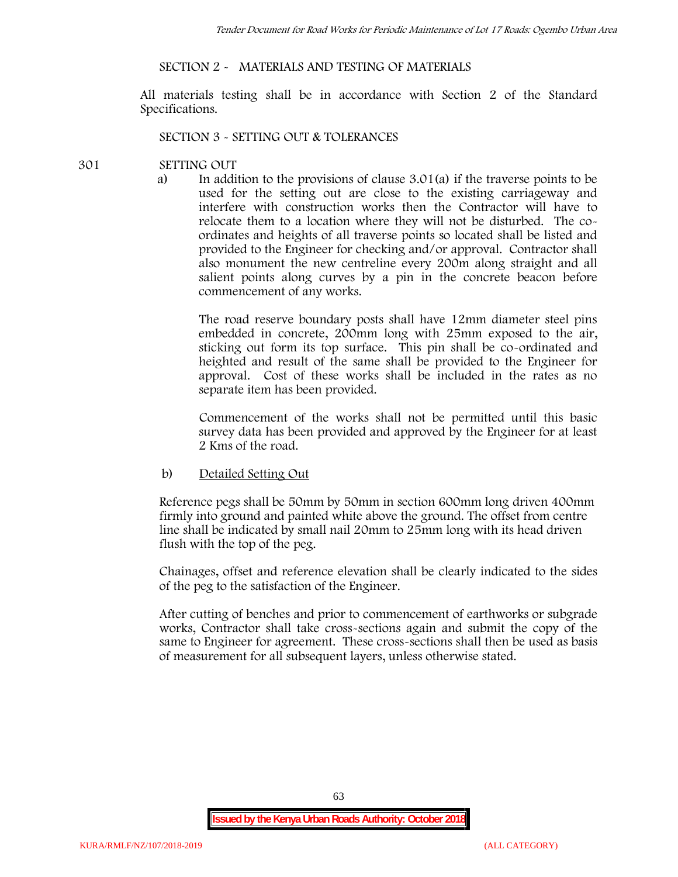# **SECTION 2 - MATERIALS AND TESTING OF MATERIALS**

All materials testing shall be in accordance with Section 2 of the Standard Specifications.

#### **SECTION 3 - SETTING OUT & TOLERANCES**

#### **301 SETTING OUT**

a) In addition to the provisions of clause 3.01(a) if the traverse points to be used for the setting out are close to the existing carriageway and interfere with construction works then the Contractor will have to relocate them to a location where they will not be disturbed. The co ordinates and heights of all traverse points so located shall be listed and provided to the Engineer for checking and/or approval. Contractor shall also monument the new centreline every 200m along straight and all salient points along curves by a pin in the concrete beacon before commencement of any works.

The road reserve boundary posts shall have 12mm diameter steel pins embedded in concrete, 200mm long with 25mm exposed to the air, sticking out form its top surface. This pin shall be co-ordinated and heighted and result of the same shall be provided to the Engineer for approval. Cost of these works shall be included in the rates as no separate item has been provided.

Commencement of the works shall not be permitted until this basic survey data has been provided and approved by the Engineer for at least 2 Kms of the road.

b) Detailed Setting Out

Reference pegs shall be 50mm by 50mm in section 600mm long driven 400mm firmly into ground and painted white above the ground. The offset from centre line shall be indicated by small nail 20mm to 25mm long with its head driven flush with the top of the peg.

Chainages, offset and reference elevation shall be clearly indicated to the sides of the peg to the satisfaction of the Engineer.

After cutting of benches and prior to commencement of earthworks or subgrade works, Contractor shall take cross-sections again and submit the copy of the same to Engineer for agreement. These cross-sections shall then be used as basis of measurement for all subsequent layers, unless otherwise stated.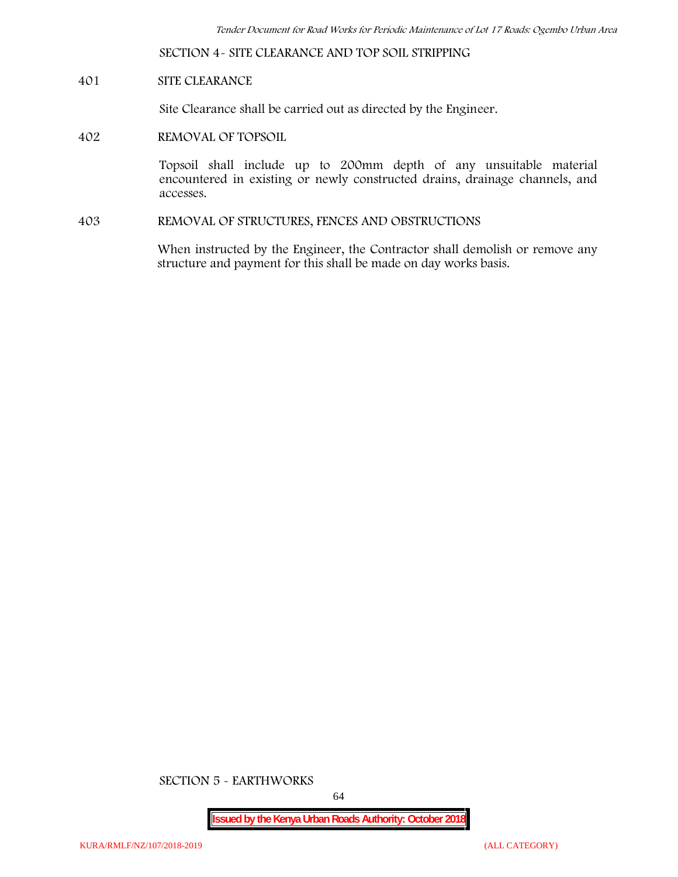**SECTION 4- SITE CLEARANCE AND TOP SOIL STRIPPING**

# **401 SITE CLEARANCE**

Site Clearance shall be carried out as directed by the Engineer.

**402 REMOVAL OF TOPSOIL**

Topsoil shall include up to 200mm depth of any unsuitable material encountered in existing or newly constructed drains, drainage channels, and accesses.

**403 REMOVAL OF STRUCTURES, FENCES AND OBSTRUCTIONS**

When instructed by the Engineer, the Contractor shall demolish or remove any structure and payment for this shall be made on day works basis.

**SECTION 5 - EARTHWORKS**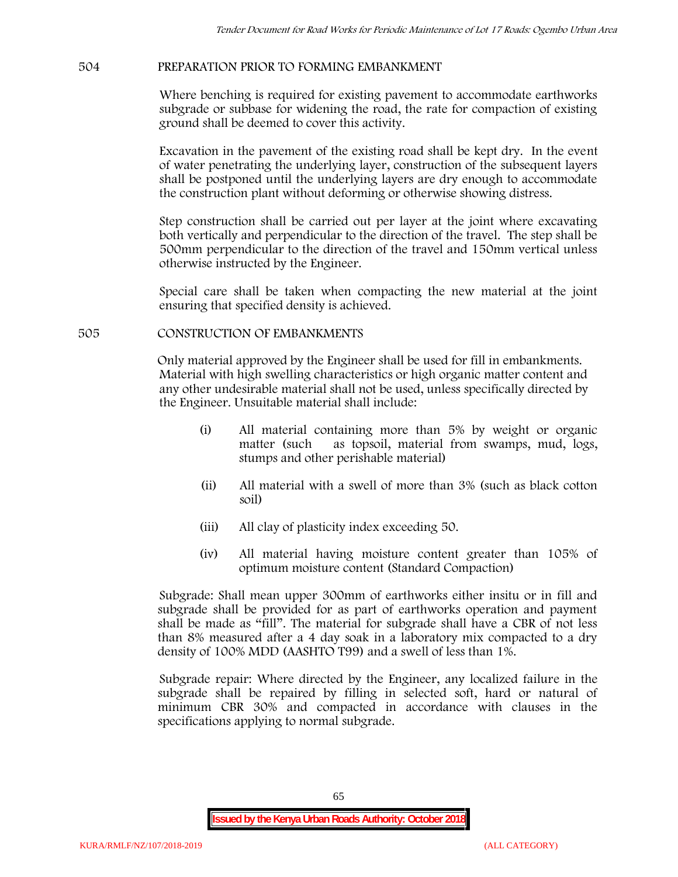# **504 PREPARATION PRIOR TO FORMING EMBANKMENT**

Where benching is required for existing pavement to accommodate earthworks subgrade or subbase for widening the road, the rate for compaction of existing ground shall be deemed to cover this activity.

Excavation in the pavement of the existing road shall be kept dry. In the event of water penetrating the underlying layer, construction of the subsequent layers shall be postponed until the underlying layers are dry enough to accommodate the construction plant without deforming or otherwise showing distress.

Step construction shall be carried out per layer at the joint where excavating both vertically and perpendicular to the direction of the travel. The step shall be 500mm perpendicular to the direction of the travel and 150mm vertical unless otherwise instructed by the Engineer.

Special care shall be taken when compacting the new material at the joint ensuring that specified density is achieved.

# **505 CONSTRUCTION OF EMBANKMENTS**

Only material approved by the Engineer shall be used for fill in embankments. Material with high swelling characteristics or high organic matter content and any other undesirable material shall not be used, unless specifically directed by the Engineer. Unsuitable material shall include:

- (i) All material containing more than 5% by weight or organic matter (such as topsoil, material from swamps, mud, logs, stumps and other perishable material)
- (ii) All material with a swell of more than 3% (such as black cotton soil)
- (iii) All clay of plasticity index exceeding 50.
- (iv) All material having moisture content greater than 105% of optimum moisture content (Standard Compaction)

Subgrade: Shall mean upper 300mm of earthworks either insitu or in fill and subgrade shall be provided for as part of earthworks operation and payment shall be made as "fill". The material for subgrade shall have a CBR of not less than 8% measured after a 4 day soak in a laboratory mix compacted to a dry density of 100% MDD (AASHTO T99) and a swell of less than 1%.

Subgrade repair: Where directed by the Engineer, any localized failure in the subgrade shall be repaired by filling in selected soft, hard or natural of minimum CBR 30% and compacted in accordance with clauses in the specifications applying to normal subgrade.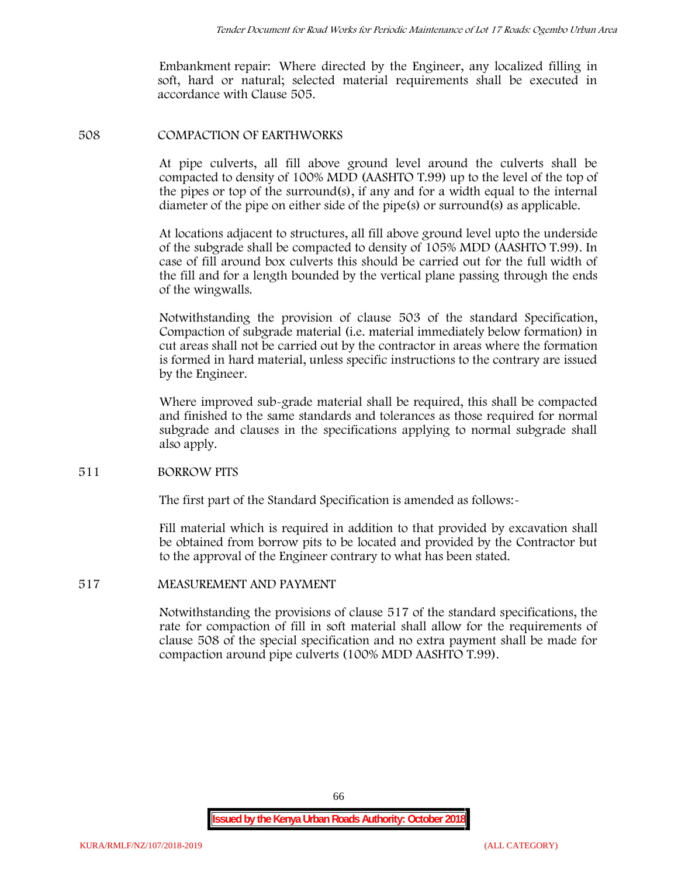Embankment repair: Where directed by the Engineer, any localized filling in soft, hard or natural; selected material requirements shall be executed in accordance with Clause 505.

#### **508 COMPACTION OF EARTHWORKS**

At pipe culverts, all fill above ground level around the culverts shall be compacted to density of 100% MDD (AASHTO T.99) up to the level of the top of the pipes or top of the surround(s), if any and for a width equal to the internal diameter of the pipe on either side of the pipe(s) or surround(s) as applicable.

At locations adjacent to structures, all fill above ground level upto the underside of the subgrade shall be compacted to density of 105% MDD (AASHTO T.99). In case of fill around box culverts this should be carried out for the full width of the fill and for a length bounded by the vertical plane passing through the ends of the wingwalls.

Notwithstanding the provision of clause 503 of the standard Specification, Compaction of subgrade material (i.e. material immediately below formation) in cut areas shall not be carried out by the contractor in areas where the formation is formed in hard material, unless specific instructions to the contrary are issued by the Engineer.

Where improved sub-grade material shall be required, this shall be compacted and finished to the same standards and tolerances as those required for normal subgrade and clauses in the specifications applying to normal subgrade shall also apply.

# **511 BORROW PITS**

The first part of the Standard Specification is amended as follows:

Fill material which is required in addition to that provided by excavation shall be obtained from borrow pits to be located and provided by the Contractor but to the approval of the Engineer contrary to what has been stated.

# **517 MEASUREMENT AND PAYMENT**

Notwithstanding the provisions of clause 517 of the standard specifications, the rate for compaction of fill in soft material shall allow for the requirements of clause 508 of the special specification and no extra payment shall be made for compaction around pipe culverts (100% MDD AASHTO T.99).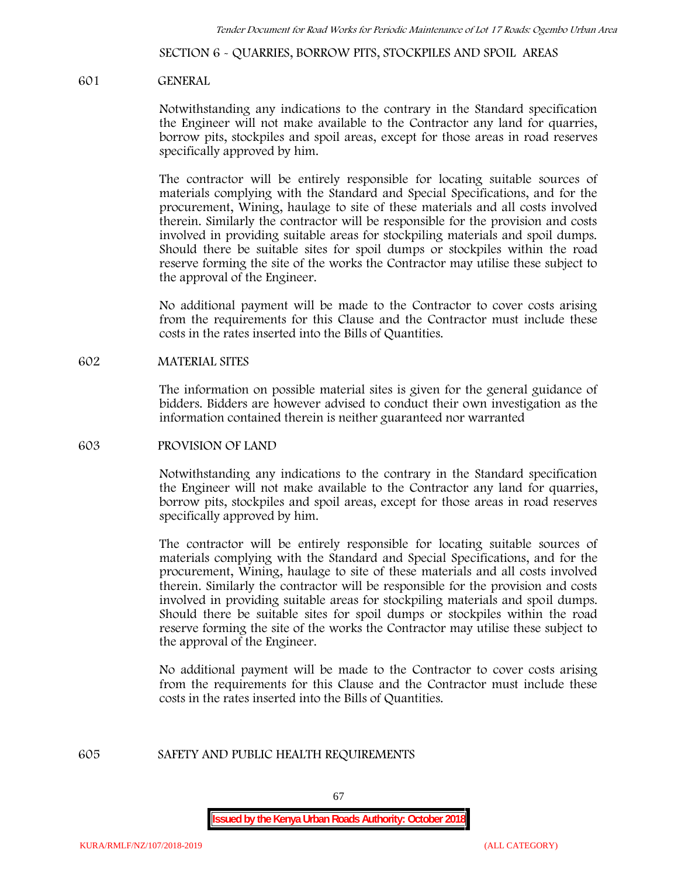**SECTION 6 - QUARRIES, BORROW PITS, STOCKPILES AND SPOIL AREAS**

#### **601 GENERAL**

Notwithstanding any indications to the contrary in the Standard specification the Engineer will not make available to the Contractor any land for quarries, borrow pits, stockpiles and spoil areas, except for those areas in road reserves specifically approved by him.

The contractor will be entirely responsible for locating suitable sources of materials complying with the Standard and Special Specifications, and for the procurement, Wining, haulage to site of these materials and all costs involved therein. Similarly the contractor will be responsible for the provision and costs involved in providing suitable areas for stockpiling materials and spoil dumps. Should there be suitable sites for spoil dumps or stockpiles within the road reserve forming the site of the works the Contractor may utilise these subject to the approval of the Engineer.

No additional payment will be made to the Contractor to cover costs arising from the requirements for this Clause and the Contractor must include these costs in the rates inserted into the Bills of Quantities.

#### **602 MATERIAL SITES**

The information on possible material sites is given for the general guidance of bidders. Bidders are however advised to conduct their own investigation as the information contained therein is neither guaranteed nor warranted

#### **603 PROVISION OF LAND**

Notwithstanding any indications to the contrary in the Standard specification the Engineer will not make available to the Contractor any land for quarries, borrow pits, stockpiles and spoil areas, except for those areas in road reserves specifically approved by him.

The contractor will be entirely responsible for locating suitable sources of materials complying with the Standard and Special Specifications, and for the procurement, Wining, haulage to site of these materials and all costs involved therein. Similarly the contractor will be responsible for the provision and costs involved in providing suitable areas for stockpiling materials and spoil dumps. Should there be suitable sites for spoil dumps or stockpiles within the road reserve forming the site of the works the Contractor may utilise these subject to the approval of the Engineer.

No additional payment will be made to the Contractor to cover costs arising from the requirements for this Clause and the Contractor must include these costs in the rates inserted into the Bills of Quantities.

#### **605 SAFETY AND PUBLIC HEALTH REQUIREMENTS**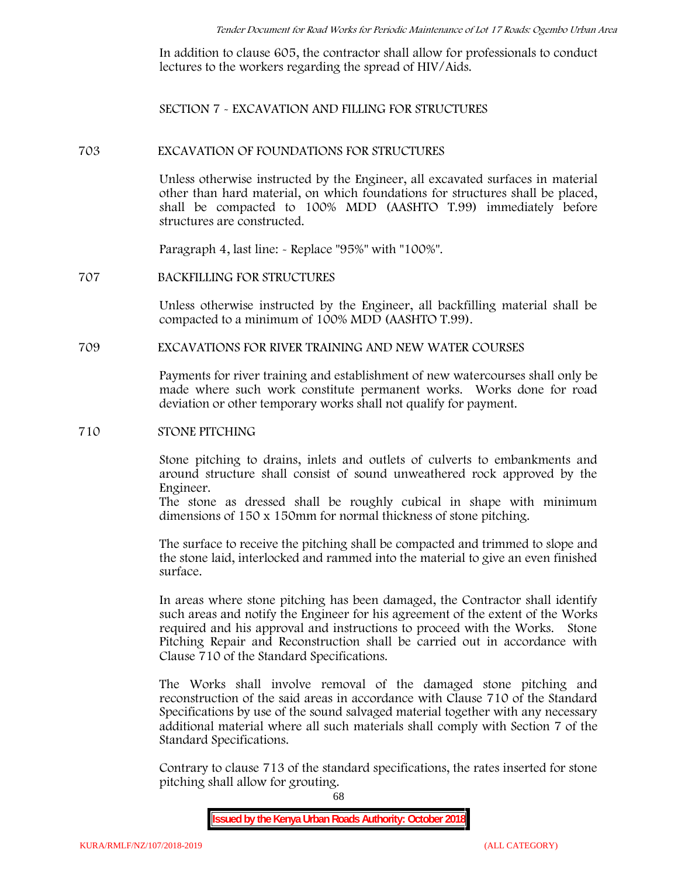In addition to clause 605, the contractor shall allow for professionals to conduct lectures to the workers regarding the spread of HIV/Aids.

**SECTION 7 - EXCAVATION AND FILLING FOR STRUCTURES**

#### **703 EXCAVATION OF FOUNDATIONS FOR STRUCTURES**

Unless otherwise instructed by the Engineer, all excavated surfaces in material other than hard material, on which foundations for structures shall be placed, shall be compacted to 100% MDD (AASHTO T.99) immediately before structures are constructed.

Paragraph 4, last line: - Replace "95%" with "100%".

#### **707 BACKFILLING FOR STRUCTURES**

Unless otherwise instructed by the Engineer, all backfilling material shall be compacted to a minimum of 100% MDD (AASHTO T.99).

## **709 EXCAVATIONS FOR RIVER TRAINING AND NEW WATER COURSES**

Payments for river training and establishment of new watercourses shall only be made where such work constitute permanent works. Works done for road deviation or other temporary works shall not qualify for payment.

#### **710 STONE PITCHING**

Stone pitching to drains, inlets and outlets of culverts to embankments and around structure shall consist of sound unweathered rock approved by the Engineer.

The stone as dressed shall be roughly cubical in shape with minimum dimensions of 150 x 150mm for normal thickness of stone pitching.

The surface to receive the pitching shall be compacted and trimmed to slope and the stone laid, interlocked and rammed into the material to give an even finished surface.

In areas where stone pitching has been damaged, the Contractor shall identify such areas and notify the Engineer for his agreement of the extent of the Works required and his approval and instructions to proceed with the Works. Stone Pitching Repair and Reconstruction shall be carried out in accordance with Clause 710 of the Standard Specifications.

The Works shall involve removal of the damaged stone pitching and reconstruction of the said areas in accordance with Clause 710 of the Standard Specifications by use of the sound salvaged material together with any necessary additional material where all such materials shall comply with Section 7 of the Standard Specifications.

Contrary to clause 713 of the standard specifications, the rates inserted for stone pitching shall allow for grouting.

68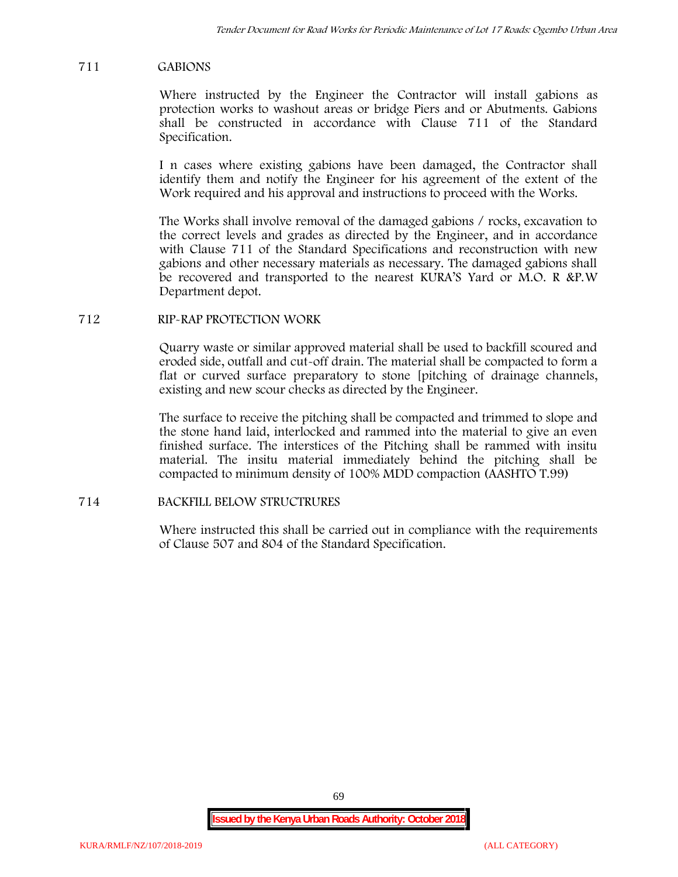# **711 GABIONS**

Where instructed by the Engineer the Contractor will install gabions as protection works to washout areas or bridge Piers and or Abutments. Gabions shall be constructed in accordance with Clause 711 of the Standard Specification.

I n cases where existing gabions have been damaged, the Contractor shall identify them and notify the Engineer for his agreement of the extent of the Work required and his approval and instructions to proceed with the Works.

The Works shall involve removal of the damaged gabions / rocks, excavation to the correct levels and grades as directed by the Engineer, and in accordance with Clause 711 of the Standard Specifications and reconstruction with new gabions and other necessary materials as necessary. The damaged gabions shall be recovered and transported to the nearest KURA'S Yard or M.O. R &P.W Department depot.

# **712 RIP-RAP PROTECTION WORK**

Quarry waste or similar approved material shall be used to backfill scoured and eroded side, outfall and cut-off drain. The material shall be compacted to form a flat or curved surface preparatory to stone [pitching of drainage channels, existing and new scour checks as directed by the Engineer.

The surface to receive the pitching shall be compacted and trimmed to slope and the stone hand laid, interlocked and rammed into the material to give an even finished surface. The interstices of the Pitching shall be rammed with insitu material. The insitu material immediately behind the pitching shall be compacted to minimum density of 100% MDD compaction (AASHTO T.99)

# **714 BACKFILL BELOW STRUCTRURES**

Where instructed this shall be carried out in compliance with the requirements of Clause 507 and 804 of the Standard Specification.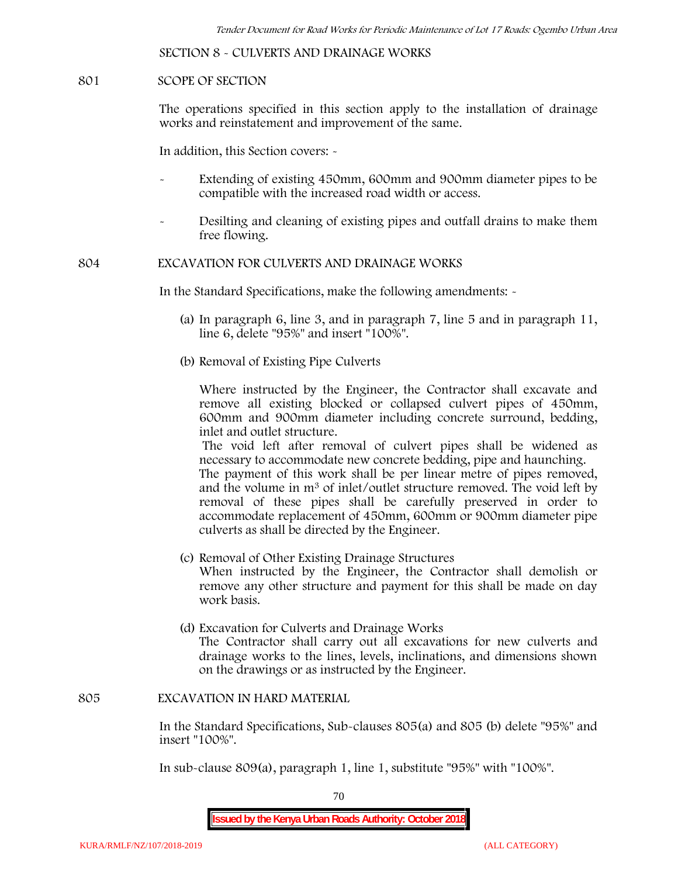**SECTION 8 - CULVERTS AND DRAINAGE WORKS**

#### **801 SCOPE OF SECTION**

The operations specified in this section apply to the installation of drainage works and reinstatement and improvement of the same.

In addition, this Section covers: -

- Extending of existing 450mm, 600mm and 900mm diameter pipes to be compatible with the increased road width or access.
- Desilting and cleaning of existing pipes and outfall drains to make them free flowing.

**804 EXCAVATION FOR CULVERTS AND DRAINAGE WORKS**

In the Standard Specifications, make the following amendments: -

- (a) In paragraph 6, line 3, and in paragraph 7, line 5 and in paragraph 11, line 6, delete "95%" and insert "100%".
- (b) Removal of Existing Pipe Culverts

Where instructed by the Engineer, the Contractor shall excavate and remove all existing blocked or collapsed culvert pipes of 450mm, 600mm and 900mm diameter including concrete surround, bedding, inlet and outlet structure.

The void left after removal of culvert pipes shall be widened as necessary to accommodate new concrete bedding, pipe and haunching. The payment of this work shall be per linear metre of pipes removed, and the volume in m<sup>3</sup> of inlet/outlet structure removed. The void left by

removal of these pipes shall be carefully preserved in order to accommodate replacement of 450mm, 600mm or 900mm diameter pipe culverts as shall be directed by the Engineer.

- (c) Removal of Other Existing Drainage Structures When instructed by the Engineer, the Contractor shall demolish or remove any other structure and payment for this shall be made on day work basis.
- (d) Excavation for Culverts and Drainage Works The Contractor shall carry out all excavations for new culverts and drainage works to the lines, levels, inclinations, and dimensions shown on the drawings or as instructed by the Engineer.

#### **805 EXCAVATION IN HARD MATERIAL**

In the Standard Specifications, Sub-clauses 805(a) and 805 (b) delete "95%" and insert "100%".

In sub-clause 809(a), paragraph 1, line 1, substitute "95%" with "100%".

70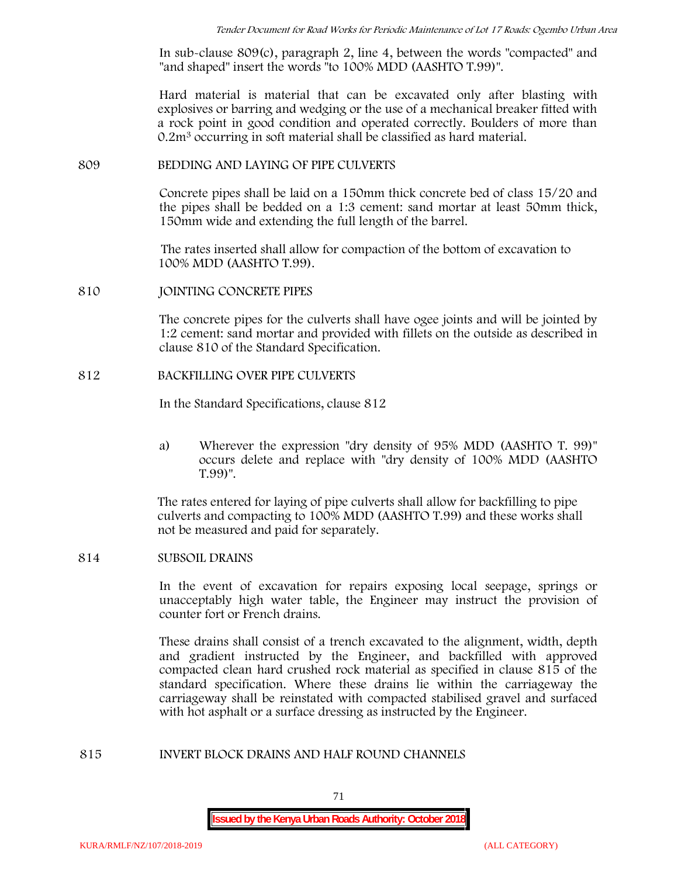In sub-clause 809(c), paragraph 2, line 4, between the words "compacted" and "and shaped" insert the words "to 100% MDD (AASHTO T.99)".

Hard material is material that can be excavated only after blasting with explosives or barring and wedging or the use of a mechanical breaker fitted with a rock point in good condition and operated correctly. Boulders of more than 0.2m<sup>3</sup> occurring in soft material shall be classified as hard material.

#### **809 BEDDING AND LAYING OF PIPE CULVERTS**

Concrete pipes shall be laid on a 150mm thick concrete bed of class 15/20 and the pipes shall be bedded on a 1:3 cement: sand mortar at least 50mm thick, 150mm wide and extending the full length of the barrel.

The rates inserted shall allow for compaction of the bottom of excavation to 100% MDD (AASHTO T.99).

#### **810 JOINTING CONCRETE PIPES**

The concrete pipes for the culverts shall have ogee joints and will be jointed by 1:2 cement: sand mortar and provided with fillets on the outside as described in clause 810 of the Standard Specification.

#### **812 BACKFILLING OVER PIPE CULVERTS**

In the Standard Specifications, clause 812

a) Wherever the expression "dry density of 95% MDD (AASHTO T. 99)" occurs delete and replace with "dry density of 100% MDD (AASHTO T.99)".

The rates entered for laying of pipe culverts shall allow for backfilling to pipe culverts and compacting to 100% MDD (AASHTO T.99) and these works shall not be measured and paid for separately.

# **814 SUBSOIL DRAINS**

In the event of excavation for repairs exposing local seepage, springs or unacceptably high water table, the Engineer may instruct the provision of counter fort or French drains.

These drains shall consist of a trench excavated to the alignment, width, depth and gradient instructed by the Engineer, and backfilled with approved compacted clean hard crushed rock material as specified in clause 815 of the standard specification. Where these drains lie within the carriageway the carriageway shall be reinstated with compacted stabilised gravel and surfaced with hot asphalt or a surface dressing as instructed by the Engineer.

#### **815 INVERT BLOCK DRAINS AND HALF ROUND CHANNELS**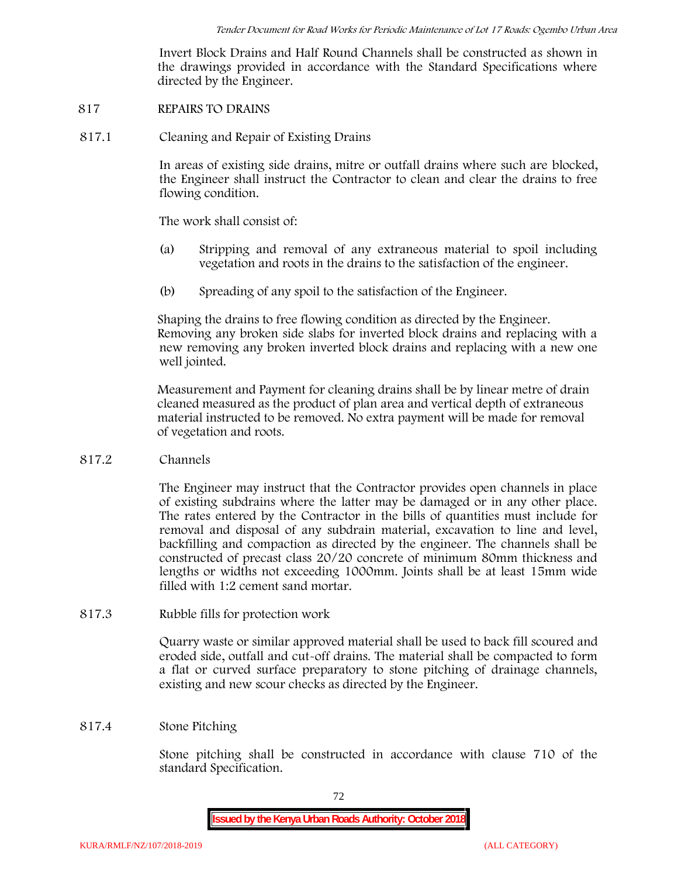Invert Block Drains and Half Round Channels shall be constructed as shown in the drawings provided in accordance with the Standard Specifications where directed by the Engineer.

### **817 REPAIRS TO DRAINS**

**817.1 Cleaning and Repair of Existing Drains**

In areas of existing side drains, mitre or outfall drains where such are blocked, the Engineer shall instruct the Contractor to clean and clear the drains to free flowing condition.

The work shall consist of:

- (a) Stripping and removal of any extraneous material to spoil including vegetation and roots in the drains to the satisfaction of the engineer.
- (b) Spreading of any spoil to the satisfaction of the Engineer.

Shaping the drains to free flowing condition as directed by the Engineer. Removing any broken side slabs for inverted block drains and replacing with a new removing any broken inverted block drains and replacing with a new one well jointed.

Measurement and Payment for cleaning drains shall be by linear metre of drain cleaned measured as the product of plan area and vertical depth of extraneous material instructed to be removed. No extra payment will be made for removal of vegetation and roots.

**817.2 Channels**

The Engineer may instruct that the Contractor provides open channels in place of existing subdrains where the latter may be damaged or in any other place. The rates entered by the Contractor in the bills of quantities must include for removal and disposal of any subdrain material, excavation to line and level, backfilling and compaction as directed by the engineer. The channels shall be constructed of precast class 20/20 concrete of minimum 80mm thickness and lengths or widths not exceeding 1000mm. Joints shall be at least 15mm wide filled with 1:2 cement sand mortar.

**817.3 Rubble fills for protection work**

Quarry waste or similar approved material shall be used to back fill scoured and eroded side, outfall and cut-off drains. The material shall be compacted to form a flat or curved surface preparatory to stone pitching of drainage channels, existing and new scour checks as directed by the Engineer.

## **817.4 Stone Pitching**

Stone pitching shall be constructed in accordance with clause 710 of the standard Specification.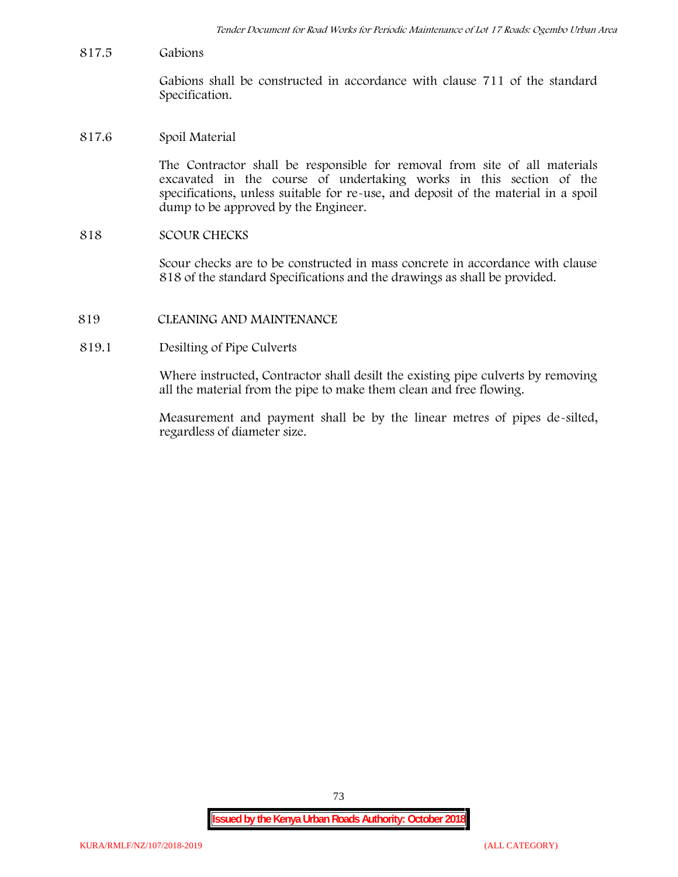**817.5 Gabions**

Gabions shall be constructed in accordance with clause 711 of the standard Specification.

**817.6 Spoil Material**

The Contractor shall be responsible for removal from site of all materials excavated in the course of undertaking works in this section of the specifications, unless suitable for re-use, and deposit of the material in a spoil dump to be approved by the Engineer.

**818 SCOUR CHECKS**

Scour checks are to be constructed in mass concrete in accordance with clause 818 of the standard Specifications and the drawings as shall be provided.

- **819 CLEANING AND MAINTENANCE**
- **819.1 Desilting of Pipe Culverts**

Where instructed, Contractor shall desilt the existing pipe culverts by removing all the material from the pipe to make them clean and free flowing.

Measurement and payment shall be by the linear metres of pipes de-silted, regardless of diameter size.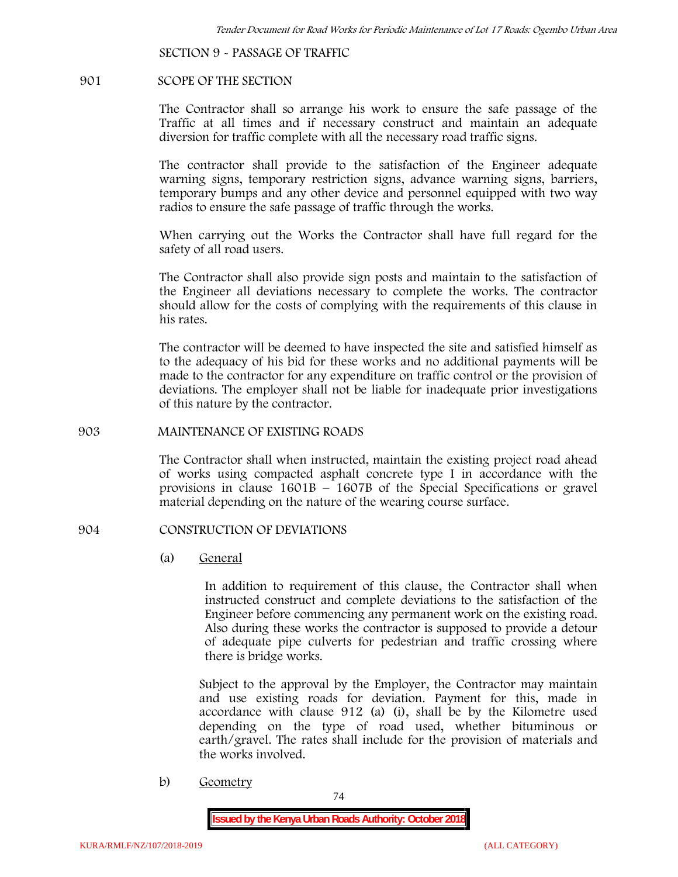**SECTION 9 - PASSAGE OF TRAFFIC**

#### **901 SCOPE OF THE SECTION**

The Contractor shall so arrange his work to ensure the safe passage of the Traffic at all times and if necessary construct and maintain an adequate diversion for traffic complete with all the necessary road traffic signs.

The contractor shall provide to the satisfaction of the Engineer adequate warning signs, temporary restriction signs, advance warning signs, barriers, temporary bumps and any other device and personnel equipped with two way radios to ensure the safe passage of traffic through the works.

When carrying out the Works the Contractor shall have full regard for the safety of all road users.

The Contractor shall also provide sign posts and maintain to the satisfaction of the Engineer all deviations necessary to complete the works. The contractor should allow for the costs of complying with the requirements of this clause in his rates.

The contractor will be deemed to have inspected the site and satisfied himself as to the adequacy of his bid for these works and no additional payments will be made to the contractor for any expenditure on traffic control or the provision of deviations. The employer shall not be liable for inadequate prior investigations of this nature by the contractor.

### **903 MAINTENANCE OF EXISTING ROADS**

The Contractor shall when instructed, maintain the existing project road ahead of works using compacted asphalt concrete type I in accordance with the provisions in clause 1601B – 1607B of the Special Specifications or gravel material depending on the nature of the wearing course surface.

### **904 CONSTRUCTION OF DEVIATIONS**

(a) **General**

In addition to requirement of this clause, the Contractor shall when instructed construct and complete deviations to the satisfaction of the Engineer before commencing any permanent work on the existing road. Also during these works the contractor is supposed to provide a detour of adequate pipe culverts for pedestrian and traffic crossing where there is bridge works.

Subject to the approval by the Employer, the Contractor may maintain and use existing roads for deviation. Payment for this, made in accordance with clause 912 (a) (i), shall be by the Kilometre used depending on the type of road used, whether bituminous or earth/gravel. The rates shall include for the provision of materials and the works involved.

b) **Geometry**

74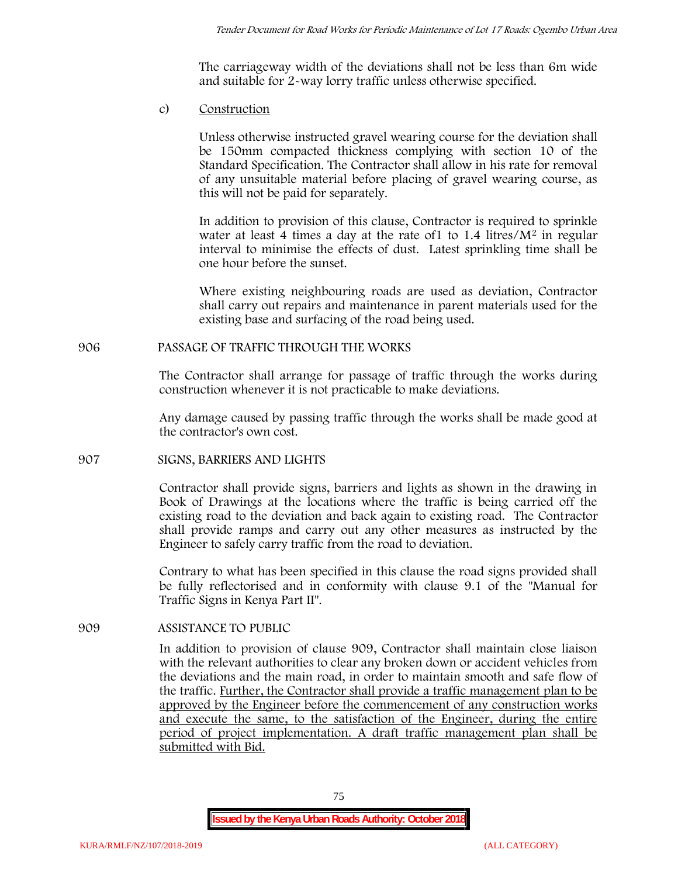The carriageway width of the deviations shall not be less than 6m wide and suitable for 2-way lorry traffic unless otherwise specified.

c) **Construction**

Unless otherwise instructed gravel wearing course for the deviation shall be 150mm compacted thickness complying with section 10 of the Standard Specification. The Contractor shall allow in his rate for removal of any unsuitable material before placing of gravel wearing course, as this will not be paid for separately.

In addition to provision of this clause, Contractor is required to sprinkle water at least 4 times a day at the rate of 1 to  $1.4$  litres/ $M<sup>2</sup>$  in regular interval to minimise the effects of dust. Latest sprinkling time shall be one hour before the sunset.

Where existing neighbouring roads are used as deviation, Contractor shall carry out repairs and maintenance in parent materials used for the existing base and surfacing of the road being used.

## **906 PASSAGE OF TRAFFIC THROUGH THE WORKS**

The Contractor shall arrange for passage of traffic through the works during construction whenever it is not practicable to make deviations.

Any damage caused by passing traffic through the works shall be made good at the contractor's own cost.

## **907 SIGNS, BARRIERS AND LIGHTS**

Contractor shall provide signs, barriers and lights as shown in the drawing in Book of Drawings at the locations where the traffic is being carried off the existing road to the deviation and back again to existing road. The Contractor shall provide ramps and carry out any other measures as instructed by the Engineer to safely carry traffic from the road to deviation.

Contrary to what has been specified in this clause the road signs provided shall be fully reflectorised and in conformity with clause 9.1 of the "Manual for Traffic Signs in Kenya Part II".

## **909 ASSISTANCE TO PUBLIC**

In addition to provision of clause 909, Contractor shall maintain close liaison with the relevant authorities to clear any broken down or accident vehicles from the deviations and the main road, in order to maintain smooth and safe flow of the traffic. Further, the Contractor shall provide a traffic management plan to be approved by the Engineer before the commencement of any construction works and execute the same, to the satisfaction of the Engineer, during the entire period of project implementation. A draft traffic management plan shall be submitted with Bid.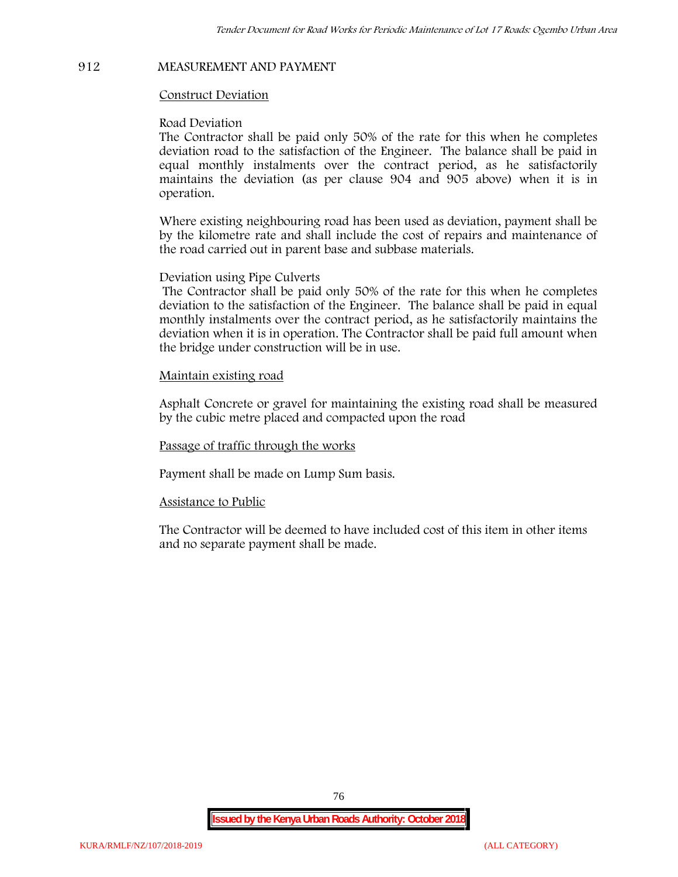# **912 MEASUREMENT AND PAYMENT**

### **Construct Deviation**

#### **Road Deviation**

The Contractor shall be paid only 50% of the rate for this when he completes deviation road to the satisfaction of the Engineer. The balance shall be paid in equal monthly instalments over the contract period, as he satisfactorily maintains the deviation (as per clause 904 and 905 above) when it is in operation.

Where existing neighbouring road has been used as deviation, payment shall be by the kilometre rate and shall include the cost of repairs and maintenance of the road carried out in parent base and subbase materials.

### **Deviation using Pipe Culverts**

The Contractor shall be paid only 50% of the rate for this when he completes deviation to the satisfaction of the Engineer. The balance shall be paid in equal monthly instalments over the contract period, as he satisfactorily maintains the deviation when it is in operation. The Contractor shall be paid full amount when the bridge under construction will be in use.

### **Maintain existing road**

Asphalt Concrete or gravel for maintaining the existing road shall be measured by the cubic metre placed and compacted upon the road

#### **Passage of traffic through the works**

Payment shall be made on Lump Sum basis.

#### **Assistance to Public**

The Contractor will be deemed to have included cost of this item in other items and no separate payment shall be made.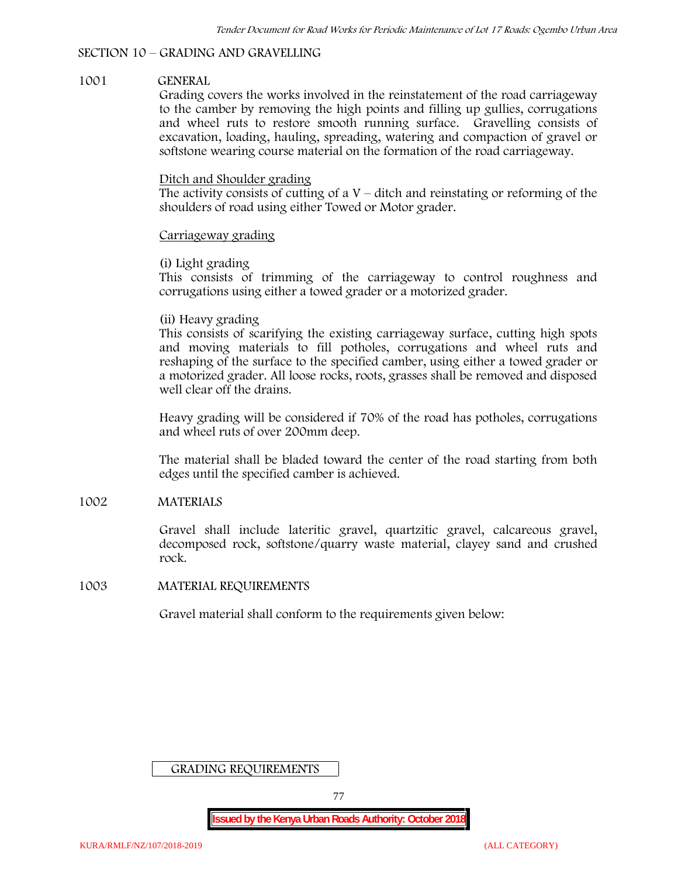#### **SECTION 10 – GRADING AND GRAVELLING**

### **1001 GENERAL**

Grading covers the works involved in the reinstatement of the road carriageway to the camber by removing the high points and filling up gullies, corrugations and wheel ruts to restore smooth running surface. Gravelling consists of excavation, loading, hauling, spreading, watering and compaction of gravel or softstone wearing course material on the formation of the road carriageway.

### Ditch and Shoulder grading

The activity consists of cutting of a  $V$  – ditch and reinstating or reforming of the shoulders of road using either Towed or Motor grader.

### Carriageway grading

### **(i) Light grading**

This consists of trimming of the carriageway to control roughness and corrugations using either a towed grader or a motorized grader.

### **(ii) Heavy grading**

This consists of scarifying the existing carriageway surface, cutting high spots and moving materials to fill potholes, corrugations and wheel ruts and reshaping of the surface to the specified camber, using either a towed grader or a motorized grader. All loose rocks, roots, grasses shall be removed and disposed well clear off the drains.

Heavy grading will be considered if 70% of the road has potholes, corrugations and wheel ruts of over 200mm deep.

The material shall be bladed toward the center of the road starting from both edges until the specified camber is achieved.

### **1002 MATERIALS**

Gravel shall include lateritic gravel, quartzitic gravel, calcareous gravel, decomposed rock, softstone/quarry waste material, clayey sand and crushed rock.

#### **1003 MATERIAL REQUIREMENTS**

Gravel material shall conform to the requirements given below:

GRADING REQUIREMENTS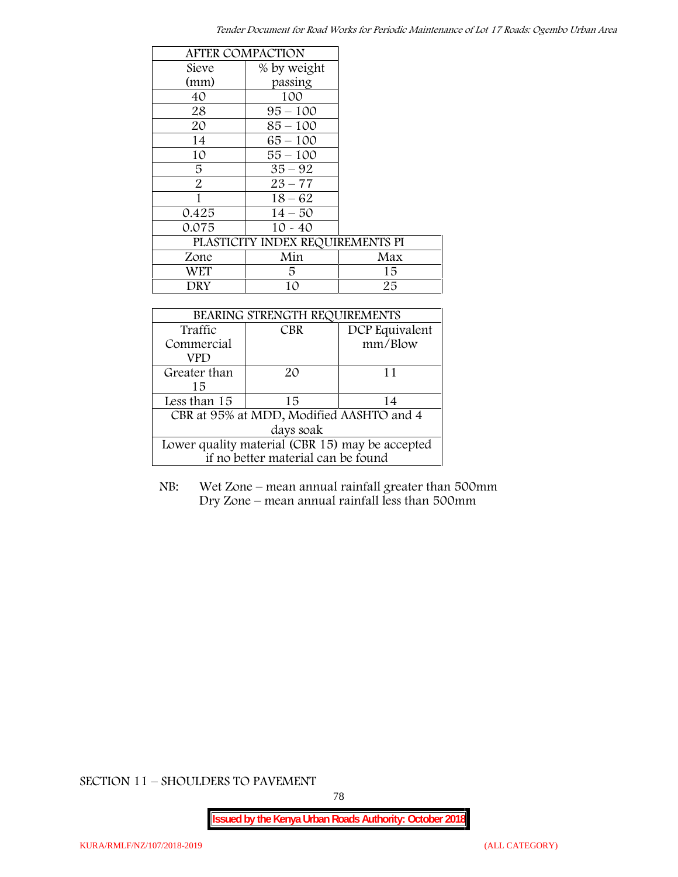| <b>AFTER COMPACTION</b> |                                  |     |
|-------------------------|----------------------------------|-----|
| Sieve                   | % by weight                      |     |
| (mm)                    | passing                          |     |
| 40                      | 100                              |     |
| 28                      | $95 - 100$                       |     |
| 20                      | $85 - 100$                       |     |
| 14                      | $65 - 100$                       |     |
| 10                      | $55 - 100$                       |     |
| 5                       | $35 - 92$                        |     |
| 2                       | $23 - 77$                        |     |
| 1                       | $18 - 62$                        |     |
| 0.425                   | $14 - 50$                        |     |
| 0.075                   | $10 - 40$                        |     |
|                         | PLASTICITY INDEX REQUIREMENTS PI |     |
| Zone                    | Min                              | Max |
| WET                     | 5.                               | 15  |
| DRY                     | 10                               | 25  |

| BEARING STRENGTH REQUIREMENTS                   |            |                |  |  |
|-------------------------------------------------|------------|----------------|--|--|
| Traffic                                         | <b>CBR</b> | DCP Equivalent |  |  |
| Commercial                                      |            | mm/Blow        |  |  |
| VPD                                             |            |                |  |  |
| Greater than                                    | $2\Omega$  | 11             |  |  |
| 15                                              |            |                |  |  |
| Less than 15                                    | 15         | 14             |  |  |
| CBR at 95% at MDD, Modified AASHTO and 4        |            |                |  |  |
| days soak                                       |            |                |  |  |
| Lower quality material (CBR 15) may be accepted |            |                |  |  |
| if no better material can be found              |            |                |  |  |

NB: Wet Zone – mean annual rainfall greater than 500mm Dry Zone – mean annual rainfall less than 500mm

**SECTION 11 – SHOULDERS TO PAVEMENT**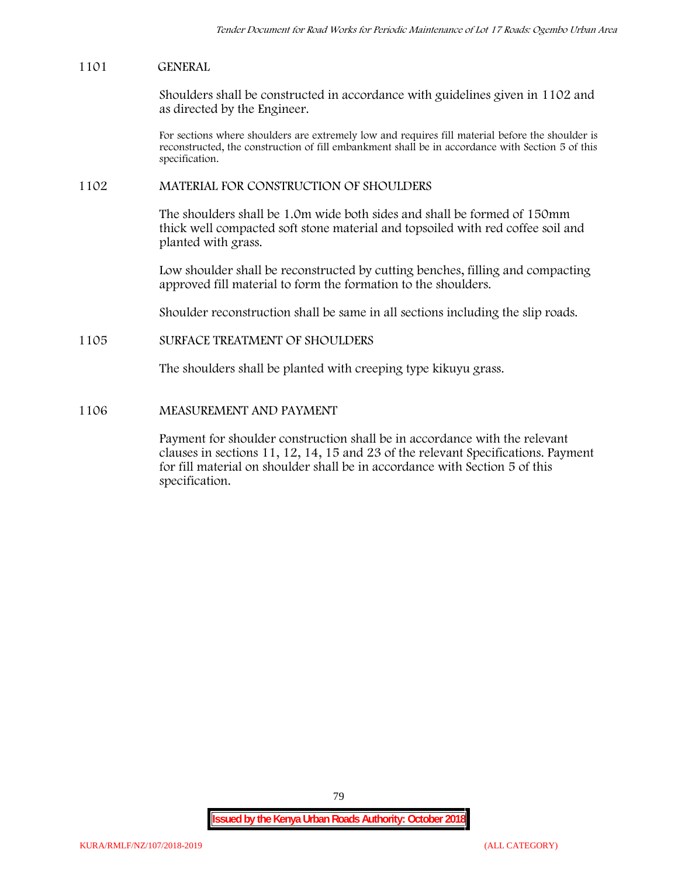## **1101 GENERAL**

Shoulders shall be constructed in accordance with guidelines given in 1102 and as directed by the Engineer.

For sections where shoulders are extremely low and requires fill material before the shoulder is reconstructed, the construction of fill embankment shall be in accordance with Section 5 of this specification.

## **1102 MATERIAL FOR CONSTRUCTION OF SHOULDERS**

The shoulders shall be 1.0m wide both sides and shall be formed of 150mm thick well compacted soft stone material and topsoiled with red coffee soil and planted with grass.

Low shoulder shall be reconstructed by cutting benches, filling and compacting approved fill material to form the formation to the shoulders.

Shoulder reconstruction shall be same in all sections including the slip roads.

## **1105 SURFACE TREATMENT OF SHOULDERS**

The shoulders shall be planted with creeping type kikuyu grass.

## **1106 MEASUREMENT AND PAYMENT**

Payment for shoulder construction shall be in accordance with the relevant clauses in sections 11, 12, 14, 15 and 23 of the relevant Specifications. Payment for fill material on shoulder shall be in accordance with Section 5 of this specification.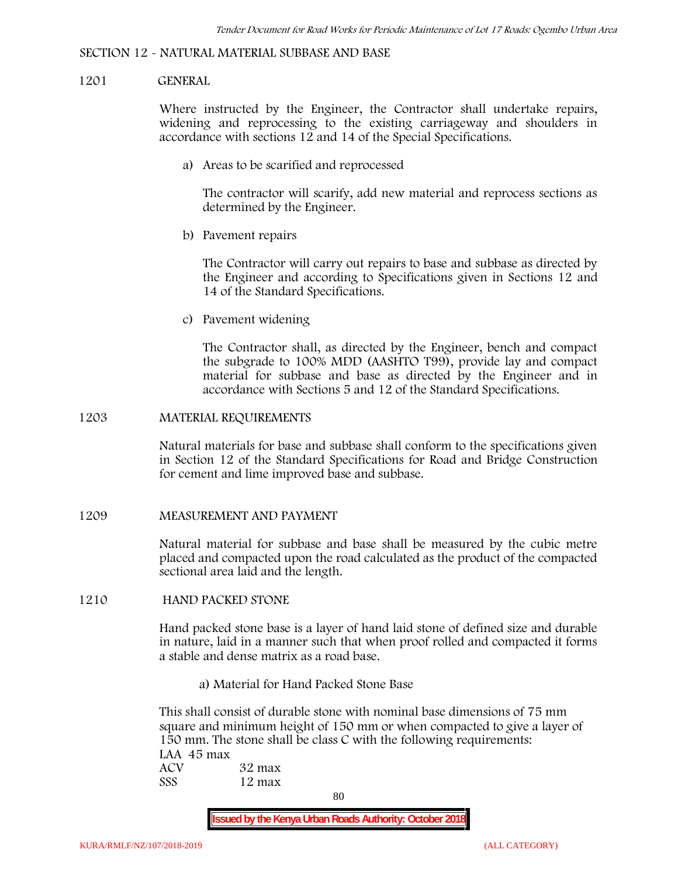#### **SECTION 12 - NATURAL MATERIAL SUBBASE AND BASE**

#### **1201 GENERAL**

Where instructed by the Engineer, the Contractor shall undertake repairs, widening and reprocessing to the existing carriageway and shoulders in accordance with sections 12 and 14 of the Special Specifications.

**a) Areas to be scarified and reprocessed**

The contractor will scarify, add new material and reprocess sections as determined by the Engineer.

**b) Pavement repairs**

The Contractor will carry out repairs to base and subbase as directed by the Engineer and according to Specifications given in Sections 12 and 14 of the Standard Specifications.

**c) Pavement widening**

The Contractor shall, as directed by the Engineer, bench and compact the subgrade to 100% MDD (AASHTO T99), provide lay and compact material for subbase and base as directed by the Engineer and in accordance with Sections 5 and 12 of the Standard Specifications.

#### **1203 MATERIAL REQUIREMENTS**

Natural materials for base and subbase shall conform to the specifications given in Section 12 of the Standard Specifications for Road and Bridge Construction for cement and lime improved base and subbase.

**1209 MEASUREMENT AND PAYMENT**

Natural material for subbase and base shall be measured by the cubic metre placed and compacted upon the road calculated as the product of the compacted sectional area laid and the length.

#### **1210 HAND PACKED STONE**

Hand packed stone base is a layer of hand laid stone of defined size and durable in nature, laid in a manner such that when proof rolled and compacted it forms a stable and dense matrix as a road base.

**a) Material for Hand Packed Stone Base**

This shall consist of durable stone with nominal base dimensions of 75 mm square and minimum height of 150 mm or when compacted to give a layer of 150 mm. The stone shall be class C with the following requirements: **LAA 45 max ACV 32 max SSS 12 max**

80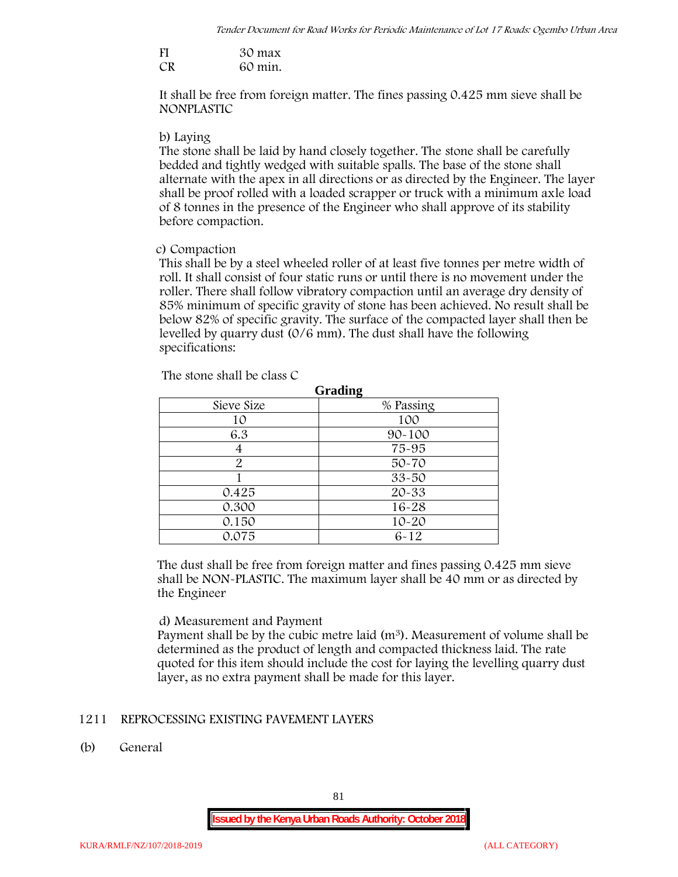| FI | 30 max  |
|----|---------|
| CR | 60 min. |

It shall be free from foreign matter. The fines passing 0.425 mm sieve shall be **NONPLASTIC**

### **b) Laying**

The stone shall be laid by hand closely together. The stone shall be carefully bedded and tightly wedged with suitable spalls. The base of the stone shall alternate with the apex in all directions or as directed by the Engineer. The layer shall be proof rolled with a loaded scrapper or truck with a minimum axle load of 8 tonnes in the presence of the Engineer who shall approve of its stability before compaction.

## **c) Compaction**

This shall be by a steel wheeled roller of at least five tonnes per metre width of roll. It shall consist of four static runs or until there is no movement under the roller. There shall follow vibratory compaction until an average dry density of 85% minimum of specific gravity of stone has been achieved. No result shall be below 82% of specific gravity. The surface of the compacted layer shall then be levelled by quarry dust (0/6 mm). The dust shall have the following specifications:

| Grading    |            |  |  |  |
|------------|------------|--|--|--|
| Sieve Size | % Passing  |  |  |  |
| 10         | 100        |  |  |  |
| 6.3        | $90 - 100$ |  |  |  |
|            | 75-95      |  |  |  |
| 2          | $50 - 70$  |  |  |  |
|            | $33 - 50$  |  |  |  |
| 0.425      | 20-33      |  |  |  |
| 0.300      | 16-28      |  |  |  |
| 0.150      | $10 - 20$  |  |  |  |
| 0.075      | $6 - 12$   |  |  |  |

The stone shall be class C

The dust shall be free from foreign matter and fines passing 0.425 mm sieve shall be **NON-PLASTIC**. The maximum layer shall be 40 mm or as directed by the Engineer

## **d) Measurement and Payment**

Payment shall be by the cubic metre laid  $(m<sup>3</sup>)$ . Measurement of volume shall be determined as the product of length and compacted thickness laid. The rate quoted for this item should include the cost for laying the levelling quarry dust layer, as no extra payment shall be made for this layer.

## **1211 REPROCESSING EXISTING PAVEMENT LAYERS**

**(b) General**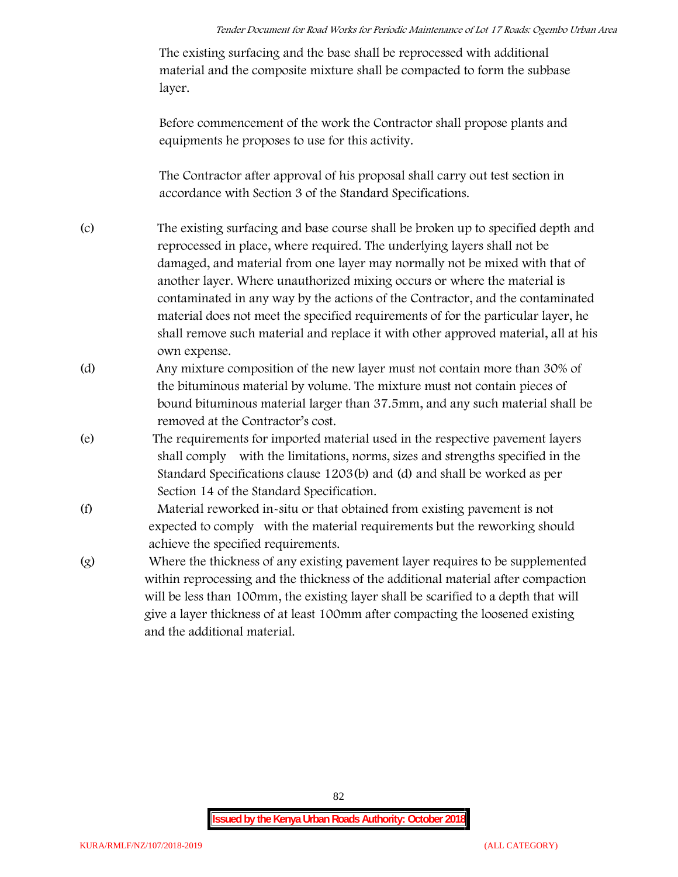The existing surfacing and the base shall be reprocessed with additional material and the composite mixture shall be compacted to form the subbase layer.

Before commencement of the work the Contractor shall propose plants and equipments he proposes to use for this activity.

The Contractor after approval of his proposal shall carry out test section in accordance with Section 3 of the Standard Specifications.

- (c) The existing surfacing and base course shall be broken up to specified depth and reprocessed in place, where required. The underlying layers shall not be damaged, and material from one layer may normally not be mixed with that of another layer. Where unauthorized mixing occurs or where the material is contaminated in any way by the actions of the Contractor, and the contaminated material does not meet the specified requirements of for the particular layer, he shall remove such material and replace it with other approved material, all at his own expense.
- (d) Any mixture composition of the new layer must not contain more than 30% of the bituminous material by volume. The mixture must not contain pieces of bound bituminous material larger than 37.5mm, and any such material shall be removed at the Contractor's cost.
- (e) The requirements for imported material used in the respective pavement layers shall comply with the limitations, norms, sizes and strengths specified in the Standard Specifications clause 1203(b) and (d) and shall be worked as per Section 14 of the Standard Specification.
- (f) Material reworked in-situ or that obtained from existing pavement is not expected to comply with the material requirements but the reworking should achieve the specified requirements.
- (g) Where the thickness of any existing pavement layer requires to be supplemented within reprocessing and the thickness of the additional material after compaction will be less than 100mm, the existing layer shall be scarified to a depth that will give a layer thickness of at least 100mm after compacting the loosened existing and the additional material.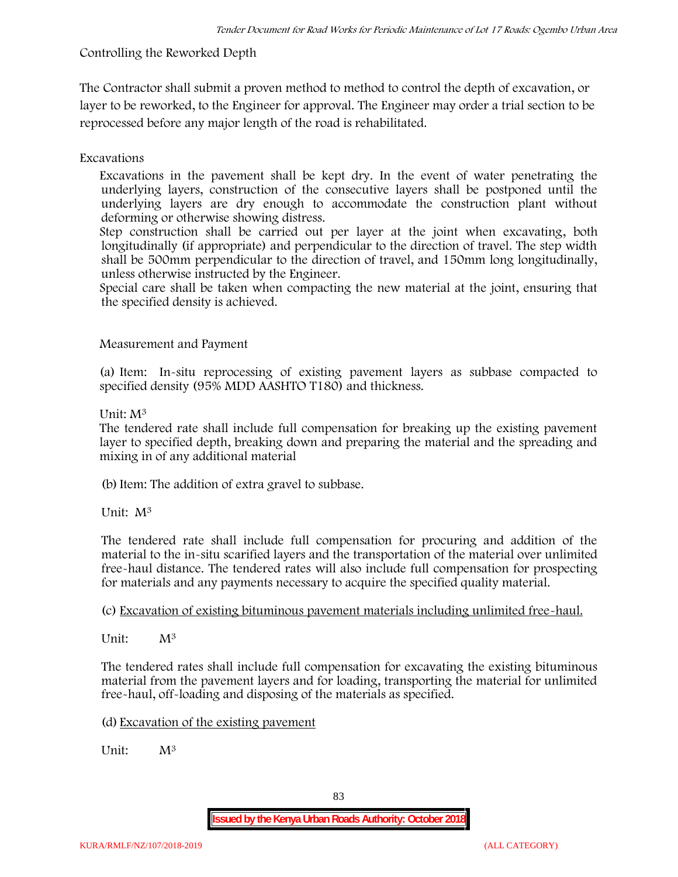# **Controlling the Reworked Depth**

The Contractor shall submit a proven method to method to control the depth of excavation, or layer to be reworked, to the Engineer for approval. The Engineer may order a trial section to be reprocessed before any major length of the road is rehabilitated.

# **Excavations**

Excavations in the pavement shall be kept dry. In the event of water penetrating the underlying layers, construction of the consecutive layers shall be postponed until the underlying layers are dry enough to accommodate the construction plant without deforming or otherwise showing distress.

Step construction shall be carried out per layer at the joint when excavating, both longitudinally (if appropriate) and perpendicular to the direction of travel. The step width shall be 500mm perpendicular to the direction of travel, and 150mm long longitudinally, unless otherwise instructed by the Engineer.

Special care shall be taken when compacting the new material at the joint, ensuring that the specified density is achieved.

## **Measurement and Payment**

(a) Item: In-situ reprocessing of existing pavement layers as subbase compacted to specified density (95% MDD AASHTO T180) and thickness.

## Unit: M<sup>3</sup>

The tendered rate shall include full compensation for breaking up the existing pavement layer to specified depth, breaking down and preparing the material and the spreading and mixing in of any additional material

(b)Item: The addition of extra gravel to subbase.

Unit: M<sup>3</sup>

The tendered rate shall include full compensation for procuring and addition of the material to the in-situ scarified layers and the transportation of the material over unlimited free-haul distance. The tendered rates will also include full compensation for prospecting for materials and any payments necessary to acquire the specified quality material.

(c) Excavation of existing bituminous pavement materials including unlimited free-haul.

Unit: M<sup>3</sup>

The tendered rates shall include full compensation for excavating the existing bituminous material from the pavement layers and for loading, transporting the material for unlimited free-haul, off-loading and disposing of the materials as specified.

(d) Excavation of the existing pavement

Unit:  $M^3$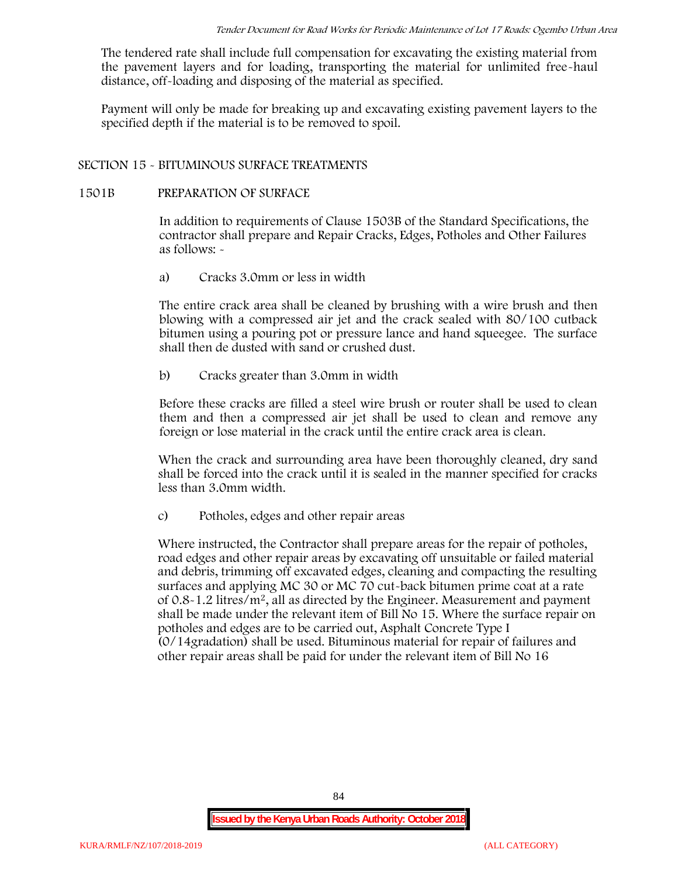The tendered rate shall include full compensation for excavating the existing material from the pavement layers and for loading, transporting the material for unlimited free-haul distance, off-loading and disposing of the material as specified.

Payment will only be made for breaking up and excavating existing pavement layers to the specified depth if the material is to be removed to spoil.

## **SECTION 15 - BITUMINOUS SURFACE TREATMENTS**

## **1501B PREPARATION OF SURFACE**

In addition to requirements of Clause 1503B of the Standard Specifications, the contractor shall prepare and Repair Cracks, Edges, Potholes and Other Failures as follows: **-**

a) **Cracks 3.0mm or less in width**

The entire crack area shall be cleaned by brushing with a wire brush and then blowing with a compressed air jet and the crack sealed with 80/100 cutback bitumen using a pouring pot or pressure lance and hand squeegee. The surface shall then de dusted with sand or crushed dust.

b) **Cracks greater than 3.0mm in width**

Before these cracks are filled a steel wire brush or router shall be used to clean them and then a compressed air jet shall be used to clean and remove any foreign or lose material in the crack until the entire crack area is clean.

When the crack and surrounding area have been thoroughly cleaned, dry sand shall be forced into the crack until it is sealed in the manner specified for cracks less than 3.0mm width.

c) **Potholes, edges and other repair areas**

Where instructed, the Contractor shall prepare areas for the repair of potholes, road edges and other repair areas by excavating off unsuitable or failed material and debris, trimming off excavated edges, cleaning and compacting the resulting surfaces and applying MC 30 or MC 70 cut-back bitumen prime coat at a rate of  $0.8-1.2$  litres/m<sup>2</sup>, all as directed by the Engineer. Measurement and payment shall be made under the relevant item of Bill No 15. Where the surface repair on potholes and edges are to be carried out, Asphalt Concrete Type I (0/14gradation) shall be used. Bituminous material for repair of failures and other repair areas shall be paid for under the relevant item of Bill No 16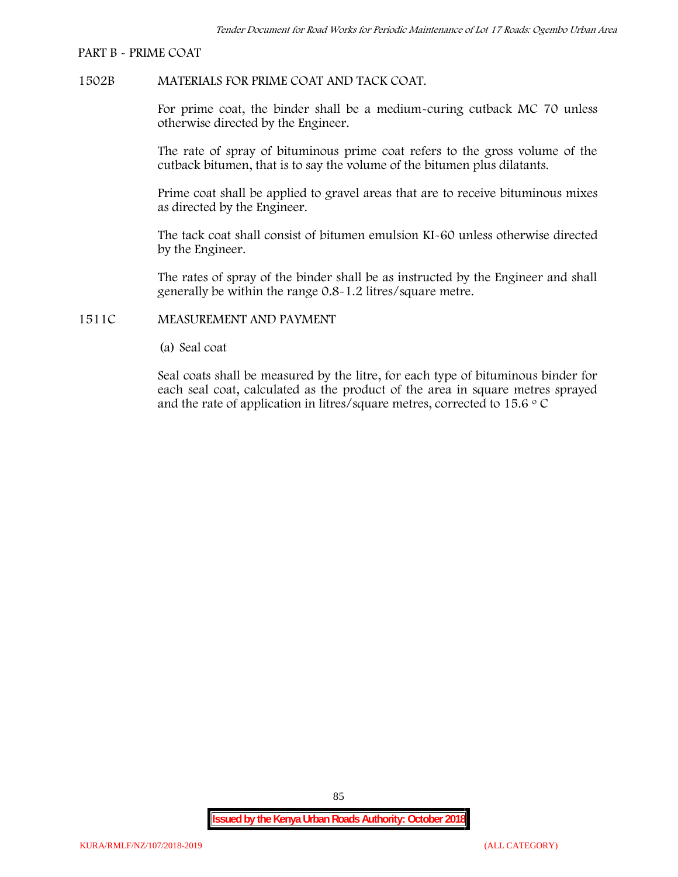#### **PART B - PRIME COAT**

### **1502B MATERIALS FOR PRIME COAT AND TACK COAT.**

For prime coat, the binder shall be a medium-curing cutback MC 70 unless otherwise directed by the Engineer.

The rate of spray of bituminous prime coat refers to the gross volume of the cutback bitumen, that is to say the volume of the bitumen plus dilatants.

Prime coat shall be applied to gravel areas that are to receive bituminous mixes as directed by the Engineer.

The tack coat shall consist of bitumen emulsion KI-60 unless otherwise directed by the Engineer.

The rates of spray of the binder shall be as instructed by the Engineer and shall generally be within the range 0.8-1.2 litres/square metre.

### **1511C MEASUREMENT AND PAYMENT**

(a) Seal coat

Seal coats shall be measured by the litre, for each type of bituminous binder for each seal coat, calculated as the product of the area in square metres sprayed and the rate of application in litres/square metres, corrected to 15.6  $\circ$  C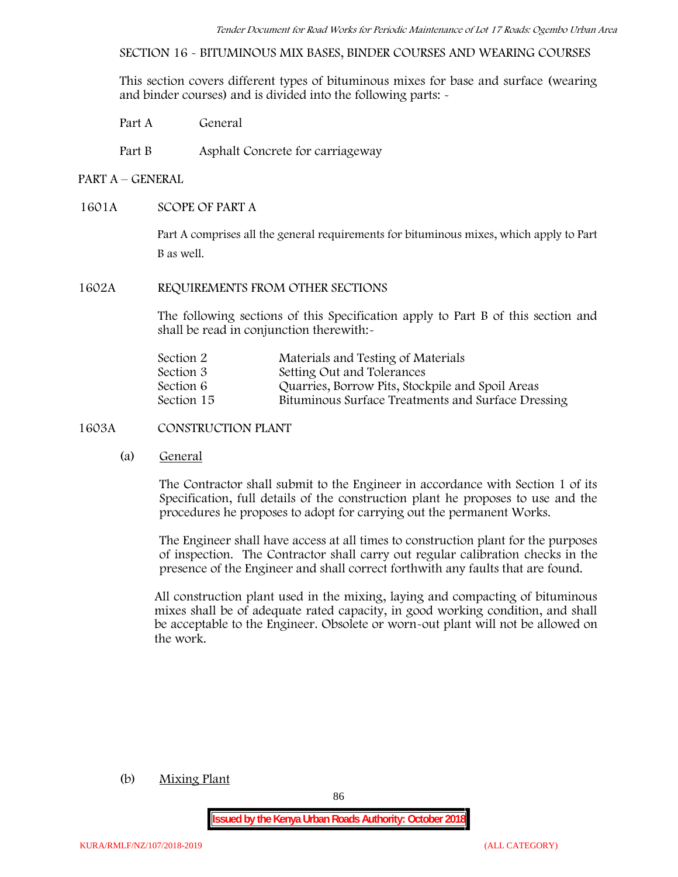**SECTION 16 - BITUMINOUS MIX BASES, BINDER COURSES AND WEARING COURSES**

This section covers different types of bituminous mixes for base and surface (wearing and binder courses) and is divided into the following parts: -

- Part A General
- Part B Asphalt Concrete for carriageway

## **PART A –GENERAL**

## **1601A SCOPE OF PART A**

Part A comprises all the general requirements for bituminous mixes, which apply to Part B as well.

### **1602A REQUIREMENTS FROM OTHER SECTIONS**

The following sections of this Specification apply to Part B of this section and shall be read in conjunction therewith:-

| Materials and Testing of Materials                 |
|----------------------------------------------------|
| Setting Out and Tolerances                         |
| Quarries, Borrow Pits, Stockpile and Spoil Areas   |
| Bituminous Surface Treatments and Surface Dressing |
|                                                    |

## **1603A CONSTRUCTION PLANT**

(a) **General**

The Contractor shall submit to the Engineer in accordance with Section 1 of its Specification, full details of the construction plant he proposes to use and the procedures he proposes to adopt for carrying out the permanent Works.

The Engineer shall have access at all times to construction plant for the purposes of inspection. The Contractor shall carry out regular calibration checks in the presence of the Engineer and shall correct forthwith any faults that are found.

All construction plant used in the mixing, laying and compacting of bituminous mixes shall be of adequate rated capacity, in good working condition, and shall be acceptable to the Engineer. Obsolete or worn-out plant will not be allowed on the work.

### (b) **Mixing Plant**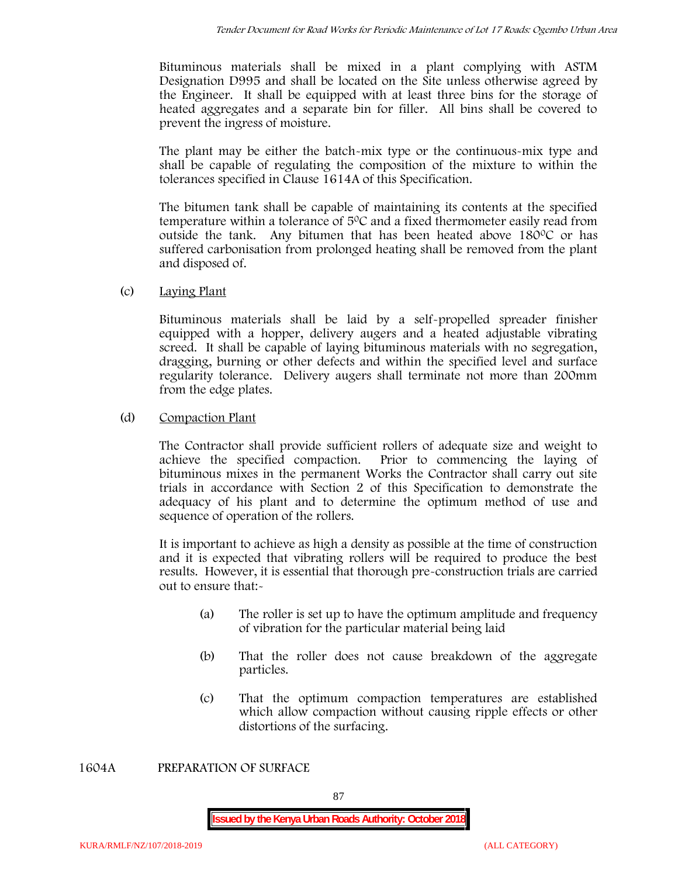Bituminous materials shall be mixed in a plant complying with ASTM Designation D995 and shall be located on the Site unless otherwise agreed by the Engineer. It shall be equipped with at least three bins for the storage of heated aggregates and a separate bin for filler. All bins shall be covered to prevent the ingress of moisture.

The plant may be either the batch-mix type or the continuous-mix type and shall be capable of regulating the composition of the mixture to within the tolerances specified in Clause 1614A of this Specification.

The bitumen tank shall be capable of maintaining its contents at the specified temperature within a tolerance of  $5^{\circ}$ C and a fixed thermometer easily read from outside the tank. Any bitumen that has been heated above  $180^{\circ}$ C or has suffered carbonisation from prolonged heating shall be removed from the plant and disposed of.

## (c) **Laying Plant**

Bituminous materials shall be laid by a self-propelled spreader finisher equipped with a hopper, delivery augers and a heated adjustable vibrating screed. It shall be capable of laying bituminous materials with no segregation, dragging, burning or other defects and within the specified level and surface regularity tolerance. Delivery augers shall terminate not more than 200mm from the edge plates.

## (d) **Compaction Plant**

The Contractor shall provide sufficient rollers of adequate size and weight to achieve the specified compaction. Prior to commencing the laying of bituminous mixes in the permanent Works the Contractor shall carry out site trials in accordance with Section 2 of this Specification to demonstrate the adequacy of his plant and to determine the optimum method of use and sequence of operation of the rollers.

It is important to achieve as high a density as possible at the time of construction and it is expected that vibrating rollers will be required to produce the best results. However, it is essential that thorough pre-construction trials are carried out to ensure that:-

- (a) The roller is set up to have the optimum amplitude and frequency of vibration for the particular material being laid
- (b) That the roller does not cause breakdown of the aggregate particles.
- (c) That the optimum compaction temperatures are established which allow compaction without causing ripple effects or other distortions of the surfacing.

**1604A PREPARATION OF SURFACE**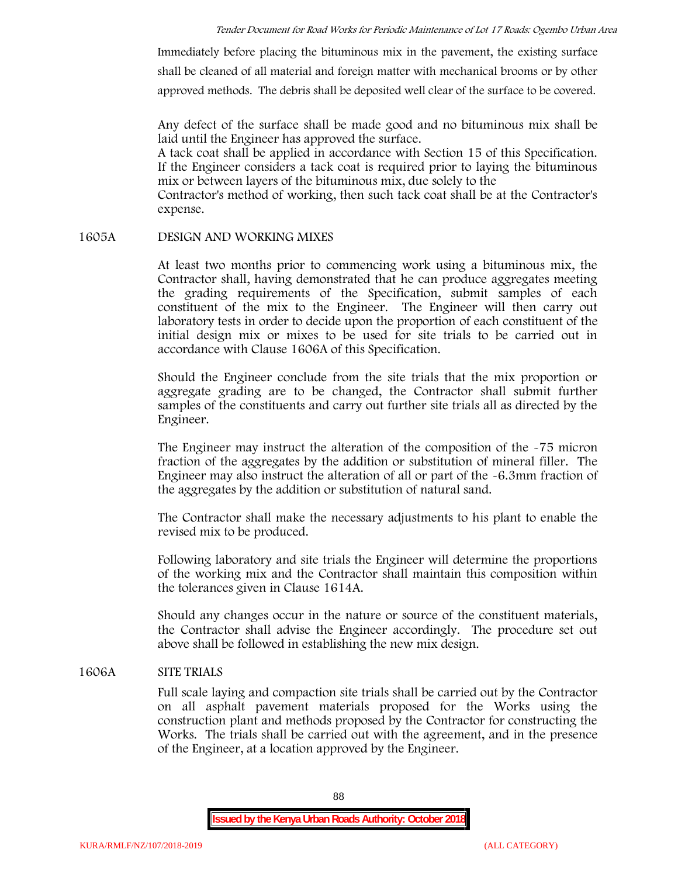Immediately before placing the bituminous mix in the pavement, the existing surface shall be cleaned of all material and foreign matter with mechanical brooms or by other approved methods. The debris shall be deposited well clear of the surface to be covered.

Any defect of the surface shall be made good and no bituminous mix shall be laid until the Engineer has approved the surface.

A tack coat shall be applied in accordance with Section 15 of this Specification. If the Engineer considers a tack coat is required prior to laying the bituminous mix or between layers of the bituminous mix, due solely to the

Contractor's method of working, then such tack coat shall be at the Contractor's expense.

## **1605A DESIGN AND WORKING MIXES**

At least two months prior to commencing work using a bituminous mix, the Contractor shall, having demonstrated that he can produce aggregates meeting the grading requirements of the Specification, submit samples of each constituent of the mix to the Engineer. The Engineer will then carry out laboratory tests in order to decide upon the proportion of each constituent of the initial design mix or mixes to be used for site trials to be carried out in accordance with Clause 1606A of this Specification.

Should the Engineer conclude from the site trials that the mix proportion or aggregate grading are to be changed, the Contractor shall submit further samples of the constituents and carry out further site trials all as directed by the Engineer.

The Engineer may instruct the alteration of the composition of the -75 micron fraction of the aggregates by the addition or substitution of mineral filler. The Engineer may also instruct the alteration of all or part of the -6.3mm fraction of the aggregates by the addition or substitution of natural sand.

The Contractor shall make the necessary adjustments to his plant to enable the revised mix to be produced.

Following laboratory and site trials the Engineer will determine the proportions of the working mix and the Contractor shall maintain this composition within the tolerances given in Clause 1614A.

Should any changes occur in the nature or source of the constituent materials, the Contractor shall advise the Engineer accordingly. The procedure set out above shall be followed in establishing the new mix design.

## **1606A SITE TRIALS**

Full scale laying and compaction site trials shall be carried out by the Contractor on all asphalt pavement materials proposed for the Works using the construction plant and methods proposed by the Contractor for constructing the Works. The trials shall be carried out with the agreement, and in the presence of the Engineer, at a location approved by the Engineer.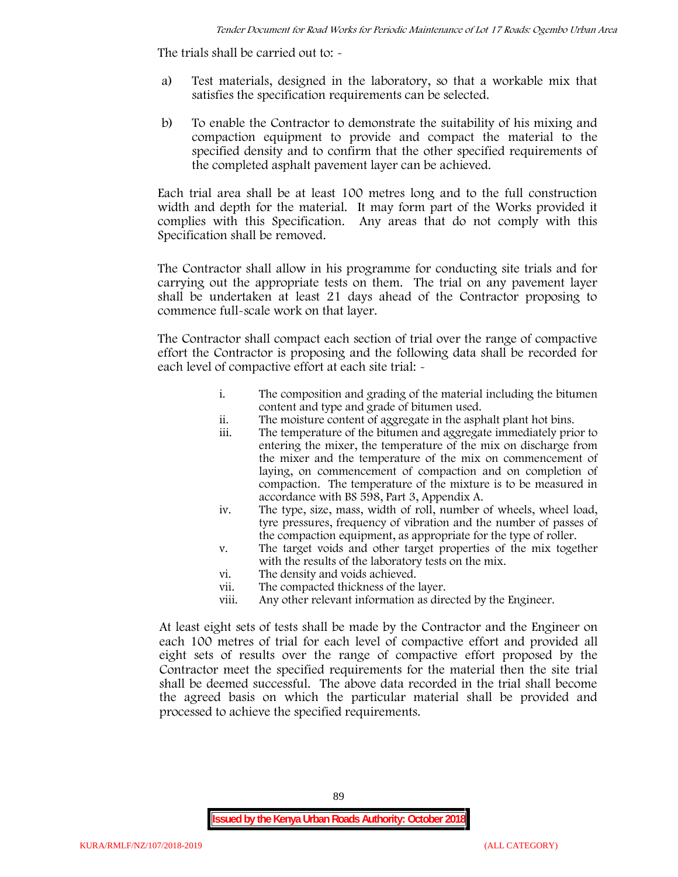The trials shall be carried out to:  $\sim$ 

- a) Test materials, designed in the laboratory, so that a workable mix that satisfies the specification requirements can be selected.
- b) To enable the Contractor to demonstrate the suitability of his mixing and compaction equipment to provide and compact the material to the specified density and to confirm that the other specified requirements of the completed asphalt pavement layer can be achieved.

Each trial area shall be at least 100 metres long and to the full construction width and depth for the material. It may form part of the Works provided it complies with this Specification. Any areas that do not comply with this Specification shall be removed.

The Contractor shall allow in his programme for conducting site trials and for carrying out the appropriate tests on them. The trial on any pavement layer shall be undertaken at least 21 days ahead of the Contractor proposing to commence full-scale work on that layer.

The Contractor shall compact each section of trial over the range of compactive effort the Contractor is proposing and the following data shall be recorded for each level of compactive effort at each site trial:  $\sim$ 

- i. The composition and grading of the material including the bitumen content and type and grade of bitumen used.
- ii. The moisture content of aggregate in the asphalt plant hot bins.
- iii. The temperature of the bitumen and aggregate immediately prior to entering the mixer, the temperature of the mix on discharge from the mixer and the temperature of the mix on commencement of laying, on commencement of compaction and on completion of compaction. The temperature of the mixture is to be measured in accordance with BS 598, Part 3, Appendix A.
- iv. The type, size, mass, width of roll, number of wheels, wheel load, tyre pressures, frequency of vibration and the number of passes of the compaction equipment, as appropriate for the type of roller.
- v. The target voids and other target properties of the mix together with the results of the laboratory tests on the mix.
- vi. The density and voids achieved.
- vii. The compacted thickness of the layer.
- viii. Any other relevant information as directed by the Engineer.

At least eight sets of tests shall be made by the Contractor and the Engineer on each 100 metres of trial for each level of compactive effort and provided all eight sets of results over the range of compactive effort proposed by the Contractor meet the specified requirements for the material then the site trial shall be deemed successful. The above data recorded in the trial shall become the agreed basis on which the particular material shall be provided and processed to achieve the specified requirements.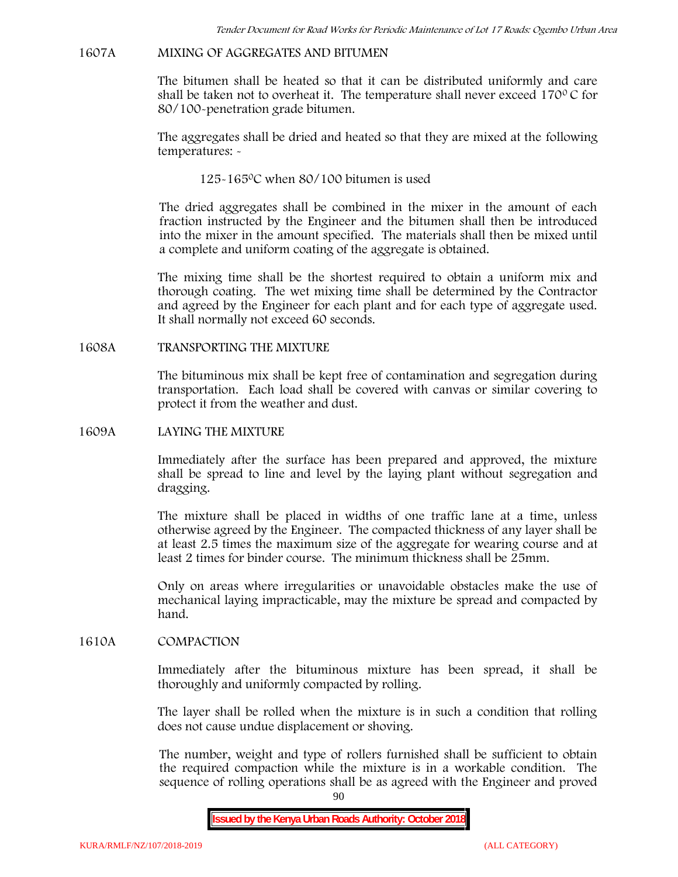### **1607A MIXING OF AGGREGATES AND BITUMEN**

The bitumen shall be heated so that it can be distributed uniformly and care shall be taken not to overheat it. The temperature shall never exceed  $170^{\circ}$ C for 80/100-penetration grade bitumen.

The aggregates shall be dried and heated so that they are mixed at the following temperatures: -

125-1650C when 80/100 bitumen is used

The dried aggregates shall be combined in the mixer in the amount of each fraction instructed by the Engineer and the bitumen shall then be introduced into the mixer in the amount specified. The materials shall then be mixed until a complete and uniform coating of the aggregate is obtained.

The mixing time shall be the shortest required to obtain a uniform mix and thorough coating. The wet mixing time shall be determined by the Contractor and agreed by the Engineer for each plant and for each type of aggregate used. It shall normally not exceed 60 seconds.

**1608A TRANSPORTING THE MIXTURE**

The bituminous mix shall be kept free of contamination and segregation during transportation. Each load shall be covered with canvas or similar covering to protect it from the weather and dust.

### **1609A LAYING THE MIXTURE**

Immediately after the surface has been prepared and approved, the mixture shall be spread to line and level by the laying plant without segregation and dragging.

The mixture shall be placed in widths of one traffic lane at a time, unless otherwise agreed by the Engineer. The compacted thickness of any layer shall be at least 2.5 times the maximum size of the aggregate for wearing course and at least 2 times for binder course. The minimum thickness shall be 25mm.

Only on areas where irregularities or unavoidable obstacles make the use of mechanical laying impracticable, may the mixture be spread and compacted by hand.

## **1610A COMPACTION**

Immediately after the bituminous mixture has been spread, it shall be thoroughly and uniformly compacted by rolling.

The layer shall be rolled when the mixture is in such a condition that rolling does not cause undue displacement or shoving.

The number, weight and type of rollers furnished shall be sufficient to obtain the required compaction while the mixture is in a workable condition. The sequence of rolling operations shall be as agreed with the Engineer and proved

90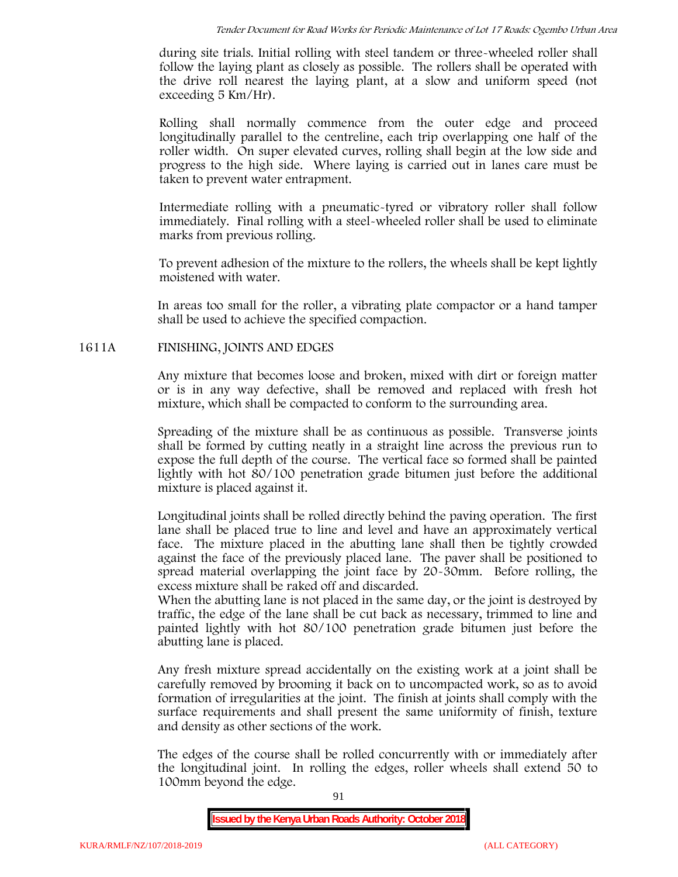during site trials. Initial rolling with steel tandem or three-wheeled roller shall follow the laying plant as closely as possible. The rollers shall be operated with the drive roll nearest the laying plant, at a slow and uniform speed (not exceeding 5 Km/Hr).

Rolling shall normally commence from the outer edge and proceed longitudinally parallel to the centreline, each trip overlapping one half of the roller width. On super elevated curves, rolling shall begin at the low side and progress to the high side. Where laying is carried out in lanes care must be taken to prevent water entrapment.

Intermediate rolling with a pneumatic-tyred or vibratory roller shall follow immediately. Final rolling with a steel-wheeled roller shall be used to eliminate marks from previous rolling.

To prevent adhesion of the mixture to the rollers, the wheels shall be kept lightly moistened with water.

In areas too small for the roller, a vibrating plate compactor or a hand tamper shall be used to achieve the specified compaction.

## **1611A FINISHING, JOINTS AND EDGES**

Any mixture that becomes loose and broken, mixed with dirt or foreign matter or is in any way defective, shall be removed and replaced with fresh hot mixture, which shall be compacted to conform to the surrounding area.

Spreading of the mixture shall be as continuous as possible. Transverse joints shall be formed by cutting neatly in a straight line across the previous run to expose the full depth of the course. The vertical face so formed shall be painted lightly with hot 80/100 penetration grade bitumen just before the additional mixture is placed against it.

Longitudinal joints shall be rolled directly behind the paving operation. The first lane shall be placed true to line and level and have an approximately vertical face. The mixture placed in the abutting lane shall then be tightly crowded against the face of the previously placed lane. The paver shall be positioned to spread material overlapping the joint face by 20-30mm. Before rolling, the excess mixture shall be raked off and discarded.

When the abutting lane is not placed in the same day, or the joint is destroyed by traffic, the edge of the lane shall be cut back as necessary, trimmed to line and painted lightly with hot 80/100 penetration grade bitumen just before the abutting lane is placed.

Any fresh mixture spread accidentally on the existing work at a joint shall be carefully removed by brooming it back on to uncompacted work, so as to avoid formation of irregularities at the joint. The finish at joints shall comply with the surface requirements and shall present the same uniformity of finish, texture and density as other sections of the work.

The edges of the course shall be rolled concurrently with or immediately after the longitudinal joint. In rolling the edges, roller wheels shall extend 50 to 100mm beyond the edge.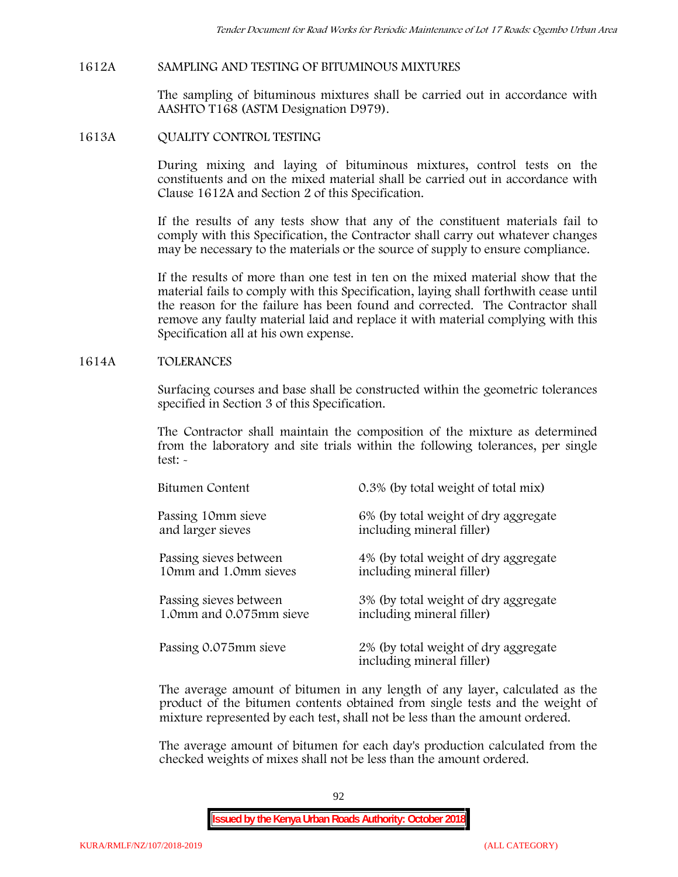#### **1612A SAMPLING AND TESTING OF BITUMINOUS MIXTURES**

The sampling of bituminous mixtures shall be carried out in accordance with AASHTO T168 (ASTM Designation D979).

#### **1613A QUALITY CONTROL TESTING**

During mixing and laying of bituminous mixtures, control tests on the constituents and on the mixed material shall be carried out in accordance with Clause 1612A and Section 2 of this Specification.

If the results of any tests show that any of the constituent materials fail to comply with this Specification, the Contractor shall carry out whatever changes may be necessary to the materials or the source of supply to ensure compliance.

If the results of more than one test in ten on the mixed material show that the material fails to comply with this Specification, laying shall forthwith cease until the reason for the failure has been found and corrected. The Contractor shall remove any faulty material laid and replace it with material complying with this Specification all at his own expense.

#### **1614A TOLERANCES**

Surfacing courses and base shall be constructed within the geometric tolerances specified in Section 3 of this Specification.

The Contractor shall maintain the composition of the mixture as determined from the laboratory and site trials within the following tolerances, per single test: -

| Bitumen Content         | 0.3% (by total weight of total mix)                               |
|-------------------------|-------------------------------------------------------------------|
| Passing 10mm sieve      | 6% (by total weight of dry aggregate                              |
| and larger sieves       | including mineral filler)                                         |
| Passing sieves between  | 4% (by total weight of dry aggregate                              |
| 10mm and 1.0mm sieves   | including mineral filler)                                         |
| Passing sieves between  | 3% (by total weight of dry aggregate                              |
| 1.0mm and 0.075mm sieve | including mineral filler)                                         |
| Passing 0.075mm sieve   | 2% (by total weight of dry aggregate<br>including mineral filler) |

The average amount of bitumen in any length of any layer, calculated as the product of the bitumen contents obtained from single tests and the weight of mixture represented by each test, shall not be less than the amount ordered.

The average amount of bitumen for each day's production calculated from the checked weights of mixes shall not be less than the amount ordered.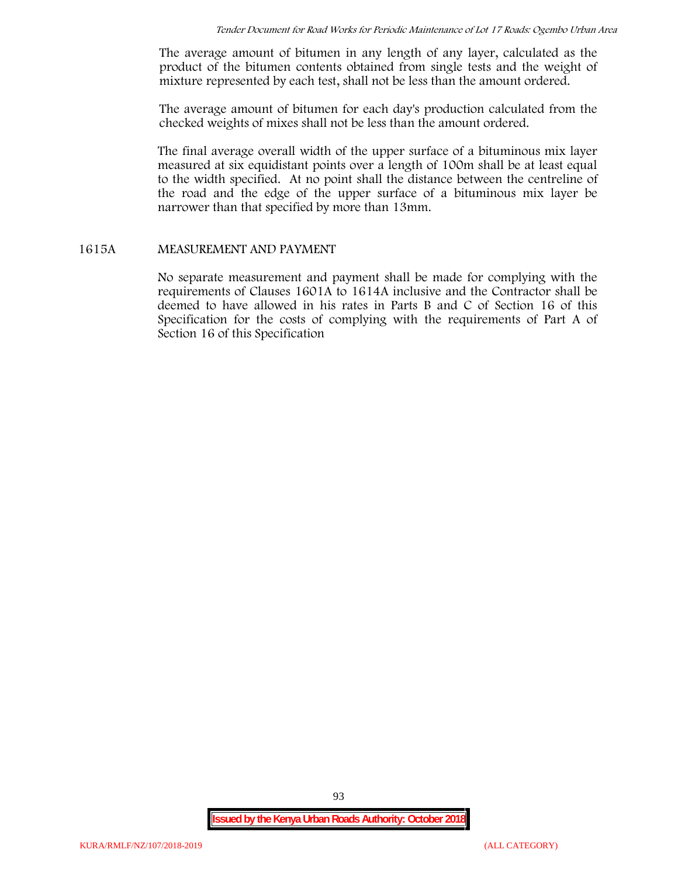The average amount of bitumen in any length of any layer, calculated as the product of the bitumen contents obtained from single tests and the weight of mixture represented by each test, shall not be less than the amount ordered.

The average amount of bitumen for each day's production calculated from the checked weights of mixes shall not be less than the amount ordered.

The final average overall width of the upper surface of a bituminous mix layer measured at six equidistant points over a length of 100m shall be at least equal to the width specified. At no point shall the distance between the centreline of the road and the edge of the upper surface of a bituminous mix layer be narrower than that specified by more than 13mm.

#### **1615A MEASUREMENT AND PAYMENT**

No separate measurement and payment shall be made for complying with the requirements of Clauses 1601A to 1614A inclusive and the Contractor shall be deemed to have allowed in his rates in Parts B and C of Section 16 of this Specification for the costs of complying with the requirements of Part A of Section 16 of this Specification

93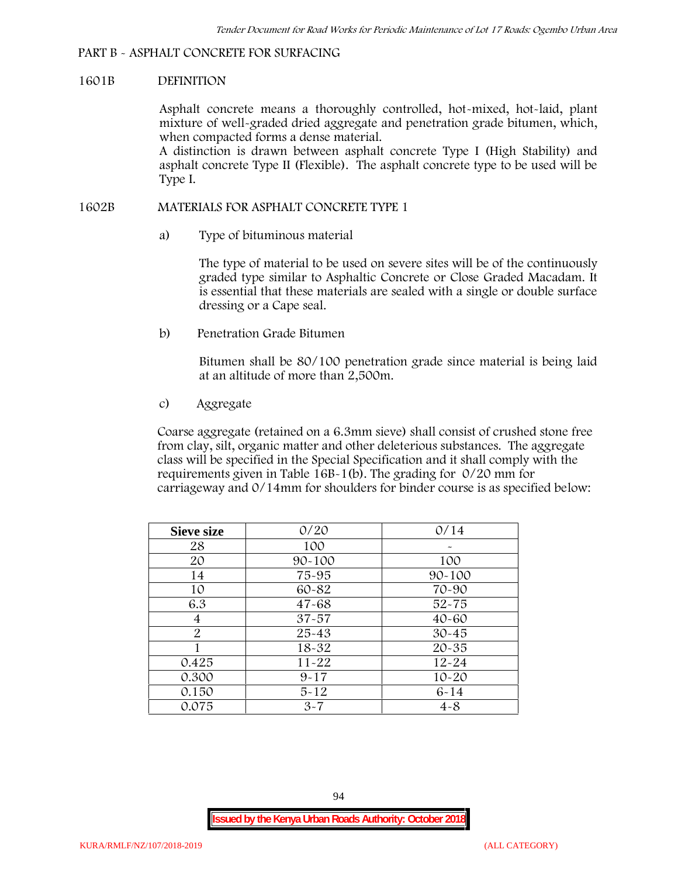## **PART B - ASPHALT CONCRETE FOR SURFACING**

#### **1601B DEFINITION**

Asphalt concrete means a thoroughly controlled, hot-mixed, hot-laid, plant mixture of well-graded dried aggregate and penetration grade bitumen, which, when compacted forms a dense material.

A distinction is drawn between asphalt concrete Type I (High Stability) and asphalt concrete Type II (Flexible). The asphalt concrete type to be used will be Type I.

### **1602B MATERIALS FOR ASPHALT CONCRETE TYPE 1**

a) **Type of bituminous material**

The type of material to be used on severe sites will be of the continuously graded type similar to Asphaltic Concrete or Close Graded Macadam. It is essential that these materials are sealed with a single or double surface dressing or a Cape seal.

b) **Penetration Grade Bitumen**

Bitumen shall be 80/100 penetration grade since material is being laid at an altitude of more than 2,500m.

c) **Aggregate**

Coarse aggregate (retained on a 6.3mm sieve) shall consist of crushed stone free from clay, silt, organic matter and other deleterious substances. The aggregate class will be specified in the Special Specification and it shall comply with the requirements given in Table 16B-1(b). The grading for 0/20 mm for carriageway and 0/14mm for shoulders for binder course is as specified below:

| <b>Sieve size</b> | 0/20       | 0/14       |
|-------------------|------------|------------|
| 28                | 100        |            |
| 20                | $90 - 100$ | 100        |
| 14                | 75-95      | $90 - 100$ |
| 10                | 60-82      | 70-90      |
| 6.3               | $47 - 68$  | $52 - 75$  |
| 4                 | $37 - 57$  | $40 - 60$  |
| $\overline{2}$    | 25-43      | $30 - 45$  |
|                   | 18-32      | $20 - 35$  |
| 0.425             | $11 - 22$  | $12 - 24$  |
| 0.300             | $9 - 17$   | $10 - 20$  |
| 0.150             | $5 - 12$   | $6 - 14$   |
| 0.075             | $3 - 7$    | $4 - 8$    |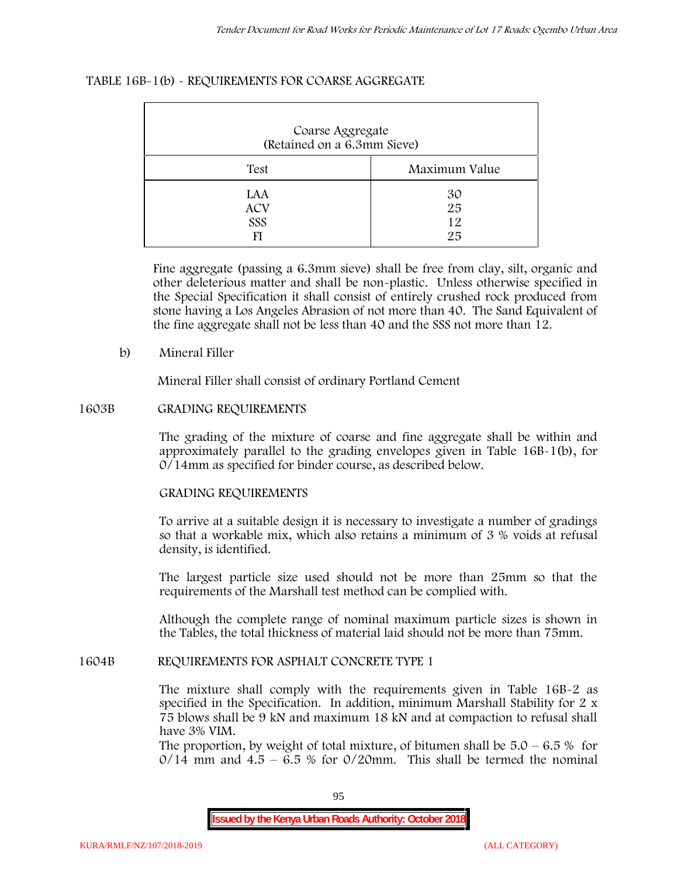### **TABLE 16B-1(b) - REQUIREMENTS FOR COARSE AGGREGATE**

| Coarse Aggregate<br>(Retained on a 6.3mm Sieve) |                      |  |  |  |
|-------------------------------------------------|----------------------|--|--|--|
| Test                                            | Maximum Value        |  |  |  |
| LAA<br><b>ACV</b><br>SSS<br>FI                  | 30<br>25<br>12<br>25 |  |  |  |

Fine aggregate (passing a 6.3mm sieve) shall be free from clay, silt, organic and other deleterious matter and shall be non-plastic. Unless otherwise specified in the Special Specification it shall consist of entirely crushed rock produced from stone having a Los Angeles Abrasion of not more than 40. The Sand Equivalent of the fine aggregate shall not be less than 40 and the SSS not more than 12.

### **b) Mineral Filler**

Mineral Filler shall consist of ordinary Portland Cement

### **1603B GRADING REQUIREMENTS**

The grading of the mixture of coarse and fine aggregate shall be within and approximately parallel to the grading envelopes given in Table 16B-1(b), for 0/14mm as specified for binder course, as described below.

## **GRADING REQUIREMENTS**

To arrive at a suitable design it is necessary to investigate a number of gradings so that a workable mix, which also retains a minimum of 3 % voids at refusal density, is identified.

The largest particle size used should not be more than 25mm so that the requirements of the Marshall test method can be complied with.

Although the complete range of nominal maximum particle sizes is shown in the Tables, the total thickness of material laid should not be more than 75mm.

#### **1604B REQUIREMENTS FOR ASPHALT CONCRETE TYPE 1**

The mixture shall comply with the requirements given in Table 16B-2 as specified in the Specification. In addition, minimum Marshall Stability for 2 x 75 blows shall be 9 kN and maximum 18 kN and at compaction to refusal shall have 3% VIM.

The proportion, by weight of total mixture, of bitumen shall be  $5.0 - 6.5 %$  for  $0/14$  mm and  $4.5 - 6.5$  % for  $0/20$ mm. This shall be termed the nominal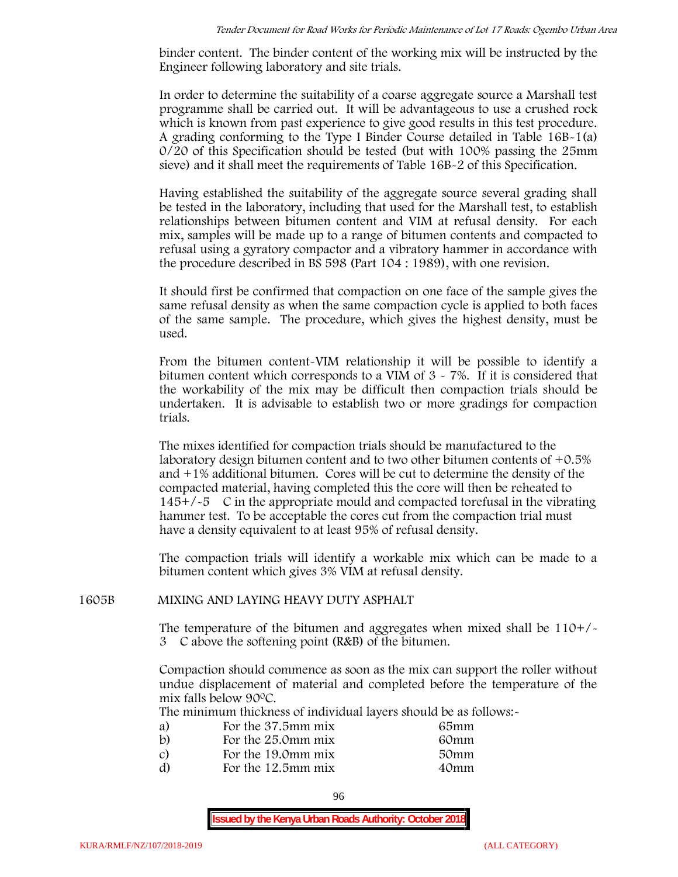binder content. The binder content of the working mix will be instructed by the Engineer following laboratory and site trials.

In order to determine the suitability of a coarse aggregate source a Marshall test programme shall be carried out. It will be advantageous to use a crushed rock which is known from past experience to give good results in this test procedure. A grading conforming to the Type I Binder Course detailed in Table 16B-1(a) 0/20 of this Specification should be tested (but with 100% passing the 25mm sieve) and it shall meet the requirements of Table 16B-2 of this Specification.

Having established the suitability of the aggregate source several grading shall be tested in the laboratory, including that used for the Marshall test, to establish relationships between bitumen content and VIM at refusal density. For each mix, samples will be made up to a range of bitumen contents and compacted to refusal using a gyratory compactor and a vibratory hammer in accordance with the procedure described in BS 598 (Part 104 : 1989), with one revision.

It should first be confirmed that compaction on one face of the sample gives the same refusal density as when the same compaction cycle is applied to both faces of the same sample. The procedure, which gives the highest density, must be used.

From the bitumen content-VIM relationship it will be possible to identify a bitumen content which corresponds to a VIM of 3 - 7%. If it is considered that the workability of the mix may be difficult then compaction trials should be undertaken. It is advisable to establish two or more gradings for compaction trials.

The mixes identified for compaction trials should be manufactured to the laboratory design bitumen content and to two other bitumen contents of +0.5% and +1% additional bitumen. Cores will be cut to determine the density of the compacted material, having completed this the core will then be reheated to  $145+/5$  C in the appropriate mould and compacted torefusal in the vibrating hammer test. To be acceptable the cores cut from the compaction trial must have a density equivalent to at least 95% of refusal density.

The compaction trials will identify a workable mix which can be made to a bitumen content which gives 3% VIM at refusal density.

## **1605B MIXING AND LAYING HEAVY DUTY ASPHALT**

The temperature of the bitumen and aggregates when mixed shall be 110+/- 3C above the softening point (R&B) of the bitumen.

Compaction should commence as soon as the mix can support the roller without undue displacement of material and completed before the temperature of the mix falls below 900C.

The minimum thickness of individual layers should be as follows:-

| a) | For the 37.5mm mix | 65mm |  |
|----|--------------------|------|--|
| b) | For the 25.0mm mix | 60mm |  |
| C) | For the 19.0mm mix | 50mm |  |
| d) | For the 12.5mm mix | 40mm |  |
|    |                    |      |  |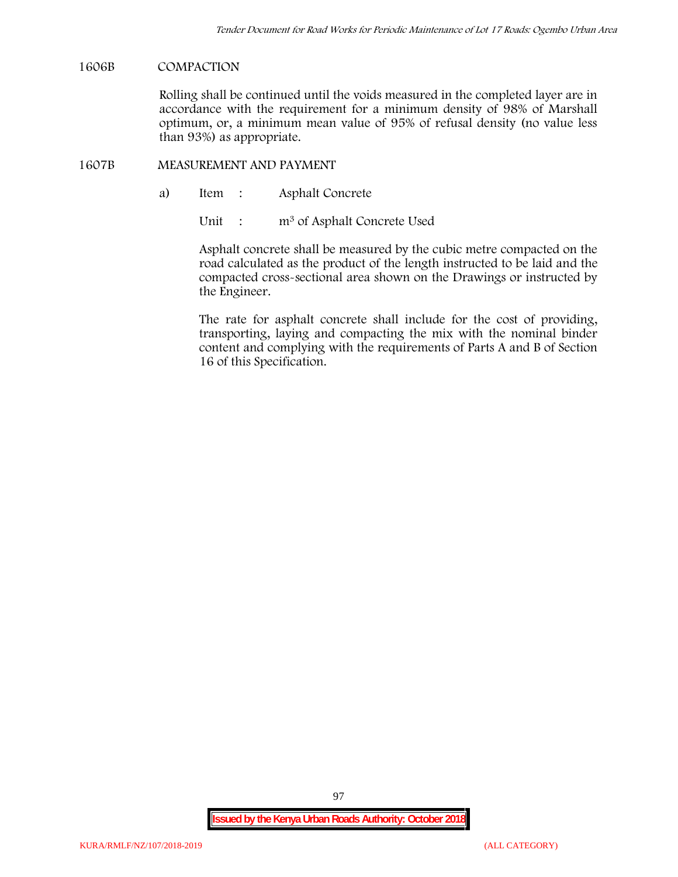### **1606B COMPACTION**

Rolling shall be continued until the voids measured in the completed layer are in accordance with the requirement for a minimum density of 98% of Marshall optimum, or, a minimum mean value of 95% of refusal density (no value less than 93%) as appropriate.

### **1607B MEASUREMENT AND PAYMENT**

a) Item : Asphalt Concrete

Unit : m<sup>3</sup> of Asphalt Concrete Used

Asphalt concrete shall be measured by the cubic metre compacted on the road calculated as the product of the length instructed to be laid and the compacted cross-sectional area shown on the Drawings or instructed by the Engineer.

The rate for asphalt concrete shall include for the cost of providing, transporting, laying and compacting the mix with the nominal binder content and complying with the requirements of Parts A and B of Section 16 of this Specification.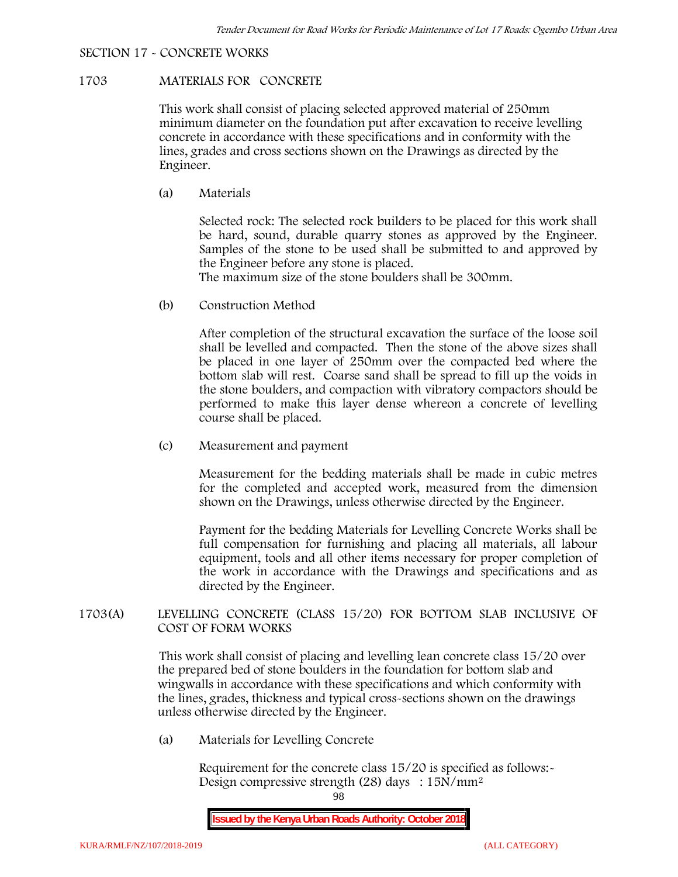## **SECTION 17 - CONCRETE WORKS**

## **1703 MATERIALS FOR CONCRETE**

This work shall consist of placing selected approved material of 250mm minimum diameter on the foundation put after excavation to receive levelling concrete in accordance with these specifications and in conformity with the lines, grades and cross sections shown on the Drawings as directed by the Engineer.

(a) **Materials**

Selected rock: The selected rock builders to be placed for this work shall be hard, sound, durable quarry stones as approved by the Engineer. Samples of the stone to be used shall be submitted to and approved by the Engineer before any stone is placed.

The maximum size of the stone boulders shall be 300mm.

(b) **Construction Method**

After completion of the structural excavation the surface of the loose soil shall be levelled and compacted. Then the stone of the above sizes shall be placed in one layer of 250mm over the compacted bed where the bottom slab will rest. Coarse sand shall be spread to fill up the voids in the stone boulders, and compaction with vibratory compactors should be performed to make this layer dense whereon a concrete of levelling course shall be placed.

(c) **Measurement and payment**

Measurement for the bedding materials shall be made in cubic metres for the completed and accepted work, measured from the dimension shown on the Drawings, unless otherwise directed by the Engineer.

Payment for the bedding Materials for Levelling Concrete Works shall be full compensation for furnishing and placing all materials, all labour equipment, tools and all other items necessary for proper completion of the work in accordance with the Drawings and specifications and as directed by the Engineer.

## **1703(A) LEVELLING CONCRETE (CLASS 15/20) FOR BOTTOM SLAB INCLUSIVE OF COST OF FORM WORKS**

This work shall consist of placing and levelling lean concrete class 15/20 over the prepared bed of stone boulders in the foundation for bottom slab and wingwalls in accordance with these specifications and which conformity with the lines, grades, thickness and typical cross-sections shown on the drawings unless otherwise directed by the Engineer.

(a) **Materials for Levelling Concrete**

Requirement for the concrete class  $15/20$  is specified as follows:-Design compressive strength (28) days : 15N/mm2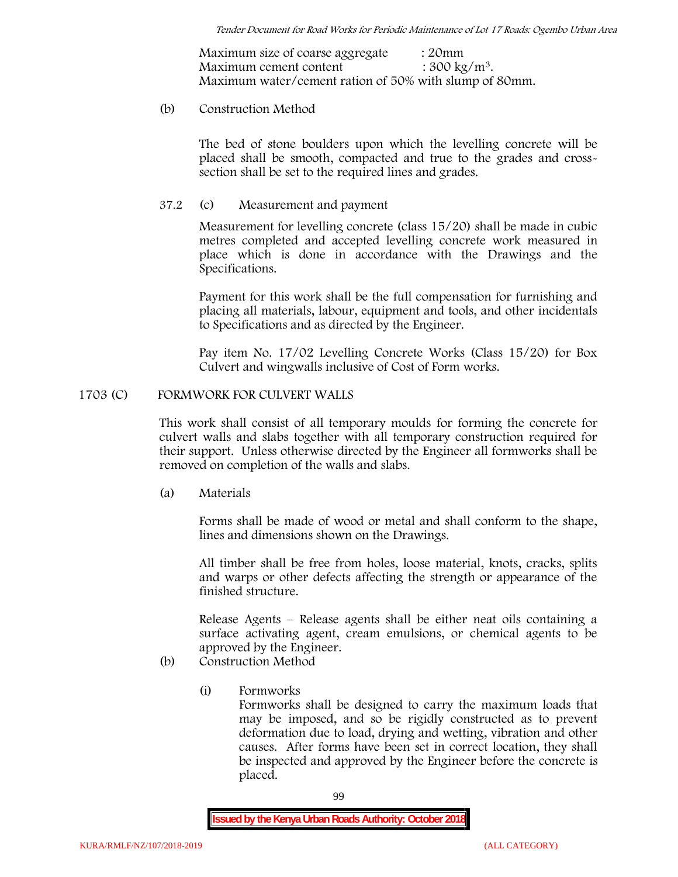Maximum size of coarse aggregate : 20mm Maximum cement content  $: 300 \text{ kg/m}^3$ . Maximum water/cement ration of 50% with slump of 80mm.

## (b) **Construction Method**

The bed of stone boulders upon which the levelling concrete will be placed shall be smooth, compacted and true to the grades and crosssection shall be set to the required lines and grades.

## **37.2** (c) **Measurement and payment**

Measurement for levelling concrete (class 15/20) shall be made in cubic metres completed and accepted levelling concrete work measured in place which is done in accordance with the Drawings and the Specifications.

Payment for this work shall be the full compensation for furnishing and placing all materials, labour, equipment and tools, and other incidentals to Specifications and as directed by the Engineer.

Pay item No. 17/02 Levelling Concrete Works (Class 15/20) for Box Culvert and wingwalls inclusive of Cost of Form works.

## **1703 (C) FORMWORK FOR CULVERT WALLS**

This work shall consist of all temporary moulds for forming the concrete for culvert walls and slabs together with all temporary construction required for their support. Unless otherwise directed by the Engineer all formworks shall be removed on completion of the walls and slabs.

(a) **Materials**

Forms shall be made of wood or metal and shall conform to the shape, lines and dimensions shown on the Drawings.

All timber shall be free from holes, loose material, knots, cracks, splits and warps or other defects affecting the strength or appearance of the finished structure.

Release Agents – Release agents shall be either neat oils containing a surface activating agent, cream emulsions, or chemical agents to be approved by the Engineer.

# (b) **Construction Method**

(i) **Formworks**

Formworks shall be designed to carry the maximum loads that may be imposed, and so be rigidly constructed as to prevent deformation due to load, drying and wetting, vibration and other causes. After forms have been set in correct location, they shall be inspected and approved by the Engineer before the concrete is placed.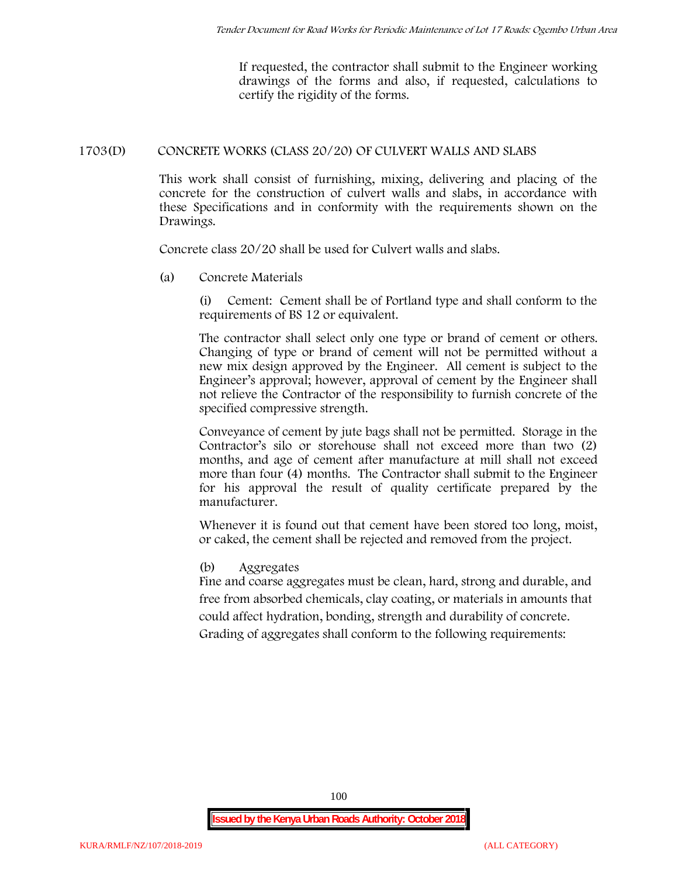If requested, the contractor shall submit to the Engineer working drawings of the forms and also, if requested, calculations to certify the rigidity of the forms.

## **1703(D) CONCRETE WORKS (CLASS 20/20) OF CULVERT WALLS AND SLABS**

This work shall consist of furnishing, mixing, delivering and placing of the concrete for the construction of culvert walls and slabs, in accordance with these Specifications and in conformity with the requirements shown on the Drawings.

Concrete class 20/20 shall be used for Culvert walls and slabs.

**(a) Concrete Materials**

(i) Cement: Cement shall be of Portland type and shall conform to the requirements of BS 12 or equivalent.

The contractor shall select only one type or brand of cement or others. Changing of type or brand of cement will not be permitted without a new mix design approved by the Engineer. All cement is subject to the Engineer's approval; however, approval of cement by the Engineer shall not relieve the Contractor of the responsibility to furnish concrete of the specified compressive strength.

Conveyance of cement by jute bags shall not be permitted. Storage in the Contractor's silo or storehouse shall not exceed more than two (2) months, and age of cement after manufacture at mill shall not exceed more than four (4) months. The Contractor shall submit to the Engineer for his approval the result of quality certificate prepared by the manufacturer.

Whenever it is found out that cement have been stored too long, moist, or caked, the cement shall be rejected and removed from the project.

# **(b) Aggregates**

Fine and coarse aggregates must be clean, hard, strong and durable, and free from absorbed chemicals, clay coating, or materials in amounts that could affect hydration, bonding, strength and durability of concrete. Grading of aggregates shall conform to the following requirements: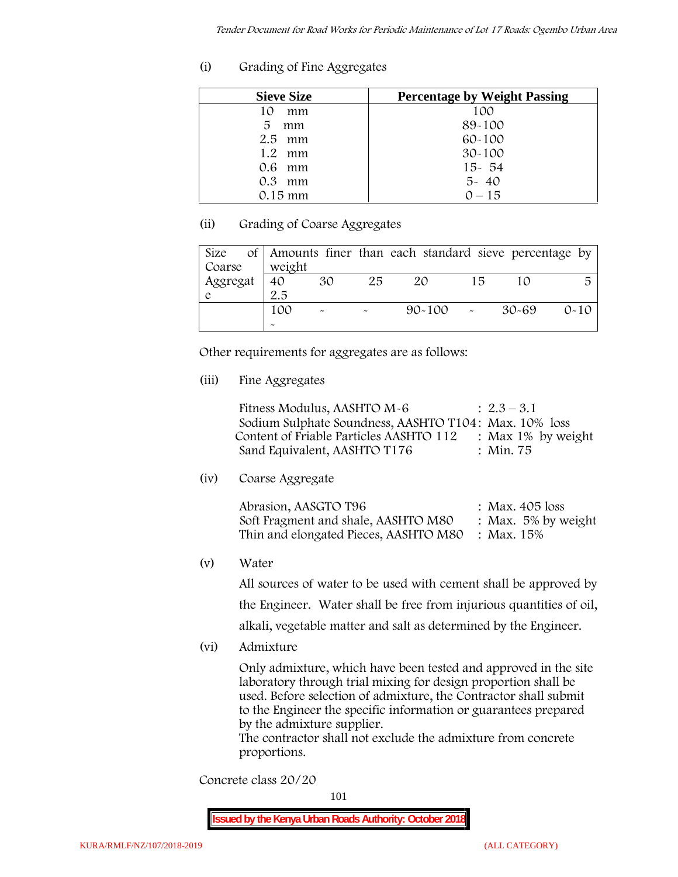# **(i) Grading of Fine Aggregates**

| <b>Sieve Size</b> | <b>Percentage by Weight Passing</b> |
|-------------------|-------------------------------------|
| 10<br>mm          | 100                                 |
| 5.<br>mm          | 89-100                              |
| $2.5$ mm          | $60 - 100$                          |
| $1.2$ mm          | $30 - 100$                          |
| $0.6$ mm          | $15 - 54$                           |
| $0.3$ mm          | $5 - 40$                            |
| $0.15 \text{ mm}$ | $0 - 15$                            |

# **(ii) Grading of Coarse Aggregates**

| Size     |                       |                           |    | of Amounts finer than each standard sieve percentage by |    |       |          |
|----------|-----------------------|---------------------------|----|---------------------------------------------------------|----|-------|----------|
| Coarse   | weight                |                           |    |                                                         |    |       |          |
| Aggregat | 40                    | 30                        | 25 | 20                                                      | 15 |       | 局        |
|          | 2.5                   |                           |    |                                                         |    |       |          |
|          | 100                   | $\widetilde{\phantom{m}}$ |    | $90 - 100$ -                                            |    | 30-69 | $0 - 10$ |
|          | $\tilde{\phantom{a}}$ |                           |    |                                                         |    |       |          |

Other requirements for aggregates are as follows:

# **(iii) Fine Aggregates**

| Fitness Modulus, AASHTO M-6                           | $: 2.3 - 3.1$         |
|-------------------------------------------------------|-----------------------|
| Sodium Sulphate Soundness, AASHTO T104: Max. 10% loss |                       |
| Content of Friable Particles AASHTO 112               | : Max $1\%$ by weight |
| Sand Equivalent, AASHTO T176                          | : Min. 75             |

**(iv) Coarse Aggregate**

| Abrasion, AASGTO T96                             | : Max. $405$ loss      |
|--------------------------------------------------|------------------------|
| Soft Fragment and shale, AASHTO M80              | : Max. $5\%$ by weight |
| Thin and elongated Pieces, AASHTO M80 : Max. 15% |                        |

**(v) Water**

All sources of water to be used with cement shall be approved by the Engineer. Water shall be free from injurious quantities of oil, alkali, vegetable matter and salt as determined by the Engineer.

- **(vi) Admixture**
	-

Only admixture, which have been tested and approved in the site laboratory through trial mixing for design proportion shall be used. Before selection of admixture, the Contractor shall submit to the Engineer the specific information or guarantees prepared by the admixture supplier.

The contractor shall not exclude the admixture from concrete proportions.

**Concrete class 20/20**

101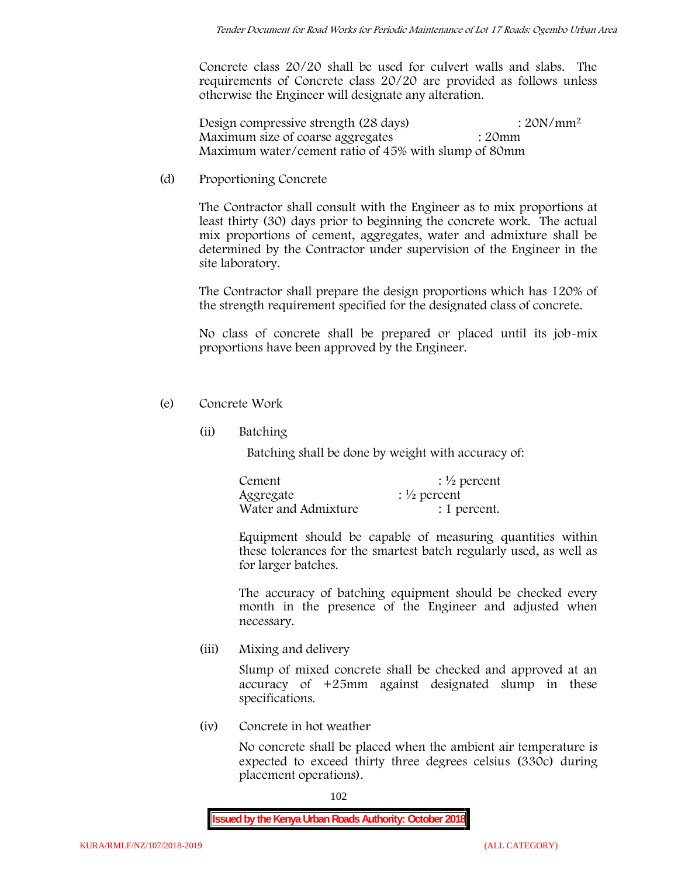Concrete class 20/20 shall be used for culvert walls and slabs. The requirements of Concrete class 20/20 are provided as follows unless otherwise the Engineer will designate any alteration.

Design compressive strength (28 days) : 20N/mm<sup>2</sup> Maximum size of coarse aggregates : 20mm Maximum water/cement ratio of 45% with slump of 80mm

(d) **Proportioning Concrete**

The Contractor shall consult with the Engineer as to mix proportions at least thirty (30) days prior to beginning the concrete work. The actual mix proportions of cement, aggregates, water and admixture shall be determined by the Contractor under supervision of the Engineer in the site laboratory.

The Contractor shall prepare the design proportions which has 120% of the strength requirement specified for the designated class of concrete.

No class of concrete shall be prepared or placed until its job-mix proportions have been approved by the Engineer.

- (e) **Concrete Work**
	- **(ii) Batching**

Batching shall be done by weight with accuracy of:

| Cement              | $\frac{1}{2}$ percent |
|---------------------|-----------------------|
| Aggregate           | $\frac{1}{2}$ percent |
| Water and Admixture | : 1 percent.          |

Equipment should be capable of measuring quantities within these tolerances for the smartest batch regularly used, as well as for larger batches.

The accuracy of batching equipment should be checked every month in the presence of the Engineer and adjusted when necessary.

**(iii) Mixing and delivery**

Slump of mixed concrete shall be checked and approved at an accuracy of +25mm against designated slump in these specifications.

**(iv) Concrete in hot weather**

No concrete shall be placed when the ambient air temperature is expected to exceed thirty three degrees celsius (330c) during placement operations).

102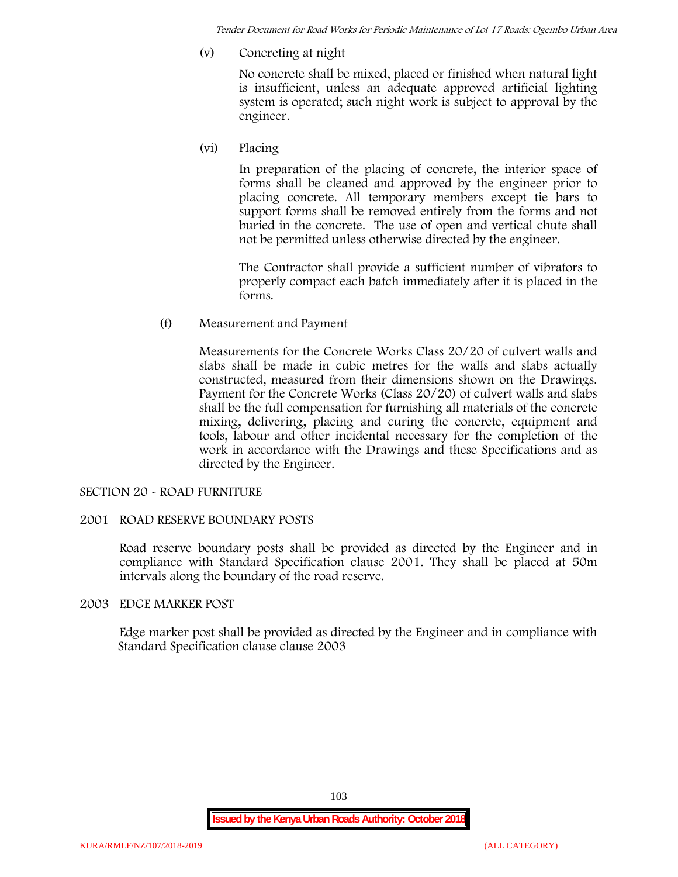*Tender Document for Road Works for Periodic Maintenance of Lot 17 Roads: Ogembo Urban Area*

**(v) Concreting at night**

No concrete shall be mixed, placed or finished when natural light is insufficient, unless an adequate approved artificial lighting system is operated; such night work is subject to approval by the engineer.

**(vi) Placing**

In preparation of the placing of concrete, the interior space of forms shall be cleaned and approved by the engineer prior to placing concrete. All temporary members except tie bars to support forms shall be removed entirely from the forms and not buried in the concrete. The use of open and vertical chute shall not be permitted unless otherwise directed by the engineer.

The Contractor shall provide a sufficient number of vibrators to properly compact each batch immediately after it is placed in the forms.

(f) **Measurement and Payment**

Measurements for the Concrete Works Class 20/20 of culvert walls and slabs shall be made in cubic metres for the walls and slabs actually constructed, measured from their dimensions shown on the Drawings. Payment for the Concrete Works (Class 20/20) of culvert walls and slabs shall be the full compensation for furnishing all materials of the concrete mixing, delivering, placing and curing the concrete, equipment and tools, labour and other incidental necessary for the completion of the work in accordance with the Drawings and these Specifications and as directed by the Engineer.

## **SECTION 20 - ROAD FURNITURE**

## **2001 ROAD RESERVE BOUNDARY POSTS**

Road reserve boundary posts shall be provided as directed by the Engineer and in compliance with Standard Specification clause 2001. They shall be placed at 50m intervals along the boundary of the road reserve.

#### **2003 EDGE MARKER POST**

Edge marker post shall be provided as directed by the Engineer and in compliance with Standard Specification clause clause 2003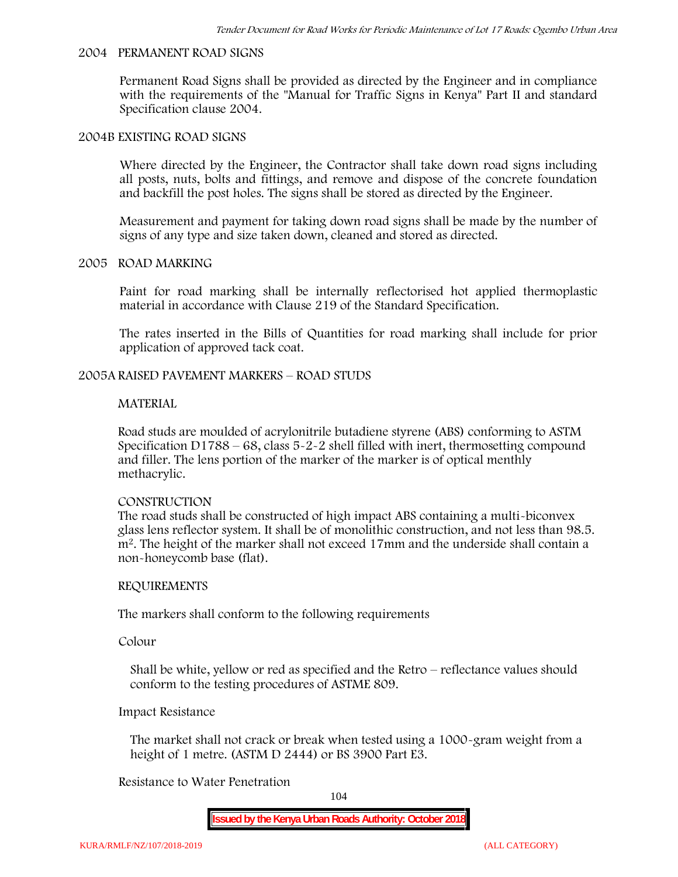#### **2004 PERMANENT ROAD SIGNS**

Permanent Road Signs shall be provided as directed by the Engineer and in compliance with the requirements of the "Manual for Traffic Signs in Kenya" Part II and standard Specification clause 2004.

#### **2004B EXISTING ROAD SIGNS**

Where directed by the Engineer, the Contractor shall take down road signs including all posts, nuts, bolts and fittings, and remove and dispose of the concrete foundation and backfill the post holes. The signs shall be stored as directed by the Engineer.

Measurement and payment for taking down road signs shall be made by the number of signs of any type and size taken down, cleaned and stored as directed.

#### **2005 ROAD MARKING**

Paint for road marking shall be internally reflectorised hot applied thermoplastic material in accordance with Clause 219 of the Standard Specification.

The rates inserted in the Bills of Quantities for road marking shall include for prior application of approved tack coat.

### **2005A RAISED PAVEMENT MARKERS – ROAD STUDS**

#### **MATERIAL**

Road studs are moulded of acrylonitrile butadiene styrene (ABS) conforming to ASTM Specification D1788 – 68, class  $5 - 2 - 2$  shell filled with inert, thermosetting compound and filler. The lens portion of the marker of the marker is of optical menthly methacrylic.

#### **CONSTRUCTION**

The road studs shall be constructed of high impact ABS containing a multi-biconvex glass lens reflector system. It shall be of monolithic construction, and not less than 98.5. m2. The height of the marker shall not exceed 17mm and the underside shall contain a non-honeycomb base (flat).

#### **REQUIREMENTS**

The markers shall conform to the following requirements

**Colour**

Shall be white, yellow or red as specified and the Retro – reflectance values should conform to the testing procedures of ASTME 809.

### **Impact Resistance**

The market shall not crack or break when tested using a 1000**-**gram weight from a height of 1 metre. (ASTM D 2444) or BS 3900 Part E3.

### **Resistance to Water Penetration**

104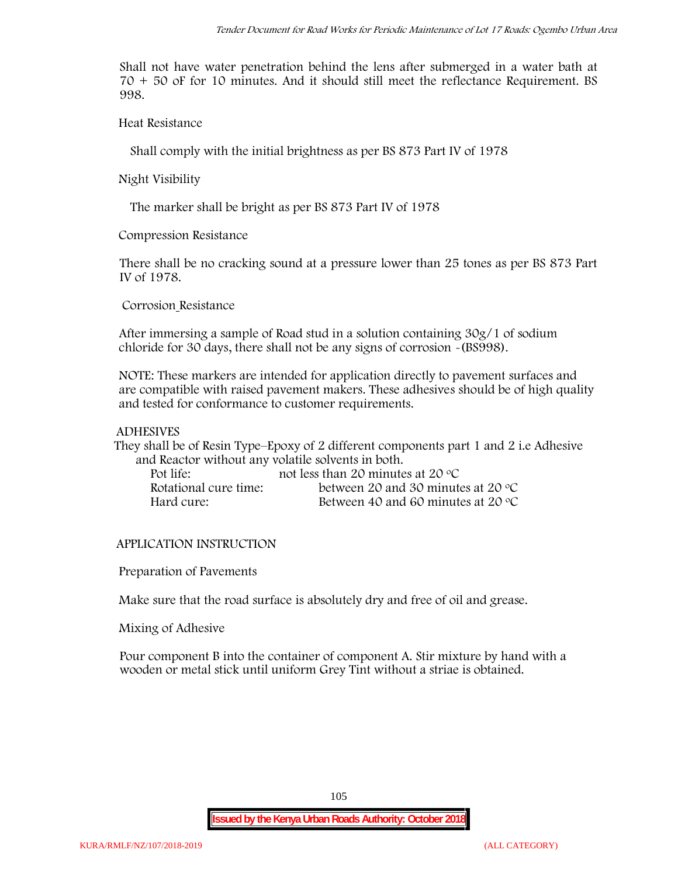Shall not have water penetration behind the lens after submerged in a water bath at 70 + 50 oF for 10 minutes. And it should still meet the reflectance Requirement. BS 998.

**Heat Resistance**

Shall comply with the initial brightness as per BS 873 Part IV of 1978

**Night Visibility**

The marker shall be bright as per BS 873 Part IV of 1978

**Compression Resistance**

There shall be no cracking sound at a pressure lower than 25 tones as per BS 873 Part IV of 1978.

**Corrosion Resistance**

After immersing a sample of Road stud in a solution containing 30g/1 of sodium chloride for 30 days, there shall not be any signs of corrosion **-**(BS998).

**NOTE**: These markers are intended for application directly to pavement surfaces and are compatible with raised pavement makers. These adhesives should be of high quality and tested for conformance to customer requirements.

## **ADHESIVES**

They shall be of Resin Type–Epoxy of 2 different components part 1 and 2 i.e Adhesive and Reactor without any volatile solvents in both.

| Pot life:             | not less than 20 minutes at 20 $\mathrm{^{\circ}C}$ |
|-----------------------|-----------------------------------------------------|
| Rotational cure time: | between 20 and 30 minutes at 20 $\degree$ C         |
| Hard cure:            | Between 40 and 60 minutes at 20 $\degree$ C         |

# **APPLICATION INSTRUCTION**

**Preparation of Pavements**

Make sure that the road surface is absolutely dry and free of oil and grease**.**

**Mixing of Adhesive**

Pour component B into the container of component A. Stir mixture by hand with a wooden or metal stick until uniform Grey Tint without a striae is obtained.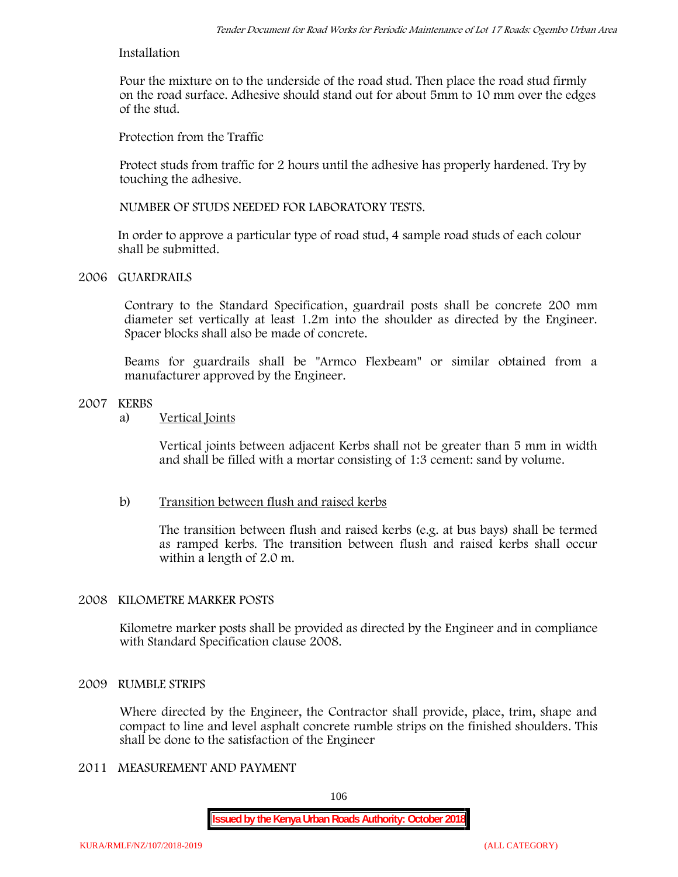#### **Installation**

Pour the mixture on to the underside of the road stud. Then place the road stud firmly on the road surface. Adhesive should stand out for about 5mm to 10 mm over the edges of the stud.

**Protection from the Traffic**

Protect studs from traffic for 2 hours until the adhesive has properly hardened. Try by touching the adhesive.

**NUMBER OF STUDS NEEDED FOR LABORATORY TESTS.**

In order to approve a particular type of road stud, 4 sample road studs of each colour shall be submitted.

### **2006 GUARDRAILS**

Contrary to the Standard Specification, guardrail posts shall be concrete 200 mm diameter set vertically at least 1.2m into the shoulder as directed by the Engineer. Spacer blocks shall also be made of concrete.

Beams for guardrails shall be "Armco Flexbeam" or similar obtained from a manufacturer approved by the Engineer.

#### **2007 KERBS**

a) **Vertical Joints**

Vertical joints between adjacent Kerbs shall not be greater than 5 mm in width and shall be filled with a mortar consisting of 1:3 cement: sand by volume.

## b) **Transition between flush and raised kerbs**

The transition between flush and raised kerbs (e.g. at bus bays) shall be termed as ramped kerbs. The transition between flush and raised kerbs shall occur within a length of 2.0 m.

## **2008 KILOMETRE MARKER POSTS**

Kilometre marker posts shall be provided as directed by the Engineer and in compliance with Standard Specification clause 2008.

#### **2009 RUMBLE STRIPS**

Where directed by the Engineer, the Contractor shall provide, place, trim, shape and compact to line and level asphalt concrete rumble strips on the finished shoulders. This shall be done to the satisfaction of the Engineer

# **2011 MEASUREMENT AND PAYMENT**

106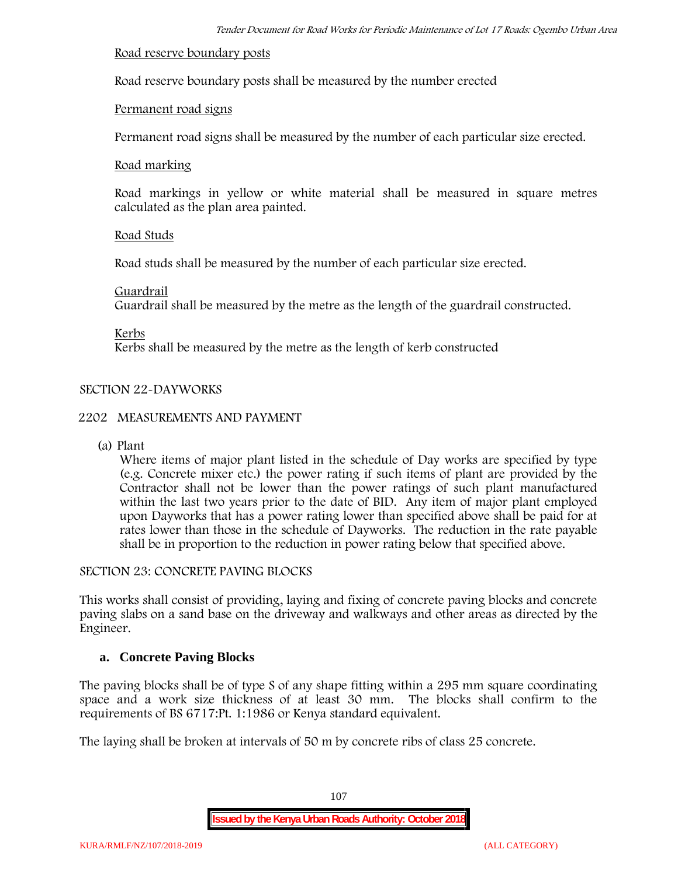### **Road reserve boundary posts**

Road reserve boundary posts shall be measured by the number erected

## **Permanent road signs**

Permanent road signs shall be measured by the number of each particular size erected.

### **Road marking**

Road markings in yellow or white material shall be measured in square metres calculated as the plan area painted.

## **Road Studs**

Road studs shall be measured by the number of each particular size erected.

### **Guardrail**

Guardrail shall be measured by the metre as the length of the guardrail constructed.

**Kerbs**

Kerbs shall be measured by the metre as the length of kerb constructed

## **SECTION 22-DAYWORKS**

## **2202 MEASUREMENTS AND PAYMENT**

(a) Plant

Where items of major plant listed in the schedule of Day works are specified by type (e.g. Concrete mixer etc.) the power rating if such items of plant are provided by the Contractor shall not be lower than the power ratings of such plant manufactured within the last two years prior to the date of BID. Any item of major plant employed upon Dayworks that has a power rating lower than specified above shall be paid for at rates lower than those in the schedule of Dayworks. The reduction in the rate payable shall be in proportion to the reduction in power rating below that specified above.

## **SECTION 23: CONCRETE PAVING BLOCKS**

This works shall consist of providing, laying and fixing of concrete paving blocks and concrete paving slabs on a sand base on the driveway and walkways and other areas as directed by the Engineer.

## **a. Concrete Paving Blocks**

The paving blocks shall be of type S of any shape fitting within a 295 mm square coordinating space and a work size thickness of at least 30 mm. The blocks shall confirm to the requirements of BS 6717:Pt. 1:1986 or Kenya standard equivalent.

The laying shall be broken at intervals of 50 m by concrete ribs of class 25 concrete.

107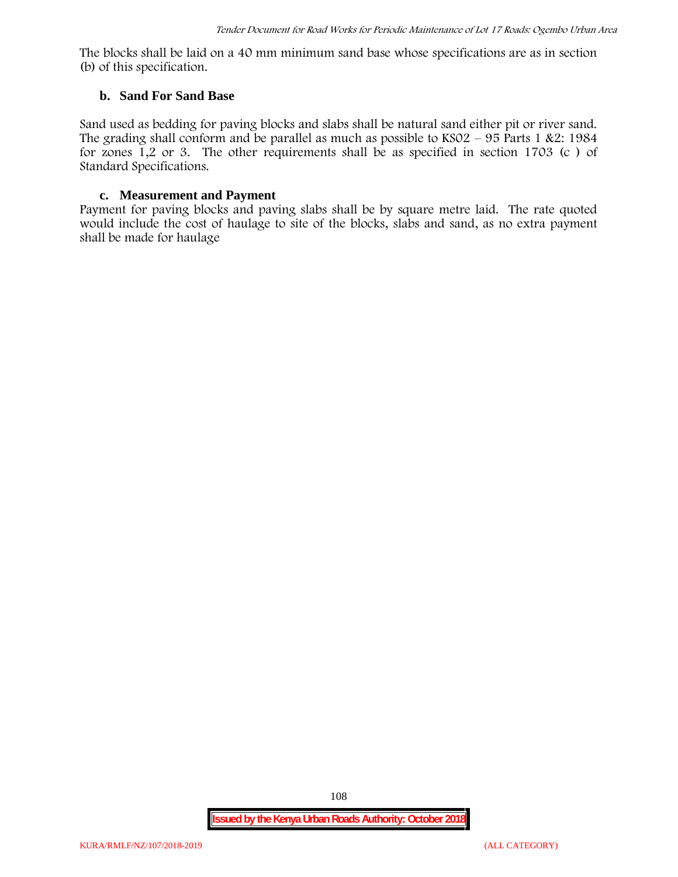The blocks shall be laid on a 40 mm minimum sand base whose specifications are as in section (b) of this specification.

#### **b. Sand For Sand Base**

Sand used as bedding for paving blocks and slabs shall be natural sand either pit or river sand. The grading shall conform and be parallel as much as possible to  $KSO2 - 95$  Parts 1 &2: 1984 for zones 1,2 or 3. The other requirements shall be as specified in section 1703 (c ) of Standard Specifications.

#### **c. Measurement and Payment**

Payment for paving blocks and paving slabs shall be by square metre laid. The rate quoted would include the cost of haulage to site of the blocks, slabs and sand, as no extra payment shall be made for haulage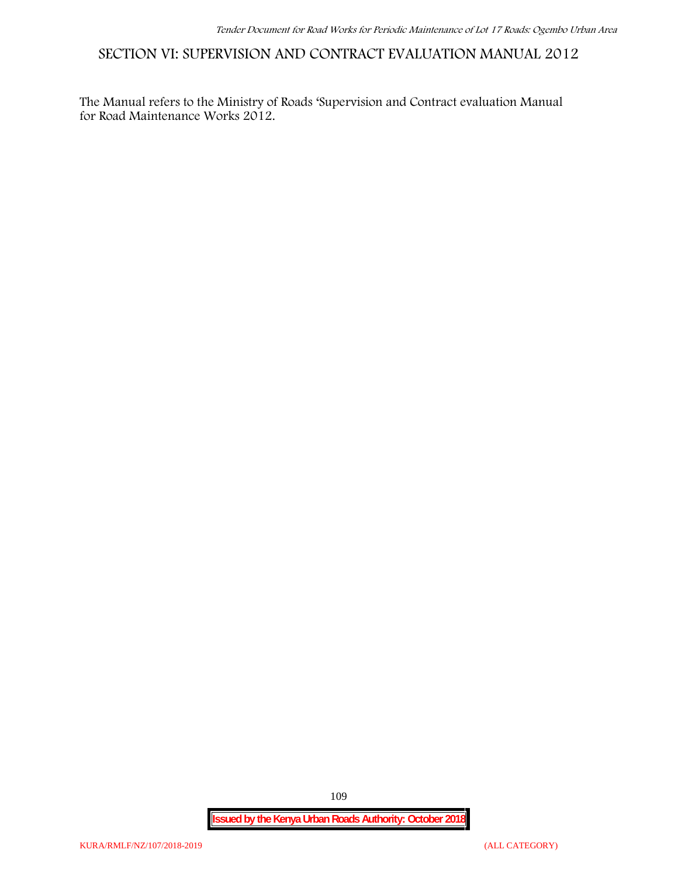**SECTION VI: SUPERVISION AND CONTRACT EVALUATION MANUAL 2012**

The Manual refers to the Ministry of Roads 'Supervision and Contract evaluation Manual for Road Maintenance Works 2012.

**Issued by the Kenya Urban Roads Authority: October 2018**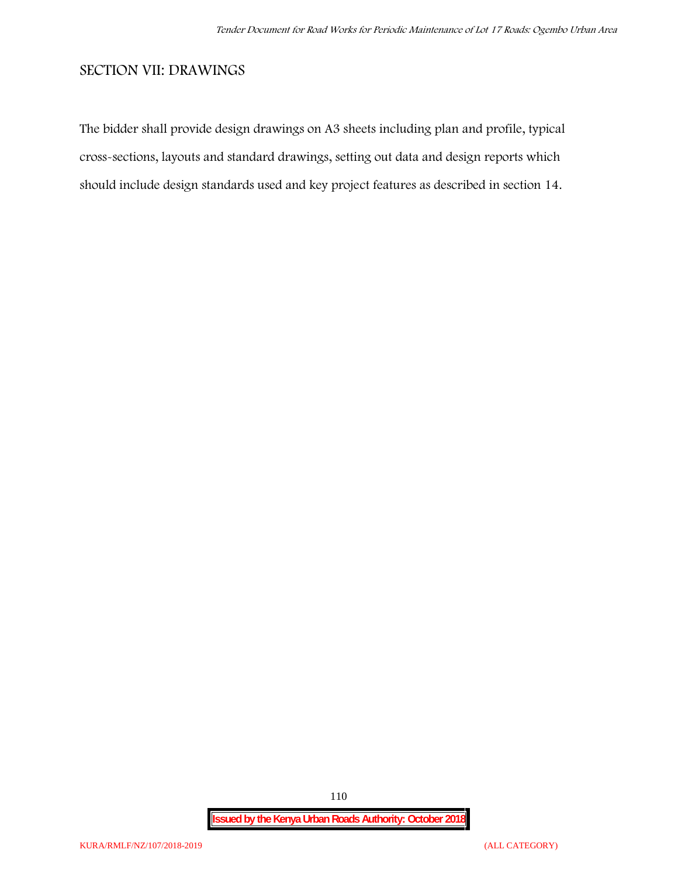# **SECTION VII: DRAWINGS**

The bidder shall provide design drawings on A3 sheets including plan and profile, typical cross-sections, layouts and standard drawings, setting out data and design reports which should include design standards used and key project features as described in section 14.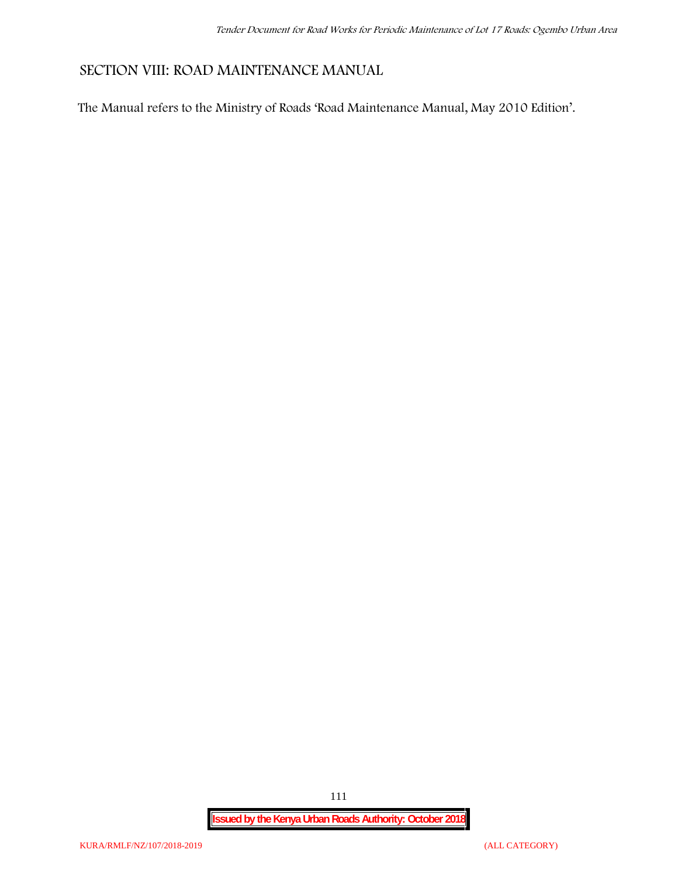# **SECTION VIII: ROAD MAINTENANCE MANUAL**

The Manual refers to the Ministry of Roads 'Road Maintenance Manual, May 2010 Edition'.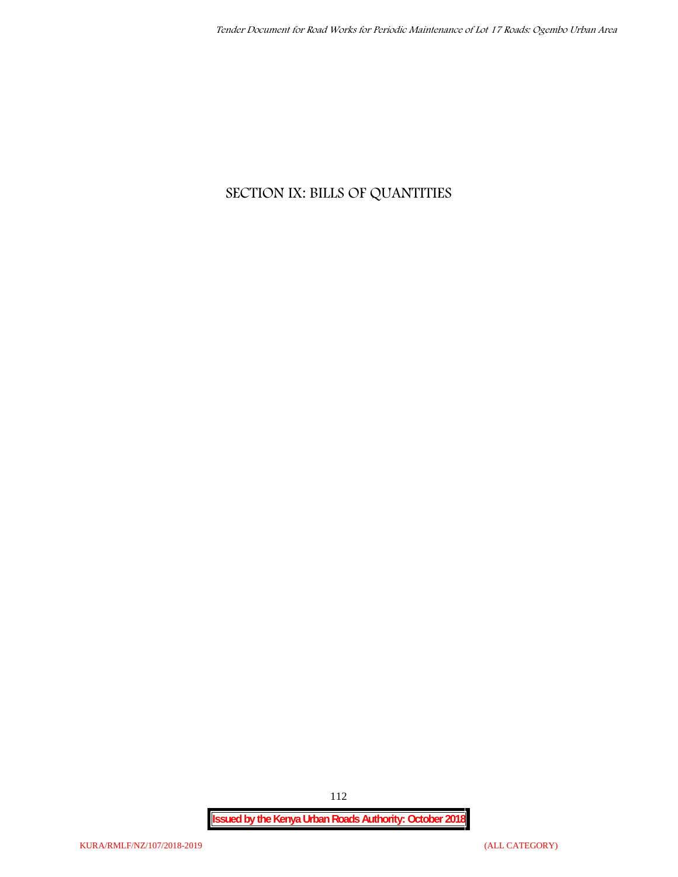# **SECTION IX: BILLS OF QUANTITIES**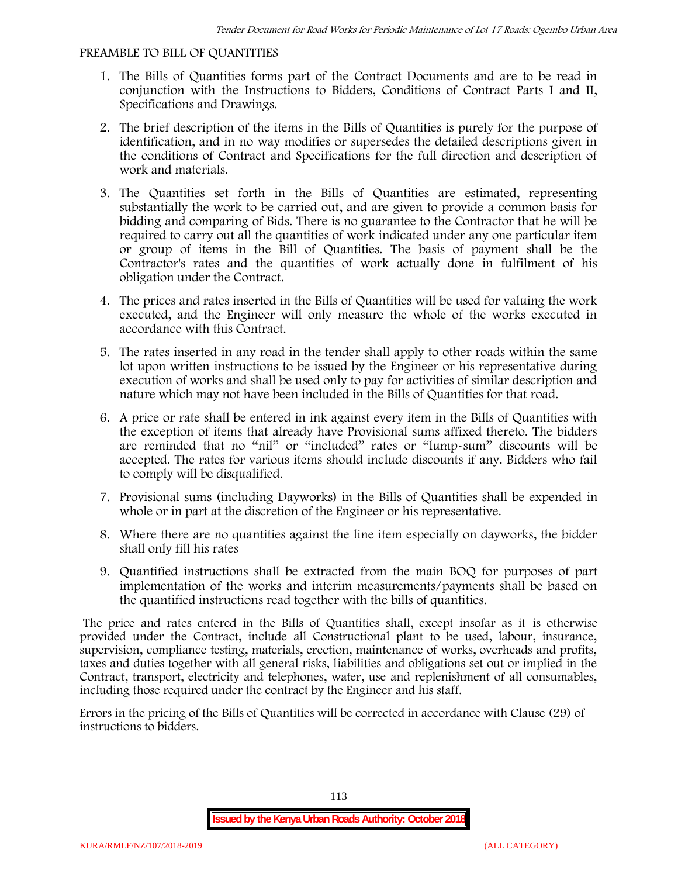#### **PREAMBLE TO BILL OF QUANTITIES**

- 1. The Bills of Quantities forms part of the Contract Documents and are to be read in conjunction with the Instructions to Bidders, Conditions of Contract Parts I and II, Specifications and Drawings.
- 2. The brief description of the items in the Bills of Quantities is purely for the purpose of identification, and in no way modifies or supersedes the detailed descriptions given in the conditions of Contract and Specifications for the full direction and description of work and materials.
- 3. The Quantities set forth in the Bills of Quantities are estimated, representing substantially the work to be carried out, and are given to provide a common basis for bidding and comparing of Bids. There is no guarantee to the Contractor that he will be required to carry out all the quantities of work indicated under any one particular item or group of items in the Bill of Quantities. The basis of payment shall be the Contractor's rates and the quantities of work actually done in fulfilment of his obligation under the Contract.
- 4. The prices and rates inserted in the Bills of Quantities will be used for valuing the work executed, and the Engineer will only measure the whole of the works executed in accordance with this Contract.
- 5. The rates inserted in any road in the tender shall apply to other roads within the same lot upon written instructions to be issued by the Engineer or his representative during execution of works and shall be used only to pay for activities of similar description and nature which may not have been included in the Bills of Quantities for that road.
- 6. A price or rate shall be entered in ink against every item in the Bills of Quantities with the exception of items that already have Provisional sums affixed thereto. The bidders are reminded that no "nil" or "included" rates or "lump-sum" discounts will be accepted. The rates for various items should include discounts if any. Bidders who fail to comply will be disqualified.
- 7. Provisional sums (including Dayworks) in the Bills of Quantities shall be expended in whole or in part at the discretion of the Engineer or his representative.
- 8. Where there are no quantities against the line item especially on dayworks, the bidder shall only fill his rates
- 9. Quantified instructions shall be extracted from the main BOQ for purposes of part implementation of the works and interim measurements/payments shall be based on the quantified instructions read together with the bills of quantities.

The price and rates entered in the Bills of Quantities shall, except insofar as it is otherwise provided under the Contract, include all Constructional plant to be used, labour, insurance, supervision, compliance testing, materials, erection, maintenance of works, overheads and profits, taxes and duties together with all general risks, liabilities and obligations set out or implied in the Contract, transport, electricity and telephones, water, use and replenishment of all consumables, including those required under the contract by the Engineer and his staff.

Errors in the pricing of the Bills of Quantities will be corrected in accordance with Clause (29) of instructions to bidders.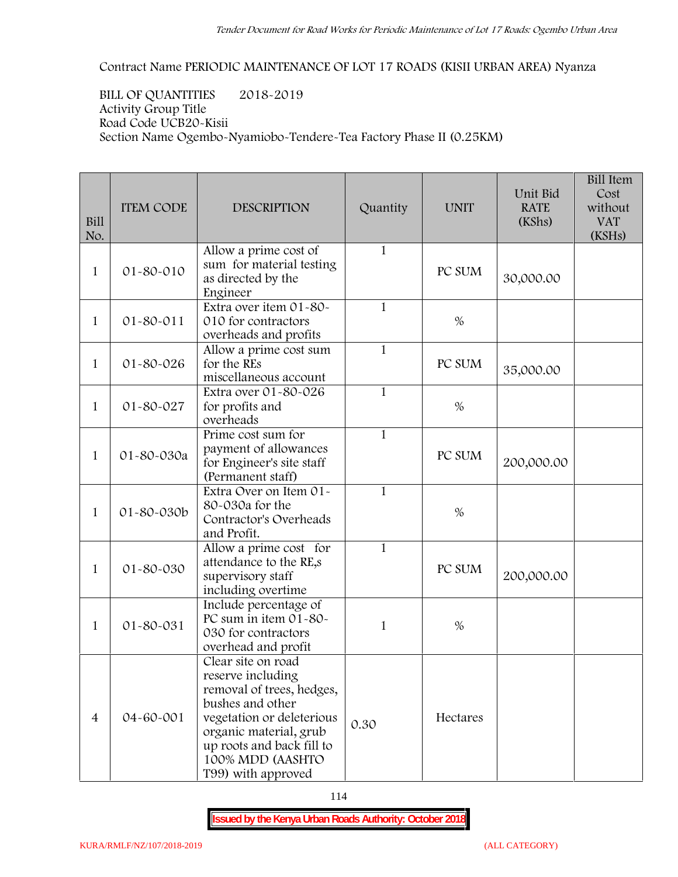**Contract Name PERIODIC MAINTENANCE OF LOT 17 ROADS (KISII URBAN AREA) Nyanza**

**BILL OF QUANTITIES 2018-2019 Activity Group Title Road Code UCB20-Kisii Section Name Ogembo-Nyamiobo-Tendere-Tea Factory Phase II (0.25KM)**

| <b>Bill</b><br>No. | <b>ITEM CODE</b> | <b>DESCRIPTION</b>                                                                                                                                                                                                     | Quantity     | <b>UNIT</b> | Unit Bid<br><b>RATE</b><br>(KShs) | <b>Bill Item</b><br>Cost<br>without<br><b>VAT</b><br>(KSHs) |
|--------------------|------------------|------------------------------------------------------------------------------------------------------------------------------------------------------------------------------------------------------------------------|--------------|-------------|-----------------------------------|-------------------------------------------------------------|
| 1                  | 01-80-010        | Allow a prime cost of<br>sum for material testing<br>as directed by the<br>Engineer                                                                                                                                    | $\mathbf{1}$ | PC SUM      | 30,000.00                         |                                                             |
| 1                  | $01 - 80 - 011$  | Extra over item 01-80-<br>010 for contractors<br>overheads and profits                                                                                                                                                 | $\mathbf{1}$ | $\%$        |                                   |                                                             |
| 1                  | 01-80-026        | Allow a prime cost sum<br>for the REs<br>miscellaneous account                                                                                                                                                         | $\mathbf{1}$ | PC SUM      | 35,000.00                         |                                                             |
| 1                  | 01-80-027        | Extra over 01-80-026<br>for profits and<br>overheads                                                                                                                                                                   | $\mathbf{1}$ | $\%$        |                                   |                                                             |
| 1                  | 01-80-030a       | Prime cost sum for<br>payment of allowances<br>for Engineer's site staff<br>(Permanent staff)                                                                                                                          | $\mathbf{1}$ | PC SUM      | 200,000.00                        |                                                             |
| 1                  | 01-80-030b       | Extra Over on Item 01-<br>80-030a for the<br>Contractor's Overheads<br>and Profit.                                                                                                                                     | $\mathbf{1}$ | $\%$        |                                   |                                                             |
| 1                  | 01-80-030        | Allow a prime cost for<br>attendance to the RE,s<br>supervisory staff<br>including overtime                                                                                                                            | $\mathbf{1}$ | PC SUM      | 200,000.00                        |                                                             |
| 1                  | 01-80-031        | Include percentage of<br>PC sum in item 01-80-<br>030 for contractors<br>overhead and profit                                                                                                                           | 1            | $\%$        |                                   |                                                             |
| $\overline{4}$     | 04-60-001        | Clear site on road<br>reserve including<br>removal of trees, hedges,<br>bushes and other<br>vegetation or deleterious<br>organic material, grub<br>up roots and back fill to<br>100% MDD (AASHTO<br>T99) with approved | 0.30         | Hectares    |                                   |                                                             |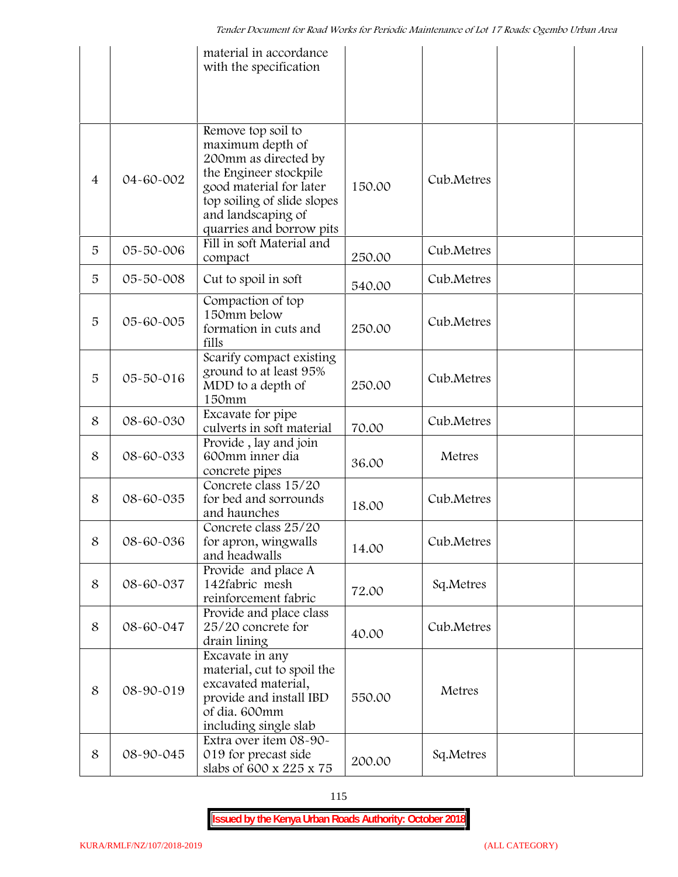|                |           | material in accordance<br>with the specification                                                                                                                                                     |        |            |  |
|----------------|-----------|------------------------------------------------------------------------------------------------------------------------------------------------------------------------------------------------------|--------|------------|--|
|                |           |                                                                                                                                                                                                      |        |            |  |
|                |           |                                                                                                                                                                                                      |        |            |  |
| $\overline{4}$ | 04-60-002 | Remove top soil to<br>maximum depth of<br>200mm as directed by<br>the Engineer stockpile<br>good material for later<br>top soiling of slide slopes<br>and landscaping of<br>quarries and borrow pits | 150.00 | Cub.Metres |  |
| 5              | 05-50-006 | Fill in soft Material and<br>compact                                                                                                                                                                 | 250.00 | Cub.Metres |  |
| 5              | 05-50-008 | Cut to spoil in soft                                                                                                                                                                                 | 540.00 | Cub.Metres |  |
| 5              | 05-60-005 | Compaction of top<br>150mm below<br>formation in cuts and<br>fills                                                                                                                                   | 250.00 | Cub.Metres |  |
| 5              | 05-50-016 | Scarify compact existing<br>ground to at least 95%<br>MDD to a depth of<br>150mm                                                                                                                     | 250.00 | Cub.Metres |  |
| 8              | 08-60-030 | Excavate for pipe<br>culverts in soft material                                                                                                                                                       | 70.00  | Cub.Metres |  |
| 8              | 08-60-033 | Provide, lay and join<br>600mm inner dia<br>concrete pipes                                                                                                                                           | 36.00  | Metres     |  |
| 8              | 08-60-035 | Concrete class 15/20<br>for bed and sorrounds<br>and haunches<br>Concrete class 25/20                                                                                                                | 18.00  | Cub.Metres |  |
| 8              | 08-60-036 | for apron, wingwalls<br>and headwalls                                                                                                                                                                | 14.00  | Cub.Metres |  |
| 8              | 08-60-037 | Provide and place A<br>142fabric mesh<br>reinforcement fabric                                                                                                                                        | 72.00  | Sq.Metres  |  |
| 8              | 08-60-047 | Provide and place class<br>25/20 concrete for<br>drain lining                                                                                                                                        | 40.00  | Cub.Metres |  |
| 8              | 08-90-019 | Excavate in any<br>material, cut to spoil the<br>excavated material,<br>provide and install IBD<br>of dia. 600mm<br>including single slab                                                            | 550.00 | Metres     |  |
| 8              | 08-90-045 | Extra over item 08-90-<br>019 for precast side<br>slabs of 600 x 225 x 75                                                                                                                            | 200.00 | Sq.Metres  |  |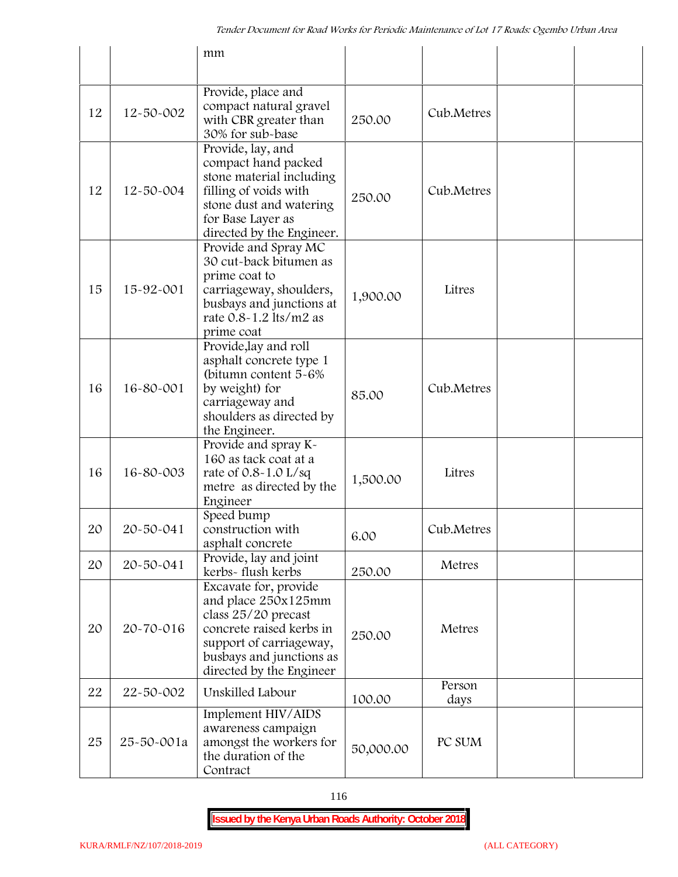|    |            | mm                                                                                                                                                                                 |           |                |  |
|----|------------|------------------------------------------------------------------------------------------------------------------------------------------------------------------------------------|-----------|----------------|--|
| 12 | 12-50-002  | Provide, place and<br>compact natural gravel<br>with CBR greater than<br>30% for sub-base                                                                                          | 250.00    | Cub.Metres     |  |
| 12 | 12-50-004  | Provide, lay, and<br>compact hand packed<br>stone material including<br>filling of voids with<br>stone dust and watering<br>for Base Layer as<br>directed by the Engineer.         | 250.00    | Cub.Metres     |  |
| 15 | 15-92-001  | Provide and Spray MC<br>30 cut-back bitumen as<br>prime coat to<br>carriageway, shoulders,<br>busbays and junctions at<br>rate 0.8-1.2 lts/m2 as<br>prime coat                     | 1,900.00  | Litres         |  |
| 16 | 16-80-001  | Provide, lay and roll<br>asphalt concrete type 1<br>(bitumn content 5-6%)<br>by weight) for<br>carriageway and<br>shoulders as directed by<br>the Engineer.                        | 85.00     | Cub.Metres     |  |
| 16 | 16-80-003  | Provide and spray K-<br>160 as tack coat at a<br>rate of 0.8-1.0 L/sq<br>metre as directed by the<br>Engineer                                                                      | 1,500.00  | Litres         |  |
| 20 | 20-50-041  | Speed bump<br>construction with<br>asphalt concrete                                                                                                                                | 6.00      | Cub.Metres     |  |
| 20 | 20-50-041  | Provide, lay and joint<br>kerbs-flush kerbs                                                                                                                                        | 250.00    | Metres         |  |
| 20 | 20-70-016  | Excavate for, provide<br>and place 250x125mm<br>class 25/20 precast<br>concrete raised kerbs in<br>support of carriageway,<br>busbays and junctions as<br>directed by the Engineer | 250.00    | Metres         |  |
| 22 | 22-50-002  | Unskilled Labour                                                                                                                                                                   | 100.00    | Person<br>days |  |
| 25 | 25-50-001a | Implement HIV/AIDS<br>awareness campaign<br>amongst the workers for<br>the duration of the<br>Contract                                                                             | 50,000.00 | PC SUM         |  |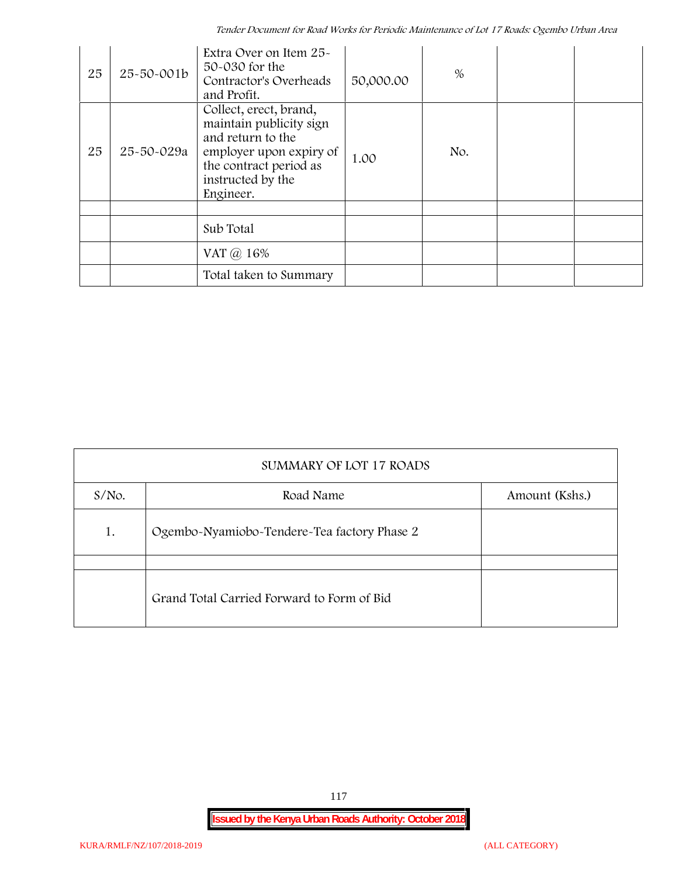*Tender Document for Road Works for Periodic Maintenance of Lot 17 Roads: Ogembo Urban Area*

| 25 | 25-50-001b | Extra Over on Item 25~<br>50-030 for the<br>Contractor's Overheads<br>and Profit.                                                                             | 50,000.00 | %   |  |
|----|------------|---------------------------------------------------------------------------------------------------------------------------------------------------------------|-----------|-----|--|
| 25 | 25-50-029a | Collect, erect, brand,<br>maintain publicity sign<br>and return to the<br>employer upon expiry of<br>the contract period as<br>instructed by the<br>Engineer. | 1.00      | No. |  |
|    |            |                                                                                                                                                               |           |     |  |
|    |            | Sub Total                                                                                                                                                     |           |     |  |
|    |            | VAT @ 16%                                                                                                                                                     |           |     |  |
|    |            | Total taken to Summary                                                                                                                                        |           |     |  |

| SUMMARY OF LOT 17 ROADS |                                             |                |  |  |  |
|-------------------------|---------------------------------------------|----------------|--|--|--|
| $S/NO$ .                | Road Name                                   | Amount (Kshs.) |  |  |  |
| 1.                      | Ogembo-Nyamiobo-Tendere-Tea factory Phase 2 |                |  |  |  |
|                         |                                             |                |  |  |  |
|                         | Grand Total Carried Forward to Form of Bid  |                |  |  |  |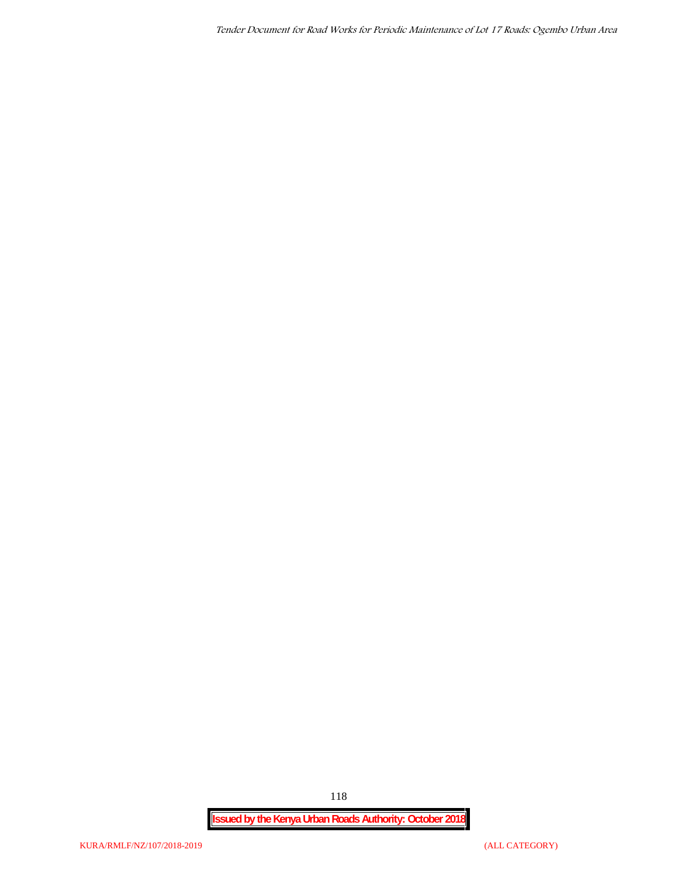*Tender Document for Road Works for Periodic Maintenance of Lot 17 Roads: Ogembo Urban Area*

**Issued by the Kenya Urban Roads Authority: October 2018**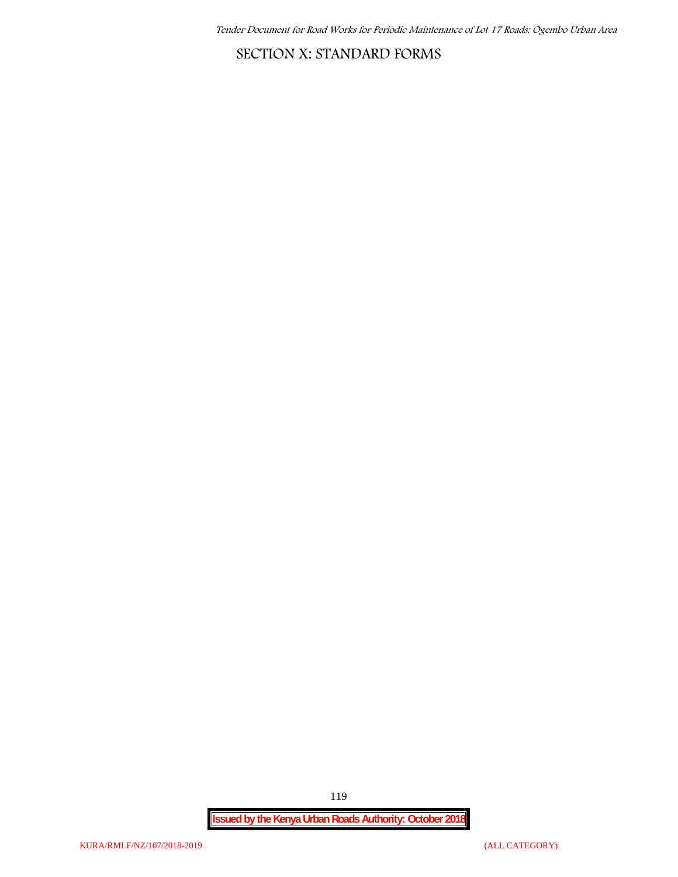**SECTION X: STANDARD FORMS**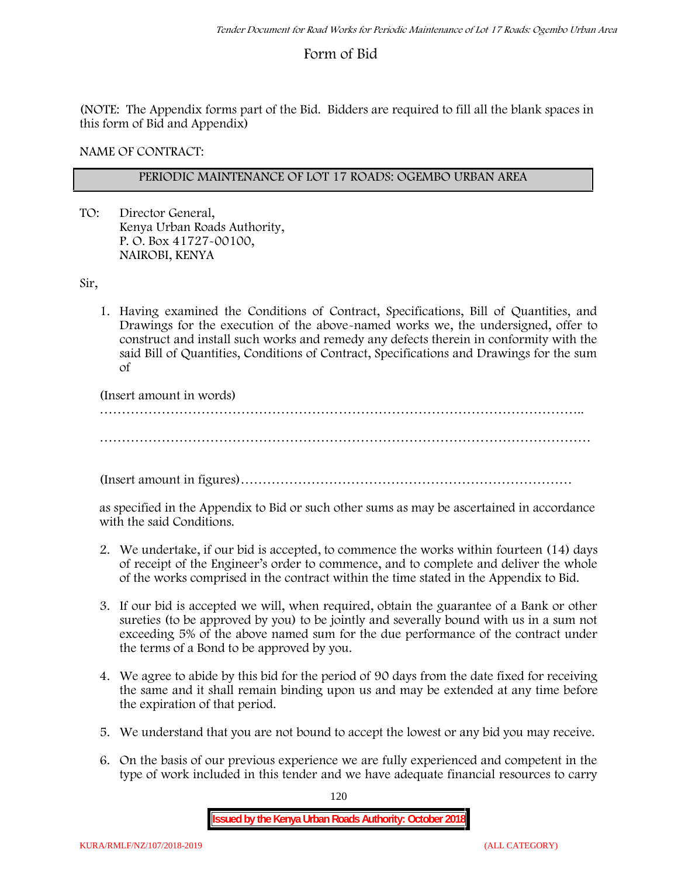# **Form of Bid**

(NOTE: The Appendix forms part of the Bid. Bidders are required to fill all the blank spaces in this form of Bid and Appendix)

**NAME OF CONTRACT:**

# **PERIODIC MAINTENANCE OF LOT 17 ROADS: OGEMBO URBAN AREA**

TO: Director General, Kenya Urban Roads Authority, P. O. Box 41727-00100, **NAIROBI, KENYA**

Sir,

1. Having examined the Conditions of Contract, Specifications, Bill of Quantities, and Drawings for the execution of the above-named works we, the undersigned, offer to construct and install such works and remedy any defects therein in conformity with the said Bill of Quantities, Conditions of Contract, Specifications and Drawings for the sum of

(Insert amount in words)

………………………………………………………………………………………………..

…………………………………………………………………………………………………

(Insert amount in figures)…………………………………………………………………

as specified in the Appendix to Bid or such other sums as may be ascertained in accordance with the said Conditions.

- 2. We undertake, if our bid is accepted, to commence the works within fourteen (14) days of receipt of the Engineer's order to commence, and to complete and deliver the whole of the works comprised in the contract within the time stated in the Appendix to Bid.
- 3. If our bid is accepted we will, when required, obtain the guarantee of a Bank or other sureties (to be approved by you) to be jointly and severally bound with us in a sum not exceeding 5% of the above named sum for the due performance of the contract under the terms of a Bond to be approved by you.
- 4. We agree to abide by this bid for the period of 90 days from the date fixed for receiving the same and it shall remain binding upon us and may be extended at any time before the expiration of that period.
- 5. We understand that you are not bound to accept the lowest or any bid you may receive.
- 6. On the basis of our previous experience we are fully experienced and competent in the type of work included in this tender and we have adequate financial resources to carry

120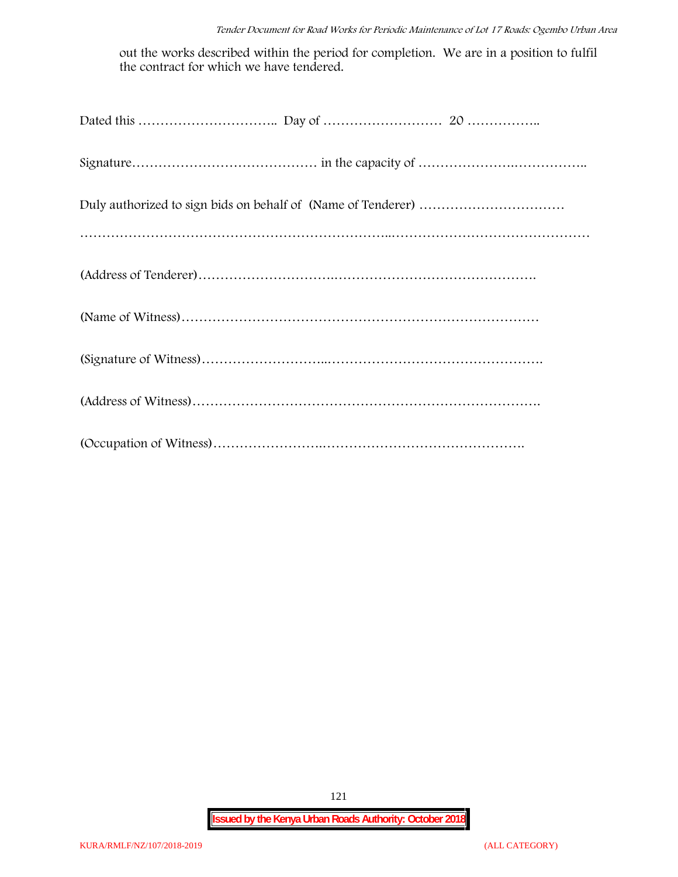out the works described within the period for completion. We are in a position to fulfil the contract for which we have tendered.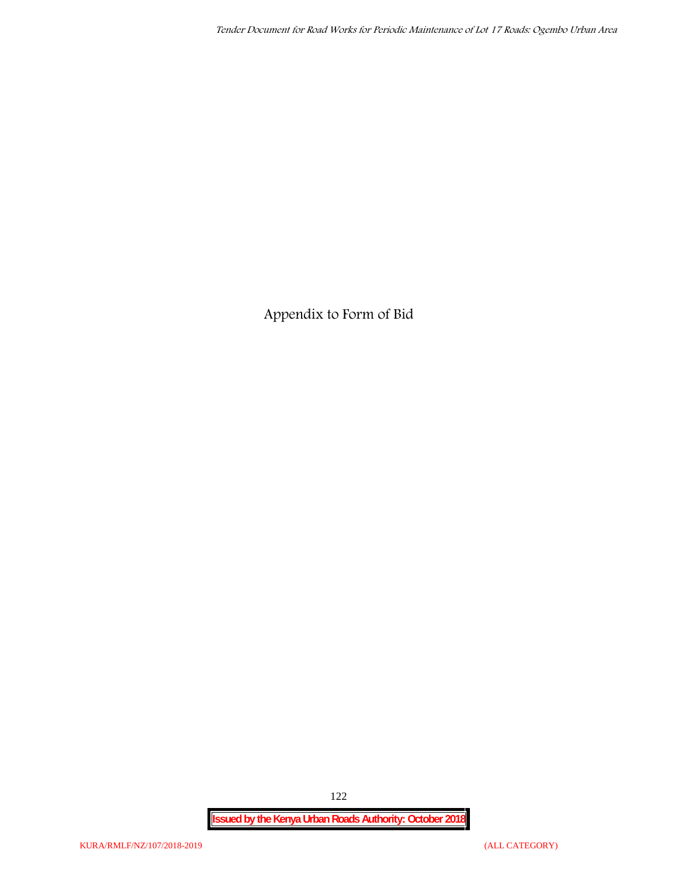**Appendix to Form of Bid**

**Issued by the Kenya Urban Roads Authority: October 2018**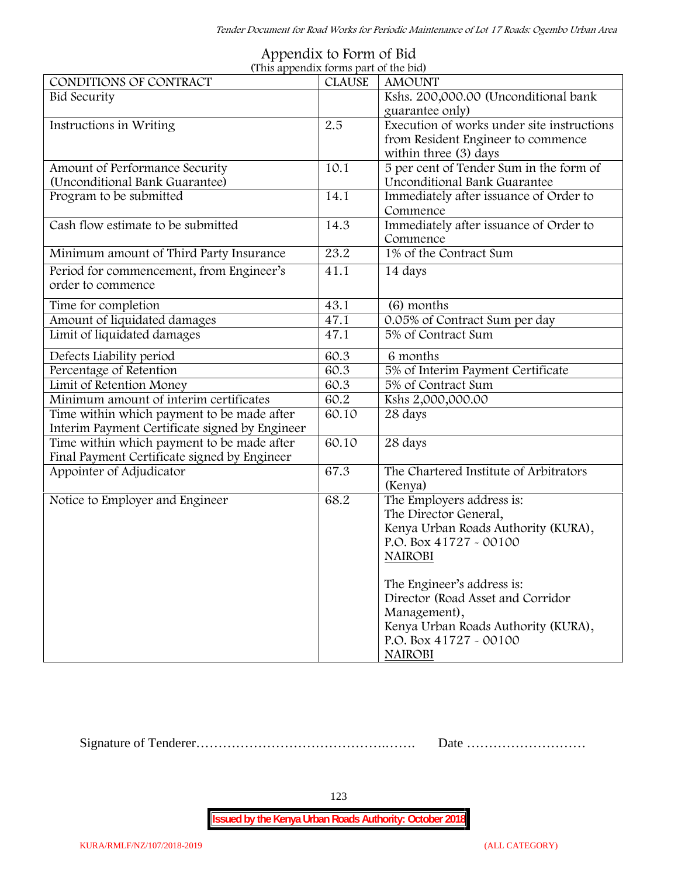| (This appendix forms part of the bid)          |               |                                            |
|------------------------------------------------|---------------|--------------------------------------------|
| CONDITIONS OF CONTRACT                         | <b>CLAUSE</b> | <b>AMOUNT</b>                              |
| <b>Bid Security</b>                            |               | Kshs. 200,000.00 (Unconditional bank       |
|                                                |               | guarantee only)                            |
| Instructions in Writing                        | 2.5           | Execution of works under site instructions |
|                                                |               | from Resident Engineer to commence         |
|                                                |               | within three (3) days                      |
| Amount of Performance Security                 | 10.1          | 5 per cent of Tender Sum in the form of    |
| (Unconditional Bank Guarantee)                 |               | Unconditional Bank Guarantee               |
| Program to be submitted                        | 14.1          | Immediately after issuance of Order to     |
|                                                |               | Commence                                   |
| Cash flow estimate to be submitted             | 14.3          | Immediately after issuance of Order to     |
|                                                |               | Commence                                   |
| Minimum amount of Third Party Insurance        | 23.2          | 1% of the Contract Sum                     |
| Period for commencement, from Engineer's       | 41.1          | 14 days                                    |
| order to commence                              |               |                                            |
| Time for completion                            | 43.1          | (6) months                                 |
| Amount of liquidated damages                   | 47.1          | 0.05% of Contract Sum per day              |
| Limit of liquidated damages                    | 47.1          | 5% of Contract Sum                         |
| Defects Liability period                       | 60.3          | 6 months                                   |
| Percentage of Retention                        | 60.3          | 5% of Interim Payment Certificate          |
| Limit of Retention Money                       | 60.3          | 5% of Contract Sum                         |
| Minimum amount of interim certificates         | 60.2          | Kshs 2,000,000.00                          |
| Time within which payment to be made after     | 60.10         | 28 days                                    |
| Interim Payment Certificate signed by Engineer |               |                                            |
| Time within which payment to be made after     | 60.10         | 28 days                                    |
| Final Payment Certificate signed by Engineer   |               |                                            |
| Appointer of Adjudicator                       | 67.3          | The Chartered Institute of Arbitrators     |
|                                                |               | (Kenya)                                    |
| Notice to Employer and Engineer                | 68.2          | The Employers address is:                  |
|                                                |               | The Director General,                      |
|                                                |               | Kenya Urban Roads Authority (KURA),        |
|                                                |               | P.O. Box 41727 - 00100                     |
|                                                |               | <b>NAIROBI</b>                             |
|                                                |               |                                            |
|                                                |               | The Engineer's address is:                 |
|                                                |               | Director (Road Asset and Corridor          |
|                                                |               | Management),                               |
|                                                |               | Kenya Urban Roads Authority (KURA),        |
|                                                |               | P.O. Box 41727 - 00100                     |
|                                                |               | <b>NAIROBI</b>                             |

# **Appendix to Form of Bid**

Signature of Tenderer…………………………………….……. Date ………………………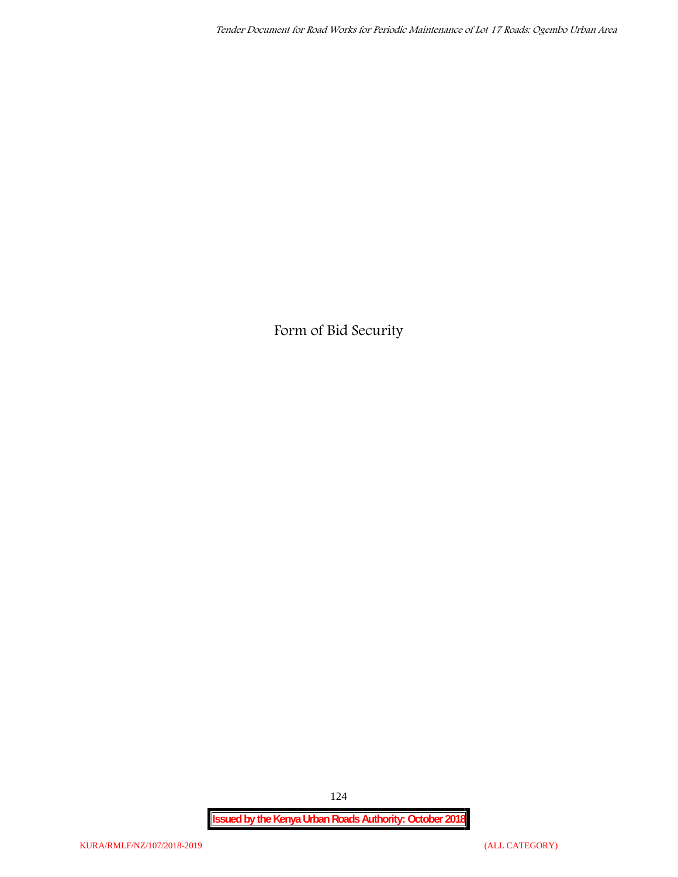**Form of Bid Security**

**Issued by the Kenya Urban Roads Authority: October 2018**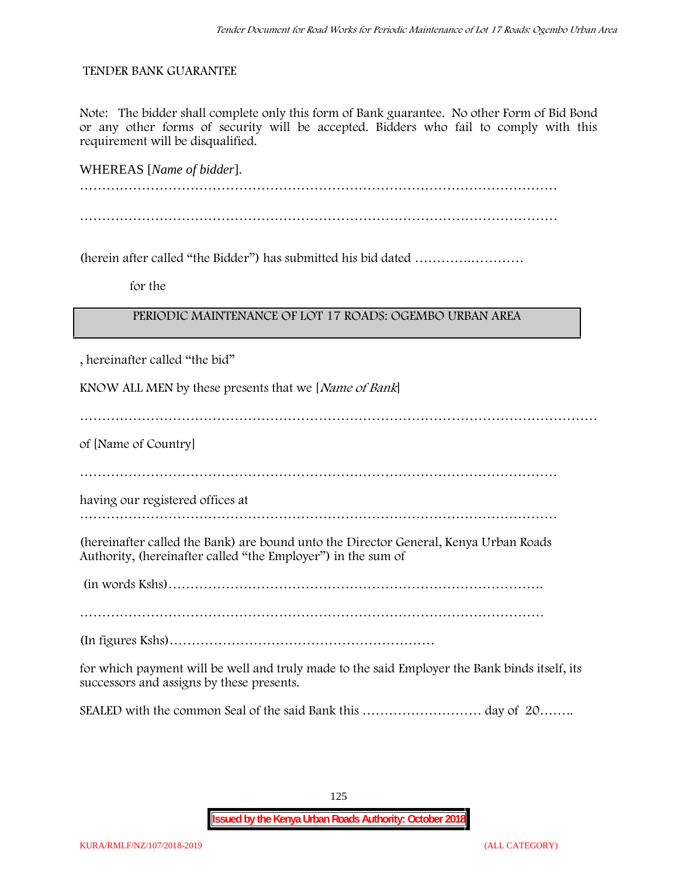### **TENDER BANK GUARANTEE**

Note: The bidder shall complete only this form of Bank guarantee. No other Form of Bid Bond or any other forms of security will be accepted. Bidders who fail to comply with this requirement will be disqualified.

WHEREAS [*Name of bidder*]. ………………………………………………………………………………………………

(herein after called "the Bidder") has submitted his bid dated ………….…………

**for the**

# **PERIODIC MAINTENANCE OF LOT 17 ROADS: OGEMBO URBAN AREA**

, hereinafter called "the bid"

KNOW ALL MEN by these presents that we [*Name of Bank*]

………………………………………………………………………………………………………

of [Name of Country]

………………………………………………………………………………………………

having our registered offices at

………………………………………………………………………………………………

(hereinafter called the Bank) are bound unto the Director General, Kenya Urban Roads Authority, (hereinafter called "the Employer") in the sum of

(in words Kshs)………………………………………………………………………….

……………………………………………………………………………………………

(In figures Kshs)……………………………………………………

for which payment will be well and truly made to the said Employer the Bank binds itself, its successors and assigns by these presents.

SEALED with the common Seal of the said Bank this ……………………… day of 20……..

125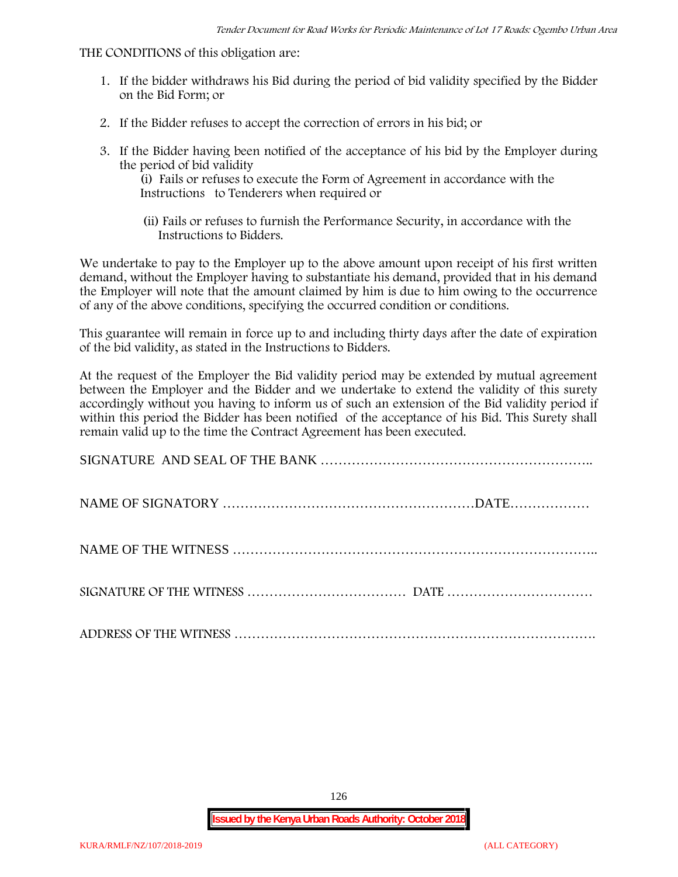#### THE CONDITIONS of this obligation are:

- 1. If the bidder withdraws his Bid during the period of bid validity specified by the Bidder on the Bid Form; or
- 2. If the Bidder refuses to accept the correction of errors in his bid; or
- 3. If the Bidder having been notified of the acceptance of his bid by the Employer during the period of bid validity

(i) Fails or refuses to execute the Form of Agreement in accordance with the Instructions to Tenderers when required or

(ii) Fails or refuses to furnish the Performance Security, in accordance with the Instructions to Bidders.

We undertake to pay to the Employer up to the above amount upon receipt of his first written demand, without the Employer having to substantiate his demand, provided that in his demand the Employer will note that the amount claimed by him is due to him owing to the occurrence of any of the above conditions, specifying the occurred condition or conditions.

This guarantee will remain in force up to and including thirty days after the date of expiration of the bid validity, as stated in the Instructions to Bidders.

At the request of the Employer the Bid validity period may be extended by mutual agreement between the Employer and the Bidder and we undertake to extend the validity of this surety accordingly without you having to inform us of such an extension of the Bid validity period if within this period the Bidder has been notified of the acceptance of his Bid. This Surety shall remain valid up to the time the Contract Agreement has been executed.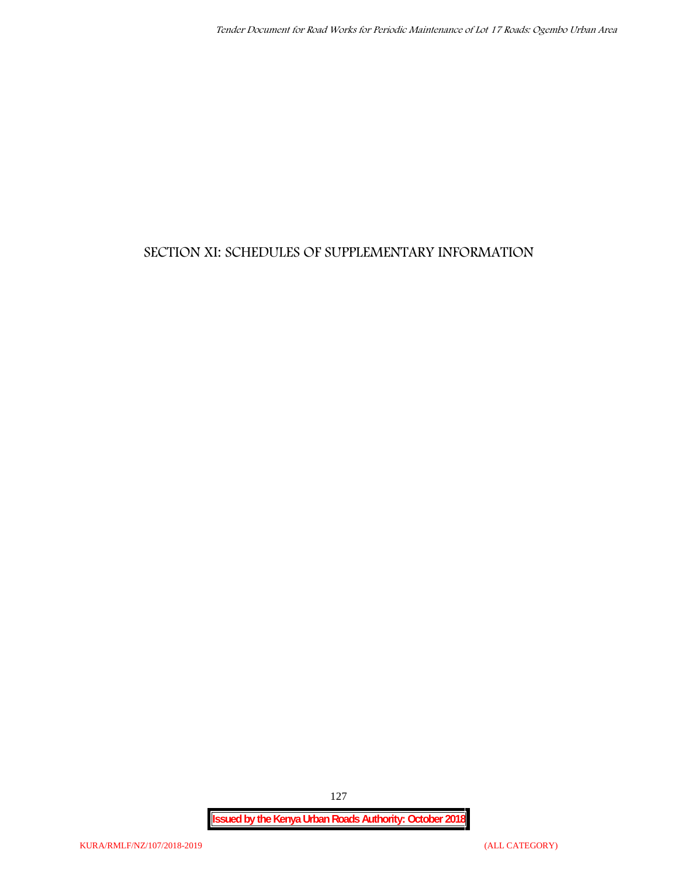# **SECTION XI: SCHEDULES OF SUPPLEMENTARY INFORMATION**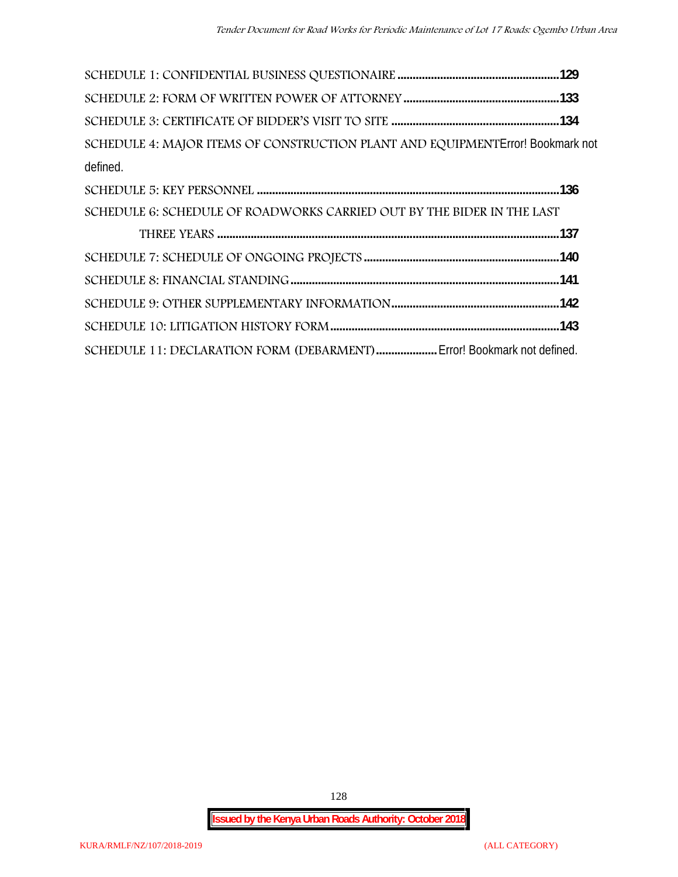| SCHEDULE 4: MAJOR ITEMS OF CONSTRUCTION PLANT AND EQUIPMENT Error! Bookmark not |  |
|---------------------------------------------------------------------------------|--|
| defined.                                                                        |  |
|                                                                                 |  |
| SCHEDULE 6: SCHEDULE OF ROADWORKS CARRIED OUT BY THE BIDER IN THE LAST          |  |
|                                                                                 |  |
|                                                                                 |  |
|                                                                                 |  |
|                                                                                 |  |
|                                                                                 |  |
| SCHEDULE 11: DECLARATION FORM (DEBARMENT) Error! Bookmark not defined.          |  |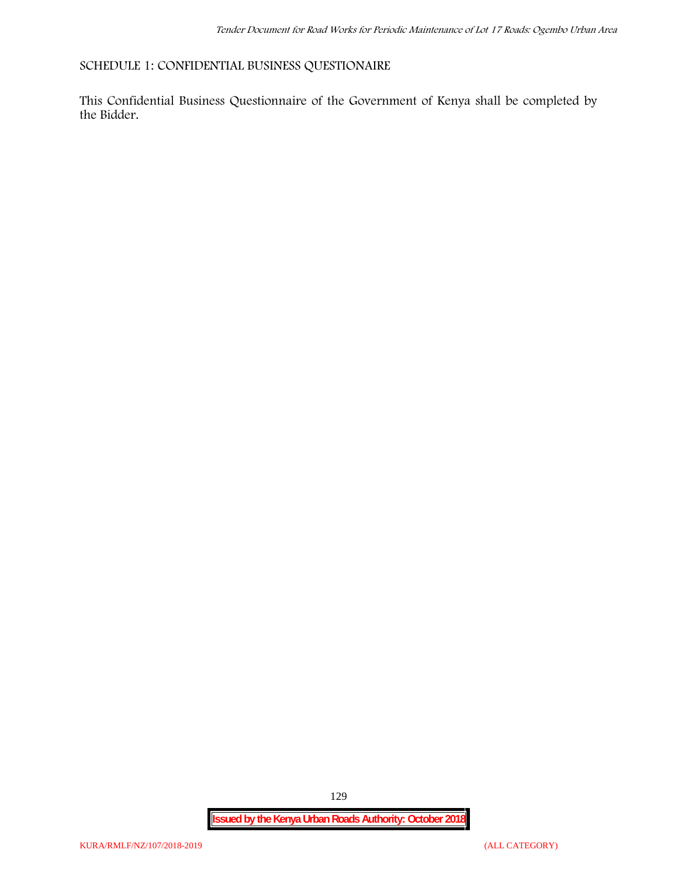## **SCHEDULE 1: CONFIDENTIAL BUSINESS QUESTIONAIRE**

This Confidential Business Questionnaire of the Government of Kenya shall be completed by the Bidder.

**Issued by the Kenya Urban Roads Authority: October 2018**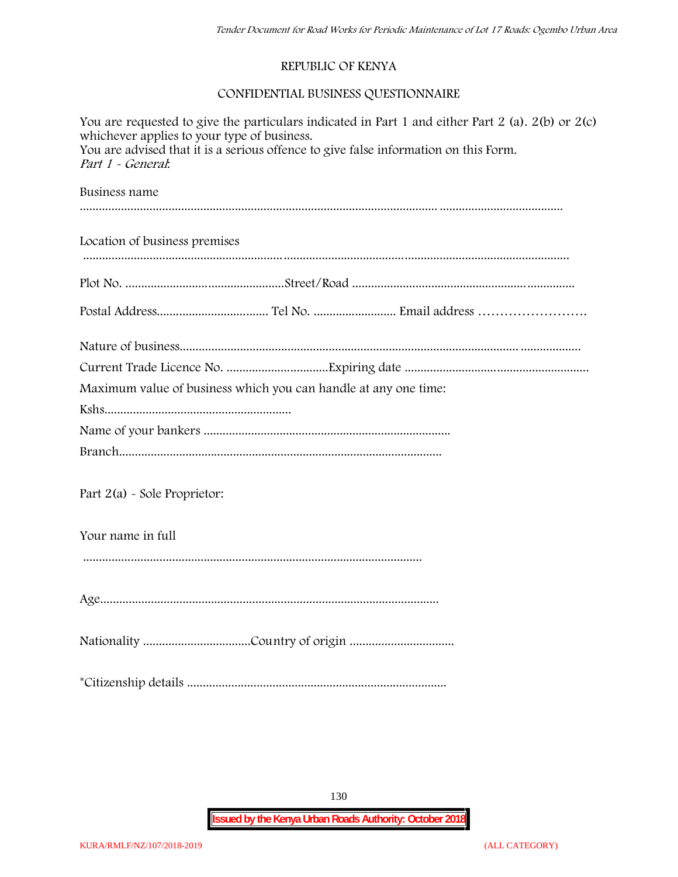# **REPUBLIC OF KENYA**

# **CONFIDENTIAL BUSINESS QUESTIONNAIRE**

| You are requested to give the particulars indicated in Part 1 and either Part 2 (a). $2(b)$ or $2(c)$<br>whichever applies to your type of business.<br>You are advised that it is a serious offence to give false information on this Form.<br>Part 1 - General: |  |  |  |  |  |  |
|-------------------------------------------------------------------------------------------------------------------------------------------------------------------------------------------------------------------------------------------------------------------|--|--|--|--|--|--|
| Business name                                                                                                                                                                                                                                                     |  |  |  |  |  |  |
| Location of business premises                                                                                                                                                                                                                                     |  |  |  |  |  |  |
|                                                                                                                                                                                                                                                                   |  |  |  |  |  |  |
|                                                                                                                                                                                                                                                                   |  |  |  |  |  |  |
|                                                                                                                                                                                                                                                                   |  |  |  |  |  |  |
|                                                                                                                                                                                                                                                                   |  |  |  |  |  |  |
| Maximum value of business which you can handle at any one time:                                                                                                                                                                                                   |  |  |  |  |  |  |
|                                                                                                                                                                                                                                                                   |  |  |  |  |  |  |
|                                                                                                                                                                                                                                                                   |  |  |  |  |  |  |
|                                                                                                                                                                                                                                                                   |  |  |  |  |  |  |
| Part 2(a) - Sole Proprietor:                                                                                                                                                                                                                                      |  |  |  |  |  |  |
| Your name in full                                                                                                                                                                                                                                                 |  |  |  |  |  |  |
|                                                                                                                                                                                                                                                                   |  |  |  |  |  |  |
|                                                                                                                                                                                                                                                                   |  |  |  |  |  |  |
|                                                                                                                                                                                                                                                                   |  |  |  |  |  |  |
|                                                                                                                                                                                                                                                                   |  |  |  |  |  |  |

130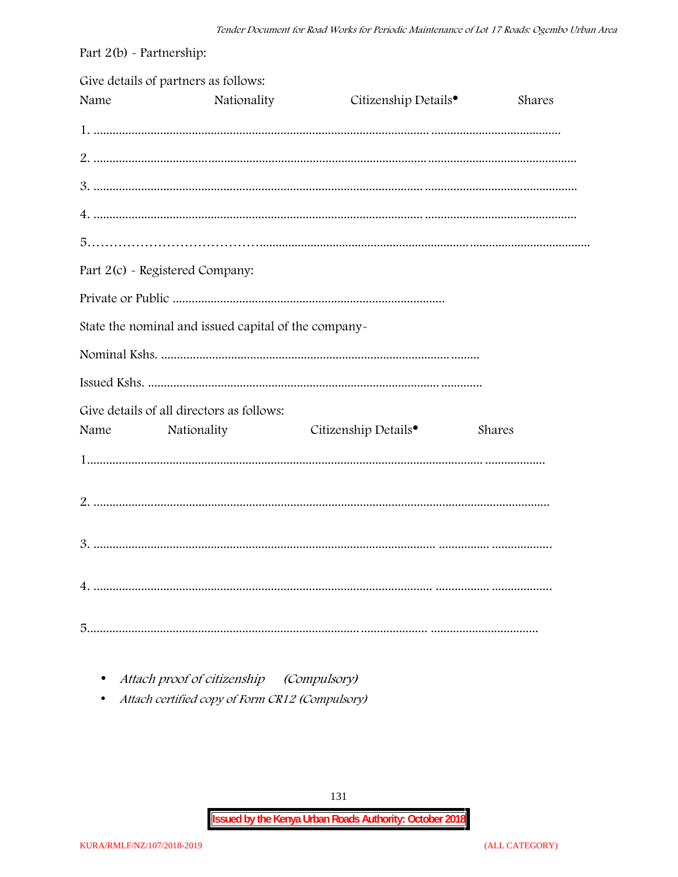| Part $2(b)$ - Partnership: |                                                      |                                  |        |
|----------------------------|------------------------------------------------------|----------------------------------|--------|
| Name                       | Give details of partners as follows:<br>Nationality  | Citizenship Details <sup>•</sup> | Shares |
|                            |                                                      |                                  |        |
|                            |                                                      |                                  |        |
|                            |                                                      |                                  |        |
|                            |                                                      |                                  |        |
|                            |                                                      |                                  |        |
|                            | Part 2(c) - Registered Company:                      |                                  |        |
|                            |                                                      |                                  |        |
|                            | State the nominal and issued capital of the company- |                                  |        |
|                            |                                                      |                                  |        |
|                            |                                                      |                                  |        |
|                            | Give details of all directors as follows:            |                                  |        |
| Name                       | Nationality                                          | Citizenship Details <sup>•</sup> | Shares |
|                            |                                                      |                                  |        |
|                            |                                                      |                                  |        |
|                            |                                                      |                                  |        |
|                            |                                                      |                                  |        |
|                            |                                                      |                                  |        |

- Attach proof of citizenship (Compulsory)
- Attach certified copy of Form CR12 (Compulsory)  $\bullet$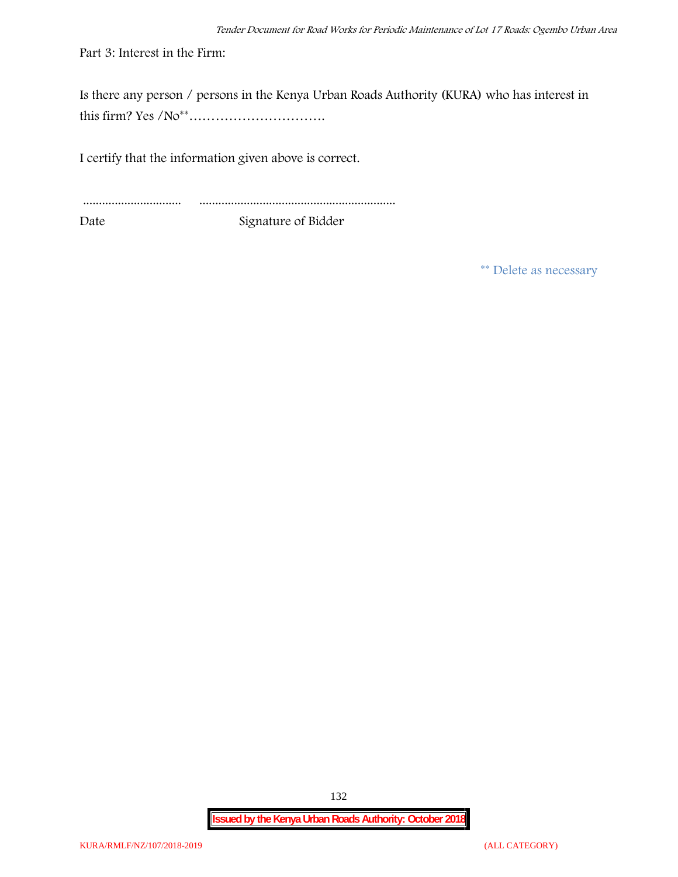Part 3: Interest in the Firm:

Is there any person / persons in the Kenya Urban Roads Authority (KURA) who has interest in this firm? Yes /No\*\*………………………….

I certify that the information given above is correct.

............................... .............................................................. Date Signature of Bidder

**\*\* Delete as necessary**

**Issued by the Kenya Urban Roads Authority: October 2018**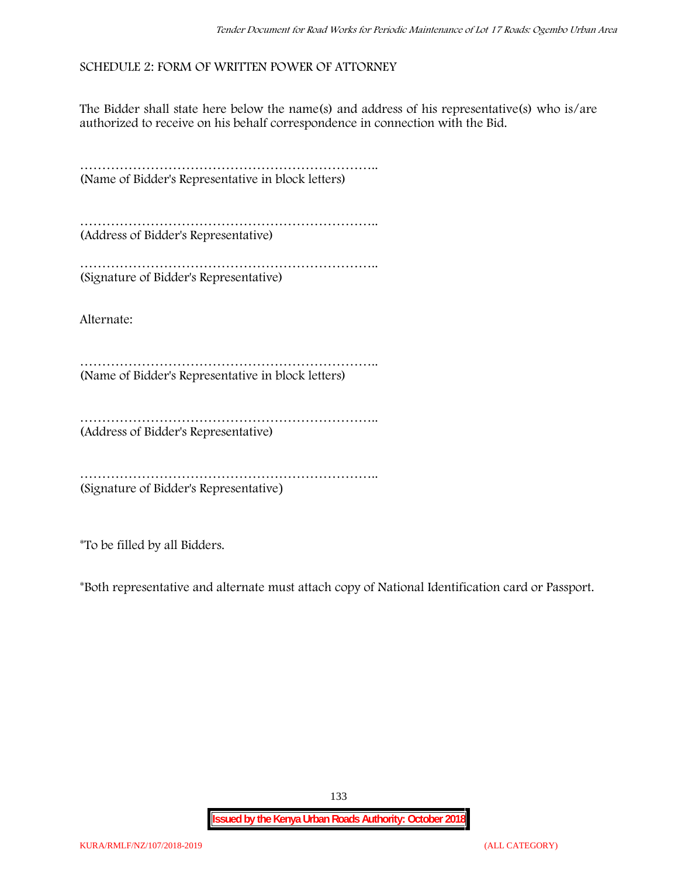# **SCHEDULE 2: FORM OF WRITTEN POWER OF ATTORNEY**

The Bidder shall state here below the name(s) and address of his representative(s) who is/are authorized to receive on his behalf correspondence in connection with the Bid.

………………………………………………………….. (Name of Bidder's Representative in block letters)

………………………………………………………….. (Address of Bidder's Representative)

………………………………………………………….. (Signature of Bidder's Representative)

Alternate:

………………………………………………………….. (Name of Bidder's Representative in block letters)

……………………………………………………………………… (Address of Bidder's Representative)

………………………………………………………….. (Signature of Bidder's Representative)

\*To be filled by all Bidders.

\*Both representative and alternate **must** attach copy of National Identification card or Passport.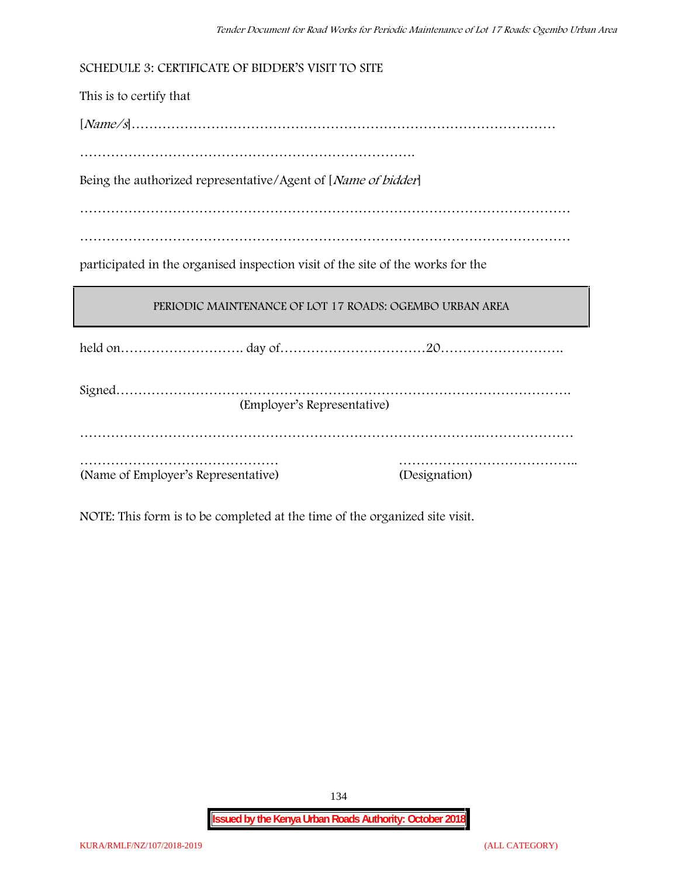**SCHEDULE 3: CERTIFICATE OF BIDDER'S VISIT TO SITE**

This is to certify that

[*Name/s*]……………………………………………………………………………………

………………………………………………………………….

Being the authorized representative/Agent of [*Name of bidder*]

…………………………………………………………………………………………………

…………………………………………………………………………………………………

participated in the organised inspection visit of the site of the works for the

# **PERIODIC MAINTENANCE OF LOT 17 ROADS: OGEMBO URBAN AREA**

held on………………………. day of……………………………20……………………….

| (Employer's Representative)         |               |  |
|-------------------------------------|---------------|--|
|                                     |               |  |
|                                     |               |  |
|                                     |               |  |
| (Name of Employer's Representative) | (Designation) |  |

NOTE: This form is to be completed at the time of the organized site visit.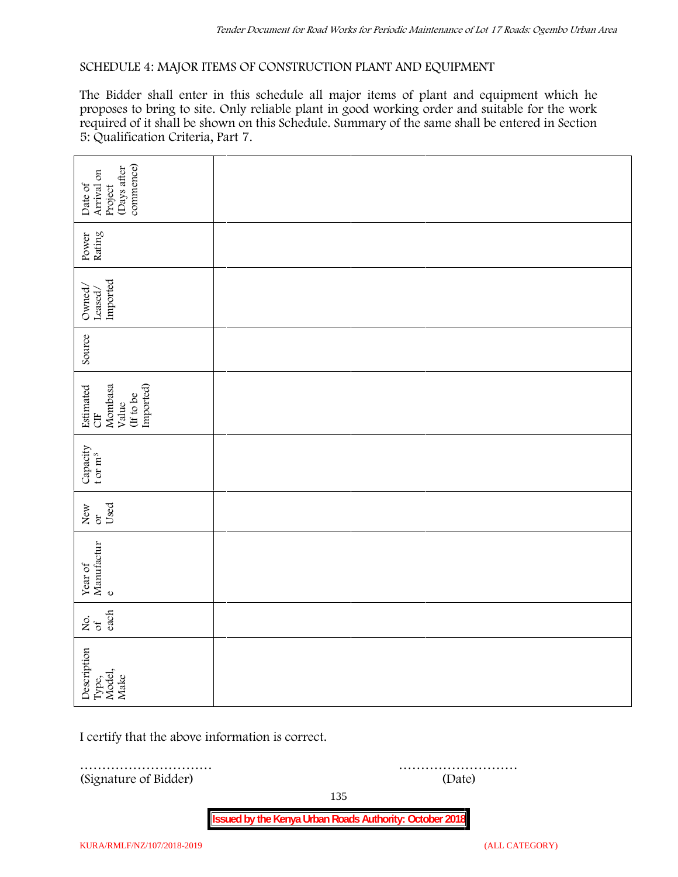#### **SCHEDULE 4: MAJOR ITEMS OF CONSTRUCTION PLANT AND EQUIPMENT**

The Bidder shall enter in this schedule all major items of plant and equipment which he proposes to bring to site. Only reliable plant in good working order and suitable for the work required of it shall be shown on this Schedule. Summary of the same shall be entered in Section 5: Qualification Criteria, Part 7.

| commence)<br>(Days after<br>Arrival on<br>Date of<br>Project   |                                                  |  |  |  |  |
|----------------------------------------------------------------|--------------------------------------------------|--|--|--|--|
| Power<br>Rating                                                |                                                  |  |  |  |  |
| $\frac{\text{Leased}}{\text{imported}}$<br>Owned/              |                                                  |  |  |  |  |
| Source                                                         |                                                  |  |  |  |  |
| Imported)<br>Estimated<br>CIF<br>Mombasa<br>Value<br>(If to be |                                                  |  |  |  |  |
| Capacity t or $\mathbf{m}^3$                                   |                                                  |  |  |  |  |
| New $_{\rm Used}$                                              |                                                  |  |  |  |  |
| Year of Manufactur $_{\rm e}$                                  |                                                  |  |  |  |  |
| each<br>Σό.                                                    |                                                  |  |  |  |  |
| Description<br>Type,<br>Model,<br>Make                         |                                                  |  |  |  |  |
|                                                                | I certify that the above information is correct. |  |  |  |  |
| .<br>(Signature of Bidder)                                     | (Date)                                           |  |  |  |  |

135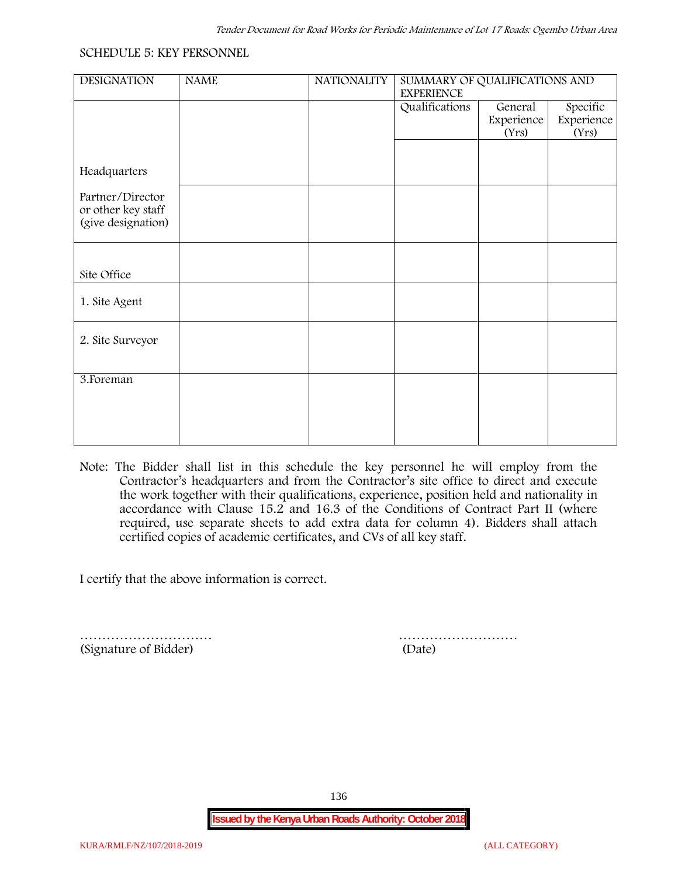#### **SCHEDULE 5: KEY PERSONNEL**

| <b>DESIGNATION</b>                                           | <b>NAME</b> | <b>NATIONALITY</b> | SUMMARY OF QUALIFICATIONS AND<br><b>EXPERIENCE</b> |                                |                                 |  |
|--------------------------------------------------------------|-------------|--------------------|----------------------------------------------------|--------------------------------|---------------------------------|--|
|                                                              |             |                    | Qualifications                                     | General<br>Experience<br>(Yrs) | Specific<br>Experience<br>(Yrs) |  |
|                                                              |             |                    |                                                    |                                |                                 |  |
| Headquarters                                                 |             |                    |                                                    |                                |                                 |  |
| Partner/Director<br>or other key staff<br>(give designation) |             |                    |                                                    |                                |                                 |  |
|                                                              |             |                    |                                                    |                                |                                 |  |
| Site Office                                                  |             |                    |                                                    |                                |                                 |  |
| 1. Site Agent                                                |             |                    |                                                    |                                |                                 |  |
| 2. Site Surveyor                                             |             |                    |                                                    |                                |                                 |  |
| 3. Foreman                                                   |             |                    |                                                    |                                |                                 |  |
|                                                              |             |                    |                                                    |                                |                                 |  |
|                                                              |             |                    |                                                    |                                |                                 |  |
|                                                              |             |                    |                                                    |                                |                                 |  |

**Note:** The Bidder shall list in this schedule the key personnel he will employ from the Contractor's headquarters and from the Contractor's site office to direct and execute the work together with their qualifications, experience, position held and nationality in accordance with Clause 15.2 and 16.3 of the Conditions of Contract Part II (where required, use separate sheets to add extra data for column 4). Bidders shall attach certified copies of academic certificates, and CVs of all key staff.

I certify that the above information is correct.

(Signature of Bidder) (Date)

………………………… ………………………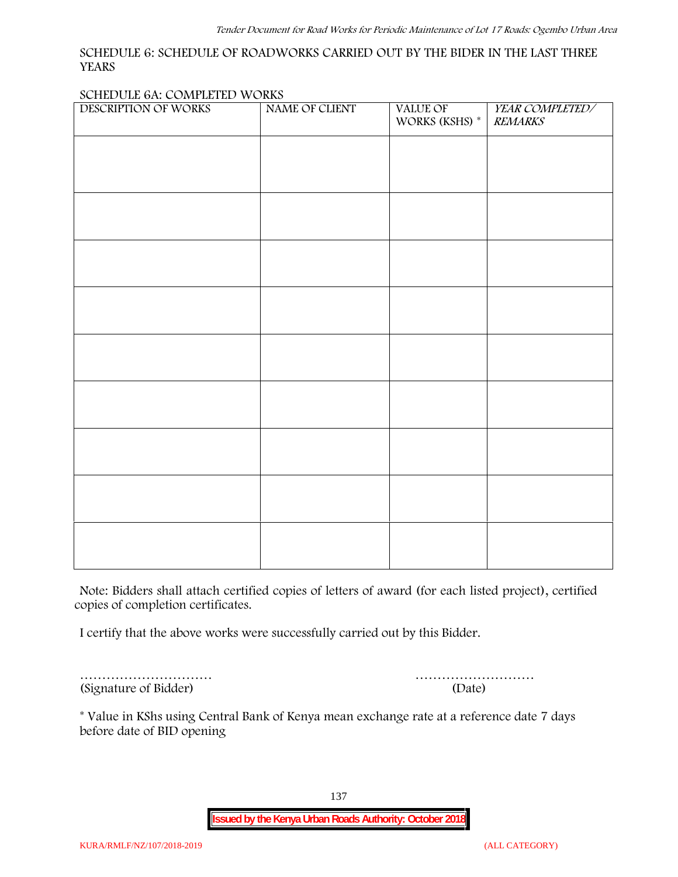#### **SCHEDULE 6: SCHEDULE OF ROADWORKS CARRIED OUT BY THE BIDER IN THE LAST THREE YEARS**

#### **SCHEDULE 6A: COMPLETED WORKS**

| DESCRIPTION OF WORKS | NAME OF CLIENT | VALUE OF<br>WORKS (KSHS) $^\ast$ | YEAR COMPLETED/<br><b>REMARKS</b> |
|----------------------|----------------|----------------------------------|-----------------------------------|
|                      |                |                                  |                                   |
|                      |                |                                  |                                   |
|                      |                |                                  |                                   |
|                      |                |                                  |                                   |
|                      |                |                                  |                                   |
|                      |                |                                  |                                   |
|                      |                |                                  |                                   |
|                      |                |                                  |                                   |
|                      |                |                                  |                                   |
|                      |                |                                  |                                   |
|                      |                |                                  |                                   |
|                      |                |                                  |                                   |
|                      |                |                                  |                                   |
|                      |                |                                  |                                   |
|                      |                |                                  |                                   |

**Note:** Bidders shall attach certified copies of letters of award (for each listed project), certified copies of completion certificates.

I certify that the above works were successfully carried out by this Bidder.

(Signature of Bidder) (Date)

………………………… ………………………

\* **Value in KShs using Central Bank of Kenya mean exchange rate at a reference date 7 days before date of BID opening**

137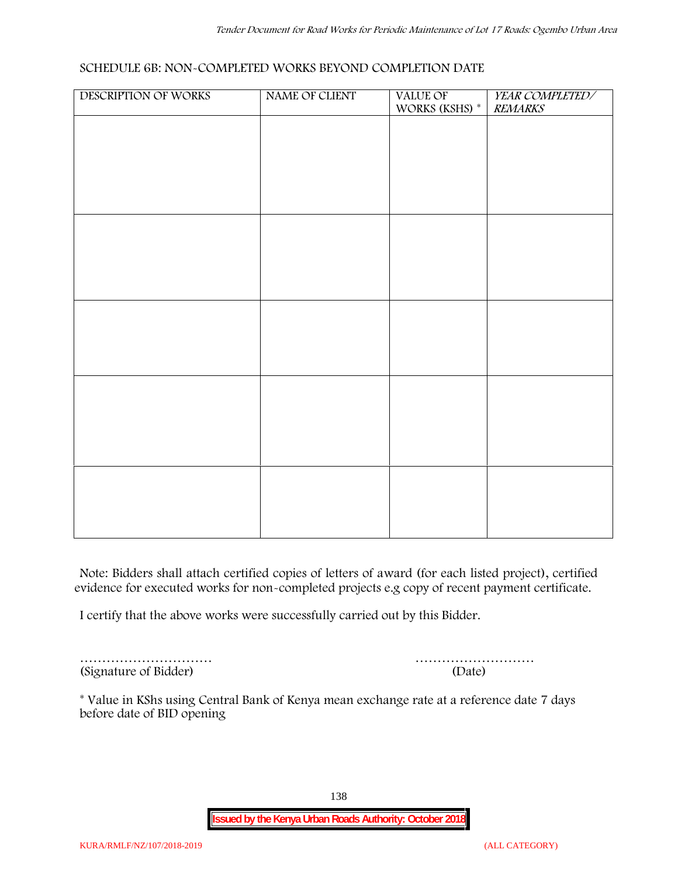#### **SCHEDULE 6B: NON-COMPLETED WORKS BEYOND COMPLETION DATE**

| DESCRIPTION OF WORKS | NAME OF CLIENT | VALUE OF<br>WORKS (KSHS) * | YEAR COMPLETED/<br><b>REMARKS</b> |
|----------------------|----------------|----------------------------|-----------------------------------|
|                      |                |                            |                                   |
|                      |                |                            |                                   |
|                      |                |                            |                                   |
|                      |                |                            |                                   |
|                      |                |                            |                                   |
|                      |                |                            |                                   |
|                      |                |                            |                                   |
|                      |                |                            |                                   |
|                      |                |                            |                                   |
|                      |                |                            |                                   |
|                      |                |                            |                                   |
|                      |                |                            |                                   |
|                      |                |                            |                                   |
|                      |                |                            |                                   |
|                      |                |                            |                                   |
|                      |                |                            |                                   |
|                      |                |                            |                                   |

**Note:** Bidders shall attach certified copies of letters of award (for each listed project), certified evidence for executed works for non-completed projects e.g copy of recent payment certificate.

I certify that the above works were successfully carried out by this Bidder.

………………………… (Signature of Bidder)

|  |  |  |  |  | (Date) |  |  |  |  |  |  |  |  |  |
|--|--|--|--|--|--------|--|--|--|--|--|--|--|--|--|

\* **Value in KShs using Central Bank of Kenya mean exchange rate at a reference date 7 days before date of BID opening**

138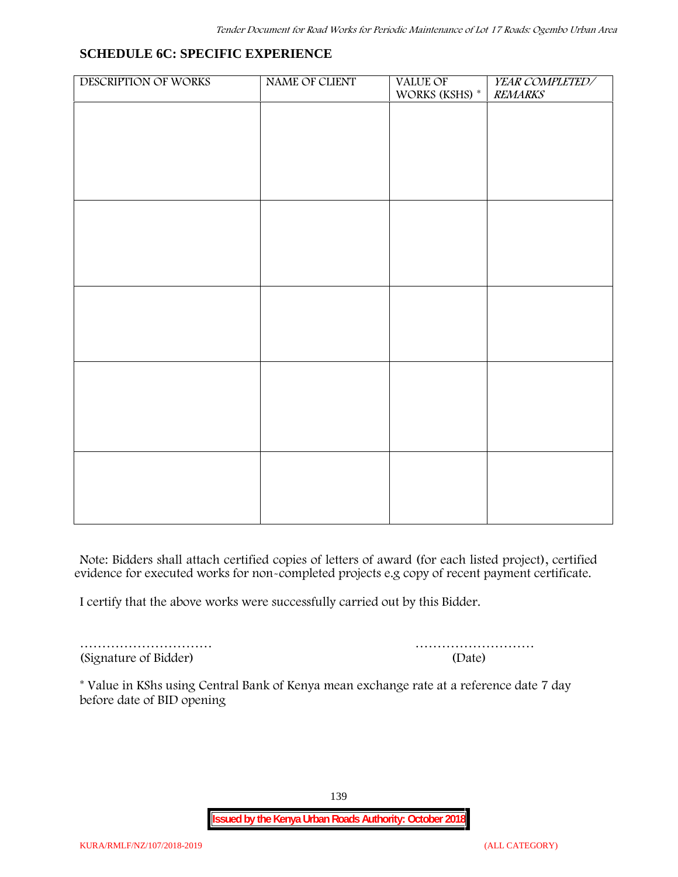# **SCHEDULE 6C: SPECIFIC EXPERIENCE**

| DESCRIPTION OF WORKS | NAME OF CLIENT | VALUE OF<br>WORKS (KSHS) * | YEAR COMPLETED/<br><b>REMARKS</b> |
|----------------------|----------------|----------------------------|-----------------------------------|
|                      |                |                            |                                   |
|                      |                |                            |                                   |
|                      |                |                            |                                   |
|                      |                |                            |                                   |
|                      |                |                            |                                   |
|                      |                |                            |                                   |
|                      |                |                            |                                   |
|                      |                |                            |                                   |
|                      |                |                            |                                   |
|                      |                |                            |                                   |
|                      |                |                            |                                   |
|                      |                |                            |                                   |
|                      |                |                            |                                   |
|                      |                |                            |                                   |
|                      |                |                            |                                   |
|                      |                |                            |                                   |
|                      |                |                            |                                   |

**Note:** Bidders shall attach certified copies of letters of award (for each listed project), certified evidence for executed works for non-completed projects e.g copy of recent payment certificate.

I certify that the above works were successfully carried out by this Bidder.

(Signature of Bidder) (Date)

………………………… ………………………

\* **Value in KShs using Central Bank of Kenya mean exchange rate at a reference date 7 day before date of BID opening**

139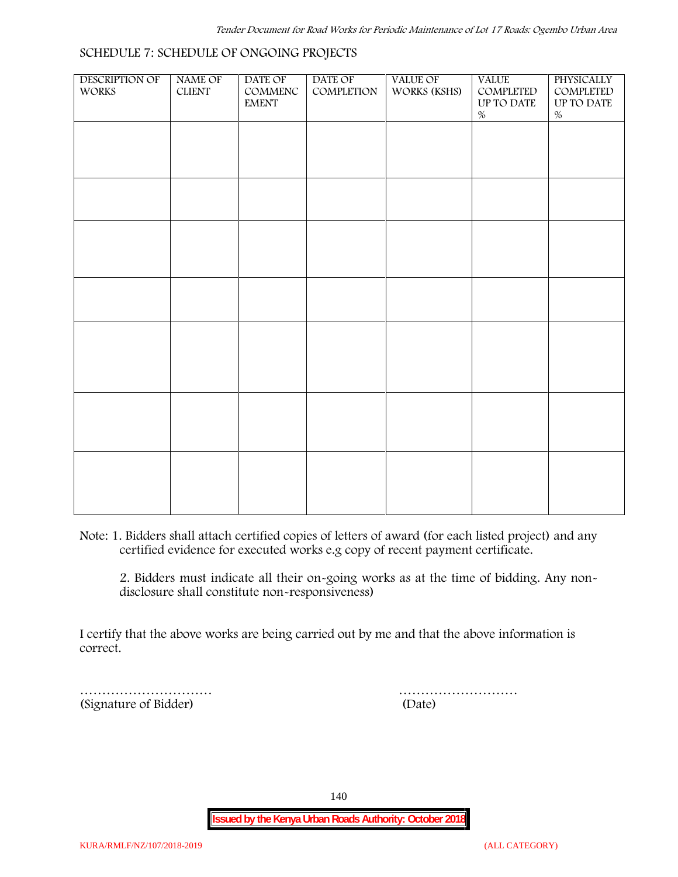#### **SCHEDULE 7: SCHEDULE OF ONGOING PROJECTS**

| DESCRIPTION OF<br><b>WORKS</b> | NAME OF<br><b>CLIENT</b> | DATE OF<br>$\mathsf{COMMENC}$<br><b>EMENT</b> | DATE OF<br>COMPLETION | VALUE OF<br>WORKS (KSHS) | <b>VALUE</b><br>COMPLETED<br>UP TO DATE<br>$\%$ | PHYSICALLY<br>COMPLETED<br>$\,$ UP TO DATE<br>$\%$ |  |
|--------------------------------|--------------------------|-----------------------------------------------|-----------------------|--------------------------|-------------------------------------------------|----------------------------------------------------|--|
|                                |                          |                                               |                       |                          |                                                 |                                                    |  |
|                                |                          |                                               |                       |                          |                                                 |                                                    |  |
|                                |                          |                                               |                       |                          |                                                 |                                                    |  |
|                                |                          |                                               |                       |                          |                                                 |                                                    |  |
|                                |                          |                                               |                       |                          |                                                 |                                                    |  |
|                                |                          |                                               |                       |                          |                                                 |                                                    |  |
|                                |                          |                                               |                       |                          |                                                 |                                                    |  |
|                                |                          |                                               |                       |                          |                                                 |                                                    |  |
|                                |                          |                                               |                       |                          |                                                 |                                                    |  |

**Note:** 1. Bidders shall attach certified copies of letters of award (for each listed project) and any certified evidence for executed works e.g copy of recent payment certificate.

2. Bidders must indicate all their on-going works as at the time of bidding. Any non disclosure shall constitute non-responsiveness)

I certify that the above works are being carried out by me and that the above information is correct.

(Signature of Bidder) (Date)

………………………… ………………………

140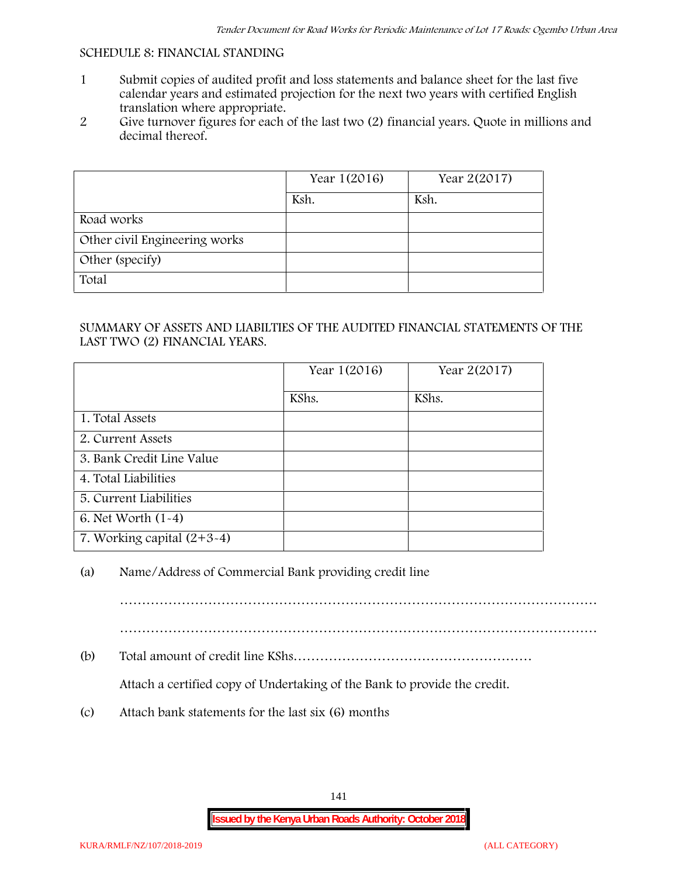#### **SCHEDULE 8: FINANCIAL STANDING**

- 1 Submit copies of audited profit and loss statements and balance sheet for the last five calendar years and estimated projection for the next two years with certified English translation where appropriate.
- 2 Give turnover figures for each of the last two (2) financial years. Quote in millions and decimal thereof.

|                               | Year 1(2016) | Year 2(2017) |
|-------------------------------|--------------|--------------|
|                               | Ksh.         | Ksh.         |
| Road works                    |              |              |
| Other civil Engineering works |              |              |
| Other (specify)               |              |              |
| Total                         |              |              |

## SUMMARY OF ASSETS AND LIABILTIES OF THE AUDITED FINANCIAL STATEMENTS OF THE LAST TWO (2) FINANCIAL YEARS.

|                              | Year 1(2016) | Year 2(2017) |
|------------------------------|--------------|--------------|
|                              | KShs.        | KShs.        |
| 1. Total Assets              |              |              |
| 2. Current Assets            |              |              |
| 3. Bank Credit Line Value    |              |              |
| 4. Total Liabilities         |              |              |
| 5. Current Liabilities       |              |              |
| 6. Net Worth $(1-4)$         |              |              |
| 7. Working capital $(2+3-4)$ |              |              |

# (a) Name/Address of Commercial Bank providing credit line

………………………………………………………………………………………………

………………………………………………………………………………………………

(b) Total amount of credit line KShs………………………………………………

Attach a certified copy of Undertaking of the Bank to provide the credit.

(c) Attach bank statements for the last six (6) months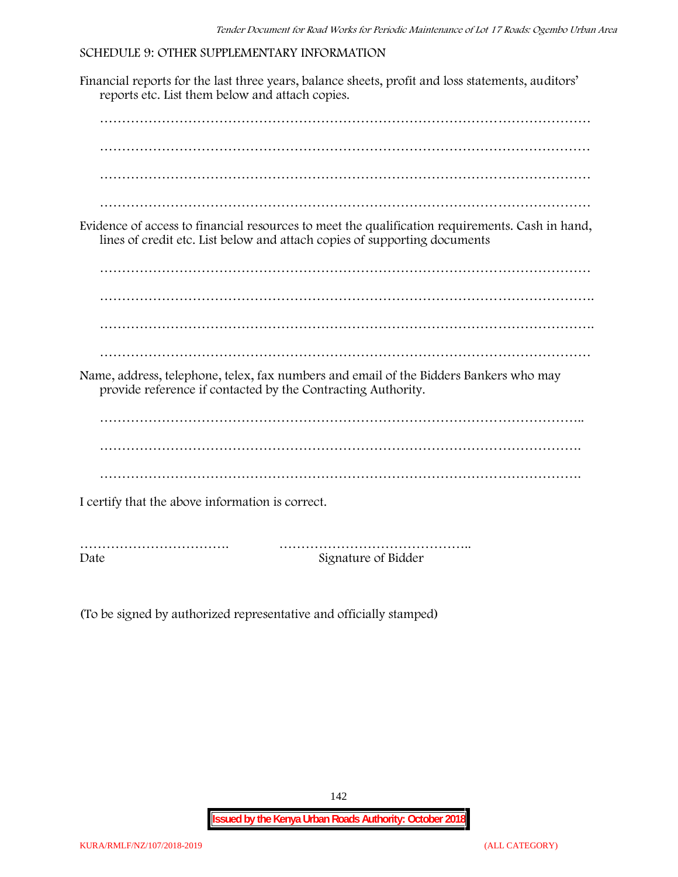## **SCHEDULE 9: OTHER SUPPLEMENTARY INFORMATION**

Financial reports for the last three years, balance sheets, profit and loss statements, auditors' reports etc. List them below and attach copies. ………………………………………………………………………………………………… ………………………………………………………………………………………………… ………………………………………………………………………………………………… ………………………………………………………………………………………………… Evidence of access to financial resources to meet the qualification requirements. Cash in hand, lines of credit etc. List below and attach copies of supporting documents ………………………………………………………………………………………………… …………………………………………………………………………………………………. ………………………………………………………………………………………………… Name, address, telephone, telex, fax numbers and email of the Bidders Bankers who may provide reference if contacted by the Contracting Authority. ……………………………………………………………………………………………….. ………………………………………………………………………………………………. ………………………………………………………………………………………………. I certify that the above information is correct. ……………………………. …………………………………….. Date Signature of Bidder

(To be signed by authorized representative and officially stamped)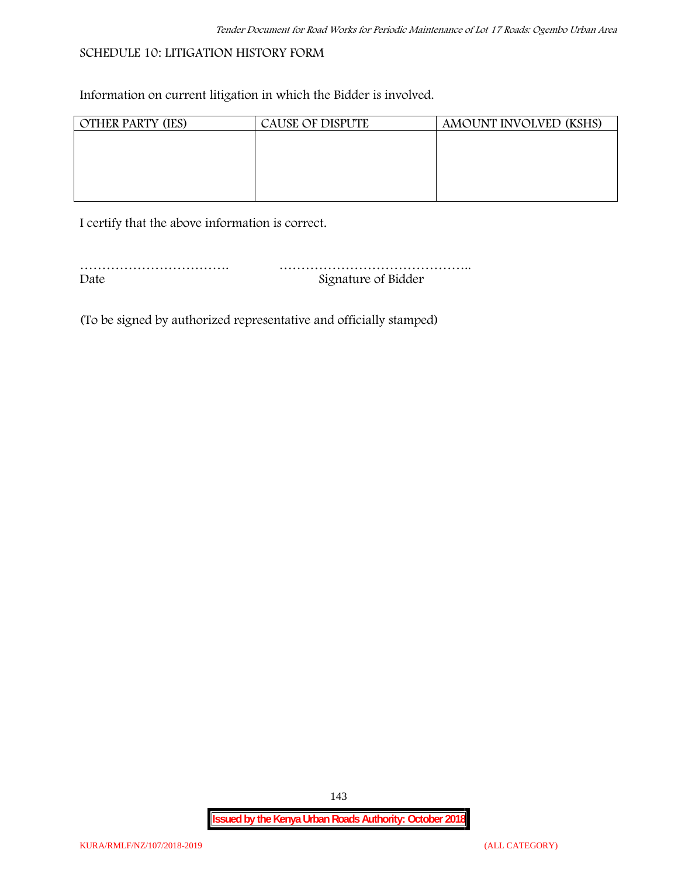## **SCHEDULE 10: LITIGATION HISTORY FORM**

Information on current litigation in which the Bidder is involved.

| <b>OTHER PARTY (IES)</b> | CAUSE OF DISPUTE | AMOUNT INVOLVED (KSHS) |
|--------------------------|------------------|------------------------|
|                          |                  |                        |
|                          |                  |                        |
|                          |                  |                        |
|                          |                  |                        |
|                          |                  |                        |

I certify that the above information is correct.

| Date | Signature of Bidder |
|------|---------------------|

(To be signed by authorized representative and officially stamped)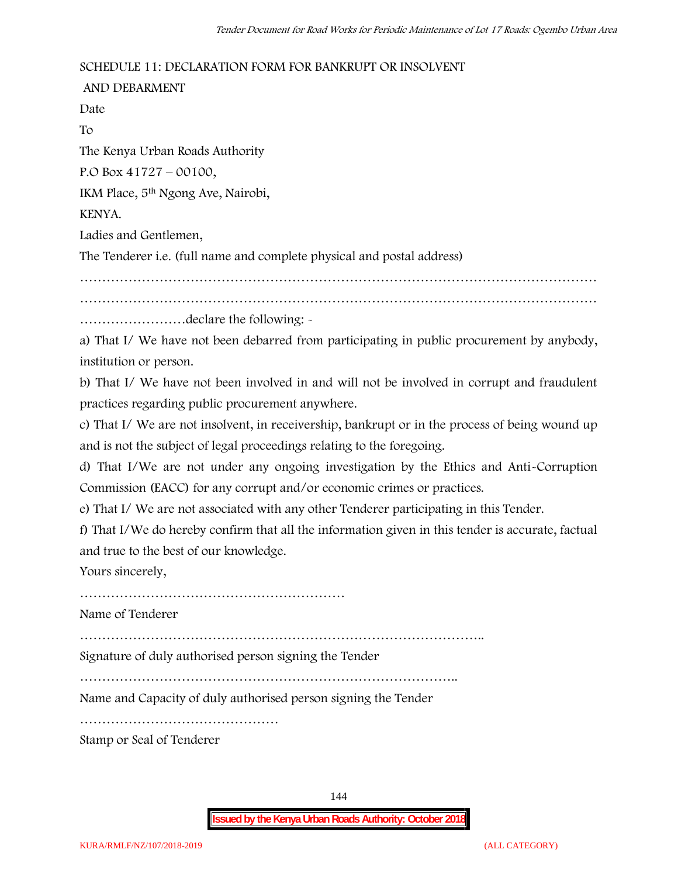### **SCHEDULE 11: DECLARATION FORM FOR BANKRUPT OR INSOLVENT**

**AND DEBARMENT** Date To The Kenya Urban Roads Authority P.O Box 41727 – 00100, IKM Place, 5th Ngong Ave, Nairobi, KENYA. Ladies and Gentlemen, The Tenderer i.e. (full name and complete physical and postal address) ……………………………………………………………………………………………………… ……………………declare the following: -

a) That I/ We have not been debarred from participating in public procurement by anybody, institution or person.

b) That I/ We have not been involved in and will not be involved in corrupt and fraudulent practices regarding public procurement anywhere.

c) That I/ We are not insolvent, in receivership, bankrupt or in the process of being wound up and is not the subject of legal proceedings relating to the foregoing.

d) That I/We are not under any ongoing investigation by the Ethics and Anti-Corruption Commission (EACC) for any corrupt and/or economic crimes or practices.

e) That I/ We are not associated with any other Tenderer participating in this Tender.

f) That I/We do hereby confirm that all the information given in this tender is accurate, factual and true to the best of our knowledge.

Yours sincerely,

……………………………………………………

Name of Tenderer

………………………………………………………………………………..

Signature of duly authorised person signing the Tender

…………………………………………………………………………..

Name and Capacity of duly authorised person signing the Tender

………………………………………

Stamp or Seal of Tenderer

144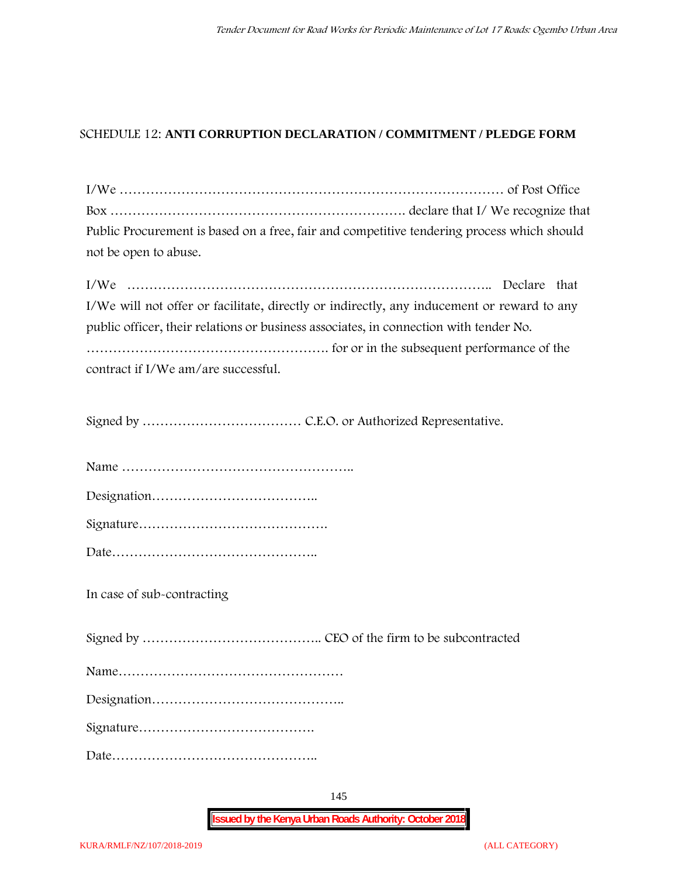## **SCHEDULE 12: ANTI CORRUPTION DECLARATION / COMMITMENT / PLEDGE FORM**

| Public Procurement is based on a free, fair and competitive tendering process which should |  |
|--------------------------------------------------------------------------------------------|--|
| not be open to abuse.                                                                      |  |
|                                                                                            |  |
| I/We will not offer or facilitate, directly or indirectly, any inducement or reward to any |  |
| public officer, their relations or business associates, in connection with tender No.      |  |
|                                                                                            |  |
| contract if I/We am/are successful.                                                        |  |
|                                                                                            |  |
|                                                                                            |  |
|                                                                                            |  |
|                                                                                            |  |

Date………………………………………..

**In case of sub-contracting**

|--|--|

Signature………………………………….

Date………………………………………..

145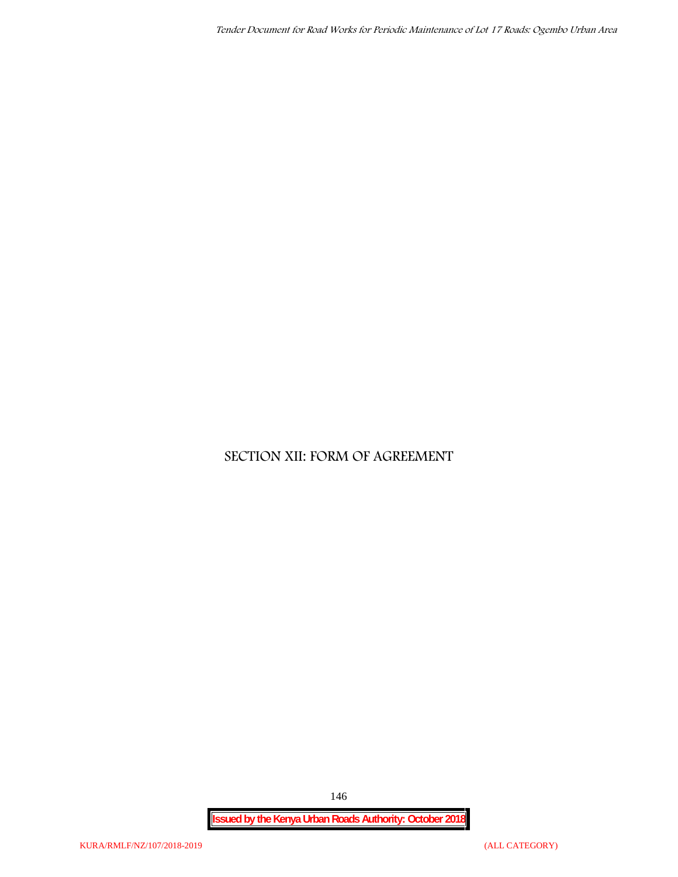**SECTION XII: FORM OF AGREEMENT**

146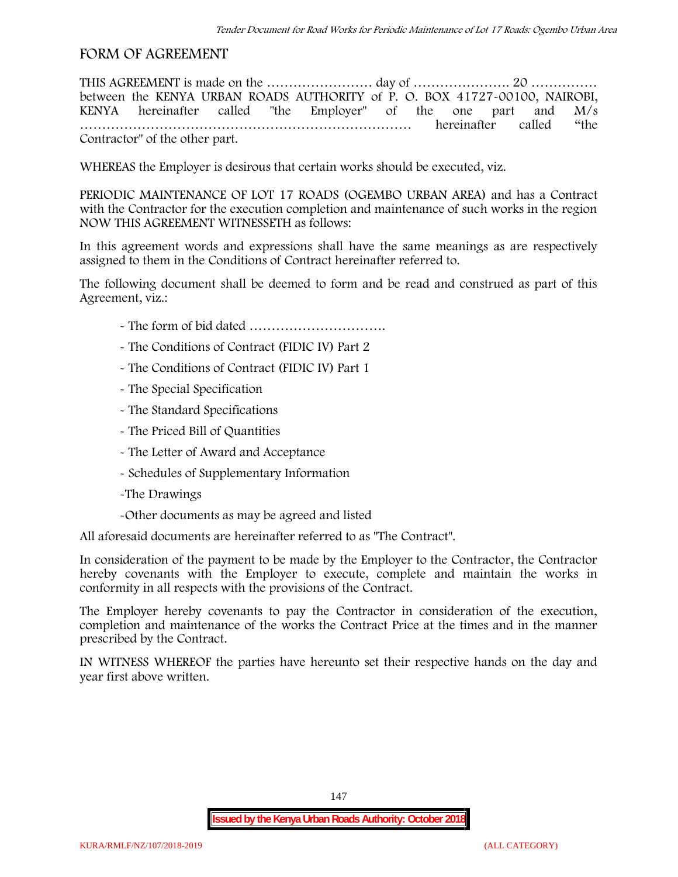## **FORM OF AGREEMENT**

THIS AGREEMENT is made on the …………………… day of …………………. 20 …………… between the **KENYA URBAN ROADS AUTHORITY** of **P. O. BOX 41727-00100, NAIROBI, KENYA** hereinafter called "the Employer" of the one part and **M/s ………………………………………………………………** hereinafter called Contractor" of the other part.

WHEREAS the Employer is desirous that certain works should be executed, viz.

**PERIODIC MAINTENANCE OF LOT 17 ROADS (OGEMBO URBAN AREA)** and has a Contract with the Contractor for the execution completion and maintenance of such works in the region NOW THIS AGREEMENT WITNESSETH as follows:

In this agreement words and expressions shall have the same meanings as are respectively assigned to them in the Conditions of Contract hereinafter referred to.

The following document shall be deemed to form and be read and construed as part of this Agreement, viz.:

- The form of bid dated **………………………….**
- The Conditions of Contract (FIDIC IV) Part 2
- The Conditions of Contract (FIDIC IV) Part 1
- The Special Specification
- The Standard Specifications
- The Priced Bill of Quantities
- The Letter of Award and Acceptance
- Schedules of Supplementary Information
- -The Drawings
- -Other documents as may be agreed and listed

All aforesaid documents are hereinafter referred to as "The Contract".

In consideration of the payment to be made by the Employer to the Contractor, the Contractor hereby covenants with the Employer to execute, complete and maintain the works in conformity in all respects with the provisions of the Contract.

The Employer hereby covenants to pay the Contractor in consideration of the execution, completion and maintenance of the works the Contract Price at the times and in the manner prescribed by the Contract.

IN WITNESS WHEREOF the parties have hereunto set their respective hands on the day and year first above written.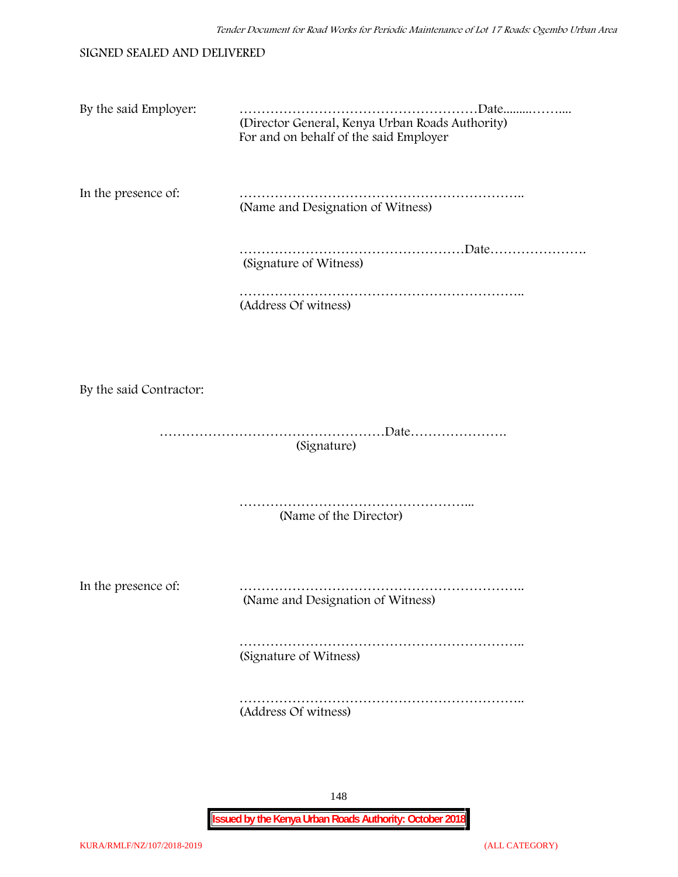| SIGNED SEALED AND DELIVERED |  |
|-----------------------------|--|
|-----------------------------|--|

| By the said Employer:   | (Director General, Kenya Urban Roads Authority)<br>For and on behalf of the said Employer |
|-------------------------|-------------------------------------------------------------------------------------------|
| In the presence of:     | (Name and Designation of Witness)                                                         |
|                         | (Signature of Witness)                                                                    |
|                         | (Address Of witness)                                                                      |
|                         |                                                                                           |
| By the said Contractor: |                                                                                           |
|                         | (Signature)                                                                               |
|                         | (Name of the Director)                                                                    |
| In the presence of:     | (Name and Designation of Witness)                                                         |
|                         | (Signature of Witness)                                                                    |
|                         | (Address Of witness)                                                                      |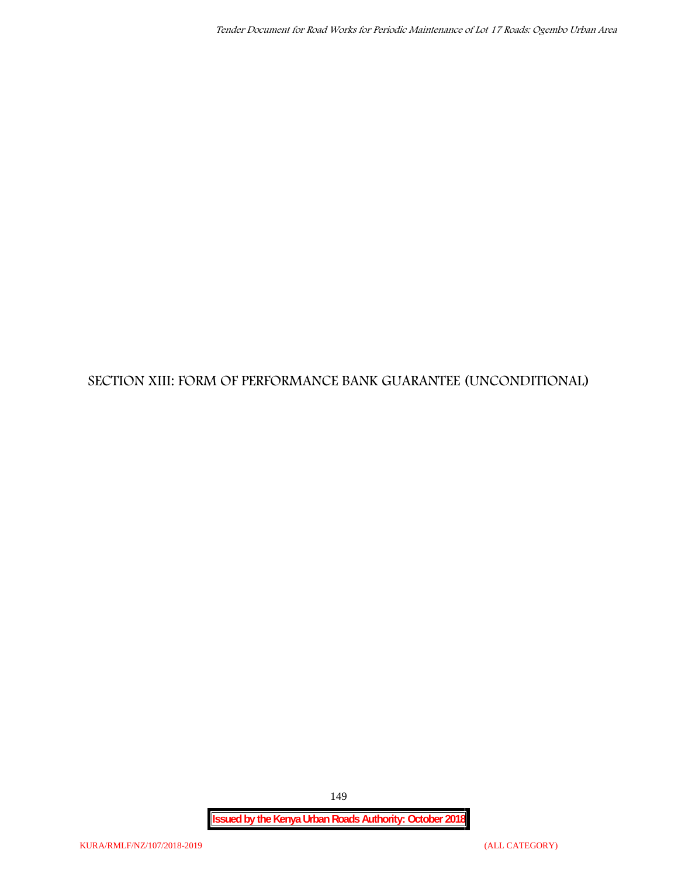# **SECTION XIII: FORM OF PERFORMANCE BANK GUARANTEE (UNCONDITIONAL)**

**Issued by the Kenya Urban Roads Authority: October 2018**

149